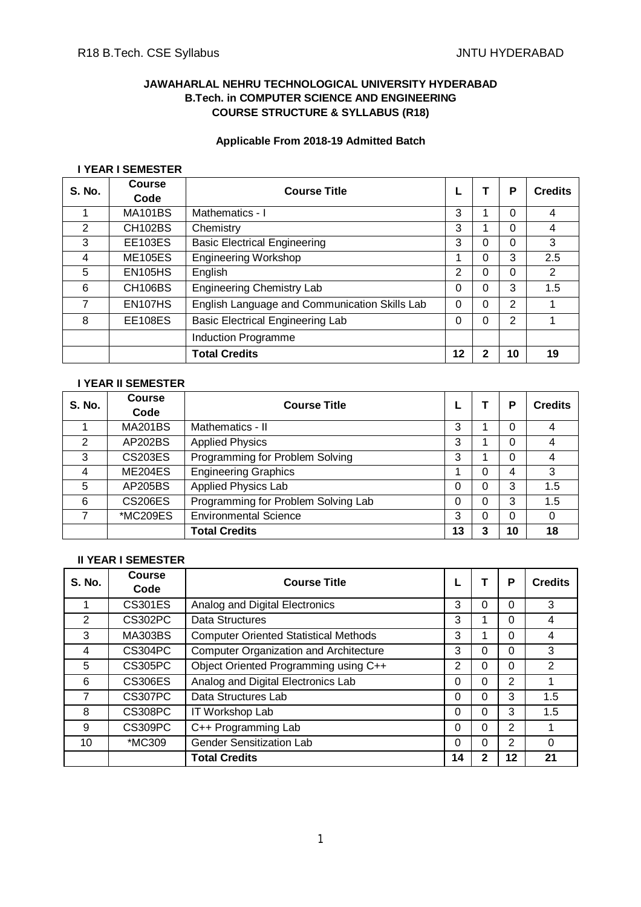# **JAWAHARLAL NEHRU TECHNOLOGICAL UNIVERSITY HYDERABAD B.Tech. in COMPUTER SCIENCE AND ENGINEERING COURSE STRUCTURE & SYLLABUS (R18)**

# **Applicable From 2018-19 Admitted Batch**

#### **I YEAR I SEMESTER**

| S. No. | Course<br>Code | <b>Course Title</b>                           |    |   | P  | <b>Credits</b> |
|--------|----------------|-----------------------------------------------|----|---|----|----------------|
|        | <b>MA101BS</b> | Mathematics - I                               | 3  |   | 0  | 4              |
| 2      | <b>CH102BS</b> | Chemistry                                     | 3  |   | 0  | 4              |
| 3      | <b>EE103ES</b> | <b>Basic Electrical Engineering</b>           | 3  | 0 | 0  | 3              |
| 4      | <b>ME105ES</b> | <b>Engineering Workshop</b>                   |    | 0 | 3  | 2.5            |
| 5      | <b>EN105HS</b> | English                                       | 2  | 0 | 0  | 2              |
| 6      | <b>CH106BS</b> | <b>Engineering Chemistry Lab</b>              | 0  | 0 | 3  | 1.5            |
| 7      | EN107HS        | English Language and Communication Skills Lab | 0  | 0 | 2  |                |
| 8      | <b>EE108ES</b> | <b>Basic Electrical Engineering Lab</b>       | 0  | 0 | 2  |                |
|        |                | Induction Programme                           |    |   |    |                |
|        |                | <b>Total Credits</b>                          | 12 | າ | 10 | 19             |

# **I YEAR II SEMESTER**

| <b>S. No.</b> | <b>Course</b><br>Code | <b>Course Title</b>                 |    |   | P  | <b>Credits</b> |
|---------------|-----------------------|-------------------------------------|----|---|----|----------------|
|               |                       |                                     |    |   |    |                |
|               | <b>MA201BS</b>        | Mathematics - II                    | 3  |   |    | 4              |
| 2             | <b>AP202BS</b>        | <b>Applied Physics</b>              | 3  |   | 0  | 4              |
| 3             | <b>CS203ES</b>        | Programming for Problem Solving     | 3  |   | 0  | 4              |
| 4             | ME204ES               | <b>Engineering Graphics</b>         |    | ი | 4  | 3              |
| 5             | AP205BS               | <b>Applied Physics Lab</b>          | 0  |   | 3  | 1.5            |
| 6             | <b>CS206ES</b>        | Programming for Problem Solving Lab | 0  | 0 | 3  | 1.5            |
|               | *MC209ES              | <b>Environmental Science</b>        | 3  |   | 0  | 0              |
|               |                       | <b>Total Credits</b>                | 13 | 3 | 10 | 18             |

# **II YEAR I SEMESTER**

| <b>S. No.</b> | <b>Course</b><br>Code | <b>Course Title</b>                           |          |   | P              | <b>Credits</b> |
|---------------|-----------------------|-----------------------------------------------|----------|---|----------------|----------------|
|               | <b>CS301ES</b>        | Analog and Digital Electronics                | 3        | 0 | 0              | 3              |
| 2             | CS302PC               | Data Structures                               | 3        |   | 0              | 4              |
| 3             | <b>MA303BS</b>        | <b>Computer Oriented Statistical Methods</b>  | 3        |   | 0              | 4              |
| 4             | <b>CS304PC</b>        | <b>Computer Organization and Architecture</b> | 3        | 0 | 0              | 3              |
| 5             | <b>CS305PC</b>        | Object Oriented Programming using C++         | 2        | 0 | 0              | 2              |
| 6             | CS306ES               | Analog and Digital Electronics Lab            | 0        | 0 | $\overline{2}$ |                |
| 7             | CS307PC               | Data Structures Lab                           | 0        | 0 | 3              | 1.5            |
| 8             | <b>CS308PC</b>        | IT Workshop Lab                               | 0        | 0 | 3              | 1.5            |
| 9             | CS309PC               | C++ Programming Lab                           | 0        | 0 | $\overline{2}$ |                |
| 10            | *MC309                | Gender Sensitization Lab                      | $\Omega$ | 0 | $\overline{2}$ | 0              |
|               |                       | <b>Total Credits</b>                          | 14       |   | 12             | 21             |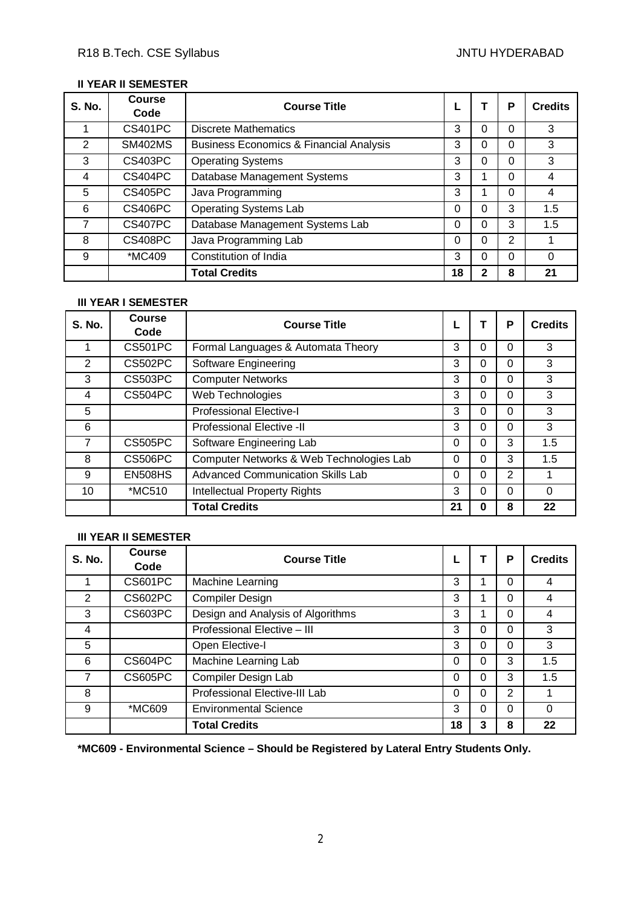## **II YEAR II SEMESTER**

| <b>S. No.</b> | <b>Course</b><br>Code | <b>Course Title</b>                                |    |   | P | <b>Credits</b> |
|---------------|-----------------------|----------------------------------------------------|----|---|---|----------------|
|               | <b>CS401PC</b>        | <b>Discrete Mathematics</b>                        | 3  | 0 | 0 | 3              |
| 2             | <b>SM402MS</b>        | <b>Business Economics &amp; Financial Analysis</b> | 3  | ი | 0 | 3              |
| 3             | CS403PC               | <b>Operating Systems</b>                           | 3  | 0 | 0 | 3              |
| 4             | CS404PC               | Database Management Systems                        | 3  |   | 0 | 4              |
| 5             | <b>CS405PC</b>        | Java Programming                                   | 3  |   | 0 | 4              |
| 6             | <b>CS406PC</b>        | <b>Operating Systems Lab</b>                       | 0  | 0 | 3 | 1.5            |
|               | CS407PC               | Database Management Systems Lab                    | 0  | 0 | 3 | 1.5            |
| 8             | <b>CS408PC</b>        | Java Programming Lab                               | 0  | 0 | 2 |                |
| 9             | *MC409                | Constitution of India                              | 3  | ი | 0 | ∩              |
|               |                       | <b>Total Credits</b>                               | 18 | 2 | 8 | 21             |

# **III YEAR I SEMESTER**

| <b>S. No.</b>           | <b>Course</b><br>Code | <b>Course Title</b>                      |    |   | P              | <b>Credits</b> |
|-------------------------|-----------------------|------------------------------------------|----|---|----------------|----------------|
|                         | <b>CS501PC</b>        | Formal Languages & Automata Theory       | 3  | 0 | 0              | 3              |
| 2                       | CS502PC               | Software Engineering                     | 3  | 0 | 0              | 3              |
| 3                       | <b>CS503PC</b>        | <b>Computer Networks</b>                 | 3  | 0 | 0              | 3              |
| $\overline{\mathbf{4}}$ | CS504PC               | Web Technologies                         | 3  | ი | 0              | 3              |
| 5                       |                       | <b>Professional Elective-I</b>           | 3  | 0 | 0              | 3              |
| 6                       |                       | <b>Professional Elective -II</b>         | 3  | 0 | 0              | 3              |
| 7                       | <b>CS505PC</b>        | Software Engineering Lab                 | 0  | 0 | 3              | 1.5            |
| 8                       | <b>CS506PC</b>        | Computer Networks & Web Technologies Lab | 0  | 0 | 3              | 1.5            |
| 9                       | <b>EN508HS</b>        | <b>Advanced Communication Skills Lab</b> | 0  | 0 | $\overline{2}$ |                |
| 10                      | *MC510                | <b>Intellectual Property Rights</b>      | 3  | 0 | 0              | 0              |
|                         |                       | <b>Total Credits</b>                     | 21 |   | 8              | 22             |

## **III YEAR II SEMESTER**

| <b>S. No.</b> | <b>Course</b><br>Code | <b>Course Title</b>               |    |   | P        | <b>Credits</b> |
|---------------|-----------------------|-----------------------------------|----|---|----------|----------------|
|               | CS601PC               | Machine Learning                  | 3  |   | 0        | $\overline{4}$ |
| 2             | CS602PC               | <b>Compiler Design</b>            | 3  |   | 0        | 4              |
| 3             | CS603PC               | Design and Analysis of Algorithms | 3  |   | 0        | 4              |
| 4             |                       | Professional Elective - III       | 3  | 0 | $\Omega$ | 3              |
| 5             |                       | Open Elective-I                   | 3  | 0 | 0        | 3              |
| 6             | CS604PC               | Machine Learning Lab              | 0  | 0 | 3        | 1.5            |
| 7             | CS605PC               | Compiler Design Lab               | 0  | 0 | 3        | 1.5            |
| 8             |                       | Professional Elective-III Lab     | 0  | 0 | 2        |                |
| 9             | *MC609                | <b>Environmental Science</b>      | 3  | 0 | $\Omega$ | $\Omega$       |
|               |                       | <b>Total Credits</b>              | 18 |   | 8        | 22             |

**\*MC609 - Environmental Science – Should be Registered by Lateral Entry Students Only.**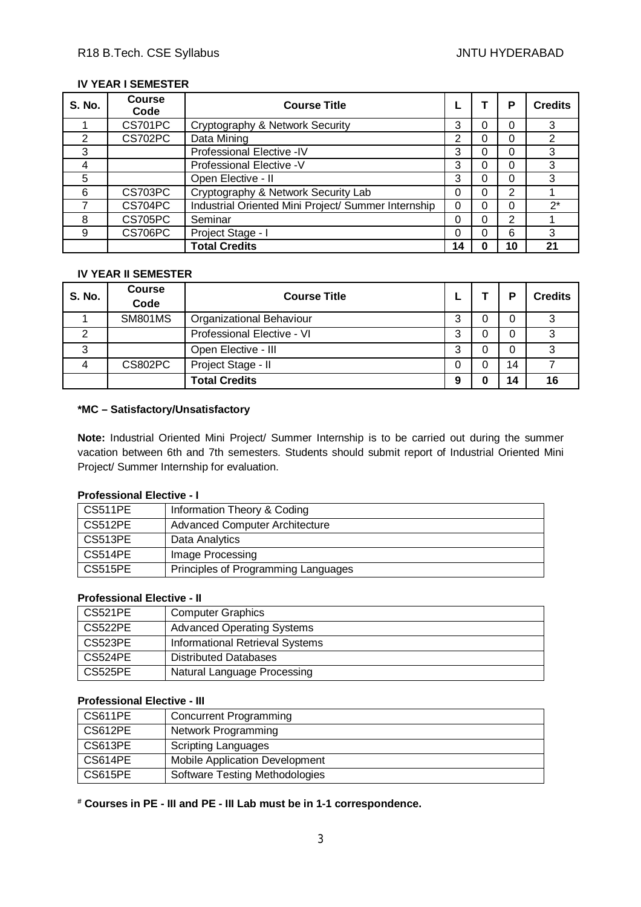# **IV YEAR I SEMESTER**

| S. No. | <b>Course</b><br>Code | <b>Course Title</b>                                 |    |   | Р  | <b>Credits</b> |
|--------|-----------------------|-----------------------------------------------------|----|---|----|----------------|
|        | CS701PC               | Cryptography & Network Security                     | 3  |   | 0  | 3              |
| 2      | CS702PC               | Data Mining                                         | っ  | ი | 0  | 2              |
| 3      |                       | Professional Elective -IV                           | 3  |   | 0  | 3              |
| 4      |                       | Professional Elective -V                            | 3  |   | 0  | 3              |
| 5      |                       | Open Elective - II                                  | 3  | ი | 0  | 3              |
| 6      | CS703PC               | Cryptography & Network Security Lab                 | 0  | ი | 2  |                |
|        | CS704PC               | Industrial Oriented Mini Project/ Summer Internship |    |   | 0  | $2^*$          |
| 8      | CS705PC               | Seminar                                             |    |   | 2  |                |
| 9      | CS706PC               | Project Stage - I                                   | 0  |   | 6  | 3              |
|        |                       | <b>Total Credits</b>                                | 14 |   | 10 | 21             |

#### **IV YEAR II SEMESTER**

| <b>S. No.</b> | <b>Course</b><br>Code | <b>Course Title</b>        |   | P  | <b>Credits</b> |
|---------------|-----------------------|----------------------------|---|----|----------------|
|               | <b>SM801MS</b>        | Organizational Behaviour   | 3 |    | າ              |
| 2             |                       | Professional Elective - VI | 3 |    | ົ              |
| 3             |                       | Open Elective - III        | 3 |    | ົ              |
| 4             | CS802PC               | Project Stage - II         |   | 14 |                |
|               |                       | <b>Total Credits</b>       | 9 | 14 | 16             |

#### **\*MC – Satisfactory/Unsatisfactory**

**Note:** Industrial Oriented Mini Project/ Summer Internship is to be carried out during the summer vacation between 6th and 7th semesters. Students should submit report of Industrial Oriented Mini Project/ Summer Internship for evaluation.

## **Professional Elective - I**

| <b>CS511PE</b> | Information Theory & Coding           |
|----------------|---------------------------------------|
| CS512PE        | <b>Advanced Computer Architecture</b> |
| CS513PE        | Data Analytics                        |
| <b>CS514PE</b> | Image Processing                      |
| <b>CS515PE</b> | Principles of Programming Languages   |

# **Professional Elective - II**

| l CS521PE | <b>Computer Graphics</b>               |
|-----------|----------------------------------------|
| CS522PE   | <b>Advanced Operating Systems</b>      |
| CS523PE   | <b>Informational Retrieval Systems</b> |
| CS524PE   | <b>Distributed Databases</b>           |
| l CS525PE | Natural Language Processing            |

# **Professional Elective - III**

| CS611PE | Concurrent Programming                |
|---------|---------------------------------------|
| CS612PE | Network Programming                   |
| CS613PE | Scripting Languages                   |
| CS614PE | Mobile Application Development        |
| CS615PE | <b>Software Testing Methodologies</b> |

**# Courses in PE - III and PE - III Lab must be in 1-1 correspondence.**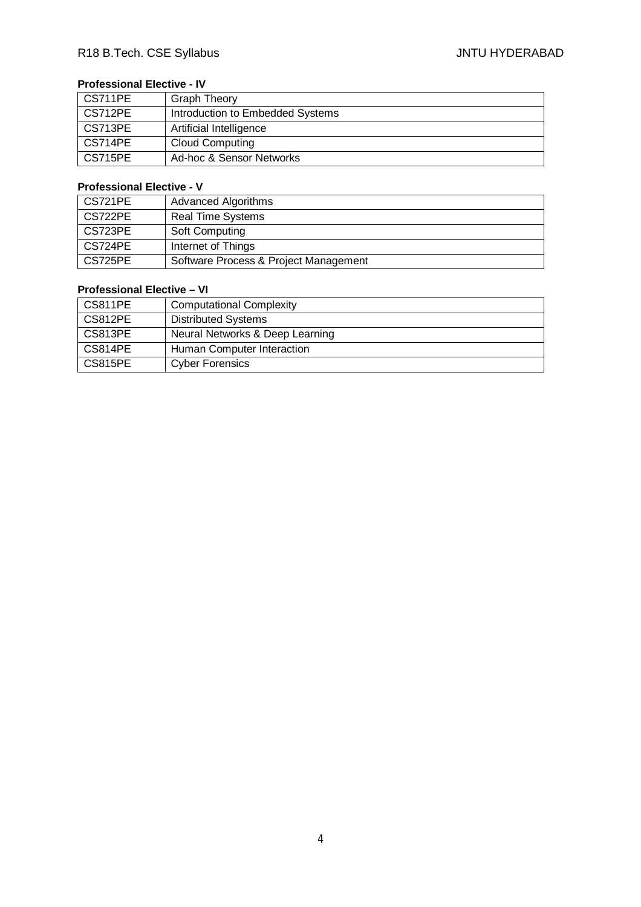# **Professional Elective - IV**

| CS711PE        | <b>Graph Theory</b>              |
|----------------|----------------------------------|
| CS712PE        | Introduction to Embedded Systems |
| CS713PE        | Artificial Intelligence          |
| CS714PE        | <b>Cloud Computing</b>           |
| <b>CS715PE</b> | Ad-hoc & Sensor Networks         |

# **Professional Elective - V**

| CS721PE | <b>Advanced Algorithms</b>            |
|---------|---------------------------------------|
| CS722PE | <b>Real Time Systems</b>              |
| CS723PE | Soft Computing                        |
| CS724PE | Internet of Things                    |
| CS725PE | Software Process & Project Management |

# **Professional Elective – VI**

| l CS811PE | <b>Computational Complexity</b> |
|-----------|---------------------------------|
| l CS812PE | <b>Distributed Systems</b>      |
| l CS813PE | Neural Networks & Deep Learning |
| CS814PE   | Human Computer Interaction      |
| CS815PE   | <b>Cyber Forensics</b>          |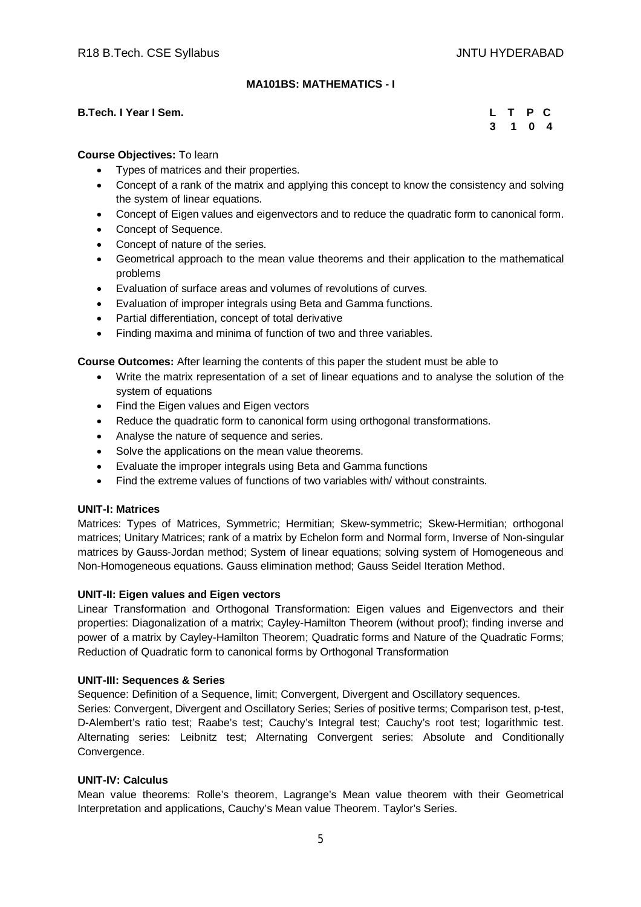## **MA101BS: MATHEMATICS - I**

#### **B.Tech. I Year I Sem.**

|  | L T P C |  |
|--|---------|--|
|  | 3 1 0 4 |  |

#### **Course Objectives:** To learn

- Types of matrices and their properties.
- Concept of a rank of the matrix and applying this concept to know the consistency and solving the system of linear equations.
- Concept of Eigen values and eigenvectors and to reduce the quadratic form to canonical form.
- Concept of Sequence.
- Concept of nature of the series.
- Geometrical approach to the mean value theorems and their application to the mathematical problems
- Evaluation of surface areas and volumes of revolutions of curves.
- Evaluation of improper integrals using Beta and Gamma functions.
- Partial differentiation, concept of total derivative
- Finding maxima and minima of function of two and three variables.

**Course Outcomes:** After learning the contents of this paper the student must be able to

- Write the matrix representation of a set of linear equations and to analyse the solution of the system of equations
- Find the Eigen values and Eigen vectors
- Reduce the quadratic form to canonical form using orthogonal transformations.
- Analyse the nature of sequence and series.
- Solve the applications on the mean value theorems.
- Evaluate the improper integrals using Beta and Gamma functions
- Find the extreme values of functions of two variables with/ without constraints.

#### **UNIT-I: Matrices**

Matrices: Types of Matrices, Symmetric; Hermitian; Skew-symmetric; Skew-Hermitian; orthogonal matrices; Unitary Matrices; rank of a matrix by Echelon form and Normal form, Inverse of Non-singular matrices by Gauss-Jordan method; System of linear equations; solving system of Homogeneous and Non-Homogeneous equations. Gauss elimination method; Gauss Seidel Iteration Method.

#### **UNIT-II: Eigen values and Eigen vectors**

Linear Transformation and Orthogonal Transformation: Eigen values and Eigenvectors and their properties: Diagonalization of a matrix; Cayley-Hamilton Theorem (without proof); finding inverse and power of a matrix by Cayley-Hamilton Theorem; Quadratic forms and Nature of the Quadratic Forms; Reduction of Quadratic form to canonical forms by Orthogonal Transformation

#### **UNIT-III: Sequences & Series**

Sequence: Definition of a Sequence, limit; Convergent, Divergent and Oscillatory sequences.

Series: Convergent, Divergent and Oscillatory Series; Series of positive terms; Comparison test, p-test, D-Alembert's ratio test; Raabe's test; Cauchy's Integral test; Cauchy's root test; logarithmic test. Alternating series: Leibnitz test; Alternating Convergent series: Absolute and Conditionally Convergence.

#### **UNIT-IV: Calculus**

Mean value theorems: Rolle's theorem, Lagrange's Mean value theorem with their Geometrical Interpretation and applications, Cauchy's Mean value Theorem. Taylor's Series.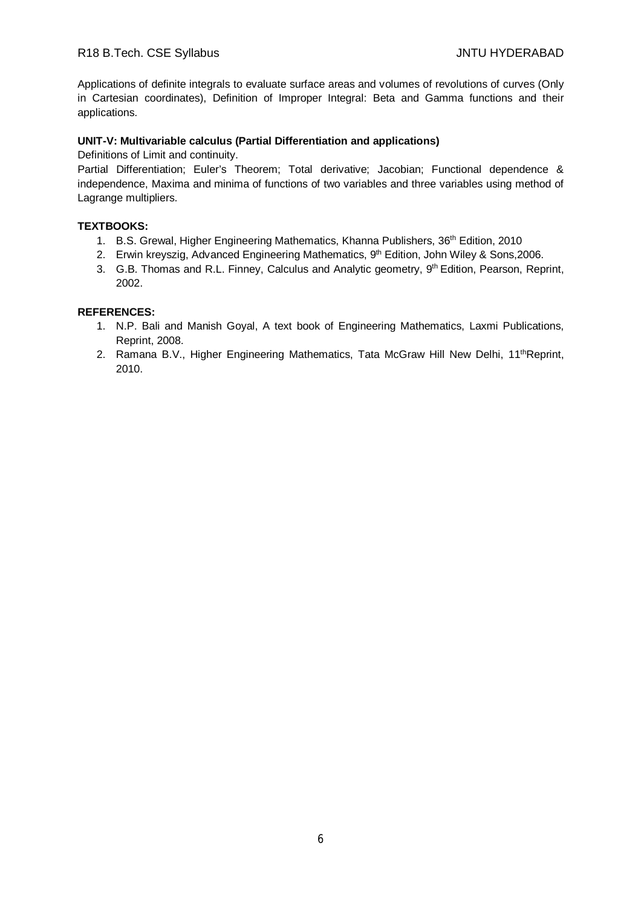Applications of definite integrals to evaluate surface areas and volumes of revolutions of curves (Only in Cartesian coordinates), Definition of Improper Integral: Beta and Gamma functions and their applications.

#### **UNIT-V: Multivariable calculus (Partial Differentiation and applications)**

Definitions of Limit and continuity.

Partial Differentiation; Euler's Theorem; Total derivative; Jacobian; Functional dependence & independence, Maxima and minima of functions of two variables and three variables using method of Lagrange multipliers.

#### **TEXTBOOKS:**

- 1. B.S. Grewal, Higher Engineering Mathematics, Khanna Publishers, 36<sup>th</sup> Edition, 2010
- 2. Erwin kreyszig, Advanced Engineering Mathematics, 9<sup>th</sup> Edition, John Wiley & Sons, 2006.
- 3. G.B. Thomas and R.L. Finney, Calculus and Analytic geometry, 9<sup>th</sup> Edition, Pearson, Reprint, 2002.

#### **REFERENCES:**

- 1. N.P. Bali and Manish Goyal, A text book of Engineering Mathematics, Laxmi Publications, Reprint, 2008.
- 2. Ramana B.V., Higher Engineering Mathematics, Tata McGraw Hill New Delhi, 11<sup>th</sup>Reprint, 2010.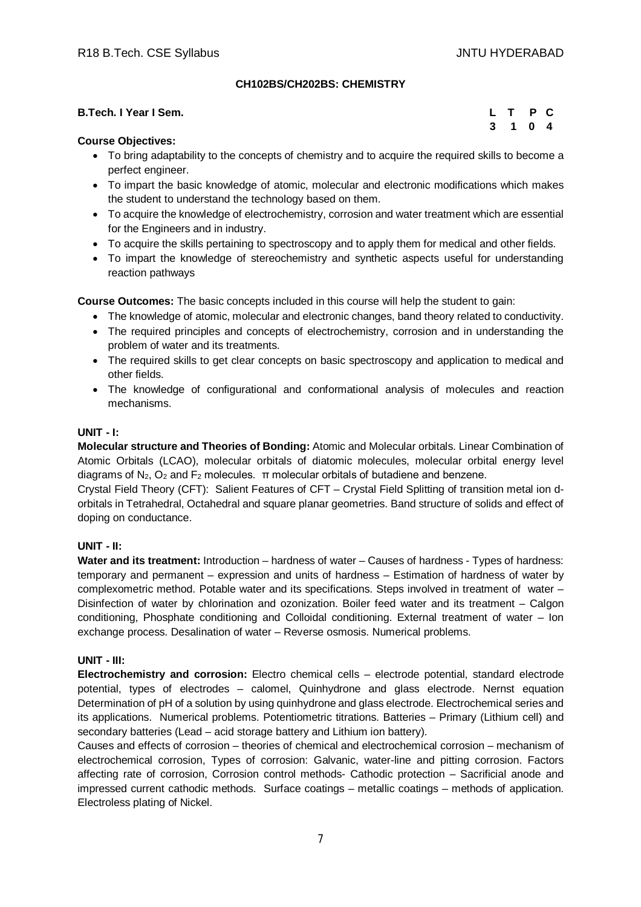## **CH102BS/CH202BS: CHEMISTRY**

| B.Tech. I Year I Sem. | L T P C |         |  |
|-----------------------|---------|---------|--|
|                       |         | 3 1 0 4 |  |

## **Course Objectives:**

- To bring adaptability to the concepts of chemistry and to acquire the required skills to become a perfect engineer.
- To impart the basic knowledge of atomic, molecular and electronic modifications which makes the student to understand the technology based on them.
- To acquire the knowledge of electrochemistry, corrosion and water treatment which are essential for the Engineers and in industry.
- To acquire the skills pertaining to spectroscopy and to apply them for medical and other fields.
- To impart the knowledge of stereochemistry and synthetic aspects useful for understanding reaction pathways

**Course Outcomes:** The basic concepts included in this course will help the student to gain:

- The knowledge of atomic, molecular and electronic changes, band theory related to conductivity.
- The required principles and concepts of electrochemistry, corrosion and in understanding the problem of water and its treatments.
- The required skills to get clear concepts on basic spectroscopy and application to medical and other fields.
- The knowledge of configurational and conformational analysis of molecules and reaction mechanisms.

#### **UNIT - I:**

**Molecular structure and Theories of Bonding:** Atomic and Molecular orbitals. Linear Combination of Atomic Orbitals (LCAO), molecular orbitals of diatomic molecules, molecular orbital energy level diagrams of  $N_2$ ,  $O_2$  and  $F_2$  molecules.  $\pi$  molecular orbitals of butadiene and benzene.

Crystal Field Theory (CFT): Salient Features of CFT – Crystal Field Splitting of transition metal ion dorbitals in Tetrahedral, Octahedral and square planar geometries. Band structure of solids and effect of doping on conductance.

#### **UNIT - II:**

Water and its treatment: Introduction – hardness of water – Causes of hardness - Types of hardness: temporary and permanent – expression and units of hardness – Estimation of hardness of water by complexometric method. Potable water and its specifications. Steps involved in treatment of water – Disinfection of water by chlorination and ozonization. Boiler feed water and its treatment – Calgon conditioning, Phosphate conditioning and Colloidal conditioning. External treatment of water – Ion exchange process. Desalination of water – Reverse osmosis. Numerical problems.

#### **UNIT - III:**

**Electrochemistry and corrosion:** Electro chemical cells – electrode potential, standard electrode potential, types of electrodes – calomel, Quinhydrone and glass electrode. Nernst equation Determination of pH of a solution by using quinhydrone and glass electrode. Electrochemical series and its applications. Numerical problems. Potentiometric titrations. Batteries – Primary (Lithium cell) and secondary batteries (Lead – acid storage battery and Lithium ion battery).

Causes and effects of corrosion – theories of chemical and electrochemical corrosion – mechanism of electrochemical corrosion, Types of corrosion: Galvanic, water-line and pitting corrosion. Factors affecting rate of corrosion, Corrosion control methods- Cathodic protection – Sacrificial anode and impressed current cathodic methods. Surface coatings – metallic coatings – methods of application. Electroless plating of Nickel.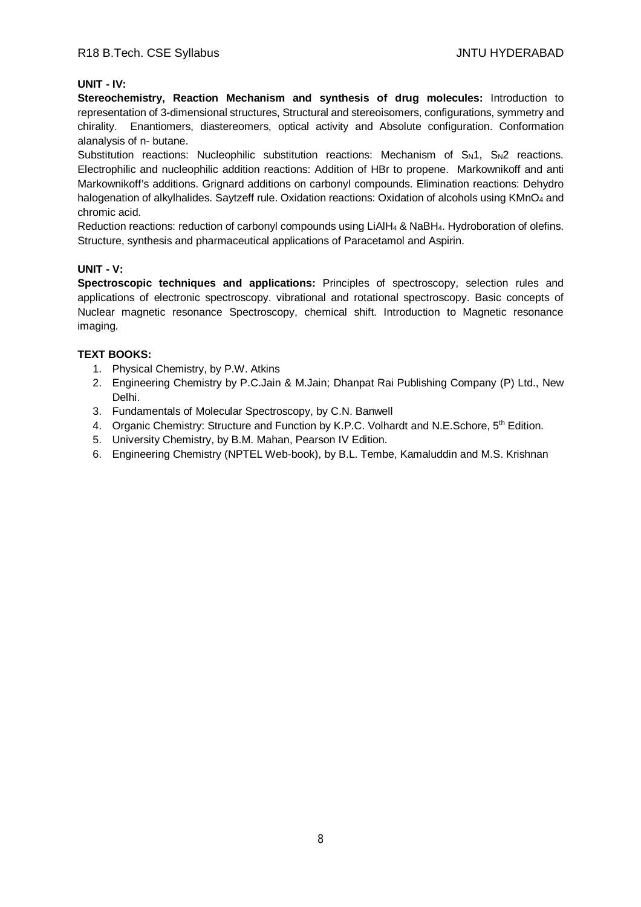## **UNIT - IV:**

**Stereochemistry, Reaction Mechanism and synthesis of drug molecules:** Introduction to representation of 3-dimensional structures, Structural and stereoisomers, configurations, symmetry and chirality. Enantiomers, diastereomers, optical activity and Absolute configuration. Conformation alanalysis of n- butane.

Substitution reactions: Nucleophilic substitution reactions: Mechanism of  $S_N1$ ,  $S_N2$  reactions. Electrophilic and nucleophilic addition reactions: Addition of HBr to propene. Markownikoff and anti Markownikoff's additions. Grignard additions on carbonyl compounds. Elimination reactions: Dehydro halogenation of alkylhalides. Saytzeff rule. Oxidation reactions: Oxidation of alcohols using KMnO<sub>4</sub> and chromic acid.

Reduction reactions: reduction of carbonyl compounds using LiAlH<sup>4</sup> & NaBH4. Hydroboration of olefins. Structure, synthesis and pharmaceutical applications of Paracetamol and Aspirin.

#### **UNIT - V:**

**Spectroscopic techniques and applications:** Principles of spectroscopy, selection rules and applications of electronic spectroscopy. vibrational and rotational spectroscopy. Basic concepts of Nuclear magnetic resonance Spectroscopy, chemical shift. Introduction to Magnetic resonance imaging.

# **TEXT BOOKS:**

- 1. Physical Chemistry, by P.W. Atkins
- 2. Engineering Chemistry by P.C.Jain & M.Jain; Dhanpat Rai Publishing Company (P) Ltd., New Delhi.
- 3. Fundamentals of Molecular Spectroscopy, by C.N. Banwell
- 4. Organic Chemistry: Structure and Function by K.P.C. Volhardt and N.E. Schore, 5<sup>th</sup> Edition.
- 5. University Chemistry, by B.M. Mahan, Pearson IV Edition.
- 6. Engineering Chemistry (NPTEL Web-book), by B.L. Tembe, Kamaluddin and M.S. Krishnan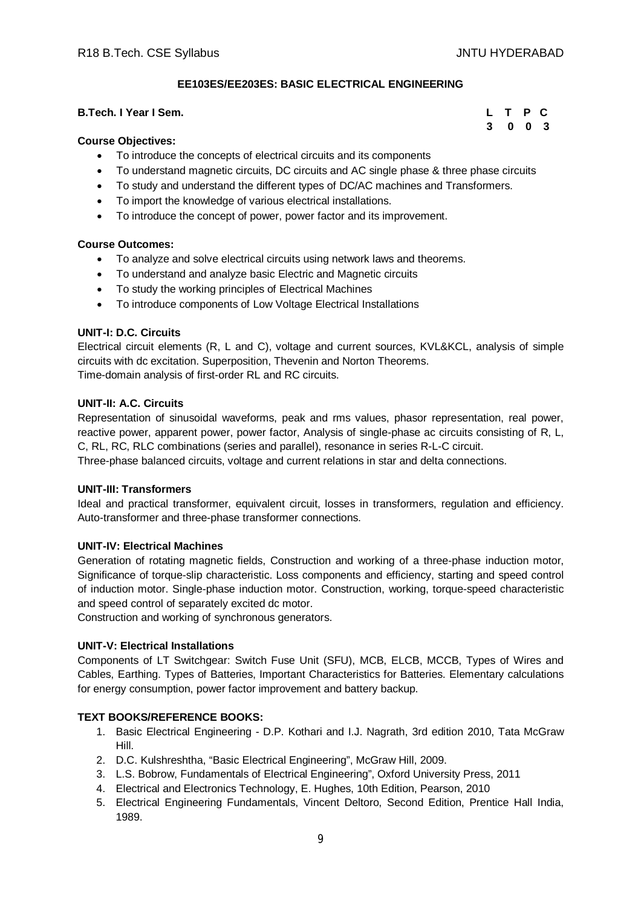**3 0 0 3**

# **EE103ES/EE203ES: BASIC ELECTRICAL ENGINEERING**

## **B.Tech. I Year I Sem. L T P C**

#### **Course Objectives:**

- To introduce the concepts of electrical circuits and its components
- To understand magnetic circuits, DC circuits and AC single phase & three phase circuits
- To study and understand the different types of DC/AC machines and Transformers.
- To import the knowledge of various electrical installations.
- To introduce the concept of power, power factor and its improvement.

#### **Course Outcomes:**

- To analyze and solve electrical circuits using network laws and theorems.
- To understand and analyze basic Electric and Magnetic circuits
- To study the working principles of Electrical Machines
- To introduce components of Low Voltage Electrical Installations

#### **UNIT-I: D.C. Circuits**

Electrical circuit elements (R, L and C), voltage and current sources, KVL&KCL, analysis of simple circuits with dc excitation. Superposition, Thevenin and Norton Theorems. Time-domain analysis of first-order RL and RC circuits.

#### **UNIT-II: A.C. Circuits**

Representation of sinusoidal waveforms, peak and rms values, phasor representation, real power, reactive power, apparent power, power factor, Analysis of single-phase ac circuits consisting of R, L, C, RL, RC, RLC combinations (series and parallel), resonance in series R-L-C circuit. Three-phase balanced circuits, voltage and current relations in star and delta connections.

#### **UNIT-III: Transformers**

Ideal and practical transformer, equivalent circuit, losses in transformers, regulation and efficiency. Auto-transformer and three-phase transformer connections.

#### **UNIT-IV: Electrical Machines**

Generation of rotating magnetic fields, Construction and working of a three-phase induction motor, Significance of torque-slip characteristic. Loss components and efficiency, starting and speed control of induction motor. Single-phase induction motor. Construction, working, torque-speed characteristic and speed control of separately excited dc motor.

Construction and working of synchronous generators.

#### **UNIT-V: Electrical Installations**

Components of LT Switchgear: Switch Fuse Unit (SFU), MCB, ELCB, MCCB, Types of Wires and Cables, Earthing. Types of Batteries, Important Characteristics for Batteries. Elementary calculations for energy consumption, power factor improvement and battery backup.

#### **TEXT BOOKS/REFERENCE BOOKS:**

- 1. Basic Electrical Engineering D.P. Kothari and I.J. Nagrath, 3rd edition 2010, Tata McGraw Hill.
- 2. D.C. Kulshreshtha, "Basic Electrical Engineering", McGraw Hill, 2009.
- 3. L.S. Bobrow, Fundamentals of Electrical Engineering", Oxford University Press, 2011
- 4. Electrical and Electronics Technology, E. Hughes, 10th Edition, Pearson, 2010
- 5. Electrical Engineering Fundamentals, Vincent Deltoro, Second Edition, Prentice Hall India, 1989.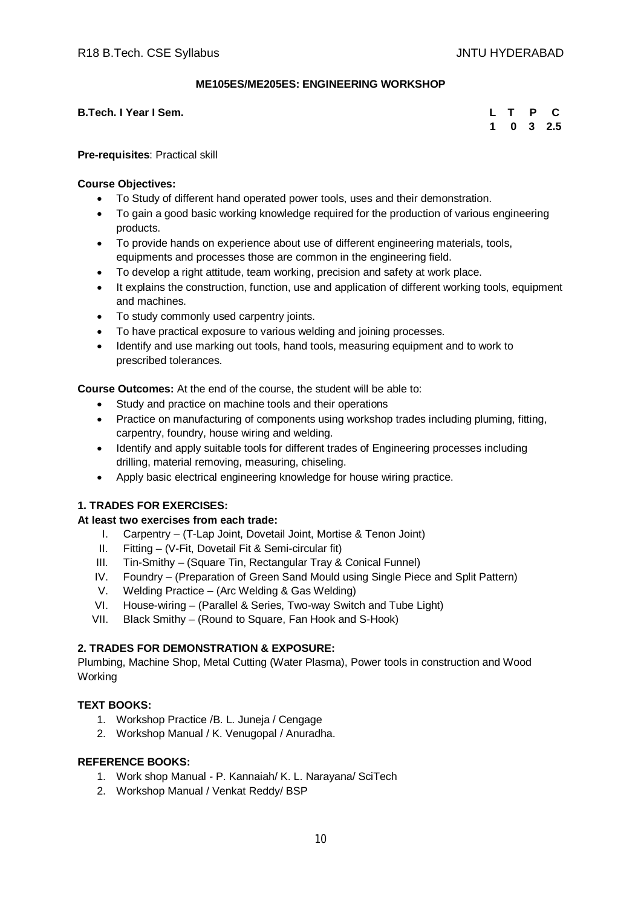#### **ME105ES/ME205ES: ENGINEERING WORKSHOP**

**B.Tech. I Year I Sem.** 

|  |  | L T P C     |
|--|--|-------------|
|  |  | $1$ 0 3 2.5 |

**Pre-requisites**: Practical skill

#### **Course Objectives:**

- To Study of different hand operated power tools, uses and their demonstration.
- To gain a good basic working knowledge required for the production of various engineering products.
- To provide hands on experience about use of different engineering materials, tools, equipments and processes those are common in the engineering field.
- To develop a right attitude, team working, precision and safety at work place.
- It explains the construction, function, use and application of different working tools, equipment and machines.
- To study commonly used carpentry joints.
- To have practical exposure to various welding and joining processes.
- Identify and use marking out tools, hand tools, measuring equipment and to work to prescribed tolerances.

**Course Outcomes:** At the end of the course, the student will be able to:

- Study and practice on machine tools and their operations
- Practice on manufacturing of components using workshop trades including pluming, fitting, carpentry, foundry, house wiring and welding.
- Identify and apply suitable tools for different trades of Engineering processes including drilling, material removing, measuring, chiseling.
- Apply basic electrical engineering knowledge for house wiring practice.

# **1. TRADES FOR EXERCISES:**

#### **At least two exercises from each trade:**

- I. Carpentry (T-Lap Joint, Dovetail Joint, Mortise & Tenon Joint)
- II. Fitting (V-Fit, Dovetail Fit & Semi-circular fit)
- III. Tin-Smithy (Square Tin, Rectangular Tray & Conical Funnel)
- IV. Foundry (Preparation of Green Sand Mould using Single Piece and Split Pattern)
- V. Welding Practice (Arc Welding & Gas Welding)
- VI. House-wiring (Parallel & Series, Two-way Switch and Tube Light)
- VII. Black Smithy (Round to Square, Fan Hook and S-Hook)

# **2. TRADES FOR DEMONSTRATION & EXPOSURE:**

Plumbing, Machine Shop, Metal Cutting (Water Plasma), Power tools in construction and Wood Working

## **TEXT BOOKS:**

- 1. Workshop Practice /B. L. Juneja / Cengage
- 2. Workshop Manual / K. Venugopal / Anuradha.

- 1. Work shop Manual P. Kannaiah/ K. L. Narayana/ SciTech
- 2. Workshop Manual / Venkat Reddy/ BSP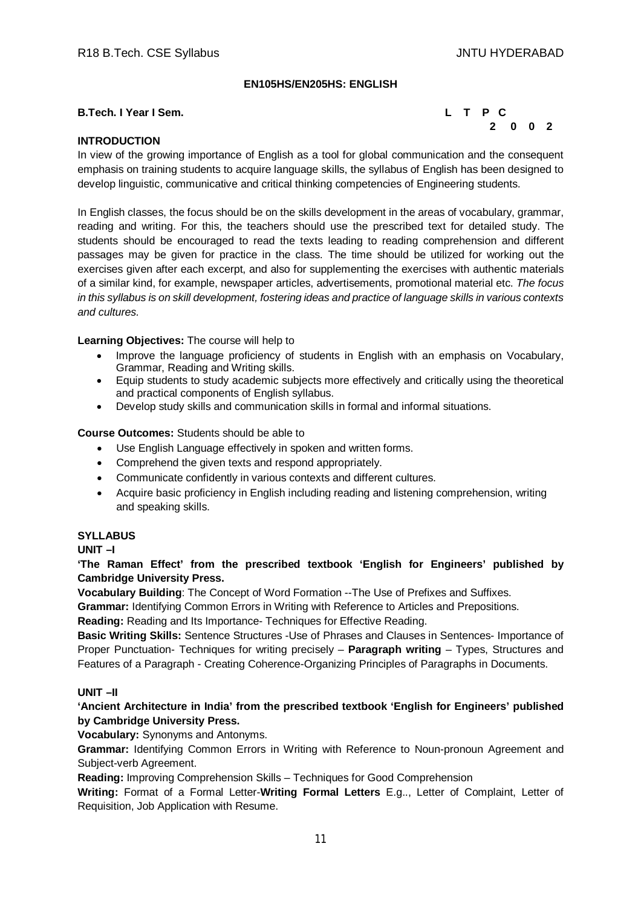## **EN105HS/EN205HS: ENGLISH**

#### **B.Tech. I Year I Sem. L T P C**



# **INTRODUCTION**

In view of the growing importance of English as a tool for global communication and the consequent emphasis on training students to acquire language skills, the syllabus of English has been designed to develop linguistic, communicative and critical thinking competencies of Engineering students.

In English classes, the focus should be on the skills development in the areas of vocabulary, grammar, reading and writing. For this, the teachers should use the prescribed text for detailed study. The students should be encouraged to read the texts leading to reading comprehension and different passages may be given for practice in the class. The time should be utilized for working out the exercises given after each excerpt, and also for supplementing the exercises with authentic materials of a similar kind, for example, newspaper articles, advertisements, promotional material etc. *The focus in this syllabus is on skill development, fostering ideas and practice of language skills in various contexts and cultures.*

#### **Learning Objectives:** The course will help to

- Improve the language proficiency of students in English with an emphasis on Vocabulary, Grammar, Reading and Writing skills.
- Equip students to study academic subjects more effectively and critically using the theoretical and practical components of English syllabus.
- Develop study skills and communication skills in formal and informal situations.

#### **Course Outcomes:** Students should be able to

- Use English Language effectively in spoken and written forms.
- Comprehend the given texts and respond appropriately.
- Communicate confidently in various contexts and different cultures.
- Acquire basic proficiency in English including reading and listening comprehension, writing and speaking skills.

#### **SYLLABUS**

**UNIT –I** 

**'The Raman Effect' from the prescribed textbook 'English for Engineers' published by Cambridge University Press.**

**Vocabulary Building**: The Concept of Word Formation --The Use of Prefixes and Suffixes.

**Grammar:** Identifying Common Errors in Writing with Reference to Articles and Prepositions.

**Reading:** Reading and Its Importance- Techniques for Effective Reading.

**Basic Writing Skills:** Sentence Structures -Use of Phrases and Clauses in Sentences- Importance of Proper Punctuation- Techniques for writing precisely – **Paragraph writing** – Types, Structures and Features of a Paragraph - Creating Coherence-Organizing Principles of Paragraphs in Documents.

#### **UNIT –II**

**'Ancient Architecture in India' from the prescribed textbook 'English for Engineers' published by Cambridge University Press.**

**Vocabulary:** Synonyms and Antonyms.

**Grammar:** Identifying Common Errors in Writing with Reference to Noun-pronoun Agreement and Subject-verb Agreement.

**Reading:** Improving Comprehension Skills – Techniques for Good Comprehension

**Writing:** Format of a Formal Letter-**Writing Formal Letters** E.g.., Letter of Complaint, Letter of Requisition, Job Application with Resume.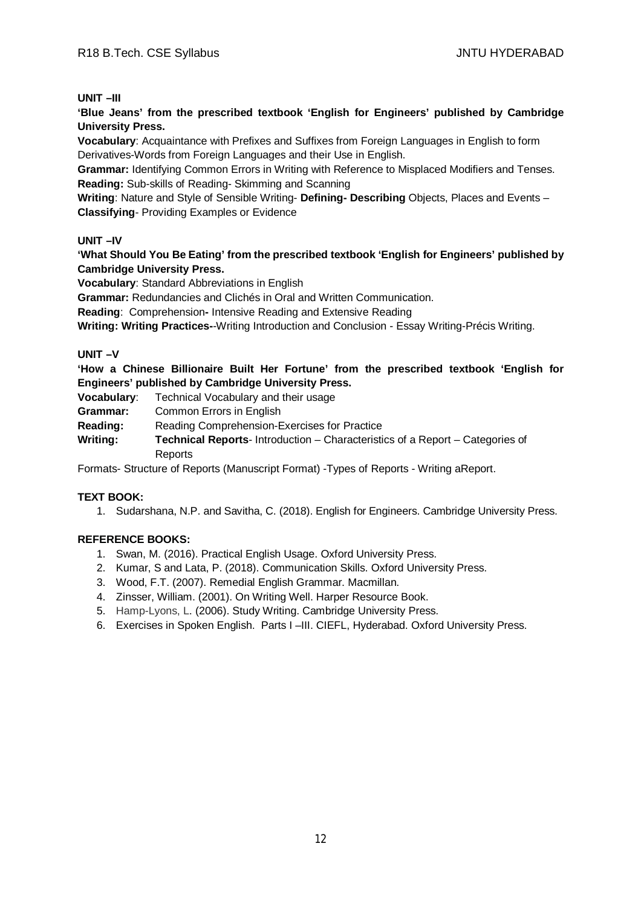#### **UNIT –III**

**'Blue Jeans' from the prescribed textbook 'English for Engineers' published by Cambridge University Press.**

**Vocabulary**: Acquaintance with Prefixes and Suffixes from Foreign Languages in English to form Derivatives-Words from Foreign Languages and their Use in English.

**Grammar:** Identifying Common Errors in Writing with Reference to Misplaced Modifiers and Tenses. **Reading:** Sub-skills of Reading- Skimming and Scanning

**Writing**: Nature and Style of Sensible Writing- **Defining- Describing** Objects, Places and Events – **Classifying**- Providing Examples or Evidence

#### **UNIT –IV**

**'What Should You Be Eating' from the prescribed textbook 'English for Engineers' published by Cambridge University Press.**

**Vocabulary**: Standard Abbreviations in English

**Grammar:** Redundancies and Clichés in Oral and Written Communication.

**Reading**: Comprehension**-** Intensive Reading and Extensive Reading

**Writing: Writing Practices-**-Writing Introduction and Conclusion - Essay Writing-Précis Writing.

#### **UNIT –V**

**'How a Chinese Billionaire Built Her Fortune' from the prescribed textbook 'English for Engineers' published by Cambridge University Press.**

**Vocabulary**: Technical Vocabulary and their usage

**Grammar:** Common Errors in English

**Reading:** Reading Comprehension-Exercises for Practice

**Writing: Technical Reports**- Introduction – Characteristics of a Report – Categories of Reports

Formats- Structure of Reports (Manuscript Format) -Types of Reports - Writing aReport.

#### **TEXT BOOK:**

1. Sudarshana, N.P. and Savitha, C. (2018). English for Engineers. Cambridge University Press.

- 1. Swan, M. (2016). Practical English Usage. Oxford University Press.
- 2. Kumar, S and Lata, P. (2018). Communication Skills. Oxford University Press.
- 3. Wood, F.T. (2007). Remedial English Grammar. Macmillan.
- 4. Zinsser, William. (2001). On Writing Well. Harper Resource Book.
- 5. Hamp-Lyons, L. (2006). Study Writing. Cambridge University Press.
- 6. Exercises in Spoken English. Parts I –III. CIEFL, Hyderabad. Oxford University Press.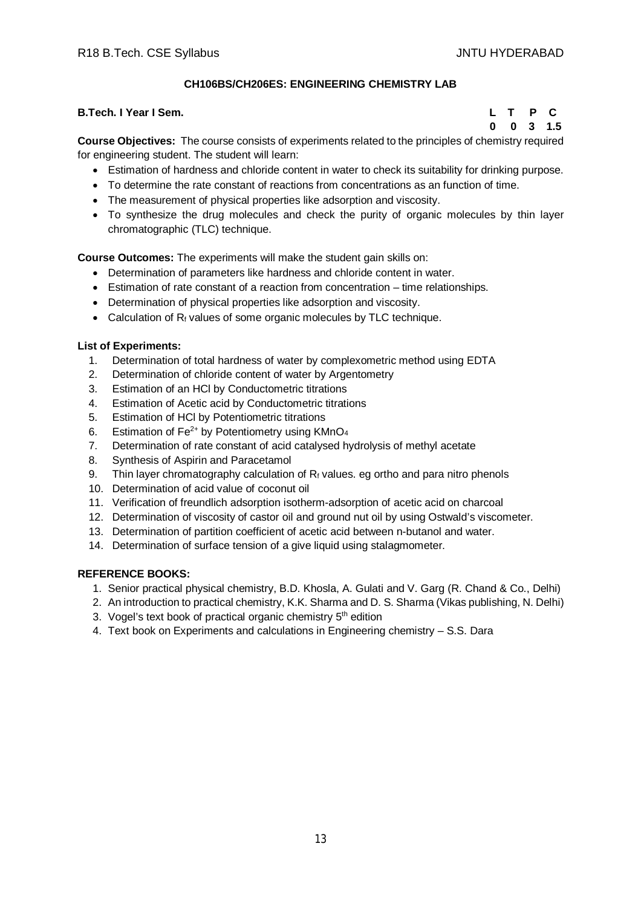# **CH106BS/CH206ES: ENGINEERING CHEMISTRY LAB**

#### **B.Tech. I Year I Sem. L T P C**

 **0 0 3 1.5**

**Course Objectives:** The course consists of experiments related to the principles of chemistry required for engineering student. The student will learn:

- Estimation of hardness and chloride content in water to check its suitability for drinking purpose.
- To determine the rate constant of reactions from concentrations as an function of time.
- The measurement of physical properties like adsorption and viscosity.
- To synthesize the drug molecules and check the purity of organic molecules by thin layer chromatographic (TLC) technique.

**Course Outcomes:** The experiments will make the student gain skills on:

- Determination of parameters like hardness and chloride content in water.
- Estimation of rate constant of a reaction from concentration time relationships.
- Determination of physical properties like adsorption and viscosity.
- Calculation of  $R_f$  values of some organic molecules by TLC technique.

#### **List of Experiments:**

- 1. Determination of total hardness of water by complexometric method using EDTA
- 2. Determination of chloride content of water by Argentometry
- 3. Estimation of an HCl by Conductometric titrations
- 4. Estimation of Acetic acid by Conductometric titrations
- 5. Estimation of HCl by Potentiometric titrations
- 6. Estimation of  $Fe^{2+}$  by Potentiometry using KMnO<sub>4</sub>
- 7. Determination of rate constant of acid catalysed hydrolysis of methyl acetate
- 8. Synthesis of Aspirin and Paracetamol
- 9. Thin layer chromatography calculation of  $R_f$  values. eg ortho and para nitro phenols
- 10. Determination of acid value of coconut oil
- 11. Verification of freundlich adsorption isotherm-adsorption of acetic acid on charcoal
- 12. Determination of viscosity of castor oil and ground nut oil by using Ostwald's viscometer.
- 13. Determination of partition coefficient of acetic acid between n-butanol and water.
- 14. Determination of surface tension of a give liquid using stalagmometer.

- 1. Senior practical physical chemistry, B.D. Khosla, A. Gulati and V. Garg (R. Chand & Co., Delhi)
- 2. An introduction to practical chemistry, K.K. Sharma and D. S. Sharma (Vikas publishing, N. Delhi)
- 3. Vogel's text book of practical organic chemistry 5<sup>th</sup> edition
- 4. Text book on Experiments and calculations in Engineering chemistry S.S. Dara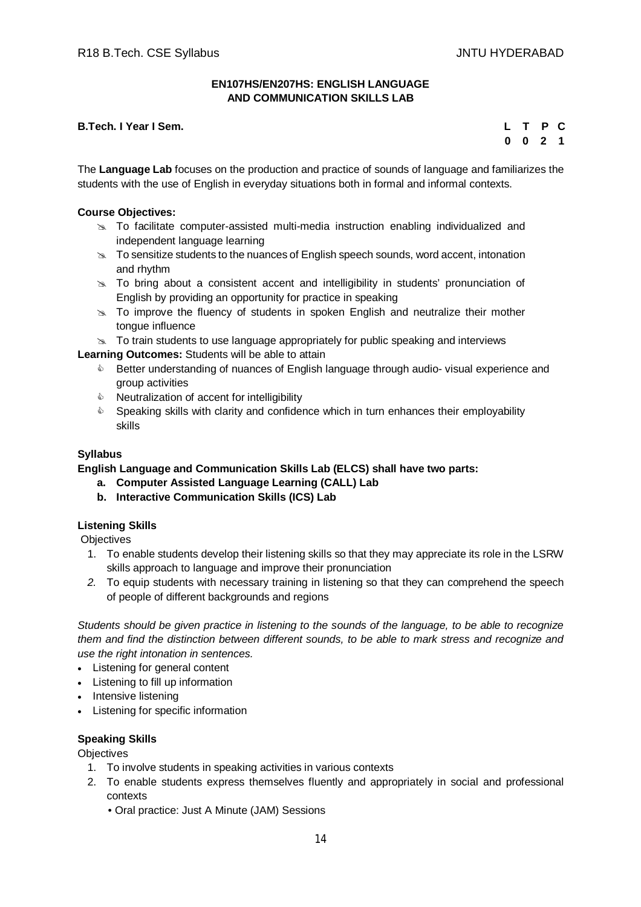#### **EN107HS/EN207HS: ENGLISH LANGUAGE AND COMMUNICATION SKILLS LAB**

## **B.Tech. I Year I Sem.**

|  | L T P C                     |  |
|--|-----------------------------|--|
|  | $0 \quad 0 \quad 2 \quad 1$ |  |

The **Language Lab** focuses on the production and practice of sounds of language and familiarizes the students with the use of English in everyday situations both in formal and informal contexts.

#### **Course Objectives:**

- $\geq$  To facilitate computer-assisted multi-media instruction enabling individualized and independent language learning
- $\geq$  To sensitize students to the nuances of English speech sounds, word accent, intonation and rhythm
- $\geq$  To bring about a consistent accent and intelligibility in students' pronunciation of English by providing an opportunity for practice in speaking
- $\approx$  To improve the fluency of students in spoken English and neutralize their mother tongue influence
- $\infty$  To train students to use language appropriately for public speaking and interviews

**Learning Outcomes:** Students will be able to attain

- **EXECT** Better understanding of nuances of English language through audio-visual experience and group activities
- $\triangle$  Neutralization of accent for intelligibility
- $\bullet$  Speaking skills with clarity and confidence which in turn enhances their employability skills

# **Syllabus**

**English Language and Communication Skills Lab (ELCS) shall have two parts:**

- **a. Computer Assisted Language Learning (CALL) Lab**
- **b. Interactive Communication Skills (ICS) Lab**

#### **Listening Skills**

**Objectives** 

- 1. To enable students develop their listening skills so that they may appreciate its role in the LSRW skills approach to language and improve their pronunciation
- *2.* To equip students with necessary training in listening so that they can comprehend the speech of people of different backgrounds and regions

*Students should be given practice in listening to the sounds of the language, to be able to recognize them and find the distinction between different sounds, to be able to mark stress and recognize and use the right intonation in sentences.*

- Listening for general content
- Listening to fill up information
- Intensive listening
- Listening for specific information

#### **Speaking Skills**

**Objectives** 

- 1. To involve students in speaking activities in various contexts
- 2. To enable students express themselves fluently and appropriately in social and professional contexts
	- Oral practice: Just A Minute (JAM) Sessions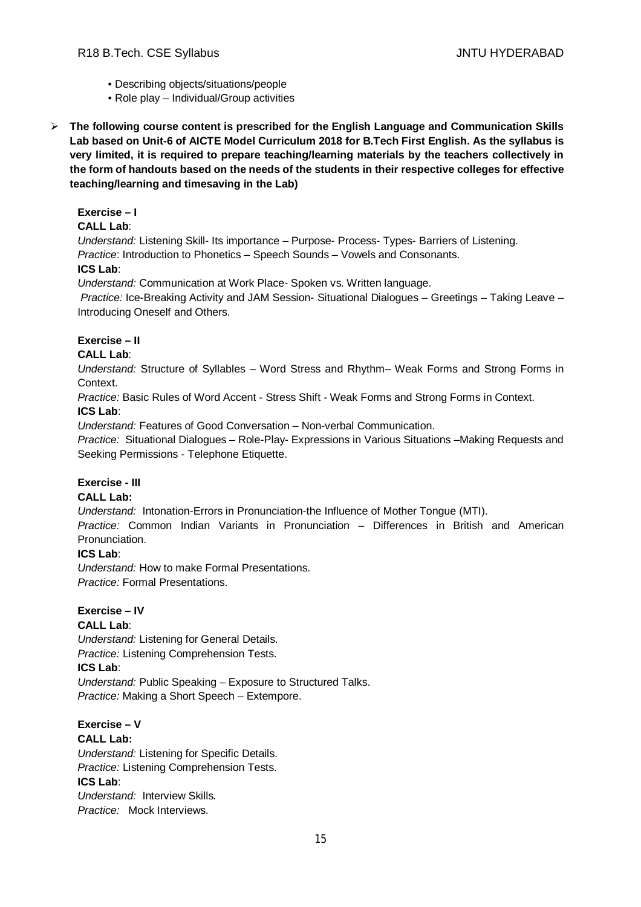- Describing objects/situations/people
- Role play Individual/Group activities
- **The following course content is prescribed for the English Language and Communication Skills Lab based on Unit-6 of AICTE Model Curriculum 2018 for B.Tech First English. As the syllabus is very limited, it is required to prepare teaching/learning materials by the teachers collectively in the form of handouts based on the needs of the students in their respective colleges for effective teaching/learning and timesaving in the Lab)**

# **Exercise – I**

# **CALL Lab**:

*Understand:* Listening Skill- Its importance – Purpose- Process- Types- Barriers of Listening. *Practice*: Introduction to Phonetics – Speech Sounds – Vowels and Consonants.

# **ICS Lab**:

*Understand:* Communication at Work Place*-* Spoken vs. Written language.

*Practice:* Ice-Breaking Activity and JAM Session- Situational Dialogues – Greetings – Taking Leave – Introducing Oneself and Others.

# **Exercise – II**

# **CALL Lab**:

*Understand:* Structure of Syllables – Word Stress and Rhythm– Weak Forms and Strong Forms in Context.

*Practice:* Basic Rules of Word Accent - Stress Shift - Weak Forms and Strong Forms in Context. **ICS Lab**:

*Understand:* Features of Good Conversation – Non-verbal Communication.

*Practice:* Situational Dialogues – Role-Play- Expressions in Various Situations –Making Requests and Seeking Permissions - Telephone Etiquette.

# **Exercise - III**

# **CALL Lab:**

*Understand:* Intonation-Errors in Pronunciation-the Influence of Mother Tongue (MTI).

*Practice:* Common Indian Variants in Pronunciation *–* Differences in British and American Pronunciation.

#### **ICS Lab**:

*Understand:* How to make Formal Presentations. *Practice:* Formal Presentations.

#### **Exercise – IV**

# **CALL Lab**:

*Understand:* Listening for General Details. *Practice:* Listening Comprehension Tests.

# **ICS Lab**:

*Understand:* Public Speaking – Exposure to Structured Talks. *Practice:* Making a Short Speech – Extempore.

#### **Exercise – V CALL Lab:**

*Understand:* Listening for Specific Details. *Practice:* Listening Comprehension Tests. **ICS Lab**: *Understand:* Interview Skills*. Practice:* Mock Interviews.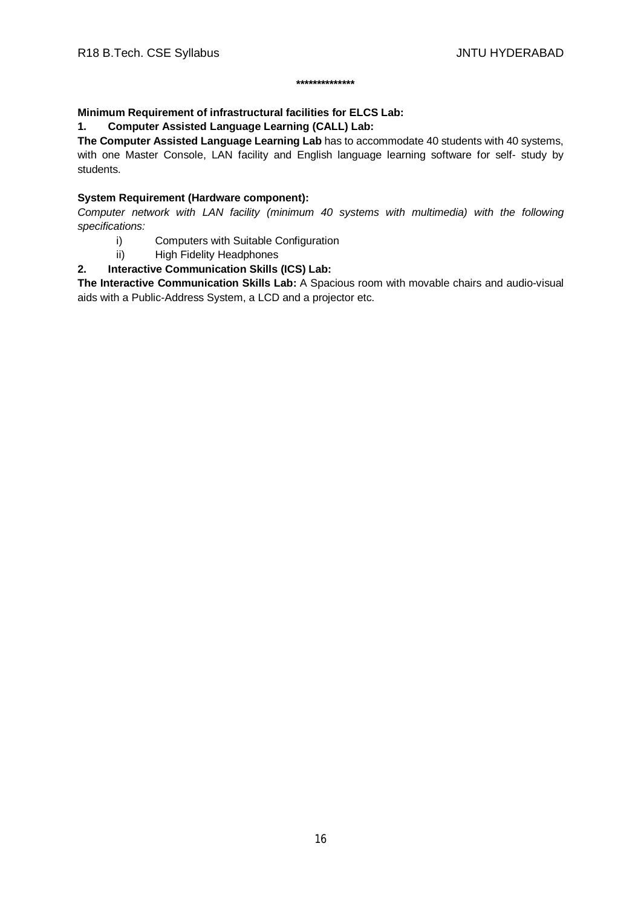#### **\*\*\*\*\*\*\*\*\*\*\*\*\*\***

# **Minimum Requirement of infrastructural facilities for ELCS Lab:**

**1. Computer Assisted Language Learning (CALL) Lab:** 

**The Computer Assisted Language Learning Lab** has to accommodate 40 students with 40 systems, with one Master Console, LAN facility and English language learning software for self- study by students.

# **System Requirement (Hardware component):**

*Computer network with LAN facility (minimum 40 systems with multimedia) with the following specifications:*

- i) Computers with Suitable Configuration
- ii) High Fidelity Headphones

# **2. Interactive Communication Skills (ICS) Lab:**

**The Interactive Communication Skills Lab:** A Spacious room with movable chairs and audio-visual aids with a Public-Address System, a LCD and a projector etc.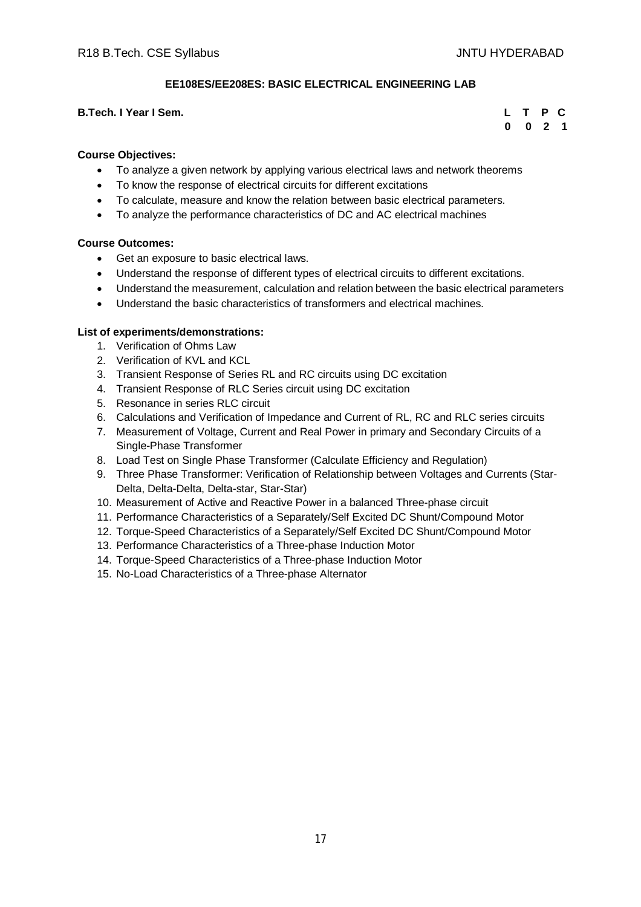# **EE108ES/EE208ES: BASIC ELECTRICAL ENGINEERING LAB**

#### **B.Tech. I Year I Sem.**

|  | L T P C   |  |
|--|-----------|--|
|  | $0$ 0 2 1 |  |

#### **Course Objectives:**

- To analyze a given network by applying various electrical laws and network theorems
- To know the response of electrical circuits for different excitations
- To calculate, measure and know the relation between basic electrical parameters.
- To analyze the performance characteristics of DC and AC electrical machines

#### **Course Outcomes:**

- Get an exposure to basic electrical laws.
- Understand the response of different types of electrical circuits to different excitations.
- Understand the measurement, calculation and relation between the basic electrical parameters
- Understand the basic characteristics of transformers and electrical machines.

#### **List of experiments/demonstrations:**

- 1. Verification of Ohms Law
- 2. Verification of KVL and KCL
- 3. Transient Response of Series RL and RC circuits using DC excitation
- 4. Transient Response of RLC Series circuit using DC excitation
- 5. Resonance in series RLC circuit
- 6. Calculations and Verification of Impedance and Current of RL, RC and RLC series circuits
- 7. Measurement of Voltage, Current and Real Power in primary and Secondary Circuits of a Single-Phase Transformer
- 8. Load Test on Single Phase Transformer (Calculate Efficiency and Regulation)
- 9. Three Phase Transformer: Verification of Relationship between Voltages and Currents (Star-Delta, Delta-Delta, Delta-star, Star-Star)
- 10. Measurement of Active and Reactive Power in a balanced Three-phase circuit
- 11. Performance Characteristics of a Separately/Self Excited DC Shunt/Compound Motor
- 12. Torque-Speed Characteristics of a Separately/Self Excited DC Shunt/Compound Motor
- 13. Performance Characteristics of a Three-phase Induction Motor
- 14. Torque-Speed Characteristics of a Three-phase Induction Motor
- 15. No-Load Characteristics of a Three-phase Alternator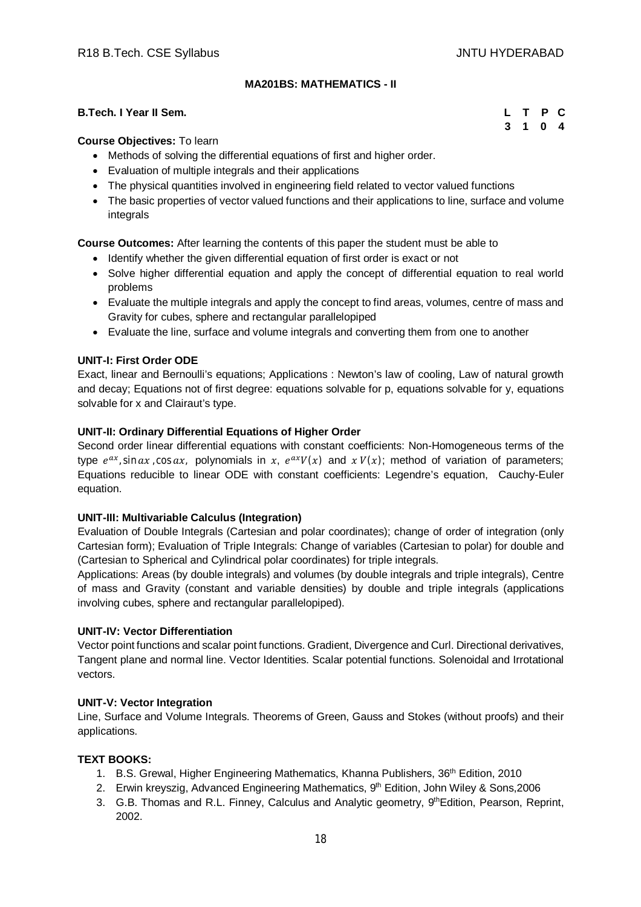# **MA201BS: MATHEMATICS - II**

#### **B.Tech. I Year II Sem. L T P C**

 **3 1 0 4**

#### **Course Objectives:** To learn

- Methods of solving the differential equations of first and higher order.
- Evaluation of multiple integrals and their applications
- The physical quantities involved in engineering field related to vector valued functions
- The basic properties of vector valued functions and their applications to line, surface and volume integrals

**Course Outcomes:** After learning the contents of this paper the student must be able to

- Identify whether the given differential equation of first order is exact or not
- Solve higher differential equation and apply the concept of differential equation to real world problems
- Evaluate the multiple integrals and apply the concept to find areas, volumes, centre of mass and Gravity for cubes, sphere and rectangular parallelopiped
- Evaluate the line, surface and volume integrals and converting them from one to another

## **UNIT-I: First Order ODE**

Exact, linear and Bernoulli's equations; Applications : Newton's law of cooling, Law of natural growth and decay; Equations not of first degree: equations solvable for p, equations solvable for y, equations solvable for x and Clairaut's type.

# **UNIT-II: Ordinary Differential Equations of Higher Order**

Second order linear differential equations with constant coefficients: Non-Homogeneous terms of the type  $e^{ax}$ , sin  $ax$ , cos  $ax$ , polynomials in  $x$ ,  $e^{ax}V(x)$  and  $xV(x)$ ; method of variation of parameters; Equations reducible to linear ODE with constant coefficients: Legendre's equation, Cauchy-Euler equation.

#### **UNIT-III: Multivariable Calculus (Integration)**

Evaluation of Double Integrals (Cartesian and polar coordinates); change of order of integration (only Cartesian form); Evaluation of Triple Integrals: Change of variables (Cartesian to polar) for double and (Cartesian to Spherical and Cylindrical polar coordinates) for triple integrals.

Applications: Areas (by double integrals) and volumes (by double integrals and triple integrals), Centre of mass and Gravity (constant and variable densities) by double and triple integrals (applications involving cubes, sphere and rectangular parallelopiped).

#### **UNIT-IV: Vector Differentiation**

Vector point functions and scalar point functions. Gradient, Divergence and Curl. Directional derivatives, Tangent plane and normal line. Vector Identities. Scalar potential functions. Solenoidal and Irrotational vectors.

#### **UNIT-V: Vector Integration**

Line, Surface and Volume Integrals. Theorems of Green, Gauss and Stokes (without proofs) and their applications.

## **TEXT BOOKS:**

- 1. B.S. Grewal, Higher Engineering Mathematics, Khanna Publishers, 36th Edition, 2010
- 2. Erwin kreyszig, Advanced Engineering Mathematics, 9th Edition, John Wiley & Sons, 2006
- 3. G.B. Thomas and R.L. Finney, Calculus and Analytic geometry, 9th Edition, Pearson, Reprint, 2002.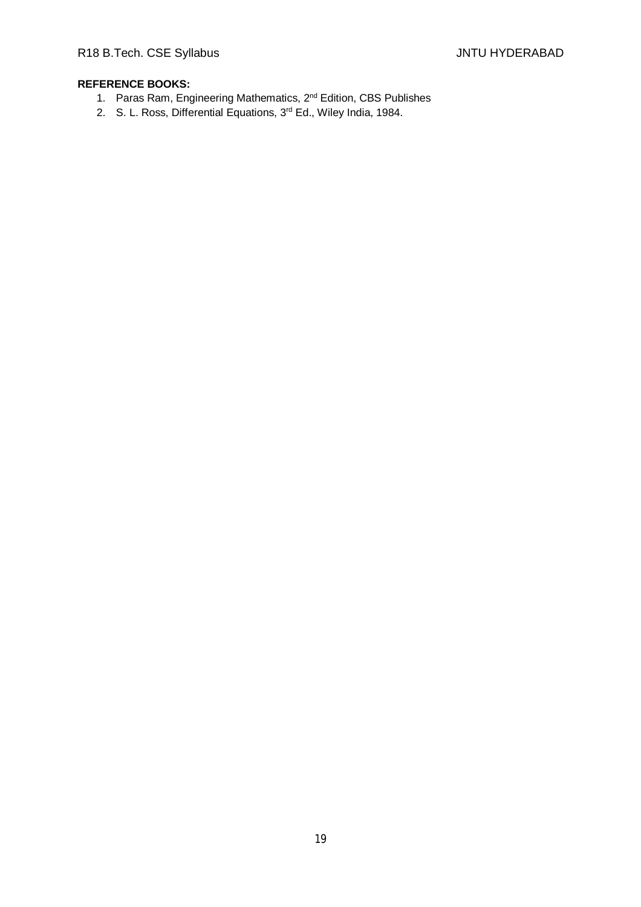- 1. Paras Ram, Engineering Mathematics, 2nd Edition, CBS Publishes
- 2. S. L. Ross, Differential Equations, 3<sup>rd</sup> Ed., Wiley India, 1984.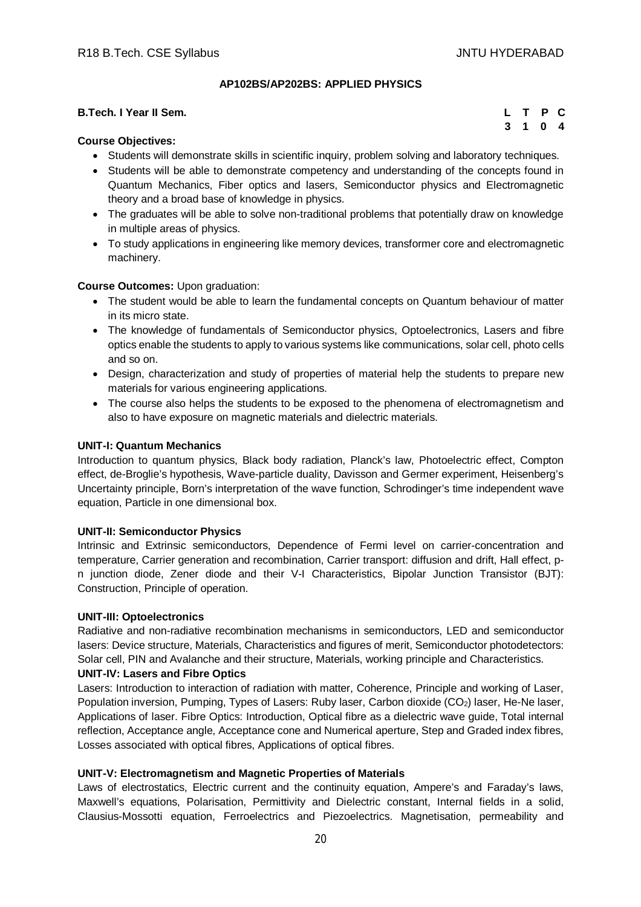## **AP102BS/AP202BS: APPLIED PHYSICS**

| <b>B.Tech. I Year II Sem.</b> |  | L T P C |  |
|-------------------------------|--|---------|--|
| $\rightarrow$                 |  | 3 1 0 4 |  |

## **Course Objectives:**

- Students will demonstrate skills in scientific inquiry, problem solving and laboratory techniques.
- Students will be able to demonstrate competency and understanding of the concepts found in Quantum Mechanics, Fiber optics and lasers, Semiconductor physics and Electromagnetic theory and a broad base of knowledge in physics.
- The graduates will be able to solve non-traditional problems that potentially draw on knowledge in multiple areas of physics.
- To study applications in engineering like memory devices, transformer core and electromagnetic machinery.

#### **Course Outcomes:** Upon graduation:

- The student would be able to learn the fundamental concepts on Quantum behaviour of matter in its micro state.
- The knowledge of fundamentals of Semiconductor physics, Optoelectronics, Lasers and fibre optics enable the students to apply to various systems like communications, solar cell, photo cells and so on.
- Design, characterization and study of properties of material help the students to prepare new materials for various engineering applications.
- The course also helps the students to be exposed to the phenomena of electromagnetism and also to have exposure on magnetic materials and dielectric materials.

#### **UNIT-I: Quantum Mechanics**

Introduction to quantum physics, Black body radiation, Planck's law, Photoelectric effect, Compton effect, de-Broglie's hypothesis, Wave-particle duality, Davisson and Germer experiment, Heisenberg's Uncertainty principle, Born's interpretation of the wave function, Schrodinger's time independent wave equation, Particle in one dimensional box.

#### **UNIT-II: Semiconductor Physics**

Intrinsic and Extrinsic semiconductors, Dependence of Fermi level on carrier-concentration and temperature, Carrier generation and recombination, Carrier transport: diffusion and drift, Hall effect, pn junction diode, Zener diode and their V-I Characteristics, Bipolar Junction Transistor (BJT): Construction, Principle of operation.

#### **UNIT-III: Optoelectronics**

Radiative and non-radiative recombination mechanisms in semiconductors, LED and semiconductor lasers: Device structure, Materials, Characteristics and figures of merit, Semiconductor photodetectors: Solar cell, PIN and Avalanche and their structure, Materials, working principle and Characteristics.

#### **UNIT-IV: Lasers and Fibre Optics**

Lasers: Introduction to interaction of radiation with matter, Coherence, Principle and working of Laser, Population inversion, Pumping, Types of Lasers: Ruby laser, Carbon dioxide (CO<sub>2</sub>) laser, He-Ne laser, Applications of laser. Fibre Optics: Introduction, Optical fibre as a dielectric wave guide, Total internal reflection, Acceptance angle, Acceptance cone and Numerical aperture, Step and Graded index fibres, Losses associated with optical fibres, Applications of optical fibres.

# **UNIT-V: Electromagnetism and Magnetic Properties of Materials**

Laws of electrostatics, Electric current and the continuity equation, Ampere's and Faraday's laws, Maxwell's equations, Polarisation, Permittivity and Dielectric constant, Internal fields in a solid, Clausius-Mossotti equation, Ferroelectrics and Piezoelectrics. Magnetisation, permeability and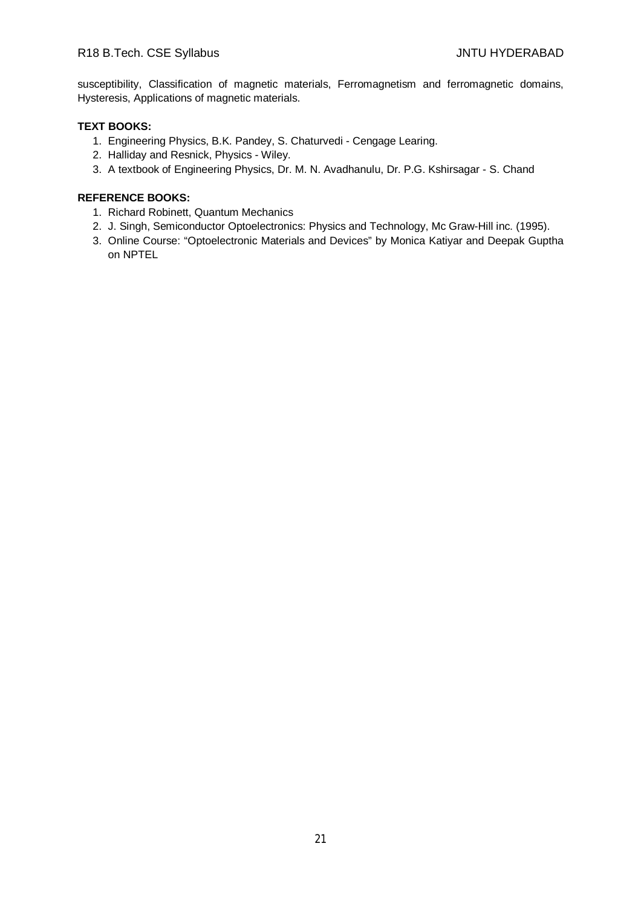# R18 B.Tech. CSE Syllabus **All Accords** CSE Syllabus **JNTU HYDERABAD**

susceptibility, Classification of magnetic materials, Ferromagnetism and ferromagnetic domains, Hysteresis, Applications of magnetic materials.

#### **TEXT BOOKS:**

- 1. Engineering Physics, B.K. Pandey, S. Chaturvedi Cengage Learing.
- 2. Halliday and Resnick, Physics Wiley.
- 3. A textbook of Engineering Physics, Dr. M. N. Avadhanulu, Dr. P.G. Kshirsagar S. Chand

- 1. Richard Robinett, Quantum Mechanics
- 2. J. Singh, Semiconductor Optoelectronics: Physics and Technology, Mc Graw-Hill inc. (1995).
- 3. Online Course: "Optoelectronic Materials and Devices" by Monica Katiyar and Deepak Guptha on NPTEL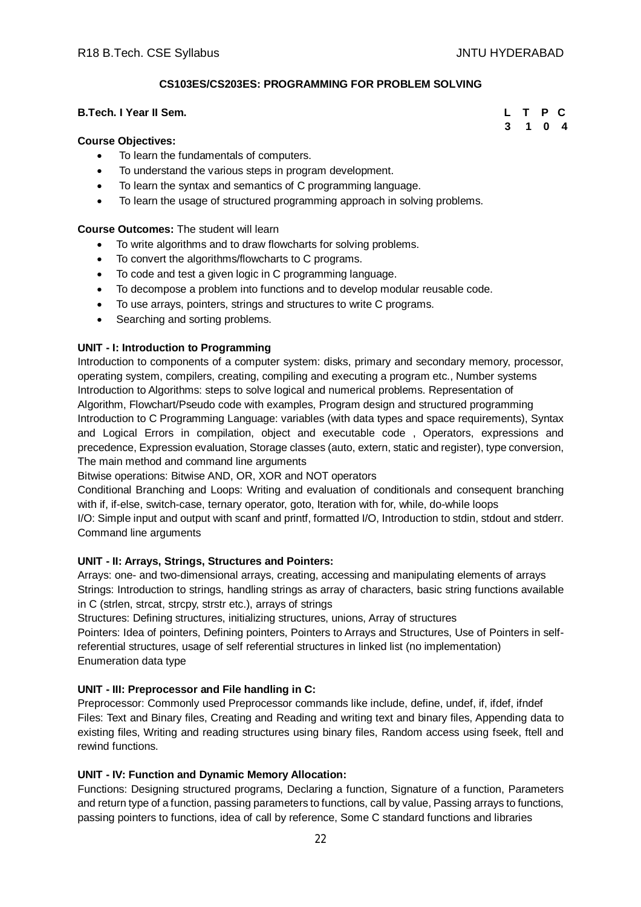## **CS103ES/CS203ES: PROGRAMMING FOR PROBLEM SOLVING**

## **B.Tech. I Year II Sem.**

#### **Course Objectives:**

- To learn the fundamentals of computers.
- To understand the various steps in program development.
- To learn the syntax and semantics of C programming language.
- To learn the usage of structured programming approach in solving problems.

#### **Course Outcomes:** The student will learn

- To write algorithms and to draw flowcharts for solving problems.
- To convert the algorithms/flowcharts to C programs.
- To code and test a given logic in C programming language.
- To decompose a problem into functions and to develop modular reusable code.
- To use arrays, pointers, strings and structures to write C programs.
- Searching and sorting problems.

#### **UNIT - I: Introduction to Programming**

Introduction to components of a computer system: disks, primary and secondary memory, processor, operating system, compilers, creating, compiling and executing a program etc., Number systems Introduction to Algorithms: steps to solve logical and numerical problems. Representation of Algorithm, Flowchart/Pseudo code with examples, Program design and structured programming Introduction to C Programming Language: variables (with data types and space requirements), Syntax and Logical Errors in compilation, object and executable code , Operators, expressions and precedence, Expression evaluation, Storage classes (auto, extern, static and register), type conversion, The main method and command line arguments

Bitwise operations: Bitwise AND, OR, XOR and NOT operators

Conditional Branching and Loops: Writing and evaluation of conditionals and consequent branching with if, if-else, switch-case, ternary operator, goto, Iteration with for, while, do-while loops I/O: Simple input and output with scanf and printf, formatted I/O, Introduction to stdin, stdout and stderr.

Command line arguments

#### **UNIT - II: Arrays, Strings, Structures and Pointers:**

Arrays: one- and two-dimensional arrays, creating, accessing and manipulating elements of arrays Strings: Introduction to strings, handling strings as array of characters, basic string functions available in C (strlen, strcat, strcpy, strstr etc.), arrays of strings

Structures: Defining structures, initializing structures, unions, Array of structures

Pointers: Idea of pointers, Defining pointers, Pointers to Arrays and Structures, Use of Pointers in selfreferential structures, usage of self referential structures in linked list (no implementation) Enumeration data type

#### **UNIT - III: Preprocessor and File handling in C:**

Preprocessor: Commonly used Preprocessor commands like include, define, undef, if, ifdef, ifndef Files: Text and Binary files, Creating and Reading and writing text and binary files, Appending data to existing files, Writing and reading structures using binary files, Random access using fseek, ftell and rewind functions.

## **UNIT - IV: Function and Dynamic Memory Allocation:**

Functions: Designing structured programs, Declaring a function, Signature of a function, Parameters and return type of a function, passing parameters to functions, call by value, Passing arrays to functions, passing pointers to functions, idea of call by reference, Some C standard functions and libraries

|  | L T P C |  |
|--|---------|--|
|  | 3 1 0 4 |  |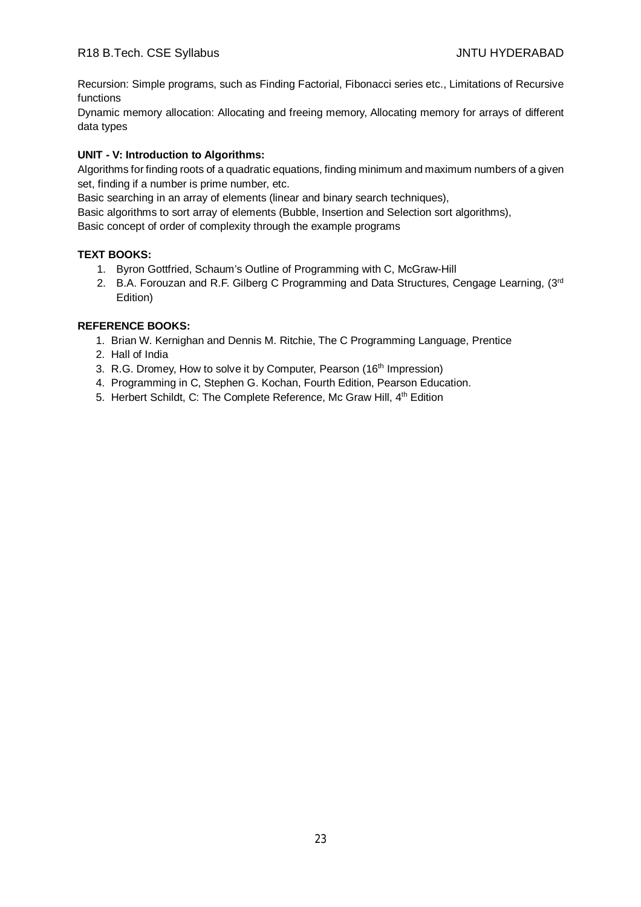Recursion: Simple programs, such as Finding Factorial, Fibonacci series etc., Limitations of Recursive functions

Dynamic memory allocation: Allocating and freeing memory, Allocating memory for arrays of different data types

# **UNIT - V: Introduction to Algorithms:**

Algorithms for finding roots of a quadratic equations, finding minimum and maximum numbers of a given set, finding if a number is prime number, etc.

Basic searching in an array of elements (linear and binary search techniques),

Basic algorithms to sort array of elements (Bubble, Insertion and Selection sort algorithms),

Basic concept of order of complexity through the example programs

# **TEXT BOOKS:**

- 1. Byron Gottfried, Schaum's Outline of Programming with C, McGraw-Hill
- 2. B.A. Forouzan and R.F. Gilberg C Programming and Data Structures, Cengage Learning, (3rd Edition)

- 1. Brian W. Kernighan and Dennis M. Ritchie, The C Programming Language, Prentice
- 2. Hall of India
- 3. R.G. Dromey, How to solve it by Computer, Pearson (16<sup>th</sup> Impression)
- 4. Programming in C, Stephen G. Kochan, Fourth Edition, Pearson Education.
- 5. Herbert Schildt, C: The Complete Reference, Mc Graw Hill, 4<sup>th</sup> Edition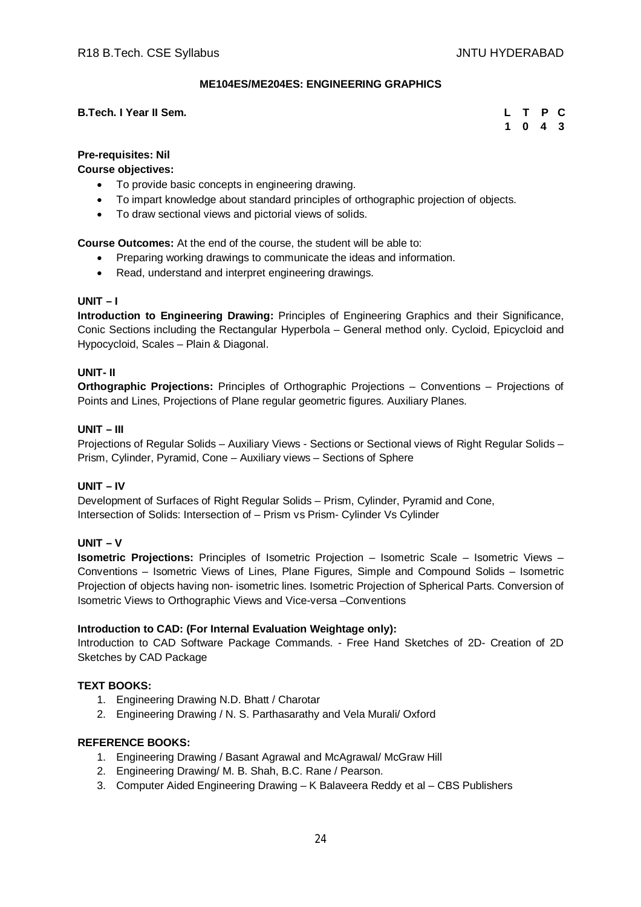## **ME104ES/ME204ES: ENGINEERING GRAPHICS**

#### **B.Tech. I Year II Sem.**

|  | L T P C                     |  |
|--|-----------------------------|--|
|  | $1 \quad 0 \quad 4 \quad 3$ |  |

# **Pre-requisites: Nil**

**Course objectives:**

- To provide basic concepts in engineering drawing.
- To impart knowledge about standard principles of orthographic projection of objects.
- To draw sectional views and pictorial views of solids.

**Course Outcomes:** At the end of the course, the student will be able to:

- Preparing working drawings to communicate the ideas and information.
- Read, understand and interpret engineering drawings.

# **UNIT – I**

**Introduction to Engineering Drawing:** Principles of Engineering Graphics and their Significance, Conic Sections including the Rectangular Hyperbola – General method only. Cycloid, Epicycloid and Hypocycloid, Scales – Plain & Diagonal.

#### **UNIT- II**

**Orthographic Projections:** Principles of Orthographic Projections – Conventions – Projections of Points and Lines, Projections of Plane regular geometric figures. Auxiliary Planes.

# **UNIT – III**

Projections of Regular Solids – Auxiliary Views - Sections or Sectional views of Right Regular Solids – Prism, Cylinder, Pyramid, Cone – Auxiliary views – Sections of Sphere

#### **UNIT – IV**

Development of Surfaces of Right Regular Solids – Prism, Cylinder, Pyramid and Cone, Intersection of Solids: Intersection of – Prism vs Prism- Cylinder Vs Cylinder

#### **UNIT – V**

**Isometric Projections:** Principles of Isometric Projection – Isometric Scale – Isometric Views – Conventions – Isometric Views of Lines, Plane Figures, Simple and Compound Solids – Isometric Projection of objects having non- isometric lines. Isometric Projection of Spherical Parts. Conversion of Isometric Views to Orthographic Views and Vice-versa –Conventions

#### **Introduction to CAD: (For Internal Evaluation Weightage only):**

Introduction to CAD Software Package Commands. - Free Hand Sketches of 2D- Creation of 2D Sketches by CAD Package

#### **TEXT BOOKS:**

- 1. Engineering Drawing N.D. Bhatt / Charotar
- 2. Engineering Drawing / N. S. Parthasarathy and Vela Murali/ Oxford

- 1. Engineering Drawing / Basant Agrawal and McAgrawal/ McGraw Hill
- 2. Engineering Drawing/ M. B. Shah, B.C. Rane / Pearson.
- 3. Computer Aided Engineering Drawing K Balaveera Reddy et al CBS Publishers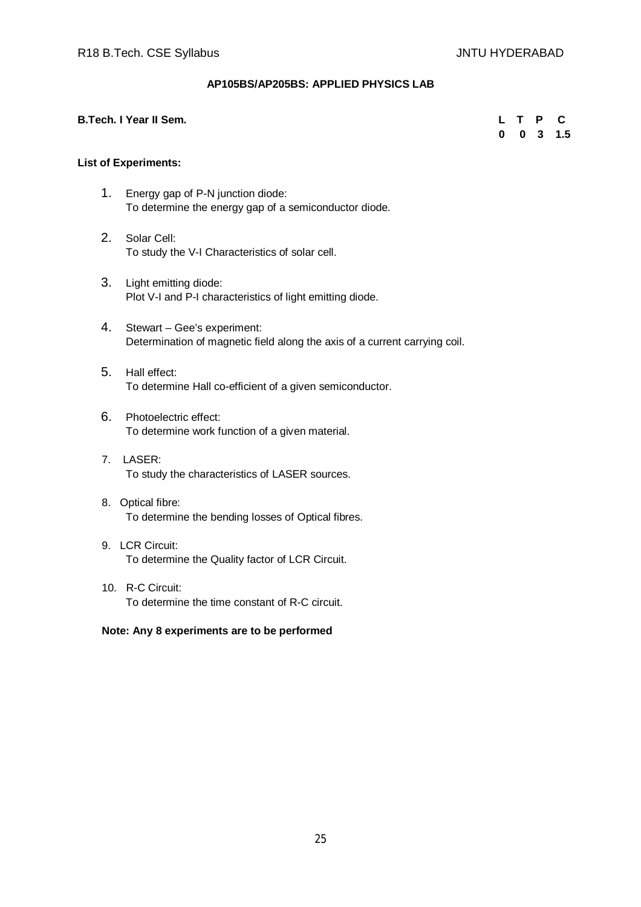# **AP105BS/AP205BS: APPLIED PHYSICS LAB**

#### **B.Tech. I Year II Sem. L T P C**

 **0 0 3 1.5**

#### **List of Experiments:**

- 1. Energy gap of P-N junction diode: To determine the energy gap of a semiconductor diode.
- 2. Solar Cell: To study the V-I Characteristics of solar cell.
- 3. Light emitting diode: Plot V-I and P-I characteristics of light emitting diode.
- 4. Stewart Gee's experiment: Determination of magnetic field along the axis of a current carrying coil.
- 5. Hall effect: To determine Hall co-efficient of a given semiconductor.
- 6. Photoelectric effect: To determine work function of a given material.
- 7. LASER: To study the characteristics of LASER sources.
- 8. Optical fibre: To determine the bending losses of Optical fibres.
- 9. LCR Circuit: To determine the Quality factor of LCR Circuit.
- 10. R-C Circuit: To determine the time constant of R-C circuit.

#### **Note: Any 8 experiments are to be performed**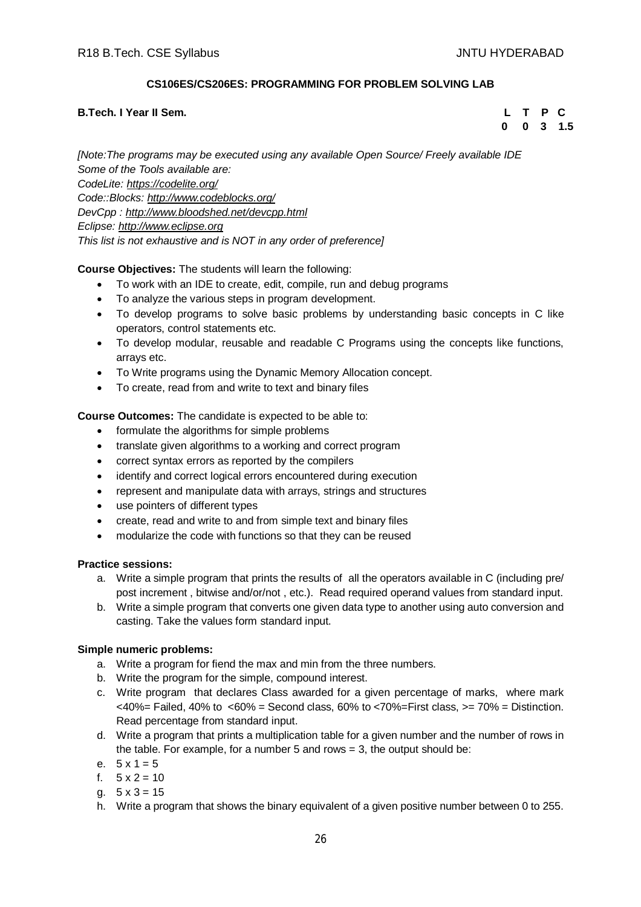# **CS106ES/CS206ES: PROGRAMMING FOR PROBLEM SOLVING LAB**

#### **B.Tech. I Year II Sem. L T P C**

 **0 0 3 1.5**

*[Note:The programs may be executed using any available Open Source/ Freely available IDE Some of the Tools available are: CodeLite: <https://codelite.org/> Code::Blocks: <http://www.codeblocks.org/> DevCpp : <http://www.bloodshed.net/devcpp.html> Eclipse: <http://www.eclipse.org> This list is not exhaustive and is NOT in any order of preference]*

#### **Course Objectives:** The students will learn the following:

- To work with an IDE to create, edit, compile, run and debug programs
- To analyze the various steps in program development.
- To develop programs to solve basic problems by understanding basic concepts in C like operators, control statements etc.
- To develop modular, reusable and readable C Programs using the concepts like functions, arrays etc.
- To Write programs using the Dynamic Memory Allocation concept.
- To create, read from and write to text and binary files

# **Course Outcomes:** The candidate is expected to be able to:

- formulate the algorithms for simple problems
- translate given algorithms to a working and correct program
- correct syntax errors as reported by the compilers
- identify and correct logical errors encountered during execution
- represent and manipulate data with arrays, strings and structures
- use pointers of different types
- create, read and write to and from simple text and binary files
- modularize the code with functions so that they can be reused

## **Practice sessions:**

- a. Write a simple program that prints the results of all the operators available in C (including pre/ post increment , bitwise and/or/not , etc.). Read required operand values from standard input.
- b. Write a simple program that converts one given data type to another using auto conversion and casting. Take the values form standard input.

#### **Simple numeric problems:**

- a. Write a program for fiend the max and min from the three numbers.
- b. Write the program for the simple, compound interest.
- c. Write program that declares Class awarded for a given percentage of marks, where mark  $<40\%$  = Failed, 40% to  $<60\%$  = Second class, 60% to  $<70\%$  = First class,  $>=70\%$  = Distinction. Read percentage from standard input.
- d. Write a program that prints a multiplication table for a given number and the number of rows in the table. For example, for a number 5 and rows  $= 3$ , the output should be:
- e.  $5 \times 1 = 5$
- f.  $5 \times 2 = 10$
- a.  $5 \times 3 = 15$
- h. Write a program that shows the binary equivalent of a given positive number between 0 to 255.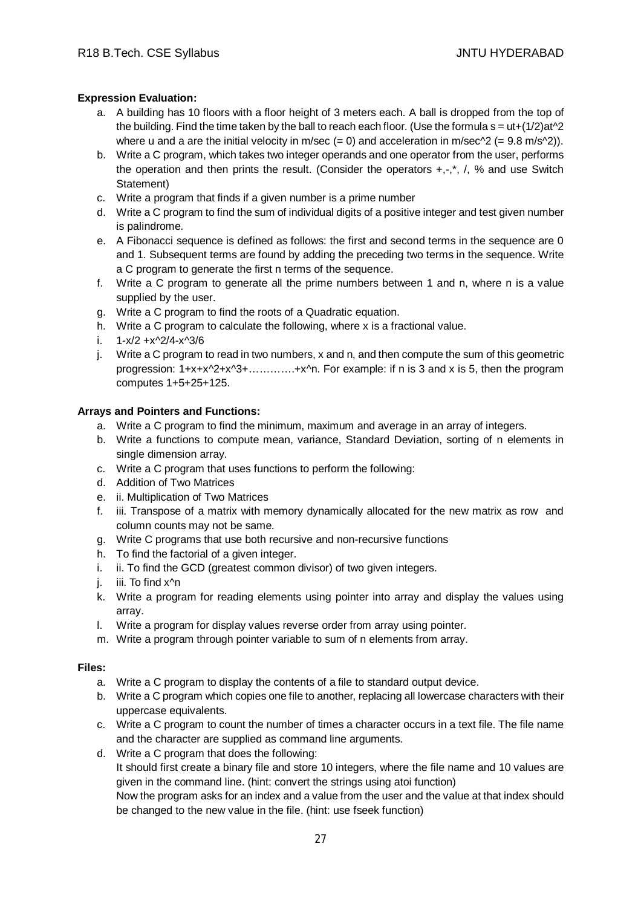# **Expression Evaluation:**

- a. A building has 10 floors with a floor height of 3 meters each. A ball is dropped from the top of the building. Find the time taken by the ball to reach each floor. (Use the formula  $s = ut+(1/2)at^2$ ) where u and a are the initial velocity in m/sec  $(= 0)$  and acceleration in m/sec^2  $(= 9.8 \text{ m/s} \cdot ^2))$ .
- b. Write a C program, which takes two integer operands and one operator from the user, performs the operation and then prints the result. (Consider the operators  $+,$ , $^*$ , $',$ , % and use Switch Statement)
- c. Write a program that finds if a given number is a prime number
- d. Write a C program to find the sum of individual digits of a positive integer and test given number is palindrome.
- e. A Fibonacci sequence is defined as follows: the first and second terms in the sequence are 0 and 1. Subsequent terms are found by adding the preceding two terms in the sequence. Write a C program to generate the first n terms of the sequence.
- f. Write a C program to generate all the prime numbers between 1 and n, where n is a value supplied by the user.
- g. Write a C program to find the roots of a Quadratic equation.
- h. Write a C program to calculate the following, where x is a fractional value.
- i. 1-x/2 +x^2/4-x^3/6
- j. Write a C program to read in two numbers, x and n, and then compute the sum of this geometric progression: 1+x+x^2+x^3+………….+x^n. For example: if n is 3 and x is 5, then the program computes 1+5+25+125.

# **Arrays and Pointers and Functions:**

- a. Write a C program to find the minimum, maximum and average in an array of integers.
- b. Write a functions to compute mean, variance, Standard Deviation, sorting of n elements in single dimension array.
- c. Write a C program that uses functions to perform the following:
- d. Addition of Two Matrices
- e. ii. Multiplication of Two Matrices
- f. iii. Transpose of a matrix with memory dynamically allocated for the new matrix as row and column counts may not be same.
- g. Write C programs that use both recursive and non-recursive functions
- h. To find the factorial of a given integer.
- i. ii. To find the GCD (greatest common divisor) of two given integers.
- j. iii. To find x<sup>^</sup>n
- k. Write a program for reading elements using pointer into array and display the values using array.
- l. Write a program for display values reverse order from array using pointer.
- m. Write a program through pointer variable to sum of n elements from array.

#### **Files:**

- a. Write a C program to display the contents of a file to standard output device.
- b. Write a C program which copies one file to another, replacing all lowercase characters with their uppercase equivalents.
- c. Write a C program to count the number of times a character occurs in a text file. The file name and the character are supplied as command line arguments.
- d. Write a C program that does the following:

It should first create a binary file and store 10 integers, where the file name and 10 values are given in the command line. (hint: convert the strings using atoi function)

Now the program asks for an index and a value from the user and the value at that index should be changed to the new value in the file. (hint: use fseek function)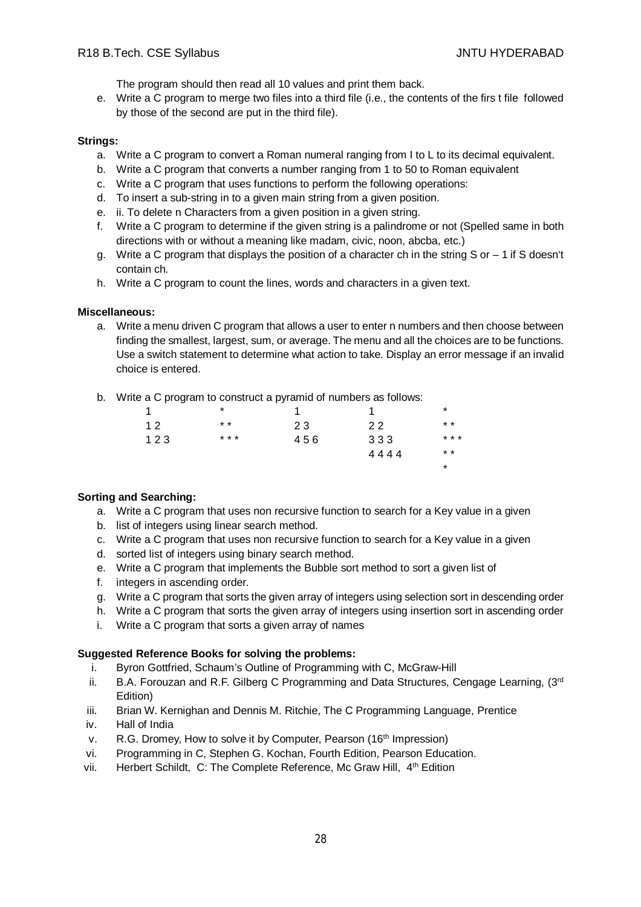The program should then read all 10 values and print them back.

e. Write a C program to merge two files into a third file (i.e., the contents of the firs t file followed by those of the second are put in the third file).

#### **Strings:**

- a. Write a C program to convert a Roman numeral ranging from I to L to its decimal equivalent.
- b. Write a C program that converts a number ranging from 1 to 50 to Roman equivalent
- c. Write a C program that uses functions to perform the following operations:
- d. To insert a sub-string in to a given main string from a given position.
- e. ii. To delete n Characters from a given position in a given string.
- f. Write a C program to determine if the given string is a palindrome or not (Spelled same in both directions with or without a meaning like madam, civic, noon, abcba, etc.)
- g. Write a C program that displays the position of a character ch in the string S or 1 if S doesn't contain ch.
- h. Write a C program to count the lines, words and characters in a given text.

#### **Miscellaneous:**

a. Write a menu driven C program that allows a user to enter n numbers and then choose between finding the smallest, largest, sum, or average. The menu and all the choices are to be functions. Use a switch statement to determine what action to take. Display an error message if an invalid choice is entered.

\*

b. Write a C program to construct a pyramid of numbers as follows:

| 1   | *     |     |      | *     |
|-----|-------|-----|------|-------|
| 12  | $* *$ | 23  | 22   | $* *$ |
| 123 | * * * | 456 | 333  | * * * |
|     |       |     | 4444 | $* *$ |

#### **Sorting and Searching:**

- a. Write a C program that uses non recursive function to search for a Key value in a given
- b. list of integers using linear search method.
- c. Write a C program that uses non recursive function to search for a Key value in a given
- d. sorted list of integers using binary search method.
- e. Write a C program that implements the Bubble sort method to sort a given list of
- f. integers in ascending order.
- g. Write a C program that sorts the given array of integers using selection sort in descending order
- h. Write a C program that sorts the given array of integers using insertion sort in ascending order
- i. Write a C program that sorts a given array of names

## **Suggested Reference Books for solving the problems:**

- i. Byron Gottfried, Schaum's Outline of Programming with C, McGraw-Hill
- ii. B.A. Forouzan and R.F. Gilberg C Programming and Data Structures, Cengage Learning, (3rd Edition)
- iii. Brian W. Kernighan and Dennis M. Ritchie, The C Programming Language, Prentice
- iv. Hall of India
- v. R.G. Dromey, How to solve it by Computer, Pearson (16<sup>th</sup> Impression)
- vi. Programming in C, Stephen G. Kochan, Fourth Edition, Pearson Education.
- vii. Herbert Schildt, C: The Complete Reference, Mc Graw Hill, 4<sup>th</sup> Edition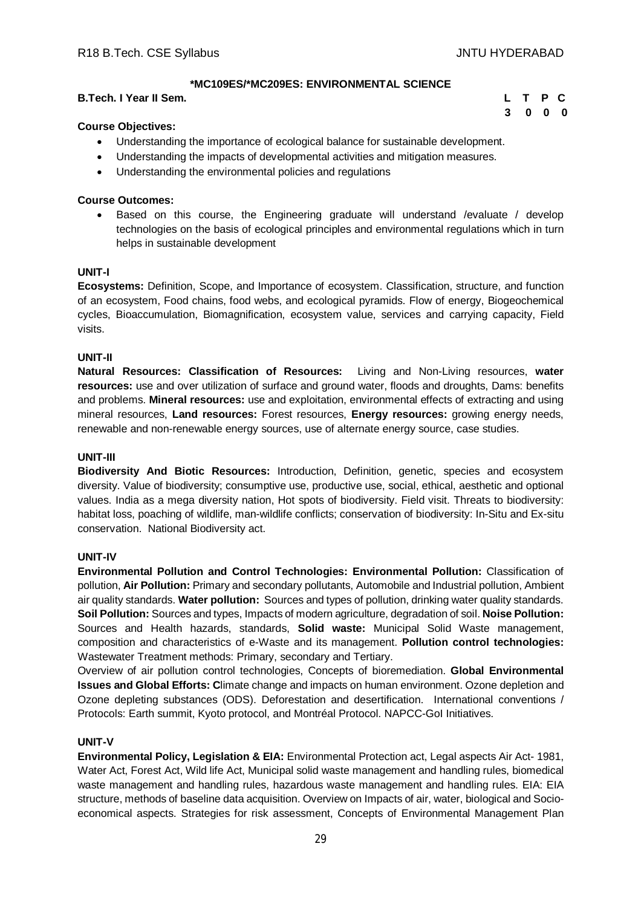**3 0 0 0**

# **\*MC109ES/\*MC209ES: ENVIRONMENTAL SCIENCE**

#### **B.Tech. I Year II Sem. L T P C**

#### **Course Objectives:**

- Understanding the importance of ecological balance for sustainable development.
- Understanding the impacts of developmental activities and mitigation measures.
- Understanding the environmental policies and regulations

#### **Course Outcomes:**

 Based on this course, the Engineering graduate will understand /evaluate / develop technologies on the basis of ecological principles and environmental regulations which in turn helps in sustainable development

#### **UNIT-I**

**Ecosystems:** Definition, Scope, and Importance of ecosystem. Classification, structure, and function of an ecosystem, Food chains, food webs, and ecological pyramids. Flow of energy, Biogeochemical cycles, Bioaccumulation, Biomagnification, ecosystem value, services and carrying capacity, Field visits.

#### **UNIT-II**

**Natural Resources: Classification of Resources:** Living and Non-Living resources, **water resources:** use and over utilization of surface and ground water, floods and droughts, Dams: benefits and problems. **Mineral resources:** use and exploitation, environmental effects of extracting and using mineral resources, **Land resources:** Forest resources, **Energy resources:** growing energy needs, renewable and non-renewable energy sources, use of alternate energy source, case studies.

#### **UNIT-III**

**Biodiversity And Biotic Resources:** Introduction, Definition, genetic, species and ecosystem diversity. Value of biodiversity; consumptive use, productive use, social, ethical, aesthetic and optional values. India as a mega diversity nation, Hot spots of biodiversity. Field visit. Threats to biodiversity: habitat loss, poaching of wildlife, man-wildlife conflicts; conservation of biodiversity: In-Situ and Ex-situ conservation. National Biodiversity act.

#### **UNIT-IV**

**Environmental Pollution and Control Technologies: Environmental Pollution:** Classification of pollution, **Air Pollution:** Primary and secondary pollutants, Automobile and Industrial pollution, Ambient air quality standards. **Water pollution:** Sources and types of pollution, drinking water quality standards. **Soil Pollution:** Sources and types, Impacts of modern agriculture, degradation of soil. **Noise Pollution:**  Sources and Health hazards, standards, **Solid waste:** Municipal Solid Waste management, composition and characteristics of e-Waste and its management. **Pollution control technologies:** Wastewater Treatment methods: Primary, secondary and Tertiary.

Overview of air pollution control technologies, Concepts of bioremediation. **Global Environmental Issues and Global Efforts: C**limate change and impacts on human environment. Ozone depletion and Ozone depleting substances (ODS). Deforestation and desertification. International conventions / Protocols: Earth summit, Kyoto protocol, and Montréal Protocol. NAPCC-GoI Initiatives.

#### **UNIT-V**

**Environmental Policy, Legislation & EIA:** Environmental Protection act, Legal aspects Air Act- 1981, Water Act, Forest Act, Wild life Act, Municipal solid waste management and handling rules, biomedical waste management and handling rules, hazardous waste management and handling rules. EIA: EIA structure, methods of baseline data acquisition. Overview on Impacts of air, water, biological and Socioeconomical aspects. Strategies for risk assessment, Concepts of Environmental Management Plan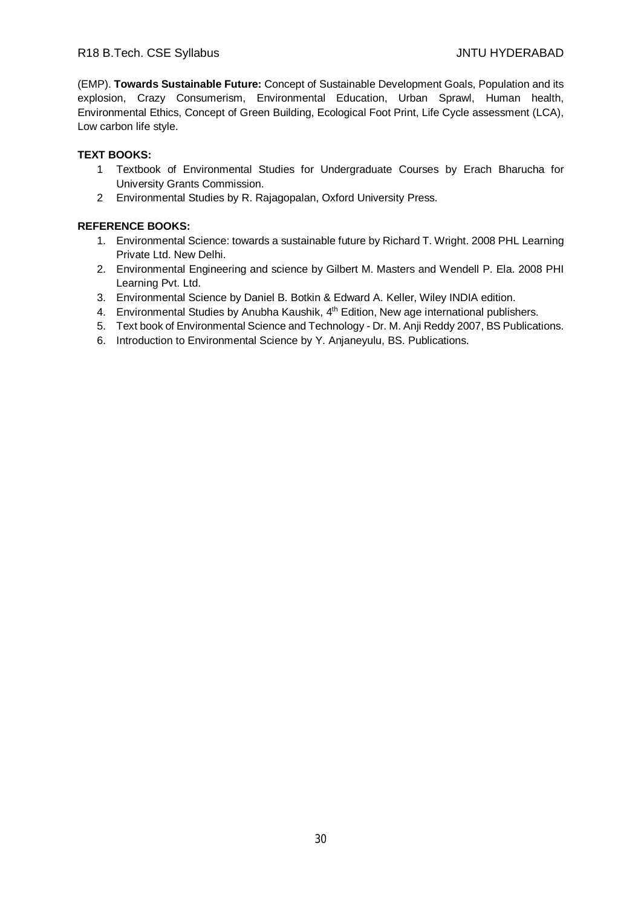(EMP). **Towards Sustainable Future:** Concept of Sustainable Development Goals, Population and its explosion, Crazy Consumerism, Environmental Education, Urban Sprawl, Human health, Environmental Ethics, Concept of Green Building, Ecological Foot Print, Life Cycle assessment (LCA), Low carbon life style.

# **TEXT BOOKS:**

- 1 Textbook of Environmental Studies for Undergraduate Courses by Erach Bharucha for University Grants Commission.
- 2 Environmental Studies by R. Rajagopalan, Oxford University Press.

- 1. Environmental Science: towards a sustainable future by Richard T. Wright. 2008 PHL Learning Private Ltd. New Delhi.
- 2. Environmental Engineering and science by Gilbert M. Masters and Wendell P. Ela. 2008 PHI Learning Pvt. Ltd.
- 3. Environmental Science by Daniel B. Botkin & Edward A. Keller, Wiley INDIA edition.
- 4. Environmental Studies by Anubha Kaushik, 4<sup>th</sup> Edition, New age international publishers.
- 5. Text book of Environmental Science and Technology Dr. M. Anji Reddy 2007, BS Publications.
- 6. Introduction to Environmental Science by Y. Anjaneyulu, BS. Publications.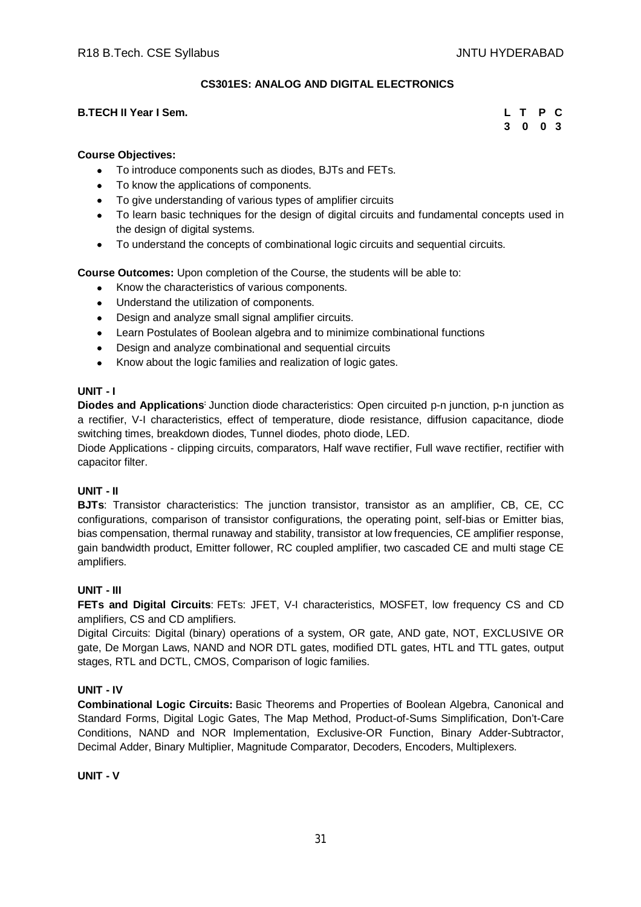# **CS301ES: ANALOG AND DIGITAL ELECTRONICS**

#### **B.TECH II Year I Sem.**

| L T |   | P              | <b>C</b> |
|-----|---|----------------|----------|
| 3   | 0 | 0 <sub>3</sub> |          |

#### **Course Objectives:**

- To introduce components such as diodes, BJTs and FETs.
- To know the applications of components.
- To give understanding of various types of amplifier circuits
- To learn basic techniques for the design of digital circuits and fundamental concepts used in the design of digital systems.
- To understand the concepts of combinational logic circuits and sequential circuits.

**Course Outcomes:** Upon completion of the Course, the students will be able to:

- Know the characteristics of various components.
- Understand the utilization of components.
- Design and analyze small signal amplifier circuits.
- Learn Postulates of Boolean algebra and to minimize combinational functions
- Design and analyze combinational and sequential circuits
- Know about the logic families and realization of logic gates.

#### **UNIT - I**

**Diodes and Applications:** Junction diode characteristics: Open circuited p-n junction, p-n junction as a rectifier, V-I characteristics, effect of temperature, diode resistance, diffusion capacitance, diode switching times, breakdown diodes, Tunnel diodes, photo diode, LED.

Diode Applications - clipping circuits, comparators, Half wave rectifier, Full wave rectifier, rectifier with capacitor filter.

# **UNIT - II**

**BJTs**: Transistor characteristics: The junction transistor, transistor as an amplifier, CB, CE, CC configurations, comparison of transistor configurations, the operating point, self-bias or Emitter bias, bias compensation, thermal runaway and stability, transistor at low frequencies, CE amplifier response, gain bandwidth product, Emitter follower, RC coupled amplifier, two cascaded CE and multi stage CE amplifiers.

#### **UNIT - III**

**FETs and Digital Circuits**: FETs: JFET, V-I characteristics, MOSFET, low frequency CS and CD amplifiers, CS and CD amplifiers.

Digital Circuits: Digital (binary) operations of a system, OR gate, AND gate, NOT, EXCLUSIVE OR gate, De Morgan Laws, NAND and NOR DTL gates, modified DTL gates, HTL and TTL gates, output stages, RTL and DCTL, CMOS, Comparison of logic families.

#### **UNIT - IV**

**Combinational Logic Circuits:** Basic Theorems and Properties of Boolean Algebra, Canonical and Standard Forms, Digital Logic Gates, The Map Method, Product-of-Sums Simplification, Don't-Care Conditions, NAND and NOR Implementation, Exclusive-OR Function, Binary Adder-Subtractor, Decimal Adder, Binary Multiplier, Magnitude Comparator, Decoders, Encoders, Multiplexers.

#### **UNIT - V**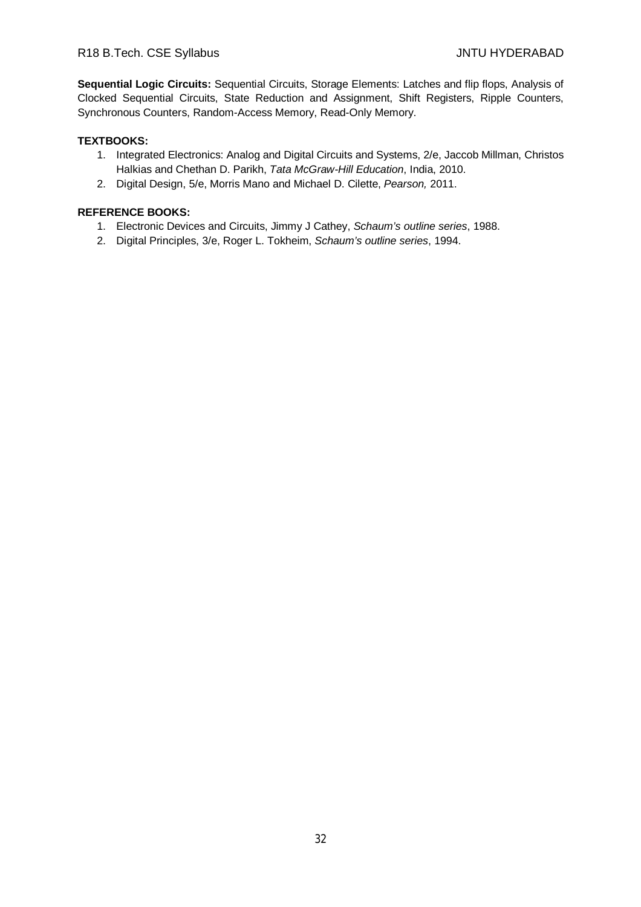**Sequential Logic Circuits:** Sequential Circuits, Storage Elements: Latches and flip flops, Analysis of Clocked Sequential Circuits, State Reduction and Assignment, Shift Registers, Ripple Counters, Synchronous Counters, Random-Access Memory, Read-Only Memory.

# **TEXTBOOKS:**

- 1. Integrated Electronics: Analog and Digital Circuits and Systems, 2/e, Jaccob Millman, Christos Halkias and Chethan D. Parikh, *Tata McGraw-Hill Education*, India, 2010.
- 2. Digital Design, 5/e, Morris Mano and Michael D. Cilette, *Pearson,* 2011.

- 1. Electronic Devices and Circuits, Jimmy J Cathey, *Schaum's outline series*, 1988.
- 2. Digital Principles, 3/e, Roger L. Tokheim, *Schaum's outline series*, 1994.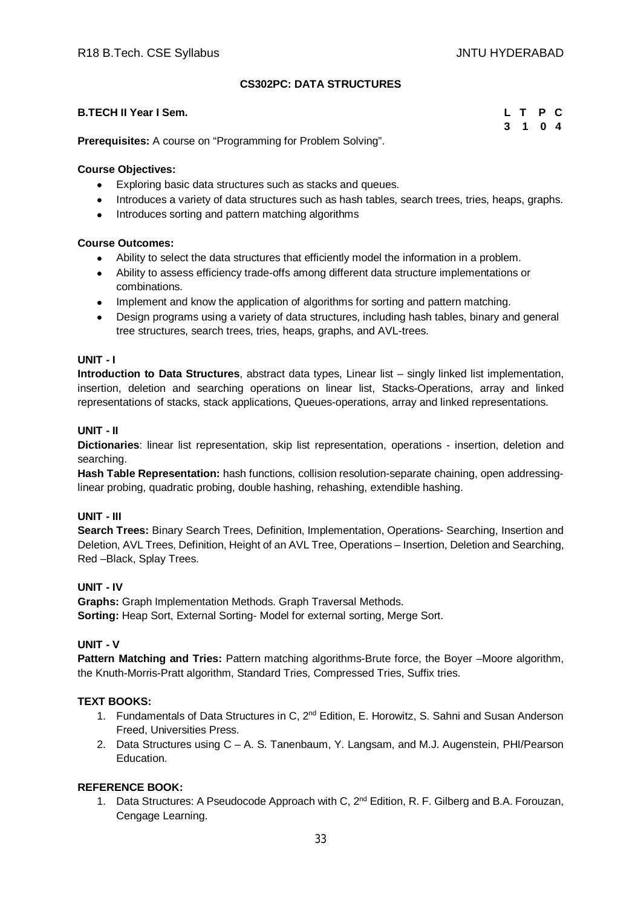**3 1 0 4**

# **CS302PC: DATA STRUCTURES**

#### **B.TECH II Year I Sem. L T P C**

**Prerequisites:** A course on "Programming for Problem Solving".

#### **Course Objectives:**

- Exploring basic data structures such as stacks and queues.
- Introduces a variety of data structures such as hash tables, search trees, tries, heaps, graphs.
- Introduces sorting and pattern matching algorithms

#### **Course Outcomes:**

- Ability to select the data structures that efficiently model the information in a problem.
- Ability to assess efficiency trade-offs among different data structure implementations or combinations.
- Implement and know the application of algorithms for sorting and pattern matching.
- Design programs using a variety of data structures, including hash tables, binary and general tree structures, search trees, tries, heaps, graphs, and AVL-trees.

#### **UNIT - I**

**Introduction to Data Structures**, abstract data types, Linear list – singly linked list implementation, insertion, deletion and searching operations on linear list, Stacks-Operations, array and linked representations of stacks, stack applications, Queues-operations, array and linked representations.

#### **UNIT - II**

**Dictionaries**: linear list representation, skip list representation, operations - insertion, deletion and searching.

**Hash Table Representation:** hash functions, collision resolution-separate chaining, open addressinglinear probing, quadratic probing, double hashing, rehashing, extendible hashing.

#### **UNIT - III**

**Search Trees:** Binary Search Trees, Definition, Implementation, Operations- Searching, Insertion and Deletion, AVL Trees, Definition, Height of an AVL Tree, Operations – Insertion, Deletion and Searching, Red –Black, Splay Trees.

#### **UNIT - IV**

**Graphs:** Graph Implementation Methods. Graph Traversal Methods. **Sorting:** Heap Sort, External Sorting- Model for external sorting, Merge Sort.

#### **UNIT - V**

**Pattern Matching and Tries:** Pattern matching algorithms-Brute force, the Boyer –Moore algorithm, the Knuth-Morris-Pratt algorithm, Standard Tries, Compressed Tries, Suffix tries.

#### **TEXT BOOKS:**

- 1. Fundamentals of Data Structures in C, 2<sup>nd</sup> Edition, E. Horowitz, S. Sahni and Susan Anderson Freed, Universities Press.
- 2. Data Structures using C A. S. Tanenbaum, Y. Langsam, and M.J. Augenstein, PHI/Pearson Education.

## **REFERENCE BOOK:**

1. Data Structures: A Pseudocode Approach with C,  $2^{nd}$  Edition, R. F. Gilberg and B.A. Forouzan, Cengage Learning.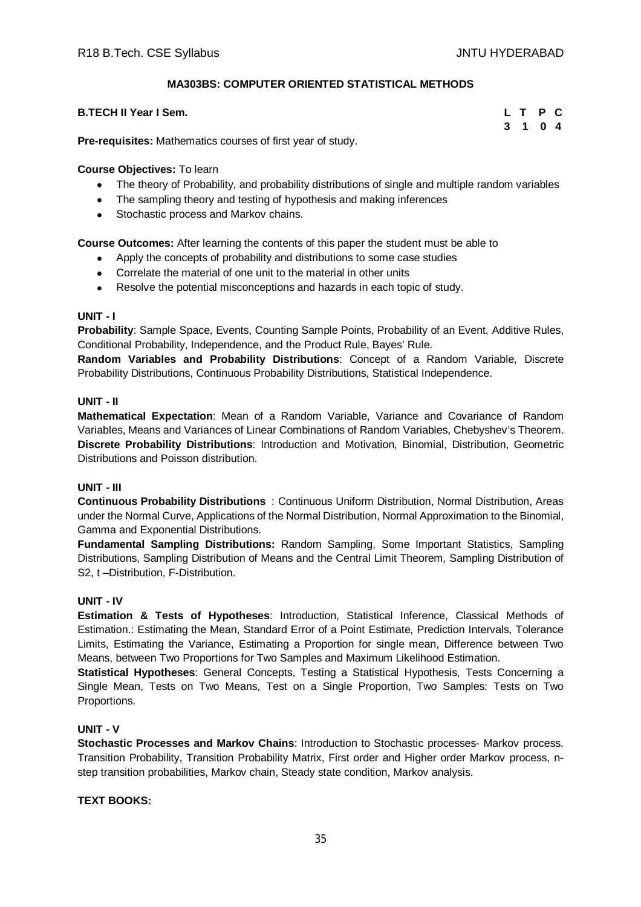# **MA303BS: COMPUTER ORIENTED STATISTICAL METHODS**

#### **B.TECH II Year I Sem.**

| L T |   | P.             | $\mathbf{C}$ |
|-----|---|----------------|--------------|
| 3   | 1 | 0 <sub>4</sub> |              |

**Pre-requisites:** Mathematics courses of first year of study.

#### **Course Objectives:** To learn

- The theory of Probability, and probability distributions of single and multiple random variables
- The sampling theory and testing of hypothesis and making inferences
- Stochastic process and Markov chains.

**Course Outcomes:** After learning the contents of this paper the student must be able to

- Apply the concepts of probability and distributions to some case studies
- Correlate the material of one unit to the material in other units
- Resolve the potential misconceptions and hazards in each topic of study.

#### **UNIT - I**

**Probability**: Sample Space, Events, Counting Sample Points, Probability of an Event, Additive Rules, Conditional Probability, Independence, and the Product Rule, Bayes' Rule.

**Random Variables and Probability Distributions**: Concept of a Random Variable, Discrete Probability Distributions, Continuous Probability Distributions, Statistical Independence.

#### **UNIT - II**

**Mathematical Expectation**: Mean of a Random Variable, Variance and Covariance of Random Variables, Means and Variances of Linear Combinations of Random Variables, Chebyshev's Theorem. **Discrete Probability Distributions**: Introduction and Motivation, Binomial, Distribution, Geometric Distributions and Poisson distribution.

#### **UNIT - III**

**Continuous Probability Distributions** : Continuous Uniform Distribution, Normal Distribution, Areas under the Normal Curve, Applications of the Normal Distribution, Normal Approximation to the Binomial, Gamma and Exponential Distributions.

**Fundamental Sampling Distributions:** Random Sampling, Some Important Statistics, Sampling Distributions, Sampling Distribution of Means and the Central Limit Theorem, Sampling Distribution of S2, t –Distribution, F-Distribution.

#### **UNIT - IV**

**Estimation & Tests of Hypotheses**: Introduction, Statistical Inference, Classical Methods of Estimation.: Estimating the Mean, Standard Error of a Point Estimate, Prediction Intervals, Tolerance Limits, Estimating the Variance, Estimating a Proportion for single mean, Difference between Two Means, between Two Proportions for Two Samples and Maximum Likelihood Estimation.

**Statistical Hypotheses**: General Concepts, Testing a Statistical Hypothesis, Tests Concerning a Single Mean, Tests on Two Means, Test on a Single Proportion, Two Samples: Tests on Two Proportions.

## **UNIT - V**

**Stochastic Processes and Markov Chains**: Introduction to Stochastic processes- Markov process. Transition Probability, Transition Probability Matrix, First order and Higher order Markov process, nstep transition probabilities, Markov chain, Steady state condition, Markov analysis.

#### **TEXT BOOKS:**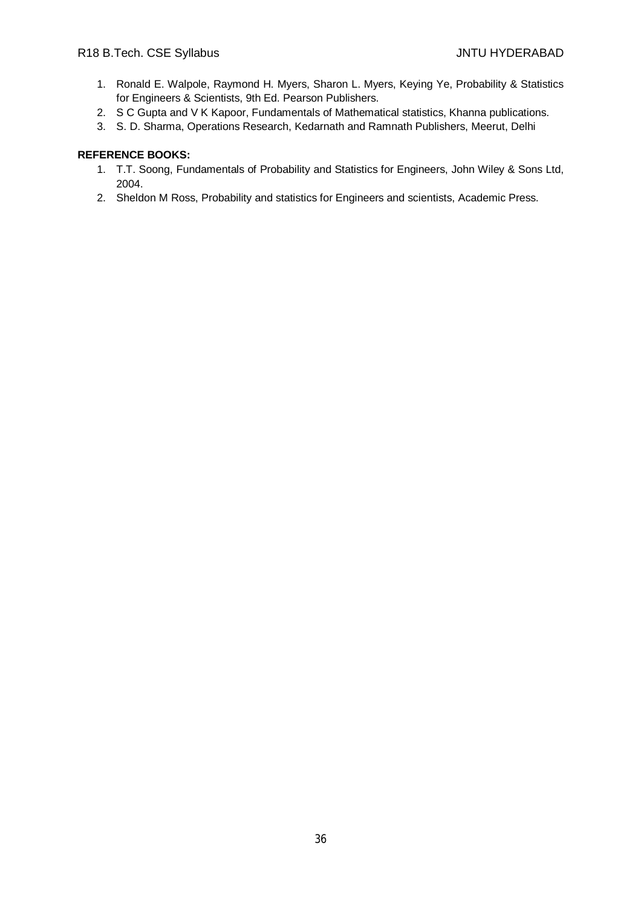- 1. Ronald E. Walpole, Raymond H. Myers, Sharon L. Myers, Keying Ye, Probability & Statistics for Engineers & Scientists, 9th Ed. Pearson Publishers.
- 2. S C Gupta and V K Kapoor, Fundamentals of Mathematical statistics, Khanna publications.
- 3. S. D. Sharma, Operations Research, Kedarnath and Ramnath Publishers, Meerut, Delhi

- 1. T.T. Soong, Fundamentals of Probability and Statistics for Engineers, John Wiley & Sons Ltd, 2004.
- 2. Sheldon M Ross, Probability and statistics for Engineers and scientists, Academic Press.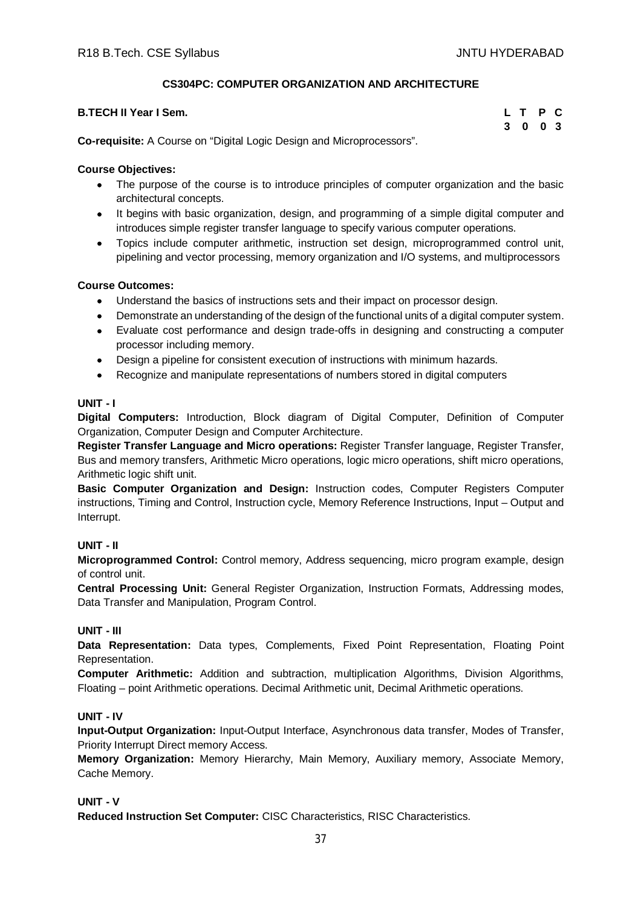# **CS304PC: COMPUTER ORGANIZATION AND ARCHITECTURE**

| <b>B.TECH II Year I Sem.</b>                                    | L T P C |  |
|-----------------------------------------------------------------|---------|--|
|                                                                 | 3 0 0 3 |  |
| As a matches A Associated Chatter in Basic and Missources and H |         |  |

**Co-requisite:** A Course on "Digital Logic Design and Microprocessors".

# **Course Objectives:**

- The purpose of the course is to introduce principles of computer organization and the basic architectural concepts.
- It begins with basic organization, design, and programming of a simple digital computer and introduces simple register transfer language to specify various computer operations.
- Topics include computer arithmetic, instruction set design, microprogrammed control unit, pipelining and vector processing, memory organization and I/O systems, and multiprocessors

# **Course Outcomes:**

- Understand the basics of instructions sets and their impact on processor design.
- Demonstrate an understanding of the design of the functional units of a digital computer system.
- Evaluate cost performance and design trade-offs in designing and constructing a computer processor including memory.
- Design a pipeline for consistent execution of instructions with minimum hazards.
- Recognize and manipulate representations of numbers stored in digital computers

## **UNIT - I**

**Digital Computers:** Introduction, Block diagram of Digital Computer, Definition of Computer Organization, Computer Design and Computer Architecture.

**Register Transfer Language and Micro operations:** Register Transfer language, Register Transfer, Bus and memory transfers, Arithmetic Micro operations, logic micro operations, shift micro operations, Arithmetic logic shift unit.

**Basic Computer Organization and Design:** Instruction codes, Computer Registers Computer instructions, Timing and Control, Instruction cycle, Memory Reference Instructions, Input – Output and Interrupt.

# **UNIT - II**

**Microprogrammed Control:** Control memory, Address sequencing, micro program example, design of control unit.

**Central Processing Unit:** General Register Organization, Instruction Formats, Addressing modes, Data Transfer and Manipulation, Program Control.

## **UNIT - III**

**Data Representation:** Data types, Complements, Fixed Point Representation, Floating Point Representation.

**Computer Arithmetic:** Addition and subtraction, multiplication Algorithms, Division Algorithms, Floating – point Arithmetic operations. Decimal Arithmetic unit, Decimal Arithmetic operations.

# **UNIT - IV**

**Input-Output Organization:** Input-Output Interface, Asynchronous data transfer, Modes of Transfer, Priority Interrupt Direct memory Access.

**Memory Organization:** Memory Hierarchy, Main Memory, Auxiliary memory, Associate Memory, Cache Memory.

## **UNIT - V**

**Reduced Instruction Set Computer:** CISC Characteristics, RISC Characteristics.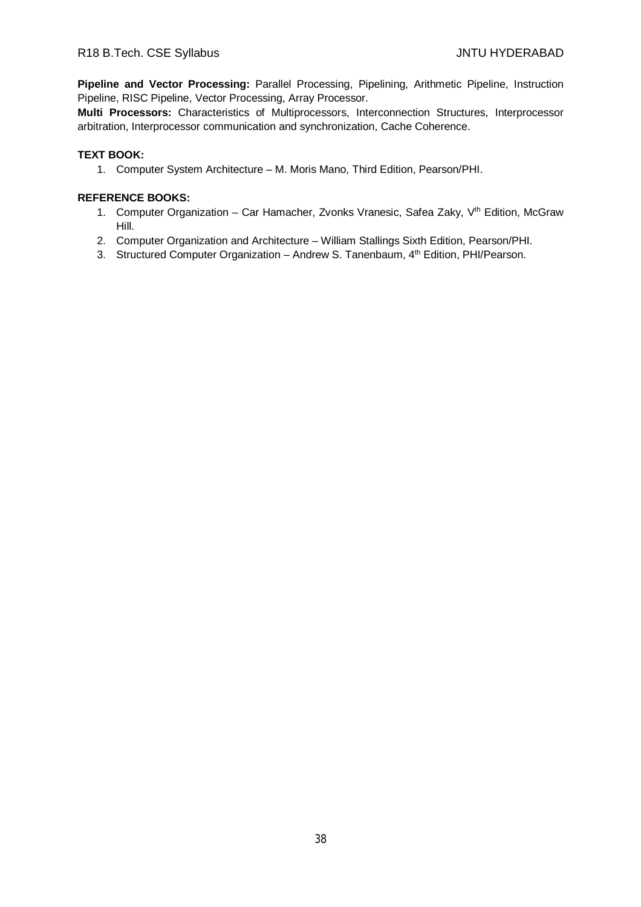**Pipeline and Vector Processing:** Parallel Processing, Pipelining, Arithmetic Pipeline, Instruction Pipeline, RISC Pipeline, Vector Processing, Array Processor.

**Multi Processors:** Characteristics of Multiprocessors, Interconnection Structures, Interprocessor arbitration, Interprocessor communication and synchronization, Cache Coherence.

## **TEXT BOOK:**

1. Computer System Architecture – M. Moris Mano, Third Edition, Pearson/PHI.

- 1. Computer Organization Car Hamacher, Zvonks Vranesic, Safea Zaky, V<sup>th</sup> Edition, McGraw Hill.
- 2. Computer Organization and Architecture William Stallings Sixth Edition, Pearson/PHI.
- 3. Structured Computer Organization Andrew S. Tanenbaum, 4<sup>th</sup> Edition, PHI/Pearson.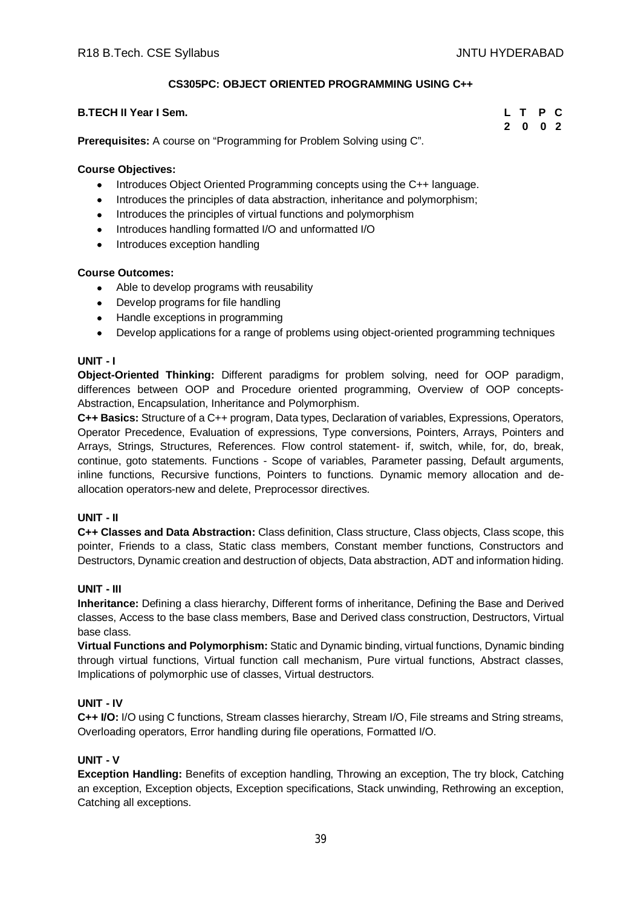**2 0 0 2**

# **CS305PC: OBJECT ORIENTED PROGRAMMING USING C++**

#### **B.TECH II Year I Sem. L T P C**

**Prerequisites:** A course on "Programming for Problem Solving using C".

#### **Course Objectives:**

- Introduces Object Oriented Programming concepts using the C++ language.
- Introduces the principles of data abstraction, inheritance and polymorphism;
- Introduces the principles of virtual functions and polymorphism
- Introduces handling formatted I/O and unformatted I/O
- Introduces exception handling

## **Course Outcomes:**

- Able to develop programs with reusability
- Develop programs for file handling
- Handle exceptions in programming
- Develop applications for a range of problems using object-oriented programming techniques

#### **UNIT - I**

**Object-Oriented Thinking:** Different paradigms for problem solving, need for OOP paradigm, differences between OOP and Procedure oriented programming, Overview of OOP concepts-Abstraction, Encapsulation, Inheritance and Polymorphism.

**C++ Basics:** Structure of a C++ program, Data types, Declaration of variables, Expressions, Operators, Operator Precedence, Evaluation of expressions, Type conversions, Pointers, Arrays, Pointers and Arrays, Strings, Structures, References. Flow control statement- if, switch, while, for, do, break, continue, goto statements. Functions - Scope of variables, Parameter passing, Default arguments, inline functions, Recursive functions, Pointers to functions. Dynamic memory allocation and deallocation operators-new and delete, Preprocessor directives.

## **UNIT - II**

**C++ Classes and Data Abstraction:** Class definition, Class structure, Class objects, Class scope, this pointer, Friends to a class, Static class members, Constant member functions, Constructors and Destructors, Dynamic creation and destruction of objects, Data abstraction, ADT and information hiding.

## **UNIT - III**

**Inheritance:** Defining a class hierarchy, Different forms of inheritance, Defining the Base and Derived classes, Access to the base class members, Base and Derived class construction, Destructors, Virtual base class.

**Virtual Functions and Polymorphism:** Static and Dynamic binding, virtual functions, Dynamic binding through virtual functions, Virtual function call mechanism, Pure virtual functions, Abstract classes, Implications of polymorphic use of classes, Virtual destructors.

## **UNIT - IV**

**C++ I/O:** I/O using C functions, Stream classes hierarchy, Stream I/O, File streams and String streams, Overloading operators, Error handling during file operations, Formatted I/O.

## **UNIT - V**

**Exception Handling:** Benefits of exception handling, Throwing an exception, The try block, Catching an exception, Exception objects, Exception specifications, Stack unwinding, Rethrowing an exception, Catching all exceptions.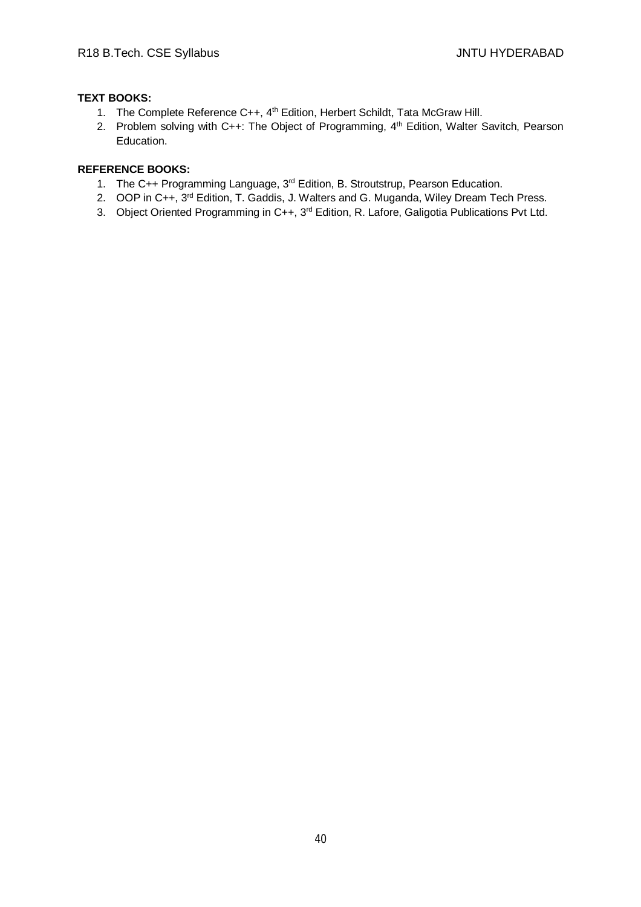# **TEXT BOOKS:**

- 1. The Complete Reference C++, 4<sup>th</sup> Edition, Herbert Schildt, Tata McGraw Hill.
- 2. Problem solving with C++: The Object of Programming, 4<sup>th</sup> Edition, Walter Savitch, Pearson Education.

- 1. The C++ Programming Language, 3<sup>rd</sup> Edition, B. Stroutstrup, Pearson Education.
- 2. OOP in C++, 3<sup>rd</sup> Edition, T. Gaddis, J. Walters and G. Muganda, Wiley Dream Tech Press.
- 3. Object Oriented Programming in C++, 3<sup>rd</sup> Edition, R. Lafore, Galigotia Publications Pvt Ltd.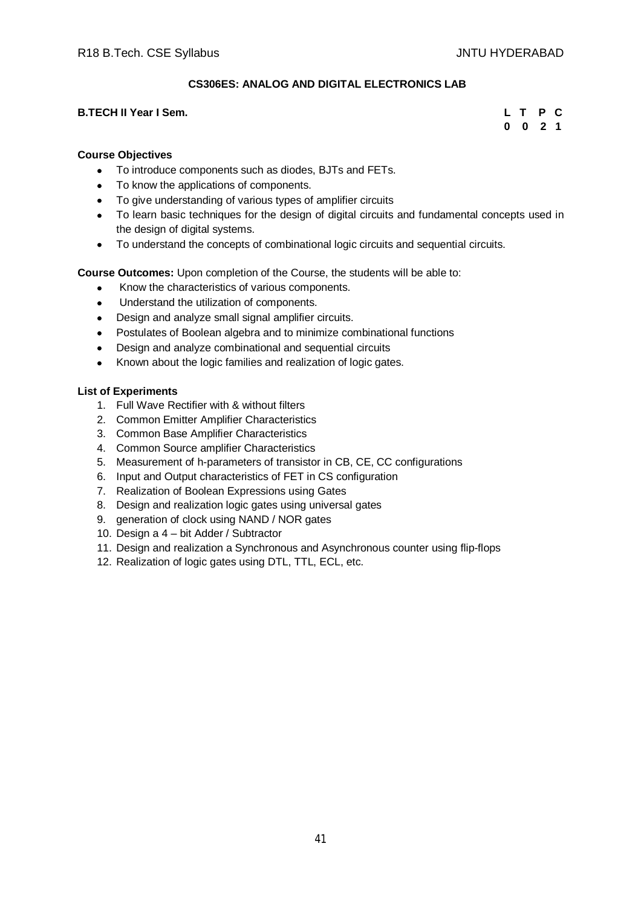# **CS306ES: ANALOG AND DIGITAL ELECTRONICS LAB**

#### **B.TECH II Year I Sem.**

| L        |   | P            | C |
|----------|---|--------------|---|
| $\bf{0}$ | 0 | $\mathbf{2}$ | 1 |

# **Course Objectives**

- To introduce components such as diodes, BJTs and FETs.
- To know the applications of components.
- To give understanding of various types of amplifier circuits
- To learn basic techniques for the design of digital circuits and fundamental concepts used in the design of digital systems.
- To understand the concepts of combinational logic circuits and sequential circuits.

**Course Outcomes:** Upon completion of the Course, the students will be able to:

- Know the characteristics of various components.
- Understand the utilization of components.
- Design and analyze small signal amplifier circuits.
- Postulates of Boolean algebra and to minimize combinational functions
- Design and analyze combinational and sequential circuits
- Known about the logic families and realization of logic gates.

#### **List of Experiments**

- 1. Full Wave Rectifier with & without filters
- 2. Common Emitter Amplifier Characteristics
- 3. Common Base Amplifier Characteristics
- 4. Common Source amplifier Characteristics
- 5. Measurement of h-parameters of transistor in CB, CE, CC configurations
- 6. Input and Output characteristics of FET in CS configuration
- 7. Realization of Boolean Expressions using Gates
- 8. Design and realization logic gates using universal gates
- 9. generation of clock using NAND / NOR gates
- 10. Design a 4 bit Adder / Subtractor
- 11. Design and realization a Synchronous and Asynchronous counter using flip-flops
- 12. Realization of logic gates using DTL, TTL, ECL, etc.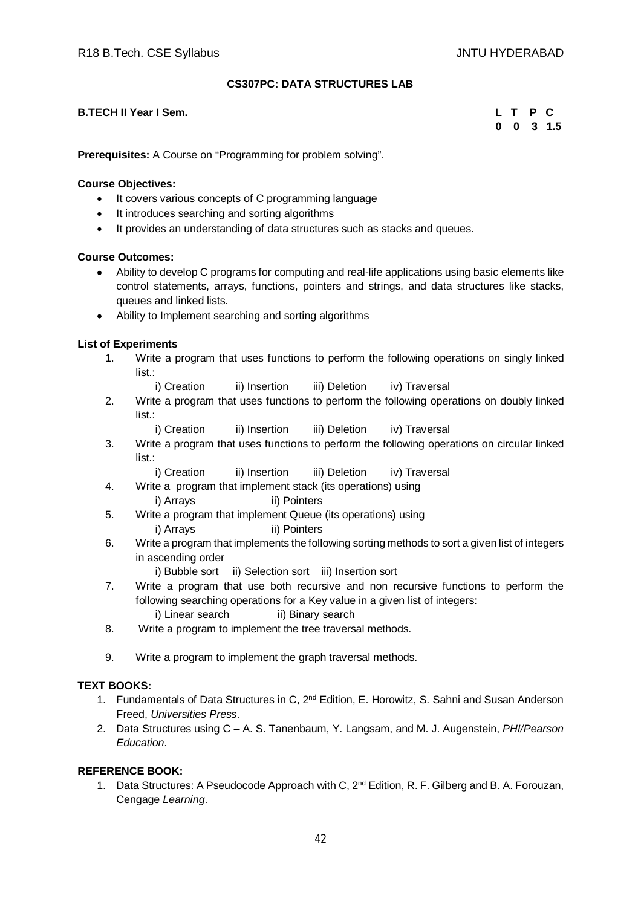# **CS307PC: DATA STRUCTURES LAB**

#### **B.TECH II Year I Sem. L T P C**

 **0 0 3 1.5**

**Prerequisites:** A Course on "Programming for problem solving".

## **Course Objectives:**

- It covers various concepts of C programming language
- It introduces searching and sorting algorithms
- It provides an understanding of data structures such as stacks and queues.

## **Course Outcomes:**

- Ability to develop C programs for computing and real-life applications using basic elements like control statements, arrays, functions, pointers and strings, and data structures like stacks, queues and linked lists.
- Ability to Implement searching and sorting algorithms

#### **List of Experiments**

- 1. Write a program that uses functions to perform the following operations on singly linked list.:
	- i) Creation ii) Insertion iii) Deletion iv) Traversal
- 2. Write a program that uses functions to perform the following operations on doubly linked list.:
	- i) Creation ii) Insertion iii) Deletion iv) Traversal
- 3. Write a program that uses functions to perform the following operations on circular linked list ·
	- i) Creation ii) Insertion iii) Deletion iv) Traversal
- 4. Write a program that implement stack (its operations) using
	- i) Arrays ii) Pointers
- 5. Write a program that implement Queue (its operations) using i) Arrays iii) Pointers
- 6. Write a program that implements the following sorting methods to sort a given list of integers in ascending order
	- i) Bubble sort ii) Selection sort iii) Insertion sort
- 7. Write a program that use both recursive and non recursive functions to perform the following searching operations for a Key value in a given list of integers: i) Linear search ii) Binary search
- 8. Write a program to implement the tree traversal methods.
- 9. Write a program to implement the graph traversal methods.

## **TEXT BOOKS:**

- 1. Fundamentals of Data Structures in C, 2<sup>nd</sup> Edition, E. Horowitz, S. Sahni and Susan Anderson Freed, *Universities Press*.
- 2. Data Structures using C A. S. Tanenbaum, Y. Langsam, and M. J. Augenstein, *PHI/Pearson Education*.

# **REFERENCE BOOK:**

1. Data Structures: A Pseudocode Approach with C. 2<sup>nd</sup> Edition, R. F. Gilberg and B. A. Forouzan, Cengage *Learning*.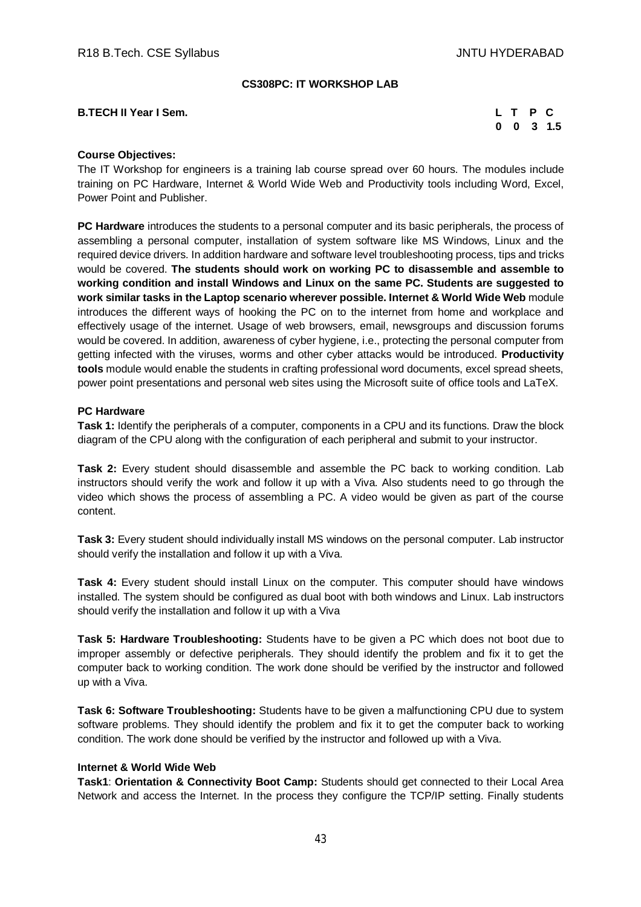#### **CS308PC: IT WORKSHOP LAB**

#### **B.TECH II Year I Sem. L T P C**

 **0 0 3 1.5**

#### **Course Objectives:**

The IT Workshop for engineers is a training lab course spread over 60 hours. The modules include training on PC Hardware, Internet & World Wide Web and Productivity tools including Word, Excel, Power Point and Publisher.

**PC Hardware** introduces the students to a personal computer and its basic peripherals, the process of assembling a personal computer, installation of system software like MS Windows, Linux and the required device drivers. In addition hardware and software level troubleshooting process, tips and tricks would be covered. **The students should work on working PC to disassemble and assemble to working condition and install Windows and Linux on the same PC. Students are suggested to work similar tasks in the Laptop scenario wherever possible. Internet & World Wide Web** module introduces the different ways of hooking the PC on to the internet from home and workplace and effectively usage of the internet. Usage of web browsers, email, newsgroups and discussion forums would be covered. In addition, awareness of cyber hygiene, i.e., protecting the personal computer from getting infected with the viruses, worms and other cyber attacks would be introduced. **Productivity tools** module would enable the students in crafting professional word documents, excel spread sheets, power point presentations and personal web sites using the Microsoft suite of office tools and LaTeX.

#### **PC Hardware**

**Task 1:** Identify the peripherals of a computer, components in a CPU and its functions. Draw the block diagram of the CPU along with the configuration of each peripheral and submit to your instructor.

**Task 2:** Every student should disassemble and assemble the PC back to working condition. Lab instructors should verify the work and follow it up with a Viva. Also students need to go through the video which shows the process of assembling a PC. A video would be given as part of the course content.

**Task 3:** Every student should individually install MS windows on the personal computer. Lab instructor should verify the installation and follow it up with a Viva.

**Task 4:** Every student should install Linux on the computer. This computer should have windows installed. The system should be configured as dual boot with both windows and Linux. Lab instructors should verify the installation and follow it up with a Viva

**Task 5: Hardware Troubleshooting:** Students have to be given a PC which does not boot due to improper assembly or defective peripherals. They should identify the problem and fix it to get the computer back to working condition. The work done should be verified by the instructor and followed up with a Viva.

**Task 6: Software Troubleshooting:** Students have to be given a malfunctioning CPU due to system software problems. They should identify the problem and fix it to get the computer back to working condition. The work done should be verified by the instructor and followed up with a Viva.

#### **Internet & World Wide Web**

**Task1**: **Orientation & Connectivity Boot Camp:** Students should get connected to their Local Area Network and access the Internet. In the process they configure the TCP/IP setting. Finally students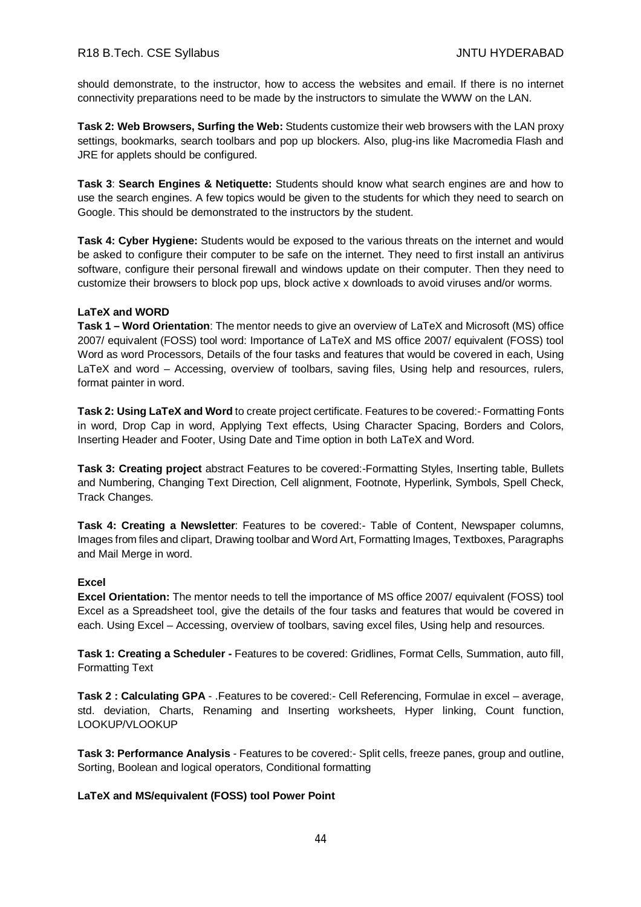should demonstrate, to the instructor, how to access the websites and email. If there is no internet connectivity preparations need to be made by the instructors to simulate the WWW on the LAN.

**Task 2: Web Browsers, Surfing the Web:** Students customize their web browsers with the LAN proxy settings, bookmarks, search toolbars and pop up blockers. Also, plug-ins like Macromedia Flash and JRE for applets should be configured.

**Task 3**: **Search Engines & Netiquette:** Students should know what search engines are and how to use the search engines. A few topics would be given to the students for which they need to search on Google. This should be demonstrated to the instructors by the student.

**Task 4: Cyber Hygiene:** Students would be exposed to the various threats on the internet and would be asked to configure their computer to be safe on the internet. They need to first install an antivirus software, configure their personal firewall and windows update on their computer. Then they need to customize their browsers to block pop ups, block active x downloads to avoid viruses and/or worms.

#### **LaTeX and WORD**

**Task 1 – Word Orientation**: The mentor needs to give an overview of LaTeX and Microsoft (MS) office 2007/ equivalent (FOSS) tool word: Importance of LaTeX and MS office 2007/ equivalent (FOSS) tool Word as word Processors, Details of the four tasks and features that would be covered in each, Using LaTeX and word – Accessing, overview of toolbars, saving files, Using help and resources, rulers, format painter in word.

**Task 2: Using LaTeX and Word** to create project certificate. Features to be covered:- Formatting Fonts in word, Drop Cap in word, Applying Text effects, Using Character Spacing, Borders and Colors, Inserting Header and Footer, Using Date and Time option in both LaTeX and Word.

**Task 3: Creating project** abstract Features to be covered:-Formatting Styles, Inserting table, Bullets and Numbering, Changing Text Direction, Cell alignment, Footnote, Hyperlink, Symbols, Spell Check, Track Changes.

**Task 4: Creating a Newsletter**: Features to be covered:- Table of Content, Newspaper columns, Images from files and clipart, Drawing toolbar and Word Art, Formatting Images, Textboxes, Paragraphs and Mail Merge in word.

## **Excel**

**Excel Orientation:** The mentor needs to tell the importance of MS office 2007/ equivalent (FOSS) tool Excel as a Spreadsheet tool, give the details of the four tasks and features that would be covered in each. Using Excel – Accessing, overview of toolbars, saving excel files, Using help and resources.

**Task 1: Creating a Scheduler -** Features to be covered: Gridlines, Format Cells, Summation, auto fill, Formatting Text

**Task 2 : Calculating GPA** - .Features to be covered:- Cell Referencing, Formulae in excel – average, std. deviation, Charts, Renaming and Inserting worksheets, Hyper linking, Count function, LOOKUP/VLOOKUP

**Task 3: Performance Analysis** - Features to be covered:- Split cells, freeze panes, group and outline, Sorting, Boolean and logical operators, Conditional formatting

**LaTeX and MS/equivalent (FOSS) tool Power Point**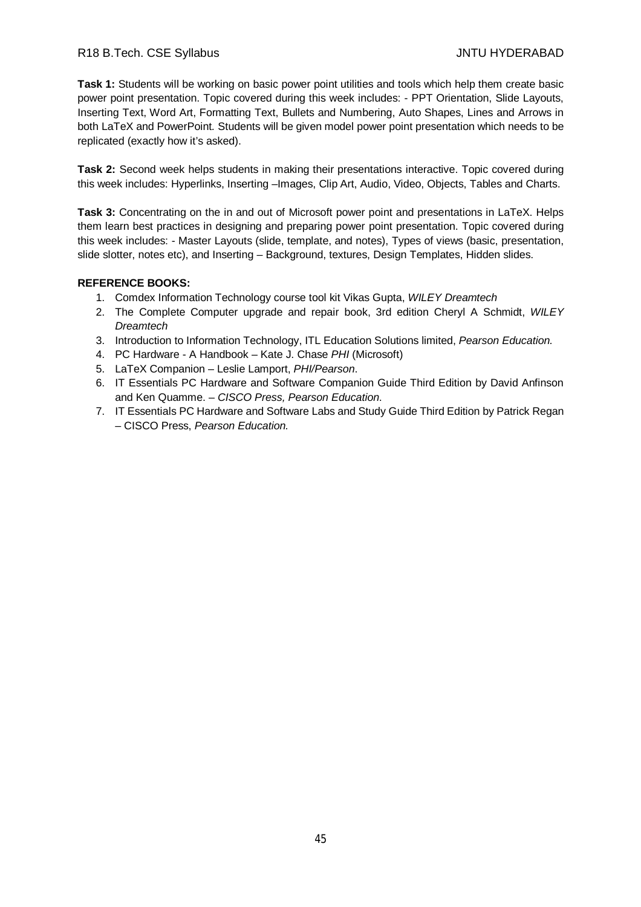# R18 B.Tech. CSE Syllabus JNTU HYDERABAD

**Task 1:** Students will be working on basic power point utilities and tools which help them create basic power point presentation. Topic covered during this week includes: - PPT Orientation, Slide Layouts, Inserting Text, Word Art, Formatting Text, Bullets and Numbering, Auto Shapes, Lines and Arrows in both LaTeX and PowerPoint*.* Students will be given model power point presentation which needs to be replicated (exactly how it's asked).

**Task 2:** Second week helps students in making their presentations interactive. Topic covered during this week includes: Hyperlinks, Inserting –Images, Clip Art, Audio, Video, Objects, Tables and Charts.

**Task 3:** Concentrating on the in and out of Microsoft power point and presentations in LaTeX. Helps them learn best practices in designing and preparing power point presentation. Topic covered during this week includes: - Master Layouts (slide, template, and notes), Types of views (basic, presentation, slide slotter, notes etc), and Inserting – Background, textures, Design Templates, Hidden slides.

- 1. Comdex Information Technology course tool kit Vikas Gupta, *WILEY Dreamtech*
- 2. The Complete Computer upgrade and repair book, 3rd edition Cheryl A Schmidt, *WILEY Dreamtech*
- 3. Introduction to Information Technology, ITL Education Solutions limited, *Pearson Education.*
- 4. PC Hardware A Handbook Kate J. Chase *PHI* (Microsoft)
- 5. LaTeX Companion Leslie Lamport, *PHI/Pearson*.
- 6. IT Essentials PC Hardware and Software Companion Guide Third Edition by David Anfinson and Ken Quamme. – *CISCO Press, Pearson Education*.
- 7. IT Essentials PC Hardware and Software Labs and Study Guide Third Edition by Patrick Regan – CISCO Press, *Pearson Education.*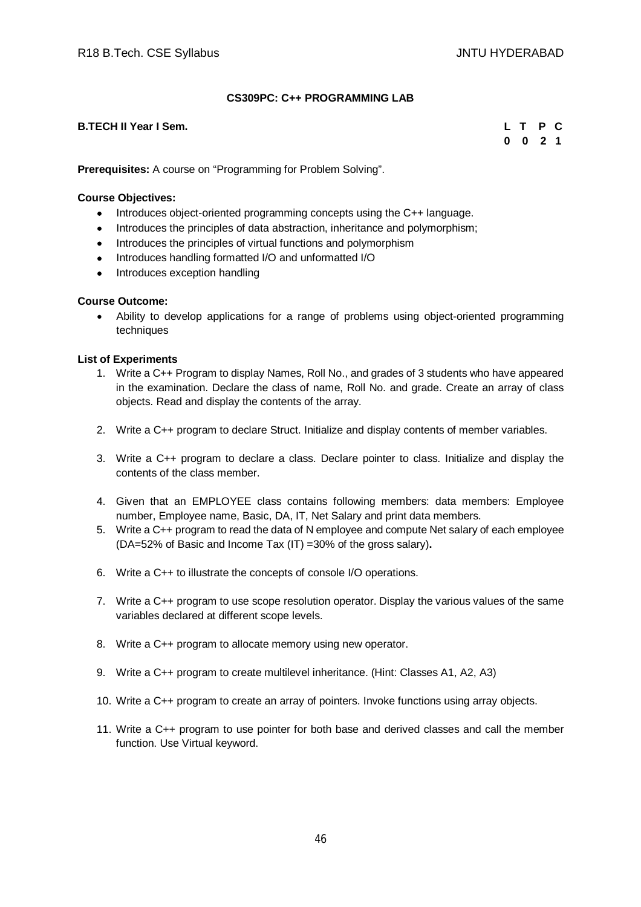# **CS309PC: C++ PROGRAMMING LAB**

## **B.TECH II Year I Sem. L T P C**

**0 0 2 1**

**Prerequisites:** A course on "Programming for Problem Solving".

#### **Course Objectives:**

- Introduces object-oriented programming concepts using the C++ language.
- Introduces the principles of data abstraction, inheritance and polymorphism;
- Introduces the principles of virtual functions and polymorphism
- Introduces handling formatted I/O and unformatted I/O
- Introduces exception handling

## **Course Outcome:**

 Ability to develop applications for a range of problems using object-oriented programming techniques

#### **List of Experiments**

- 1. Write a C++ Program to display Names, Roll No., and grades of 3 students who have appeared in the examination. Declare the class of name, Roll No. and grade. Create an array of class objects. Read and display the contents of the array.
- 2. Write a C++ program to declare Struct. Initialize and display contents of member variables.
- 3. Write a C++ program to declare a class. Declare pointer to class. Initialize and display the contents of the class member.
- 4. Given that an EMPLOYEE class contains following members: data members: Employee number, Employee name, Basic, DA, IT, Net Salary and print data members.
- 5. Write a C++ program to read the data of N employee and compute Net salary of each employee (DA=52% of Basic and Income Tax (IT) =30% of the gross salary)**.**
- 6. Write a C++ to illustrate the concepts of console I/O operations.
- 7. Write a C++ program to use scope resolution operator. Display the various values of the same variables declared at different scope levels.
- 8. Write a C++ program to allocate memory using new operator.
- 9. Write a C++ program to create multilevel inheritance. (Hint: Classes A1, A2, A3)
- 10. Write a C++ program to create an array of pointers. Invoke functions using array objects.
- 11. Write a C++ program to use pointer for both base and derived classes and call the member function. Use Virtual keyword.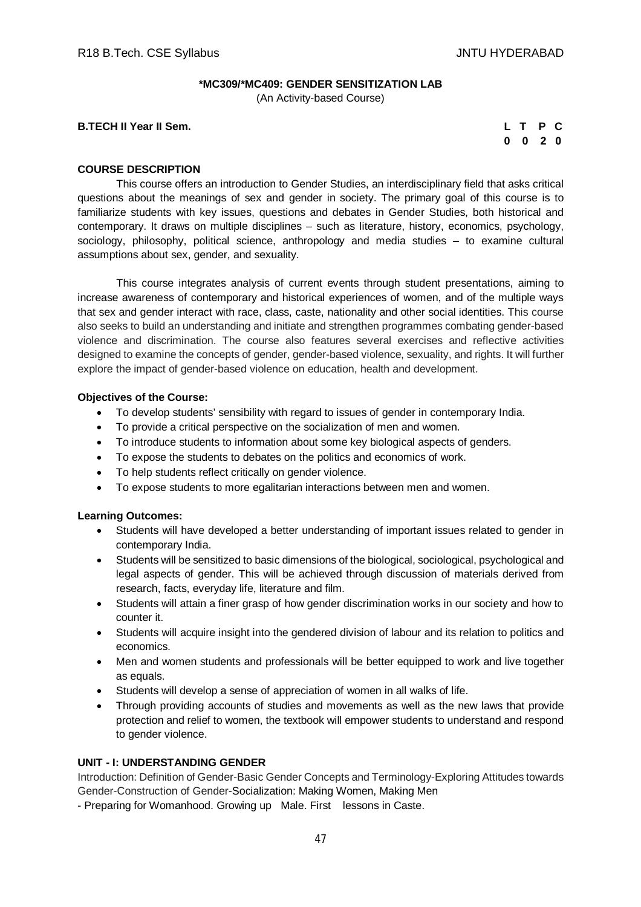#### **\*MC309/\*MC409: GENDER SENSITIZATION LAB**

(An Activity-based Course)

**B.TECH II Year II Sem.** 

|          | L T P C      |    |  |
|----------|--------------|----|--|
| $\bf{0}$ | $\mathbf{0}$ | 20 |  |

#### **COURSE DESCRIPTION**

This course offers an introduction to Gender Studies, an interdisciplinary field that asks critical questions about the meanings of sex and gender in society. The primary goal of this course is to familiarize students with key issues, questions and debates in Gender Studies, both historical and contemporary. It draws on multiple disciplines – such as literature, history, economics, psychology, sociology, philosophy, political science, anthropology and media studies – to examine cultural assumptions about sex, gender, and sexuality.

This course integrates analysis of current events through student presentations, aiming to increase awareness of contemporary and historical experiences of women, and of the multiple ways that sex and gender interact with race, class, caste, nationality and other social identities. This course also seeks to build an understanding and initiate and strengthen programmes combating gender-based violence and discrimination. The course also features several exercises and reflective activities designed to examine the concepts of gender, gender-based violence, sexuality, and rights. It will further explore the impact of gender-based violence on education, health and development.

#### **Objectives of the Course:**

- To develop students' sensibility with regard to issues of gender in contemporary India.
- To provide a critical perspective on the socialization of men and women.
- To introduce students to information about some key biological aspects of genders.
- To expose the students to debates on the politics and economics of work.
- To help students reflect critically on gender violence.
- To expose students to more egalitarian interactions between men and women.

#### **Learning Outcomes:**

- Students will have developed a better understanding of important issues related to gender in contemporary India.
- Students will be sensitized to basic dimensions of the biological, sociological, psychological and legal aspects of gender. This will be achieved through discussion of materials derived from research, facts, everyday life, literature and film.
- Students will attain a finer grasp of how gender discrimination works in our society and how to counter it.
- Students will acquire insight into the gendered division of labour and its relation to politics and economics.
- Men and women students and professionals will be better equipped to work and live together as equals.
- Students will develop a sense of appreciation of women in all walks of life.
- Through providing accounts of studies and movements as well as the new laws that provide protection and relief to women, the textbook will empower students to understand and respond to gender violence.

## **UNIT - I: UNDERSTANDING GENDER**

Introduction: Definition of Gender-Basic Gender Concepts and Terminology-Exploring Attitudes towards Gender-Construction of Gender-Socialization: Making Women, Making Men

- Preparing for Womanhood. Growing up Male. First lessons in Caste.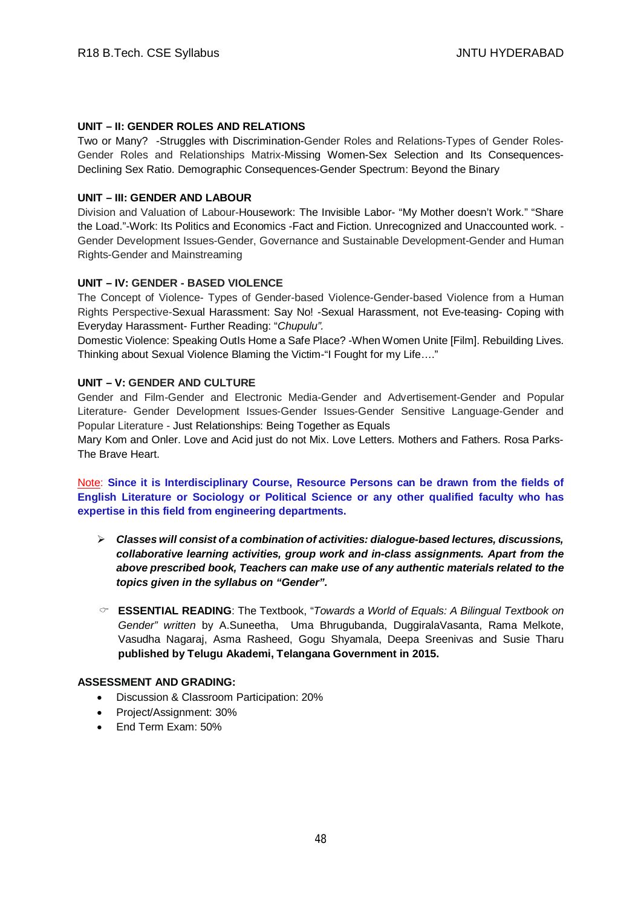# **UNIT – II: GENDER ROLES AND RELATIONS**

Two or Many? -Struggles with Discrimination-Gender Roles and Relations-Types of Gender Roles-Gender Roles and Relationships Matrix-Missing Women-Sex Selection and Its Consequences-Declining Sex Ratio. Demographic Consequences-Gender Spectrum: Beyond the Binary

## **UNIT – III: GENDER AND LABOUR**

Division and Valuation of Labour-Housework: The Invisible Labor- "My Mother doesn't Work." "Share the Load."-Work: Its Politics and Economics -Fact and Fiction. Unrecognized and Unaccounted work. - Gender Development Issues-Gender, Governance and Sustainable Development-Gender and Human Rights-Gender and Mainstreaming

## **UNIT – IV: GENDER - BASED VIOLENCE**

The Concept of Violence- Types of Gender-based Violence-Gender-based Violence from a Human Rights Perspective-Sexual Harassment: Say No! -Sexual Harassment, not Eve-teasing- Coping with Everyday Harassment- Further Reading: "*Chupulu".*

Domestic Violence: Speaking OutIs Home a Safe Place? -When Women Unite [Film]. Rebuilding Lives. Thinking about Sexual Violence Blaming the Victim-"I Fought for my Life…."

#### **UNIT – V: GENDER AND CULTURE**

Gender and Film-Gender and Electronic Media-Gender and Advertisement-Gender and Popular Literature- Gender Development Issues-Gender Issues-Gender Sensitive Language-Gender and Popular Literature - Just Relationships: Being Together as Equals

Mary Kom and Onler. Love and Acid just do not Mix. Love Letters. Mothers and Fathers. Rosa Parks-The Brave Heart.

Note: **Since it is Interdisciplinary Course, Resource Persons can be drawn from the fields of English Literature or Sociology or Political Science or any other qualified faculty who has expertise in this field from engineering departments.**

- *Classes will consist of a combination of activities: dialogue-based lectures, discussions, collaborative learning activities, group work and in-class assignments. Apart from the above prescribed book, Teachers can make use of any authentic materials related to the topics given in the syllabus on "Gender".*
- **ESSENTIAL READING**: The Textbook, "*Towards a World of Equals: A Bilingual Textbook on Gender" written* by A.Suneetha, Uma Bhrugubanda, DuggiralaVasanta, Rama Melkote, Vasudha Nagaraj, Asma Rasheed, Gogu Shyamala, Deepa Sreenivas and Susie Tharu **published by Telugu Akademi, Telangana Government in 2015.**

## **ASSESSMENT AND GRADING:**

- Discussion & Classroom Participation: 20%
- Project/Assignment: 30%
- End Term Exam: 50%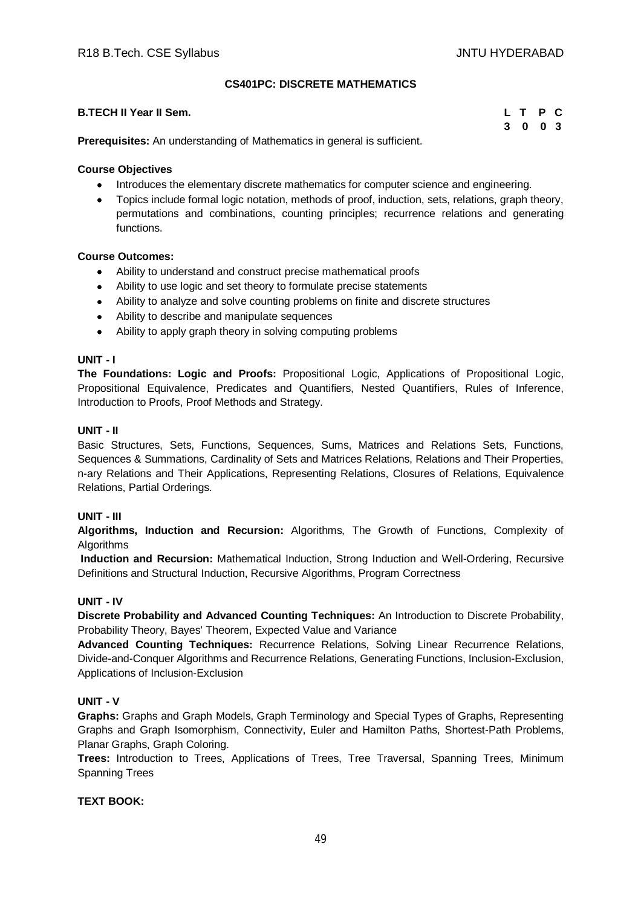# **CS401PC: DISCRETE MATHEMATICS**

| <b>B.TECH II Year II Sem.</b> | L T P C |  |
|-------------------------------|---------|--|
|                               | 3 0 0 3 |  |

**Prerequisites:** An understanding of Mathematics in general is sufficient.

# **Course Objectives**

- Introduces the elementary discrete mathematics for computer science and engineering.
- Topics include formal logic notation, methods of proof, induction, sets, relations, graph theory, permutations and combinations, counting principles; recurrence relations and generating functions.

# **Course Outcomes:**

- Ability to understand and construct precise mathematical proofs
- Ability to use logic and set theory to formulate precise statements
- Ability to analyze and solve counting problems on finite and discrete structures
- Ability to describe and manipulate sequences
- Ability to apply graph theory in solving computing problems

# **UNIT - I**

**The Foundations: Logic and Proofs:** Propositional Logic, Applications of Propositional Logic, Propositional Equivalence, Predicates and Quantifiers, Nested Quantifiers, Rules of Inference, Introduction to Proofs, Proof Methods and Strategy.

## **UNIT - II**

Basic Structures, Sets, Functions, Sequences, Sums, Matrices and Relations Sets, Functions, Sequences & Summations, Cardinality of Sets and Matrices Relations, Relations and Their Properties, n-ary Relations and Their Applications, Representing Relations, Closures of Relations, Equivalence Relations, Partial Orderings.

## **UNIT - III**

**Algorithms, Induction and Recursion:** Algorithms, The Growth of Functions, Complexity of **Algorithms** 

**Induction and Recursion:** Mathematical Induction, Strong Induction and Well-Ordering, Recursive Definitions and Structural Induction, Recursive Algorithms, Program Correctness

## **UNIT - IV**

**Discrete Probability and Advanced Counting Techniques:** An Introduction to Discrete Probability, Probability Theory, Bayes' Theorem, Expected Value and Variance

**Advanced Counting Techniques:** Recurrence Relations, Solving Linear Recurrence Relations, Divide-and-Conquer Algorithms and Recurrence Relations, Generating Functions, Inclusion-Exclusion, Applications of Inclusion-Exclusion

# **UNIT - V**

**Graphs:** Graphs and Graph Models, Graph Terminology and Special Types of Graphs, Representing Graphs and Graph Isomorphism, Connectivity, Euler and Hamilton Paths, Shortest-Path Problems, Planar Graphs, Graph Coloring.

**Trees:** Introduction to Trees, Applications of Trees, Tree Traversal, Spanning Trees, Minimum Spanning Trees

# **TEXT BOOK:**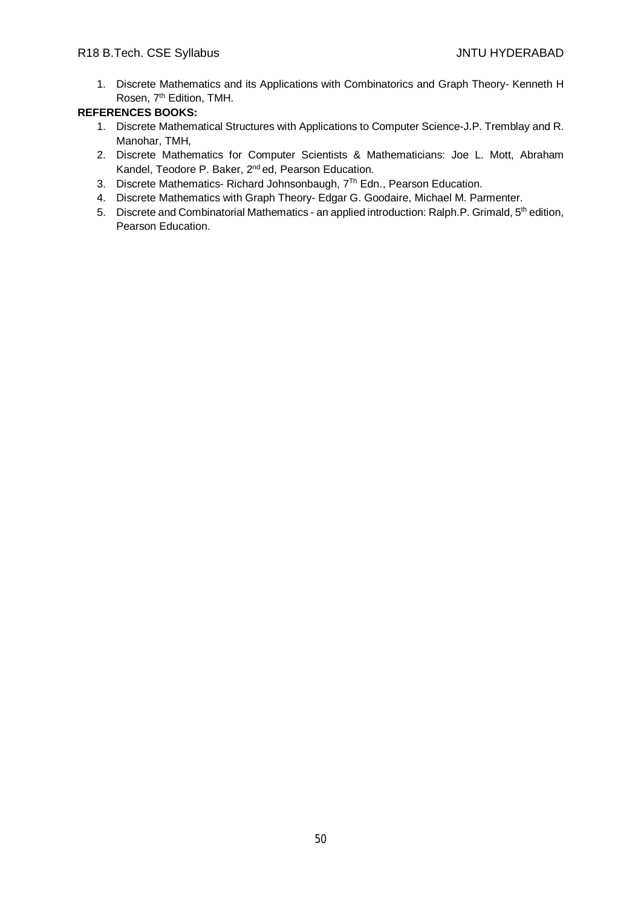1. Discrete Mathematics and its Applications with Combinatorics and Graph Theory- Kenneth H Rosen, 7<sup>th</sup> Edition, TMH.

- 1. Discrete Mathematical Structures with Applications to Computer Science-J.P. Tremblay and R. Manohar, TMH,
- 2. Discrete Mathematics for Computer Scientists & Mathematicians: Joe L. Mott, Abraham Kandel, Teodore P. Baker, 2<sup>nd</sup> ed, Pearson Education.
- 3. Discrete Mathematics- Richard Johnsonbaugh, 7<sup>Th</sup> Edn., Pearson Education.
- 4. Discrete Mathematics with Graph Theory- Edgar G. Goodaire, Michael M. Parmenter.
- 5. Discrete and Combinatorial Mathematics an applied introduction: Ralph.P. Grimald, 5<sup>th</sup> edition, Pearson Education.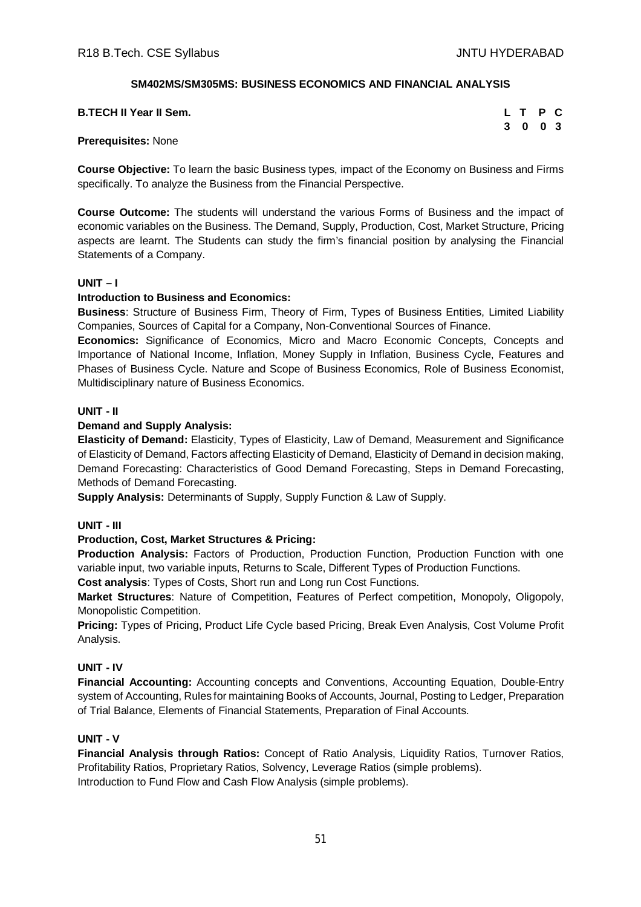# **SM402MS/SM305MS: BUSINESS ECONOMICS AND FINANCIAL ANALYSIS**

| <b>B.TECH II Year II Sem.</b> | L T P C |  |
|-------------------------------|---------|--|
|                               | 3 0 0 3 |  |

#### **Prerequisites:** None

**Course Objective:** To learn the basic Business types, impact of the Economy on Business and Firms specifically. To analyze the Business from the Financial Perspective.

**Course Outcome:** The students will understand the various Forms of Business and the impact of economic variables on the Business. The Demand, Supply, Production, Cost, Market Structure, Pricing aspects are learnt. The Students can study the firm's financial position by analysing the Financial Statements of a Company.

## **UNIT – I**

## **Introduction to Business and Economics:**

**Business**: Structure of Business Firm, Theory of Firm, Types of Business Entities, Limited Liability Companies, Sources of Capital for a Company, Non-Conventional Sources of Finance.

**Economics:** Significance of Economics, Micro and Macro Economic Concepts, Concepts and Importance of National Income, Inflation, Money Supply in Inflation, Business Cycle, Features and Phases of Business Cycle. Nature and Scope of Business Economics, Role of Business Economist, Multidisciplinary nature of Business Economics.

## **UNIT - II**

## **Demand and Supply Analysis:**

**Elasticity of Demand:** Elasticity, Types of Elasticity, Law of Demand, Measurement and Significance of Elasticity of Demand, Factors affecting Elasticity of Demand, Elasticity of Demand in decision making, Demand Forecasting: Characteristics of Good Demand Forecasting, Steps in Demand Forecasting, Methods of Demand Forecasting.

**Supply Analysis:** Determinants of Supply, Supply Function & Law of Supply.

## **UNIT - III**

## **Production, Cost, Market Structures & Pricing:**

**Production Analysis:** Factors of Production, Production Function, Production Function with one variable input, two variable inputs, Returns to Scale, Different Types of Production Functions.

**Cost analysis**: Types of Costs, Short run and Long run Cost Functions.

**Market Structures**: Nature of Competition, Features of Perfect competition, Monopoly, Oligopoly, Monopolistic Competition.

**Pricing:** Types of Pricing, Product Life Cycle based Pricing, Break Even Analysis, Cost Volume Profit Analysis.

## **UNIT - IV**

**Financial Accounting:** Accounting concepts and Conventions, Accounting Equation, Double-Entry system of Accounting, Rules for maintaining Books of Accounts, Journal, Posting to Ledger, Preparation of Trial Balance, Elements of Financial Statements, Preparation of Final Accounts.

## **UNIT - V**

**Financial Analysis through Ratios:** Concept of Ratio Analysis, Liquidity Ratios, Turnover Ratios, Profitability Ratios, Proprietary Ratios, Solvency, Leverage Ratios (simple problems). Introduction to Fund Flow and Cash Flow Analysis (simple problems).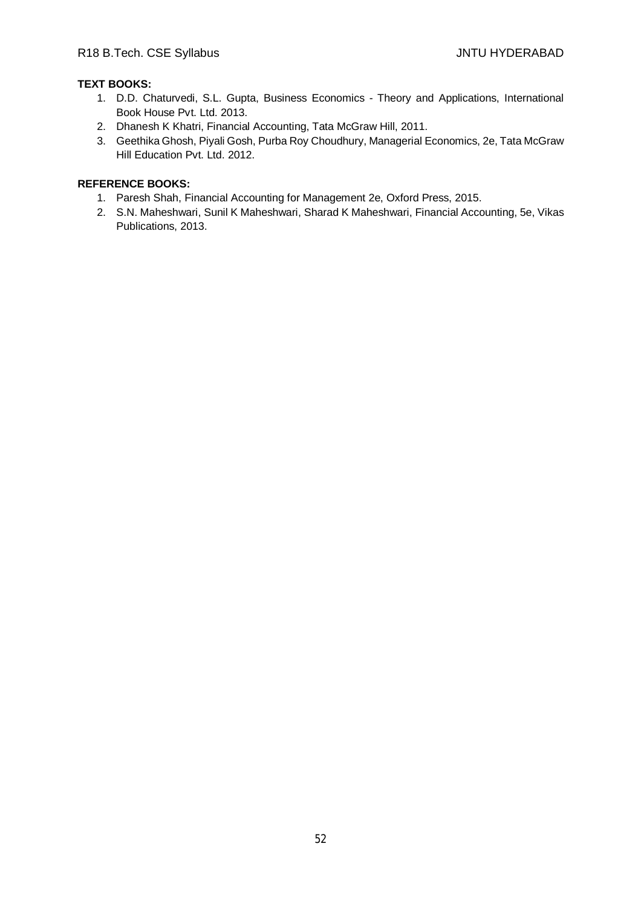# **TEXT BOOKS:**

- 1. D.D. Chaturvedi, S.L. Gupta, Business Economics Theory and Applications, International Book House Pvt. Ltd. 2013.
- 2. Dhanesh K Khatri, Financial Accounting, Tata McGraw Hill, 2011.
- 3. Geethika Ghosh, Piyali Gosh, Purba Roy Choudhury, Managerial Economics, 2e, Tata McGraw Hill Education Pvt. Ltd. 2012.

- 1. Paresh Shah, Financial Accounting for Management 2e, Oxford Press, 2015.
- 2. S.N. Maheshwari, Sunil K Maheshwari, Sharad K Maheshwari, Financial Accounting, 5e, Vikas Publications, 2013.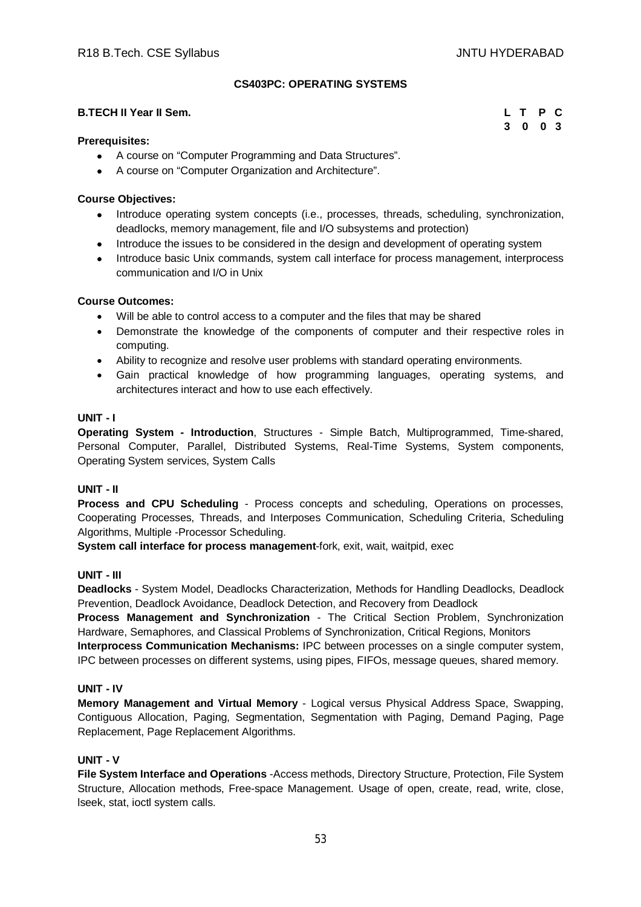**3 0 0 3**

## **CS403PC: OPERATING SYSTEMS**

#### **B.TECH II Year II Sem. L T P C**

| <b>Prerequisites:</b> |  |
|-----------------------|--|

- A course on "Computer Programming and Data Structures".
- A course on "Computer Organization and Architecture".

## **Course Objectives:**

- Introduce operating system concepts (i.e., processes, threads, scheduling, synchronization, deadlocks, memory management, file and I/O subsystems and protection)
- Introduce the issues to be considered in the design and development of operating system
- Introduce basic Unix commands, system call interface for process management, interprocess communication and I/O in Unix

#### **Course Outcomes:**

- Will be able to control access to a computer and the files that may be shared
- Demonstrate the knowledge of the components of computer and their respective roles in computing.
- Ability to recognize and resolve user problems with standard operating environments.
- Gain practical knowledge of how programming languages, operating systems, and architectures interact and how to use each effectively.

## **UNIT - I**

**Operating System - Introduction**, Structures - Simple Batch, Multiprogrammed, Time-shared, Personal Computer, Parallel, Distributed Systems, Real-Time Systems, System components, Operating System services, System Calls

## **UNIT - II**

**Process and CPU Scheduling** - Process concepts and scheduling, Operations on processes, Cooperating Processes, Threads, and Interposes Communication, Scheduling Criteria, Scheduling Algorithms, Multiple -Processor Scheduling.

**System call interface for process management**-fork, exit, wait, waitpid, exec

## **UNIT - III**

**Deadlocks** - System Model, Deadlocks Characterization, Methods for Handling Deadlocks, Deadlock Prevention, Deadlock Avoidance, Deadlock Detection, and Recovery from Deadlock

**Process Management and Synchronization** - The Critical Section Problem, Synchronization Hardware, Semaphores, and Classical Problems of Synchronization, Critical Regions, Monitors

**Interprocess Communication Mechanisms:** IPC between processes on a single computer system, IPC between processes on different systems, using pipes, FIFOs, message queues, shared memory.

## **UNIT - IV**

**Memory Management and Virtual Memory** - Logical versus Physical Address Space, Swapping, Contiguous Allocation, Paging, Segmentation, Segmentation with Paging, Demand Paging, Page Replacement, Page Replacement Algorithms.

## **UNIT - V**

**File System Interface and Operations** -Access methods, Directory Structure, Protection, File System Structure, Allocation methods, Free-space Management. Usage of open, create, read, write, close, lseek, stat, ioctl system calls.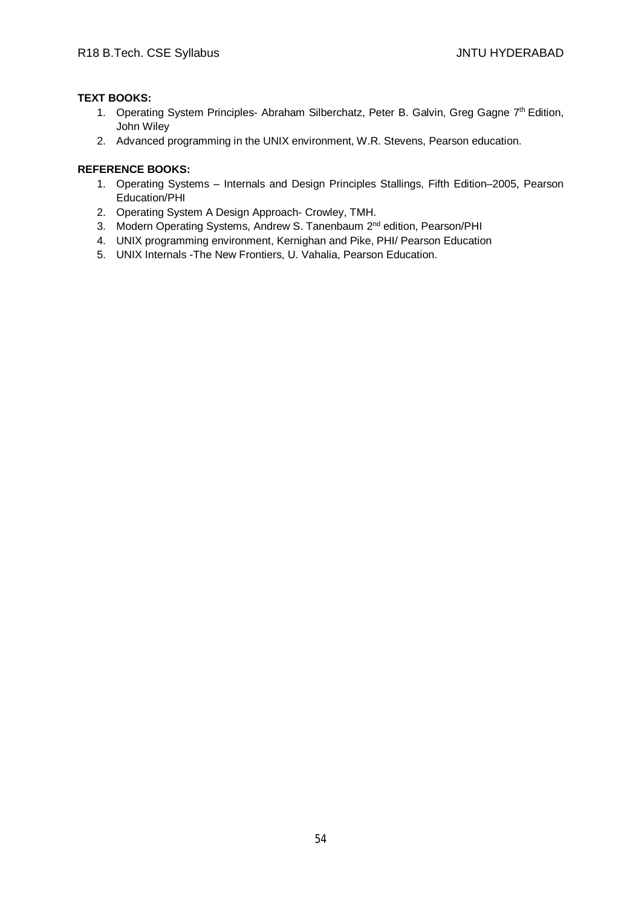# **TEXT BOOKS:**

- 1. Operating System Principles- Abraham Silberchatz, Peter B. Galvin, Greg Gagne 7<sup>th</sup> Edition, John Wiley
- 2. Advanced programming in the UNIX environment, W.R. Stevens, Pearson education.

- 1. Operating Systems Internals and Design Principles Stallings, Fifth Edition–2005, Pearson Education/PHI
- 2. Operating System A Design Approach- Crowley, TMH.
- 3. Modern Operating Systems, Andrew S. Tanenbaum 2<sup>nd</sup> edition, Pearson/PHI
- 4. UNIX programming environment, Kernighan and Pike, PHI/ Pearson Education
- 5. UNIX Internals -The New Frontiers, U. Vahalia, Pearson Education.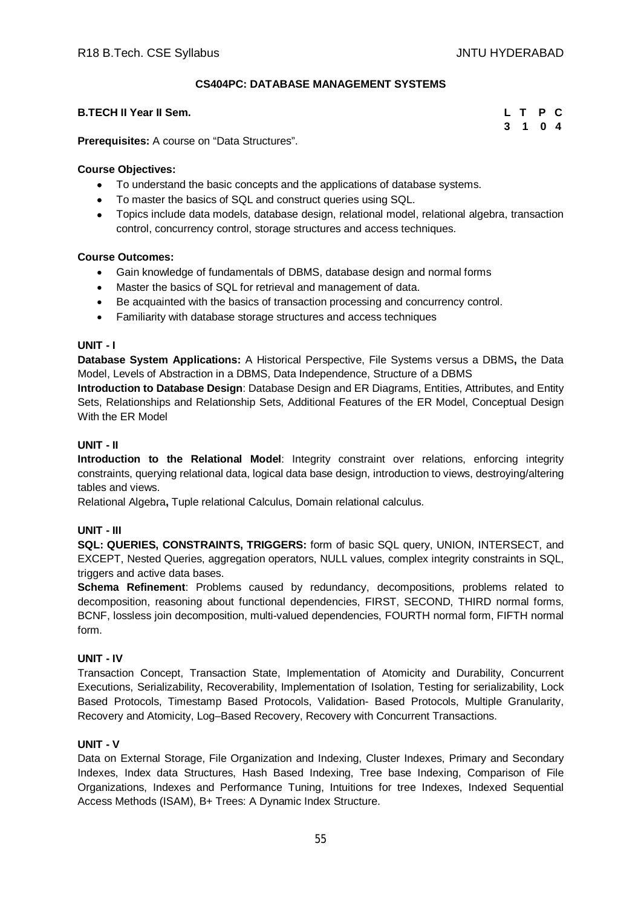## **CS404PC: DATABASE MANAGEMENT SYSTEMS**

# **B.TECH II Year II Sem.**

| L T |   | P            | C                       |
|-----|---|--------------|-------------------------|
| 3   | 1 | $\mathbf{0}$ | $\overline{\mathbf{4}}$ |

**Prerequisites:** A course on "Data Structures".

## **Course Objectives:**

- To understand the basic concepts and the applications of database systems.
- To master the basics of SQL and construct queries using SQL.
- Topics include data models, database design, relational model, relational algebra, transaction control, concurrency control, storage structures and access techniques.

## **Course Outcomes:**

- Gain knowledge of fundamentals of DBMS, database design and normal forms
- Master the basics of SQL for retrieval and management of data.
- Be acquainted with the basics of transaction processing and concurrency control.
- Familiarity with database storage structures and access techniques

## **UNIT - I**

**Database System Applications:** A Historical Perspective, File Systems versus a DBMS**,** the Data Model, Levels of Abstraction in a DBMS, Data Independence, Structure of a DBMS

**Introduction to Database Design**: Database Design and ER Diagrams, Entities, Attributes, and Entity Sets, Relationships and Relationship Sets, Additional Features of the ER Model, Conceptual Design With the ER Model

# **UNIT - II**

**Introduction to the Relational Model**: Integrity constraint over relations, enforcing integrity constraints, querying relational data, logical data base design, introduction to views, destroying/altering tables and views.

Relational Algebra**,** Tuple relational Calculus, Domain relational calculus.

## **UNIT - III**

**SQL: QUERIES, CONSTRAINTS, TRIGGERS:** form of basic SQL query, UNION, INTERSECT, and EXCEPT, Nested Queries, aggregation operators, NULL values, complex integrity constraints in SQL, triggers and active data bases.

**Schema Refinement**: Problems caused by redundancy, decompositions, problems related to decomposition, reasoning about functional dependencies, FIRST, SECOND, THIRD normal forms, BCNF, lossless join decomposition, multi-valued dependencies, FOURTH normal form, FIFTH normal form.

## **UNIT - IV**

Transaction Concept, Transaction State, Implementation of Atomicity and Durability, Concurrent Executions, Serializability, Recoverability, Implementation of Isolation, Testing for serializability, Lock Based Protocols, Timestamp Based Protocols, Validation- Based Protocols, Multiple Granularity, Recovery and Atomicity, Log–Based Recovery, Recovery with Concurrent Transactions.

## **UNIT - V**

Data on External Storage, File Organization and Indexing, Cluster Indexes, Primary and Secondary Indexes, Index data Structures, Hash Based Indexing, Tree base Indexing, Comparison of File Organizations, Indexes and Performance Tuning, Intuitions for tree Indexes, Indexed Sequential Access Methods (ISAM), B+ Trees: A Dynamic Index Structure.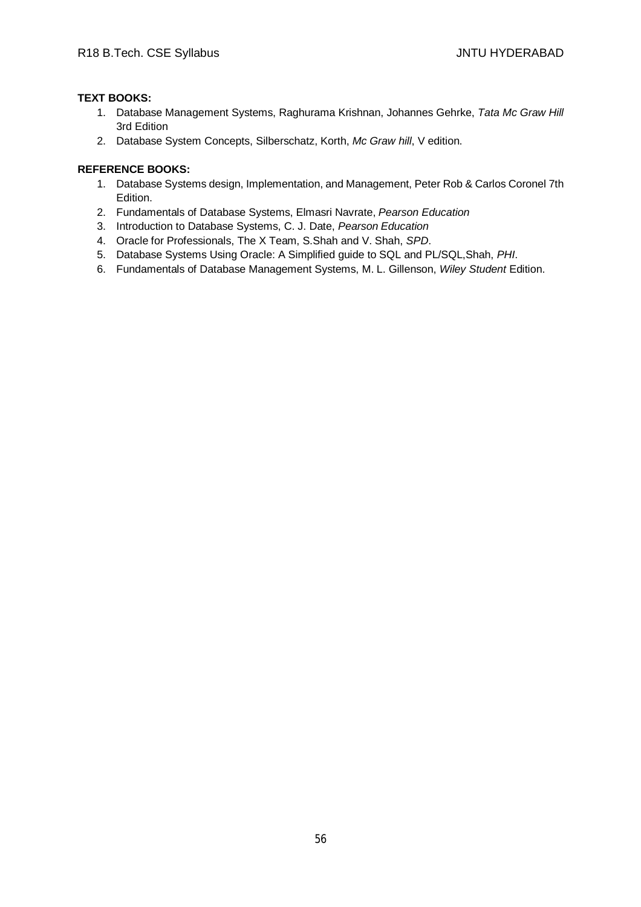# **TEXT BOOKS:**

- 1. Database Management Systems, Raghurama Krishnan, Johannes Gehrke, *Tata Mc Graw Hill* 3rd Edition
- 2. Database System Concepts, Silberschatz, Korth, *Mc Graw hill*, V edition.

- 1. Database Systems design, Implementation, and Management, Peter Rob & Carlos Coronel 7th Edition.
- 2. Fundamentals of Database Systems, Elmasri Navrate, *Pearson Education*
- 3. Introduction to Database Systems, C. J. Date, *Pearson Education*
- 4. Oracle for Professionals, The X Team, S.Shah and V. Shah, *SPD*.
- 5. Database Systems Using Oracle: A Simplified guide to SQL and PL/SQL,Shah, *PHI*.
- 6. Fundamentals of Database Management Systems, M. L. Gillenson, *Wiley Student* Edition.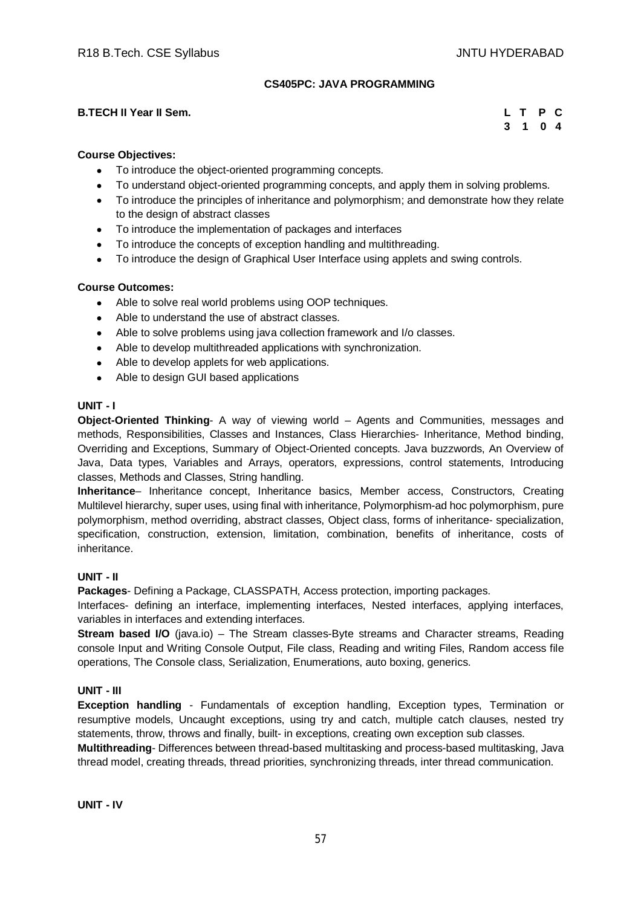## **CS405PC: JAVA PROGRAMMING**

## **B.TECH II Year II Sem.**

|    | L T | P C |                |
|----|-----|-----|----------------|
| -3 | 1.  |     | 0 <sub>4</sub> |

## **Course Objectives:**

- To introduce the object-oriented programming concepts.
- To understand object-oriented programming concepts, and apply them in solving problems.
- To introduce the principles of inheritance and polymorphism; and demonstrate how they relate to the design of abstract classes
- To introduce the implementation of packages and interfaces
- To introduce the concepts of exception handling and multithreading.
- To introduce the design of Graphical User Interface using applets and swing controls.

## **Course Outcomes:**

- Able to solve real world problems using OOP techniques.
- Able to understand the use of abstract classes.
- Able to solve problems using java collection framework and I/o classes.
- Able to develop multithreaded applications with synchronization.
- Able to develop applets for web applications.
- Able to design GUI based applications

#### **UNIT - I**

**Object-Oriented Thinking**- A way of viewing world – Agents and Communities, messages and methods, Responsibilities, Classes and Instances, Class Hierarchies- Inheritance, Method binding, Overriding and Exceptions, Summary of Object-Oriented concepts. Java buzzwords, An Overview of Java, Data types, Variables and Arrays, operators, expressions, control statements, Introducing classes, Methods and Classes, String handling.

**Inheritance**– Inheritance concept, Inheritance basics, Member access, Constructors, Creating Multilevel hierarchy, super uses, using final with inheritance, Polymorphism-ad hoc polymorphism, pure polymorphism, method overriding, abstract classes, Object class, forms of inheritance- specialization, specification, construction, extension, limitation, combination, benefits of inheritance, costs of inheritance.

## **UNIT - II**

**Packages**- Defining a Package, CLASSPATH, Access protection, importing packages.

Interfaces- defining an interface, implementing interfaces, Nested interfaces, applying interfaces, variables in interfaces and extending interfaces.

**Stream based I/O** (java.io) – The Stream classes-Byte streams and Character streams, Reading console Input and Writing Console Output, File class, Reading and writing Files, Random access file operations, The Console class, Serialization, Enumerations, auto boxing, generics.

## **UNIT - III**

**Exception handling** - Fundamentals of exception handling, Exception types, Termination or resumptive models, Uncaught exceptions, using try and catch, multiple catch clauses, nested try statements, throw, throws and finally, built- in exceptions, creating own exception sub classes.

**Multithreading**- Differences between thread-based multitasking and process-based multitasking, Java thread model, creating threads, thread priorities, synchronizing threads, inter thread communication.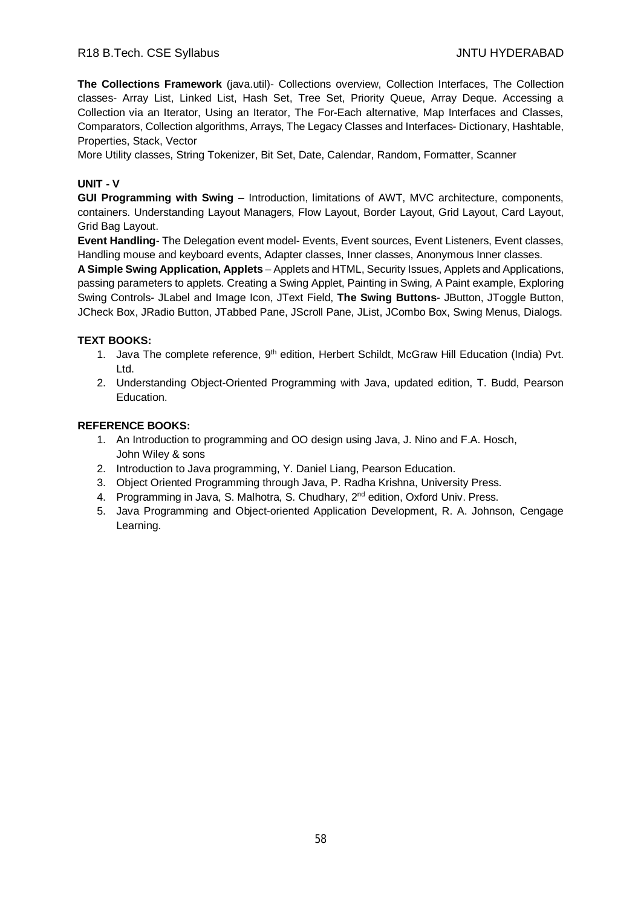**The Collections Framework** (java.util)- Collections overview, Collection Interfaces, The Collection classes- Array List, Linked List, Hash Set, Tree Set, Priority Queue, Array Deque. Accessing a Collection via an Iterator, Using an Iterator, The For-Each alternative, Map Interfaces and Classes, Comparators, Collection algorithms, Arrays, The Legacy Classes and Interfaces- Dictionary, Hashtable, Properties, Stack, Vector

More Utility classes, String Tokenizer, Bit Set, Date, Calendar, Random, Formatter, Scanner

# **UNIT - V**

**GUI Programming with Swing** – Introduction, limitations of AWT, MVC architecture, components, containers. Understanding Layout Managers, Flow Layout, Border Layout, Grid Layout, Card Layout, Grid Bag Layout.

**Event Handling**- The Delegation event model- Events, Event sources, Event Listeners, Event classes, Handling mouse and keyboard events, Adapter classes, Inner classes, Anonymous Inner classes.

**A Simple Swing Application, Applets** – Applets and HTML, Security Issues, Applets and Applications, passing parameters to applets. Creating a Swing Applet, Painting in Swing, A Paint example, Exploring Swing Controls- JLabel and Image Icon, JText Field, **The Swing Buttons**- JButton, JToggle Button, JCheck Box, JRadio Button, JTabbed Pane, JScroll Pane, JList, JCombo Box, Swing Menus, Dialogs.

#### **TEXT BOOKS:**

- 1. Java The complete reference, 9<sup>th</sup> edition, Herbert Schildt, McGraw Hill Education (India) Pvt. Ltd.
- 2. Understanding Object-Oriented Programming with Java, updated edition, T. Budd, Pearson Education.

- 1. An Introduction to programming and OO design using Java, J. Nino and F.A. Hosch, John Wiley & sons
- 2. Introduction to Java programming, Y. Daniel Liang, Pearson Education.
- 3. Object Oriented Programming through Java, P. Radha Krishna, University Press.
- 4. Programming in Java, S. Malhotra, S. Chudhary, 2<sup>nd</sup> edition, Oxford Univ. Press.
- 5. Java Programming and Object-oriented Application Development, R. A. Johnson, Cengage Learning.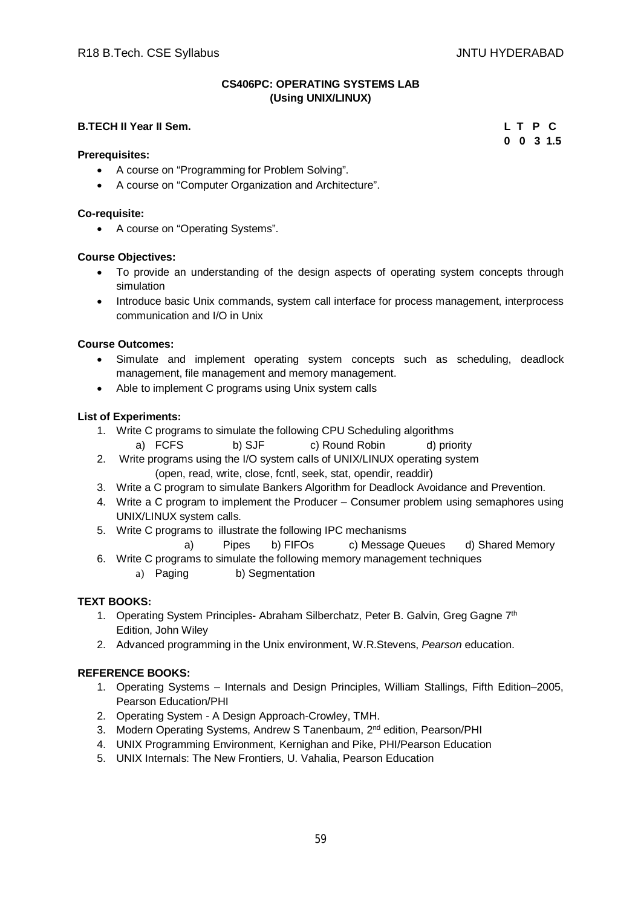## **CS406PC: OPERATING SYSTEMS LAB (Using UNIX/LINUX)**

# **B.TECH II Year II Sem. L T P C**

**Prerequisites:**

- A course on "Programming for Problem Solving".
- A course on "Computer Organization and Architecture".

#### **Co-requisite:**

A course on "Operating Systems".

#### **Course Objectives:**

- To provide an understanding of the design aspects of operating system concepts through simulation
- Introduce basic Unix commands, system call interface for process management, interprocess communication and I/O in Unix

#### **Course Outcomes:**

- Simulate and implement operating system concepts such as scheduling, deadlock management, file management and memory management.
- Able to implement C programs using Unix system calls

#### **List of Experiments:**

- 1. Write C programs to simulate the following CPU Scheduling algorithms
	- a) FCFS b) SJF c) Round Robin d) priority
- 2. Write programs using the I/O system calls of UNIX/LINUX operating system (open, read, write, close, fcntl, seek, stat, opendir, readdir)
- 3. Write a C program to simulate Bankers Algorithm for Deadlock Avoidance and Prevention.
- 4. Write a C program to implement the Producer Consumer problem using semaphores using UNIX/LINUX system calls.
- 5. Write C programs to illustrate the following IPC mechanisms
	- a) Pipes b) FIFOs c) Message Queues d) Shared Memory
- 6. Write C programs to simulate the following memory management techniques
	- a) Paging b) Segmentation

## **TEXT BOOKS:**

- 1. Operating System Principles- Abraham Silberchatz, Peter B. Galvin, Greg Gagne 7<sup>th</sup> Edition, John Wiley
- 2. Advanced programming in the Unix environment, W.R.Stevens, *Pearson* education.

## **REFERENCE BOOKS:**

- 1. Operating Systems Internals and Design Principles, William Stallings, Fifth Edition–2005, Pearson Education/PHI
- 2. Operating System A Design Approach-Crowley, TMH.
- 3. Modern Operating Systems, Andrew S Tanenbaum, 2<sup>nd</sup> edition, Pearson/PHI
- 4. UNIX Programming Environment, Kernighan and Pike, PHI/Pearson Education
- 5. UNIX Internals: The New Frontiers, U. Vahalia, Pearson Education

**0 0 3 1.5**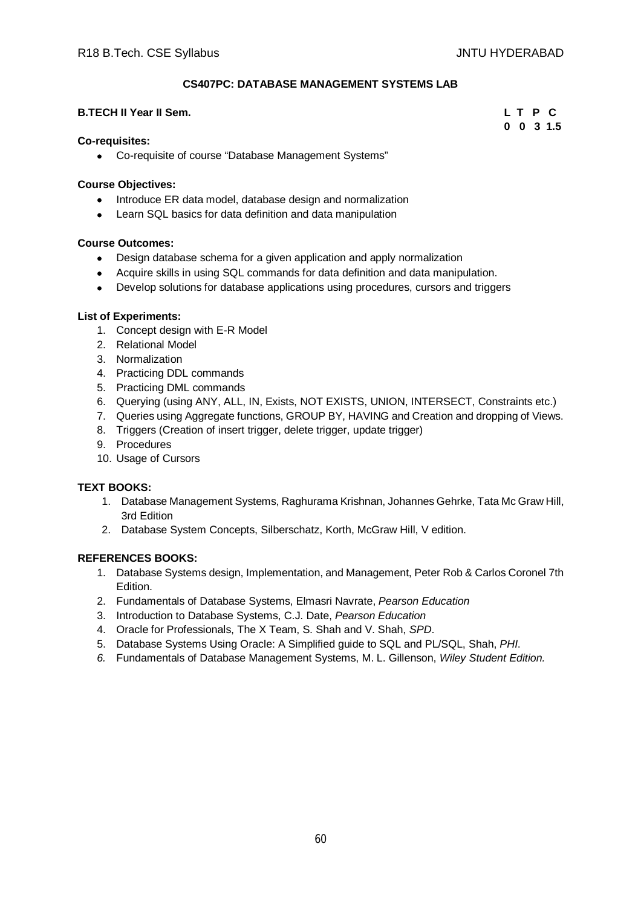# **CS407PC: DATABASE MANAGEMENT SYSTEMS LAB**

#### **B.TECH II Year II Sem. L T P C**

# **0 0 3 1.5**

## **Co-requisites:**

Co-requisite of course "Database Management Systems"

## **Course Objectives:**

- Introduce ER data model, database design and normalization
- Learn SQL basics for data definition and data manipulation

# **Course Outcomes:**

- Design database schema for a given application and apply normalization
- Acquire skills in using SQL commands for data definition and data manipulation.
- Develop solutions for database applications using procedures, cursors and triggers

# **List of Experiments:**

- 1. Concept design with E-R Model
- 2. Relational Model
- 3. Normalization
- 4. Practicing DDL commands
- 5. Practicing DML commands
- 6. Querying (using ANY, ALL, IN, Exists, NOT EXISTS, UNION, INTERSECT, Constraints etc.)
- 7. Queries using Aggregate functions, GROUP BY, HAVING and Creation and dropping of Views.
- 8. Triggers (Creation of insert trigger, delete trigger, update trigger)
- 9. Procedures
- 10. Usage of Cursors

# **TEXT BOOKS:**

- 1. Database Management Systems, Raghurama Krishnan, Johannes Gehrke, Tata Mc Graw Hill, 3rd Edition
- 2. Database System Concepts, Silberschatz, Korth, McGraw Hill, V edition.

- 1. Database Systems design, Implementation, and Management, Peter Rob & Carlos Coronel 7th Edition.
- 2. Fundamentals of Database Systems, Elmasri Navrate, *Pearson Education*
- 3. Introduction to Database Systems, C.J. Date, *Pearson Education*
- 4. Oracle for Professionals, The X Team, S. Shah and V. Shah, *SPD*.
- 5. Database Systems Using Oracle: A Simplified guide to SQL and PL/SQL, Shah, *PHI*.
- *6.* Fundamentals of Database Management Systems, M. L. Gillenson, *Wiley Student Edition.*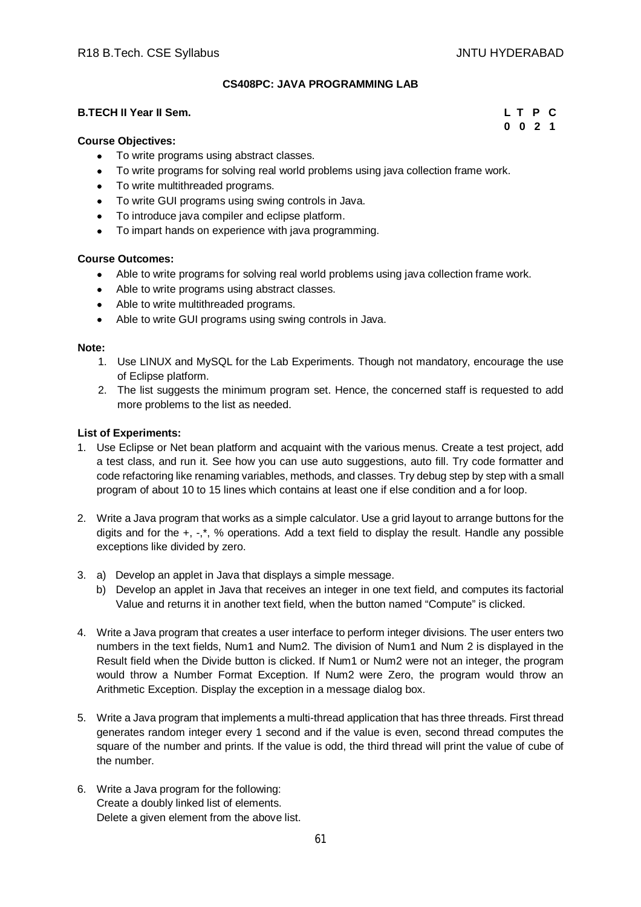# **CS408PC: JAVA PROGRAMMING LAB**

## **B.TECH II Year II Sem. L T P C**

**0 0 2 1**

#### **Course Objectives:**

- To write programs using abstract classes.
- To write programs for solving real world problems using java collection frame work.
- To write multithreaded programs.
- To write GUI programs using swing controls in Java.
- To introduce java compiler and eclipse platform.
- To impart hands on experience with java programming.

#### **Course Outcomes:**

- Able to write programs for solving real world problems using java collection frame work.
- Able to write programs using abstract classes.
- Able to write multithreaded programs.
- Able to write GUI programs using swing controls in Java.

#### **Note:**

- 1. Use LINUX and MySQL for the Lab Experiments. Though not mandatory, encourage the use of Eclipse platform.
- 2. The list suggests the minimum program set. Hence, the concerned staff is requested to add more problems to the list as needed.

#### **List of Experiments:**

- 1. Use Eclipse or Net bean platform and acquaint with the various menus. Create a test project, add a test class, and run it. See how you can use auto suggestions, auto fill. Try code formatter and code refactoring like renaming variables, methods, and classes. Try debug step by step with a small program of about 10 to 15 lines which contains at least one if else condition and a for loop.
- 2. Write a Java program that works as a simple calculator. Use a grid layout to arrange buttons for the digits and for the +, -,\*, % operations. Add a text field to display the result. Handle any possible exceptions like divided by zero.
- 3. a) Develop an applet in Java that displays a simple message.
	- b) Develop an applet in Java that receives an integer in one text field, and computes its factorial Value and returns it in another text field, when the button named "Compute" is clicked.
- 4. Write a Java program that creates a user interface to perform integer divisions. The user enters two numbers in the text fields, Num1 and Num2. The division of Num1 and Num 2 is displayed in the Result field when the Divide button is clicked. If Num1 or Num2 were not an integer, the program would throw a Number Format Exception. If Num2 were Zero, the program would throw an Arithmetic Exception. Display the exception in a message dialog box.
- 5. Write a Java program that implements a multi-thread application that has three threads. First thread generates random integer every 1 second and if the value is even, second thread computes the square of the number and prints. If the value is odd, the third thread will print the value of cube of the number.
- 6. Write a Java program for the following: Create a doubly linked list of elements. Delete a given element from the above list.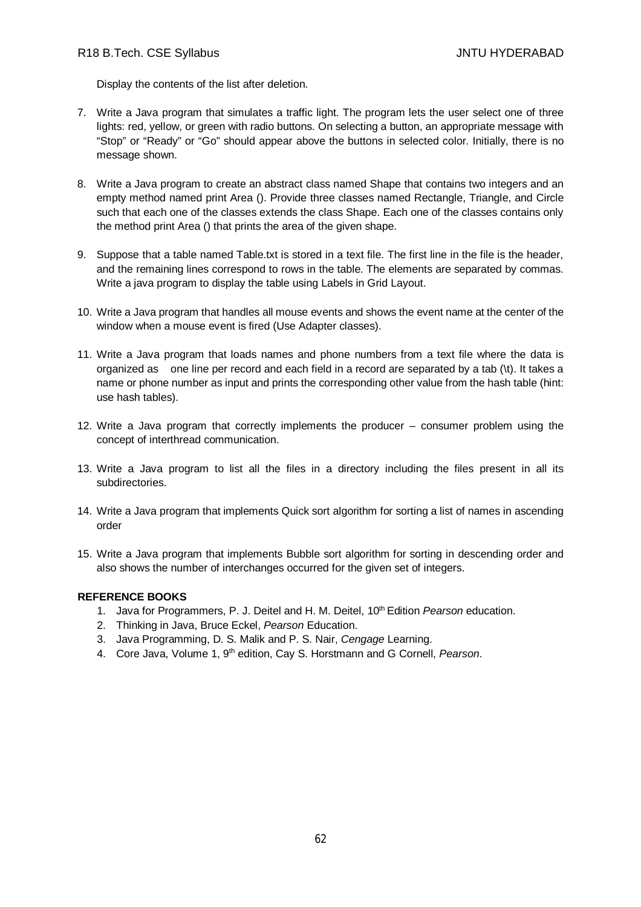Display the contents of the list after deletion.

- 7. Write a Java program that simulates a traffic light. The program lets the user select one of three lights: red, yellow, or green with radio buttons. On selecting a button, an appropriate message with "Stop" or "Ready" or "Go" should appear above the buttons in selected color. Initially, there is no message shown.
- 8. Write a Java program to create an abstract class named Shape that contains two integers and an empty method named print Area (). Provide three classes named Rectangle, Triangle, and Circle such that each one of the classes extends the class Shape. Each one of the classes contains only the method print Area () that prints the area of the given shape.
- 9. Suppose that a table named Table.txt is stored in a text file. The first line in the file is the header, and the remaining lines correspond to rows in the table. The elements are separated by commas. Write a java program to display the table using Labels in Grid Layout.
- 10. Write a Java program that handles all mouse events and shows the event name at the center of the window when a mouse event is fired (Use Adapter classes).
- 11. Write a Java program that loads names and phone numbers from a text file where the data is organized as one line per record and each field in a record are separated by a tab (\t). It takes a name or phone number as input and prints the corresponding other value from the hash table (hint: use hash tables).
- 12. Write a Java program that correctly implements the producer consumer problem using the concept of interthread communication.
- 13. Write a Java program to list all the files in a directory including the files present in all its subdirectories.
- 14. Write a Java program that implements Quick sort algorithm for sorting a list of names in ascending order
- 15. Write a Java program that implements Bubble sort algorithm for sorting in descending order and also shows the number of interchanges occurred for the given set of integers.

- 1. Java for Programmers, P. J. Deitel and H. M. Deitel, 10th Edition *Pearson* education.
- 2. Thinking in Java, Bruce Eckel, *Pearson* Education.
- 3. Java Programming, D. S. Malik and P. S. Nair, *Cengage* Learning.
- 4. Core Java, Volume 1, 9th edition, Cay S. Horstmann and G Cornell, *Pearson*.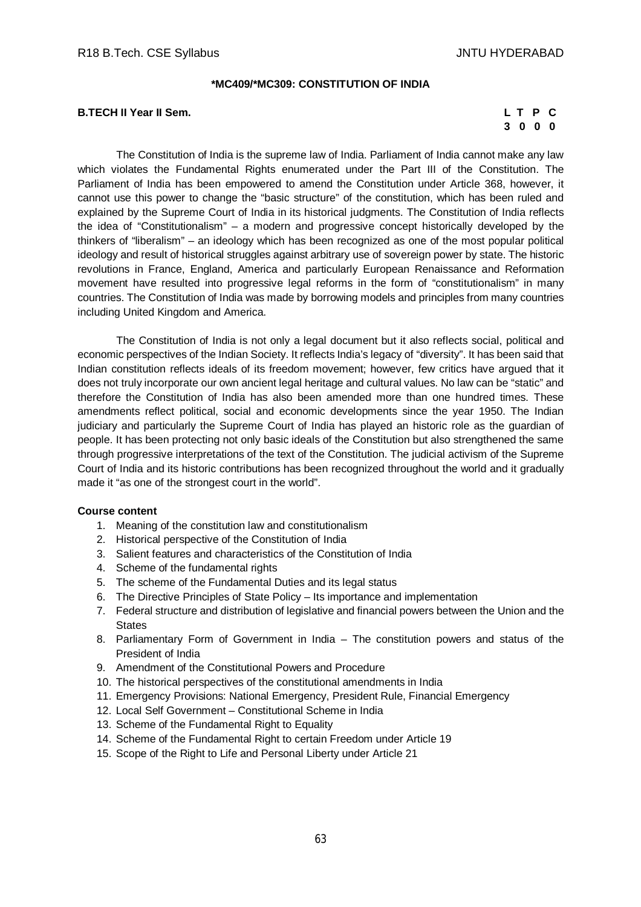#### **\*MC409/\*MC309: CONSTITUTION OF INDIA**

## **B.TECH II Year II Sem.**

| L T P |         | С |
|-------|---------|---|
|       | 3 0 0 0 |   |

The Constitution of India is the supreme law of India. Parliament of India cannot make any law which violates the Fundamental Rights enumerated under the Part III of the Constitution. The Parliament of India has been empowered to amend the Constitution under Article 368, however, it cannot use this power to change the "basic structure" of the constitution, which has been ruled and explained by the Supreme Court of India in its historical judgments. The Constitution of India reflects the idea of "Constitutionalism" – a modern and progressive concept historically developed by the thinkers of "liberalism" – an ideology which has been recognized as one of the most popular political ideology and result of historical struggles against arbitrary use of sovereign power by state. The historic revolutions in France, England, America and particularly European Renaissance and Reformation movement have resulted into progressive legal reforms in the form of "constitutionalism" in many countries. The Constitution of India was made by borrowing models and principles from many countries including United Kingdom and America.

The Constitution of India is not only a legal document but it also reflects social, political and economic perspectives of the Indian Society. It reflects India's legacy of "diversity". It has been said that Indian constitution reflects ideals of its freedom movement; however, few critics have argued that it does not truly incorporate our own ancient legal heritage and cultural values. No law can be "static" and therefore the Constitution of India has also been amended more than one hundred times. These amendments reflect political, social and economic developments since the year 1950. The Indian judiciary and particularly the Supreme Court of India has played an historic role as the guardian of people. It has been protecting not only basic ideals of the Constitution but also strengthened the same through progressive interpretations of the text of the Constitution. The judicial activism of the Supreme Court of India and its historic contributions has been recognized throughout the world and it gradually made it "as one of the strongest court in the world".

#### **Course content**

- 1. Meaning of the constitution law and constitutionalism
- 2. Historical perspective of the Constitution of India
- 3. Salient features and characteristics of the Constitution of India
- 4. Scheme of the fundamental rights
- 5. The scheme of the Fundamental Duties and its legal status
- 6. The Directive Principles of State Policy Its importance and implementation
- 7. Federal structure and distribution of legislative and financial powers between the Union and the **States**
- 8. Parliamentary Form of Government in India The constitution powers and status of the President of India
- 9. Amendment of the Constitutional Powers and Procedure
- 10. The historical perspectives of the constitutional amendments in India
- 11. Emergency Provisions: National Emergency, President Rule, Financial Emergency
- 12. Local Self Government Constitutional Scheme in India
- 13. Scheme of the Fundamental Right to Equality
- 14. Scheme of the Fundamental Right to certain Freedom under Article 19
- 15. Scope of the Right to Life and Personal Liberty under Article 21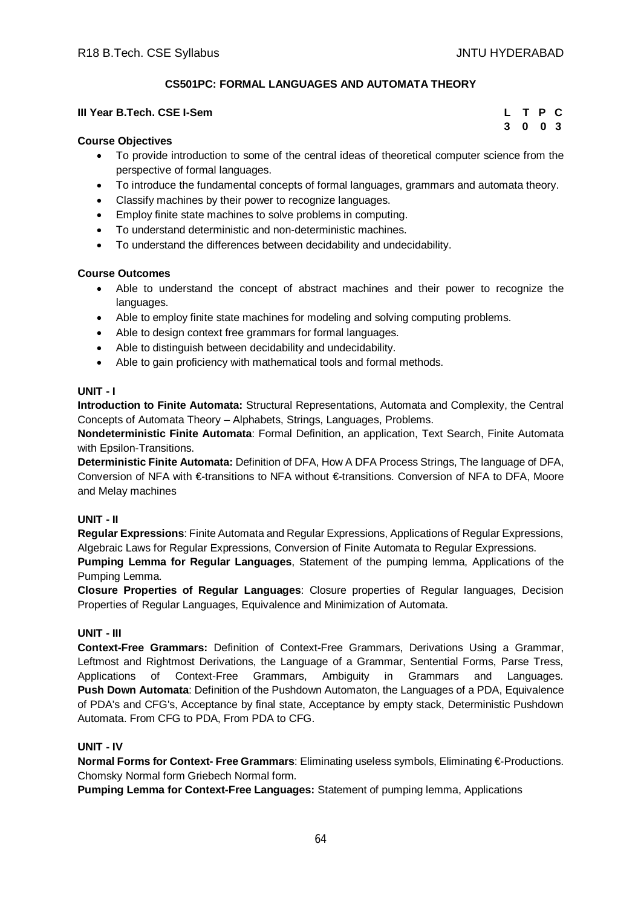**3 0 0 3**

# **CS501PC: FORMAL LANGUAGES AND AUTOMATA THEORY**

#### **III Year B.Tech. CSE I-Sem L T P C**

#### **Course Objectives**

- To provide introduction to some of the central ideas of theoretical computer science from the perspective of formal languages.
- To introduce the fundamental concepts of formal languages, grammars and automata theory.
- Classify machines by their power to recognize languages.
- Employ finite state machines to solve problems in computing.
- To understand deterministic and non-deterministic machines.
- To understand the differences between decidability and undecidability.

#### **Course Outcomes**

- Able to understand the concept of abstract machines and their power to recognize the languages.
- Able to employ finite state machines for modeling and solving computing problems.
- Able to design context free grammars for formal languages.
- Able to distinguish between decidability and undecidability.
- Able to gain proficiency with mathematical tools and formal methods.

#### **UNIT - I**

**Introduction to Finite Automata:** Structural Representations, Automata and Complexity, the Central Concepts of Automata Theory – Alphabets, Strings, Languages, Problems.

**Nondeterministic Finite Automata**: Formal Definition, an application, Text Search, Finite Automata with Epsilon-Transitions.

**Deterministic Finite Automata:** Definition of DFA, How A DFA Process Strings, The language of DFA, Conversion of NFA with €-transitions to NFA without €-transitions. Conversion of NFA to DFA, Moore and Melay machines

## **UNIT - II**

**Regular Expressions**: Finite Automata and Regular Expressions, Applications of Regular Expressions, Algebraic Laws for Regular Expressions, Conversion of Finite Automata to Regular Expressions.

**Pumping Lemma for Regular Languages**, Statement of the pumping lemma, Applications of the Pumping Lemma.

**Closure Properties of Regular Languages**: Closure properties of Regular languages, Decision Properties of Regular Languages, Equivalence and Minimization of Automata.

## **UNIT - III**

**Context-Free Grammars:** Definition of Context-Free Grammars, Derivations Using a Grammar, Leftmost and Rightmost Derivations, the Language of a Grammar, Sentential Forms, Parse Tress, Applications of Context-Free Grammars, Ambiguity in Grammars and Languages. **Push Down Automata**: Definition of the Pushdown Automaton, the Languages of a PDA, Equivalence of PDA's and CFG's, Acceptance by final state, Acceptance by empty stack, Deterministic Pushdown Automata. From CFG to PDA, From PDA to CFG.

# **UNIT - IV**

**Normal Forms for Context- Free Grammars**: Eliminating useless symbols, Eliminating €-Productions. Chomsky Normal form Griebech Normal form.

**Pumping Lemma for Context-Free Languages:** Statement of pumping lemma, Applications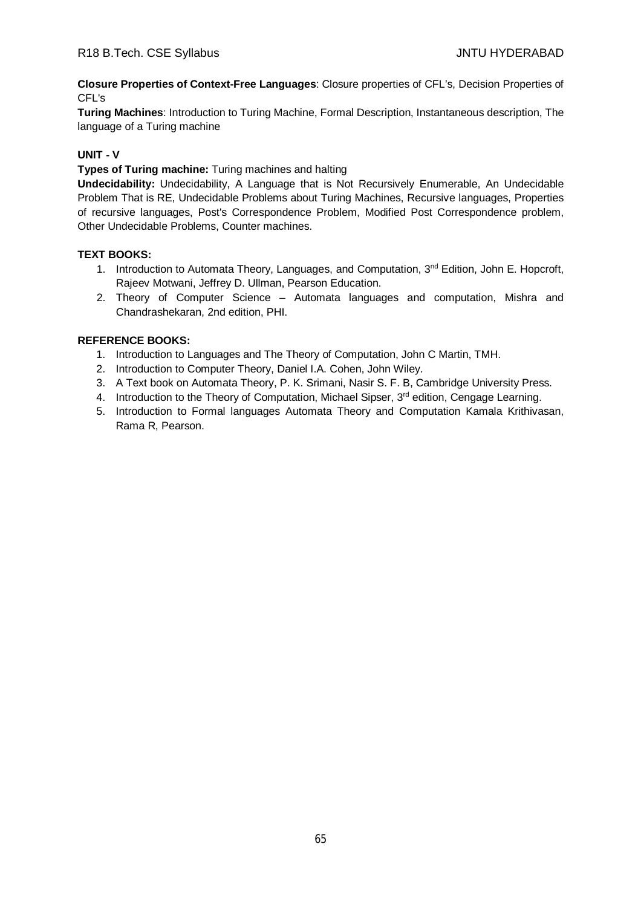**Closure Properties of Context-Free Languages**: Closure properties of CFL's, Decision Properties of CFL's

**Turing Machines**: Introduction to Turing Machine, Formal Description, Instantaneous description, The language of a Turing machine

# **UNIT - V**

**Types of Turing machine:** Turing machines and halting

**Undecidability:** Undecidability, A Language that is Not Recursively Enumerable, An Undecidable Problem That is RE, Undecidable Problems about Turing Machines, Recursive languages, Properties of recursive languages, Post's Correspondence Problem, Modified Post Correspondence problem, Other Undecidable Problems, Counter machines.

# **TEXT BOOKS:**

- 1. Introduction to Automata Theory, Languages, and Computation, 3<sup>nd</sup> Edition, John E. Hopcroft, Rajeev Motwani, Jeffrey D. Ullman, Pearson Education.
- 2. Theory of Computer Science Automata languages and computation, Mishra and Chandrashekaran, 2nd edition, PHI.

- 1. Introduction to Languages and The Theory of Computation, John C Martin, TMH.
- 2. Introduction to Computer Theory, Daniel I.A. Cohen, John Wiley.
- 3. A Text book on Automata Theory, P. K. Srimani, Nasir S. F. B, Cambridge University Press.
- 4. Introduction to the Theory of Computation, Michael Sipser,  $3<sup>rd</sup>$  edition, Cengage Learning.
- 5. Introduction to Formal languages Automata Theory and Computation Kamala Krithivasan, Rama R, Pearson.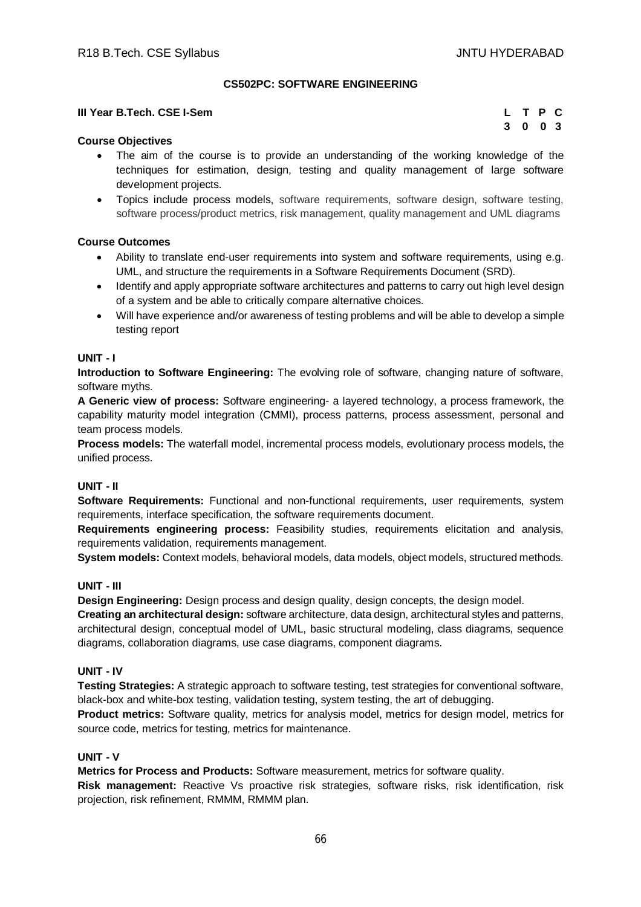# **CS502PC: SOFTWARE ENGINEERING**

#### **III Year B.Tech. CSE I-Sem**

| L. |         | T P C |  |
|----|---------|-------|--|
|    | 3 0 0 3 |       |  |

#### **Course Objectives**

- The aim of the course is to provide an understanding of the working knowledge of the techniques for estimation, design, testing and quality management of large software development projects.
- Topics include process models, software requirements, software design, software testing, software process/product metrics, risk management, quality management and UML diagrams

## **Course Outcomes**

- Ability to translate end-user requirements into system and software requirements, using e.g. UML, and structure the requirements in a Software Requirements Document (SRD).
- Identify and apply appropriate software architectures and patterns to carry out high level design of a system and be able to critically compare alternative choices.
- Will have experience and/or awareness of testing problems and will be able to develop a simple testing report

#### **UNIT - I**

**Introduction to Software Engineering:** The evolving role of software, changing nature of software, software myths.

**A Generic view of process:** Software engineering- a layered technology, a process framework, the capability maturity model integration (CMMI), process patterns, process assessment, personal and team process models.

**Process models:** The waterfall model, incremental process models, evolutionary process models, the unified process.

#### **UNIT - II**

**Software Requirements:** Functional and non-functional requirements, user requirements, system requirements, interface specification, the software requirements document.

**Requirements engineering process:** Feasibility studies, requirements elicitation and analysis, requirements validation, requirements management.

**System models:** Context models, behavioral models, data models, object models, structured methods.

## **UNIT - III**

**Design Engineering:** Design process and design quality, design concepts, the design model.

**Creating an architectural design:** software architecture, data design, architectural styles and patterns, architectural design, conceptual model of UML, basic structural modeling, class diagrams, sequence diagrams, collaboration diagrams, use case diagrams, component diagrams.

#### **UNIT - IV**

**Testing Strategies:** A strategic approach to software testing, test strategies for conventional software, black-box and white-box testing, validation testing, system testing, the art of debugging.

**Product metrics:** Software quality, metrics for analysis model, metrics for design model, metrics for source code, metrics for testing, metrics for maintenance.

#### **UNIT - V**

**Metrics for Process and Products:** Software measurement, metrics for software quality.

**Risk management:** Reactive Vs proactive risk strategies, software risks, risk identification, risk projection, risk refinement, RMMM, RMMM plan.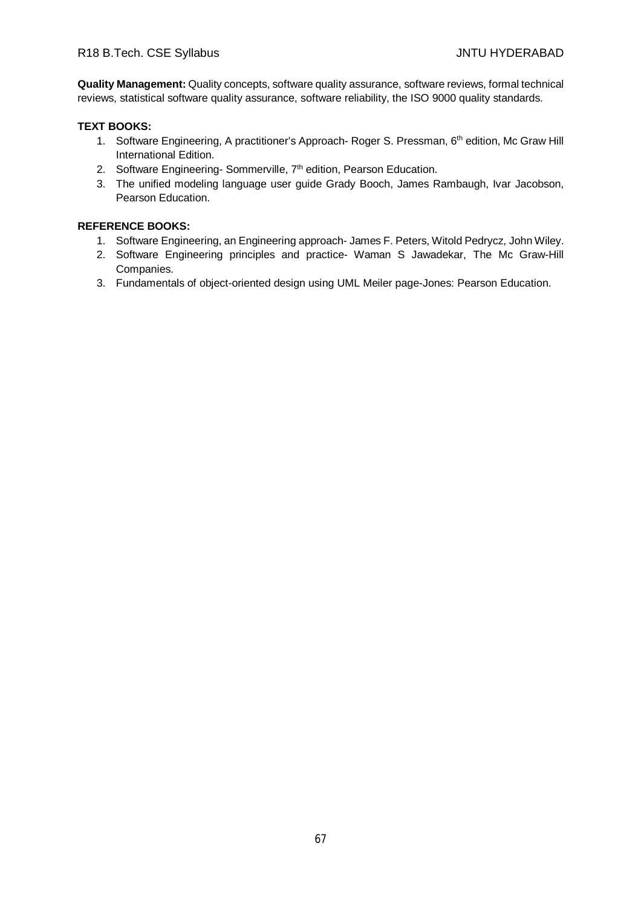**Quality Management:** Quality concepts, software quality assurance, software reviews, formal technical reviews, statistical software quality assurance, software reliability, the ISO 9000 quality standards.

# **TEXT BOOKS:**

- 1. Software Engineering, A practitioner's Approach- Roger S. Pressman, 6<sup>th</sup> edition, Mc Graw Hill International Edition.
- 2. Software Engineering- Sommerville, 7<sup>th</sup> edition, Pearson Education.
- 3. The unified modeling language user guide Grady Booch, James Rambaugh, Ivar Jacobson, Pearson Education.

- 1. Software Engineering, an Engineering approach- James F. Peters, Witold Pedrycz, John Wiley.
- 2. Software Engineering principles and practice- Waman S Jawadekar, The Mc Graw-Hill Companies.
- 3. Fundamentals of object-oriented design using UML Meiler page-Jones: Pearson Education.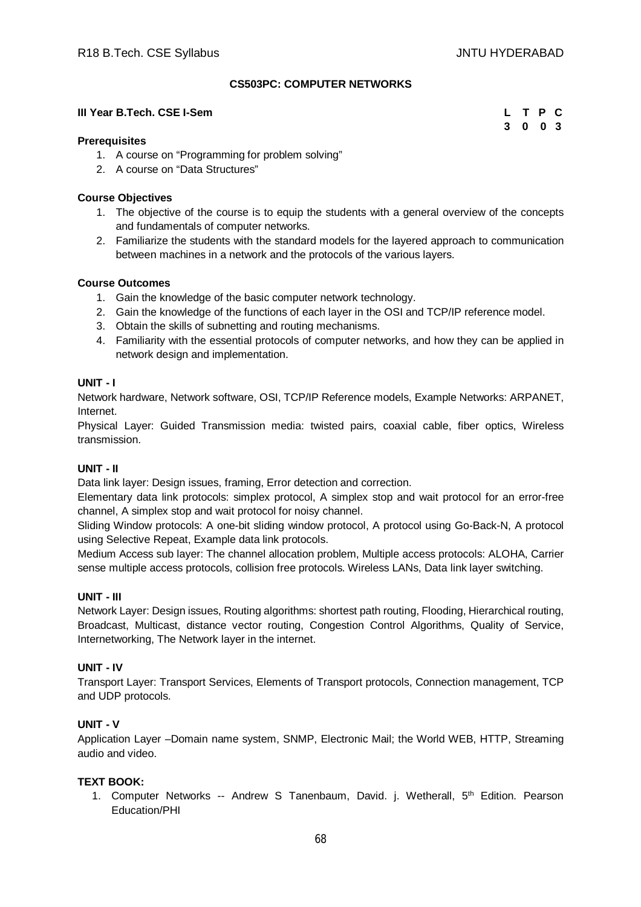# **CS503PC: COMPUTER NETWORKS**

#### **III Year B.Tech. CSE I-Sem**

| L | T P |          | $\mathbf{C}$ |
|---|-----|----------|--------------|
| 3 | 0   | $\bf{0}$ | - 3          |

#### **Prerequisites**

- 1. A course on "Programming for problem solving"
- 2. A course on "Data Structures"

## **Course Objectives**

- 1. The objective of the course is to equip the students with a general overview of the concepts and fundamentals of computer networks.
- 2. Familiarize the students with the standard models for the layered approach to communication between machines in a network and the protocols of the various layers.

#### **Course Outcomes**

- 1. Gain the knowledge of the basic computer network technology.
- 2. Gain the knowledge of the functions of each layer in the OSI and TCP/IP reference model.
- 3. Obtain the skills of subnetting and routing mechanisms.
- 4. Familiarity with the essential protocols of computer networks, and how they can be applied in network design and implementation.

#### **UNIT - I**

Network hardware, Network software, OSI, TCP/IP Reference models, Example Networks: ARPANET, Internet.

Physical Layer: Guided Transmission media: twisted pairs, coaxial cable, fiber optics, Wireless transmission.

## **UNIT - II**

Data link layer: Design issues, framing, Error detection and correction.

Elementary data link protocols: simplex protocol, A simplex stop and wait protocol for an error-free channel, A simplex stop and wait protocol for noisy channel.

Sliding Window protocols: A one-bit sliding window protocol, A protocol using Go-Back-N, A protocol using Selective Repeat, Example data link protocols.

Medium Access sub layer: The channel allocation problem, Multiple access protocols: ALOHA, Carrier sense multiple access protocols, collision free protocols. Wireless LANs, Data link layer switching.

## **UNIT - III**

Network Layer: Design issues, Routing algorithms: shortest path routing, Flooding, Hierarchical routing, Broadcast, Multicast, distance vector routing, Congestion Control Algorithms, Quality of Service, Internetworking, The Network layer in the internet.

## **UNIT - IV**

Transport Layer: Transport Services, Elements of Transport protocols, Connection management, TCP and UDP protocols.

# **UNIT - V**

Application Layer –Domain name system, SNMP, Electronic Mail; the World WEB, HTTP, Streaming audio and video.

## **TEXT BOOK:**

1. Computer Networks -- Andrew S Tanenbaum, David. j. Wetherall, 5th Edition. Pearson Education/PHI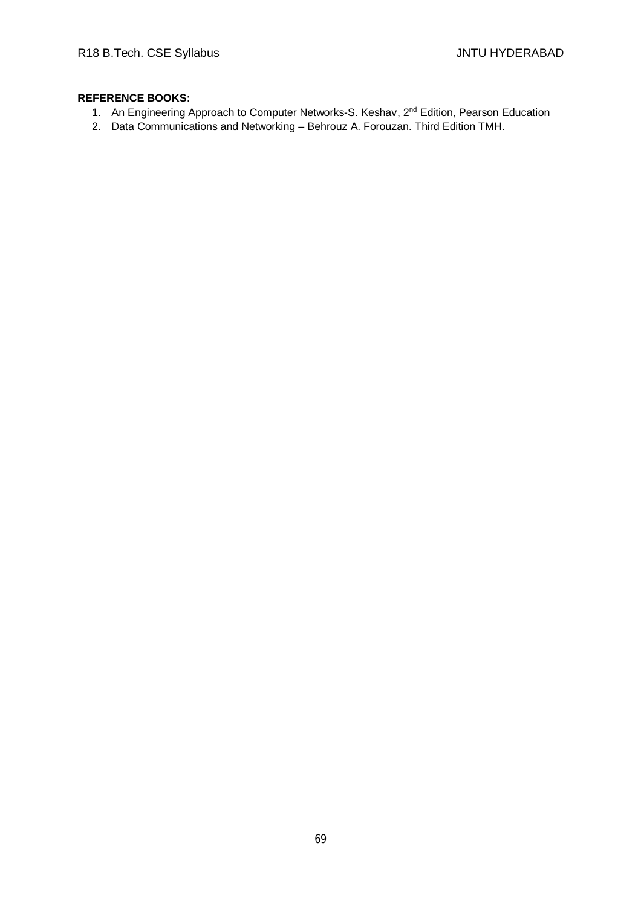- 1. An Engineering Approach to Computer Networks-S. Keshav, 2<sup>nd</sup> Edition, Pearson Education
- 2. Data Communications and Networking Behrouz A. Forouzan. Third Edition TMH.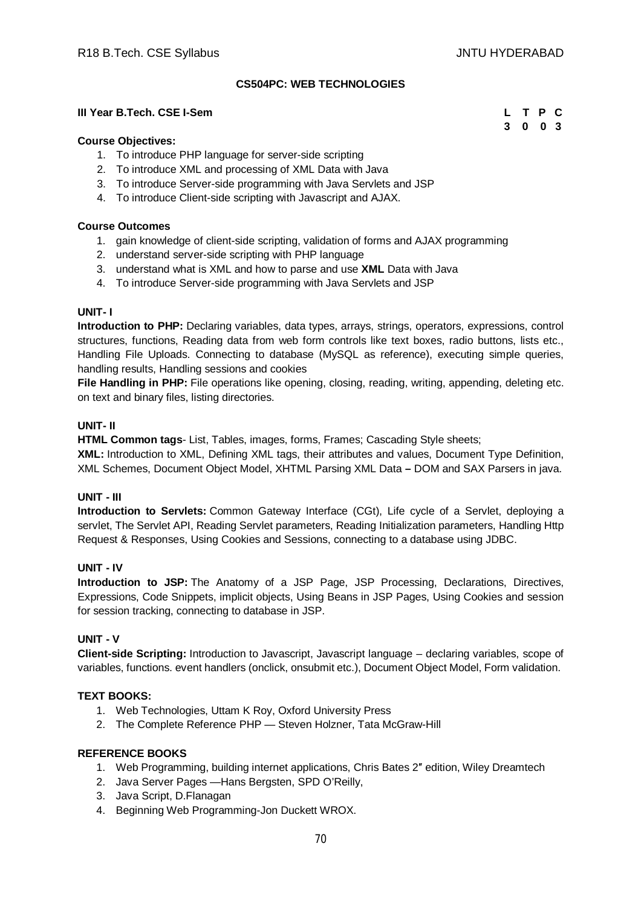## **CS504PC: WEB TECHNOLOGIES**

#### **III Year B.Tech. CSE I-Sem L T P C**

#### **Course Objectives:**

- 1. To introduce PHP language for server-side scripting
- 2. To introduce XML and processing of XML Data with Java
- 3. To introduce Server-side programming with Java Servlets and JSP
- 4. To introduce Client-side scripting with Javascript and AJAX.

#### **Course Outcomes**

- 1. gain knowledge of client-side scripting, validation of forms and AJAX programming
- 2. understand server-side scripting with PHP language
- 3. understand what is XML and how to parse and use **XML** Data with Java
- 4. To introduce Server-side programming with Java Servlets and JSP

#### **UNIT- I**

**Introduction to PHP:** Declaring variables, data types, arrays, strings, operators, expressions, control structures, functions, Reading data from web form controls like text boxes, radio buttons, lists etc., Handling File Uploads. Connecting to database (MySQL as reference), executing simple queries, handling results, Handling sessions and cookies

File Handling in PHP: File operations like opening, closing, reading, writing, appending, deleting etc. on text and binary files, listing directories.

#### **UNIT- II**

**HTML Common tags**- List, Tables, images, forms, Frames; Cascading Style sheets;

**XML:** Introduction to XML, Defining XML tags, their attributes and values, Document Type Definition, XML Schemes, Document Object Model, XHTML Parsing XML Data **–** DOM and SAX Parsers in java.

## **UNIT - III**

**Introduction to Servlets:** Common Gateway Interface (CGt), Life cycle of a Servlet, deploying a servlet, The Servlet API, Reading Servlet parameters, Reading Initialization parameters, Handling Http Request & Responses, Using Cookies and Sessions, connecting to a database using JDBC.

# **UNIT - IV**

**Introduction to JSP:** The Anatomy of a JSP Page, JSP Processing, Declarations, Directives, Expressions, Code Snippets, implicit objects, Using Beans in JSP Pages, Using Cookies and session for session tracking, connecting to database in JSP.

## **UNIT - V**

**Client-side Scripting:** Introduction to Javascript, Javascript language – declaring variables, scope of variables, functions. event handlers (onclick, onsubmit etc.), Document Object Model, Form validation.

#### **TEXT BOOKS:**

- 1. Web Technologies, Uttam K Roy, Oxford University Press
- 2. The Complete Reference PHP Steven Holzner, Tata McGraw-Hill

#### **REFERENCE BOOKS**

- 1. Web Programming, building internet applications, Chris Bates 2″ edition, Wiley Dreamtech
- 2. Java Server Pages —Hans Bergsten, SPD O'Reilly,
- 3. Java Script, D.Flanagan
- 4. Beginning Web Programming-Jon Duckett WROX.

**3 0 0 3**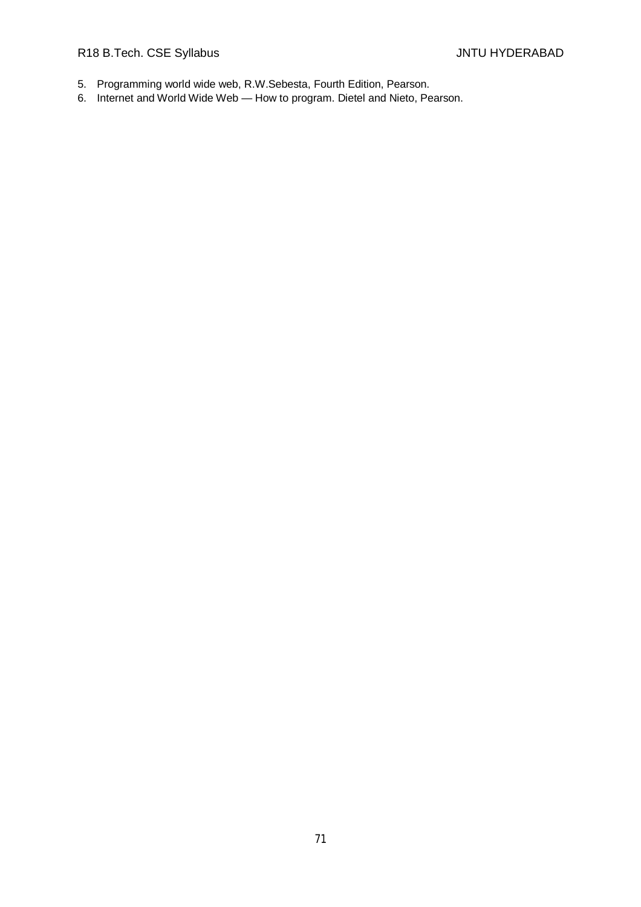R18 B.Tech. CSE Syllabus **All Accords** CSE Syllabus **JNTU HYDERABAD** 

- 5. Programming world wide web, R.W.Sebesta, Fourth Edition, Pearson.
- 6. Internet and World Wide Web How to program. Dietel and Nieto, Pearson.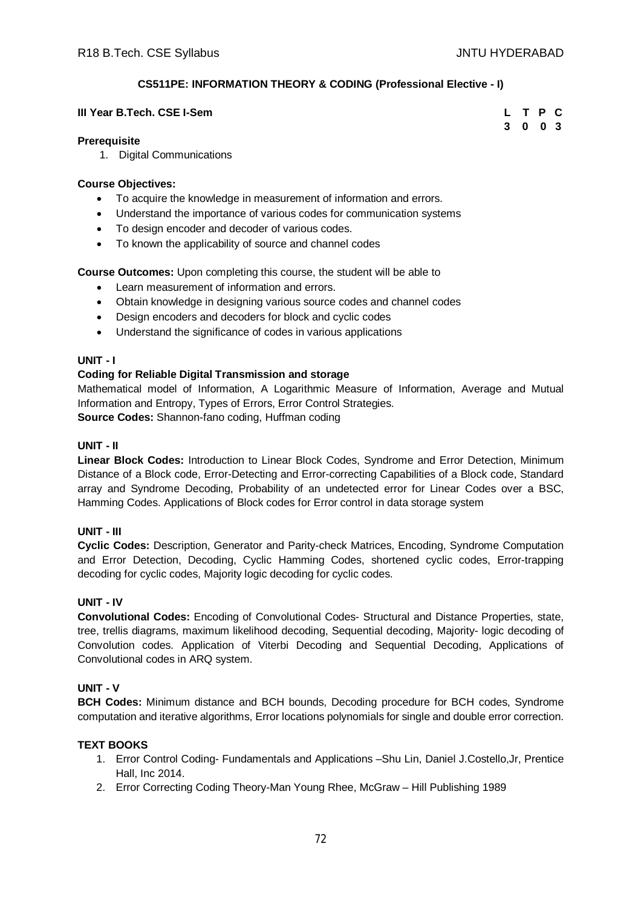# **CS511PE: INFORMATION THEORY & CODING (Professional Elective - I)**

#### **III Year B.Tech. CSE I-Sem**

| L | $\mathbf{T}$ | <b>P</b>       | C |
|---|--------------|----------------|---|
| 3 | 0            | 0 <sup>3</sup> |   |

# **Prerequisite**

1. Digital Communications

# **Course Objectives:**

- To acquire the knowledge in measurement of information and errors.
- Understand the importance of various codes for communication systems
- To design encoder and decoder of various codes.
- To known the applicability of source and channel codes

**Course Outcomes:** Upon completing this course, the student will be able to

- Learn measurement of information and errors.
- Obtain knowledge in designing various source codes and channel codes
- Design encoders and decoders for block and cyclic codes
- Understand the significance of codes in various applications

# **UNIT - I**

# **Coding for Reliable Digital Transmission and storage**

Mathematical model of Information, A Logarithmic Measure of Information, Average and Mutual Information and Entropy, Types of Errors, Error Control Strategies. **Source Codes:** Shannon-fano coding, Huffman coding

## **UNIT - II**

**Linear Block Codes:** Introduction to Linear Block Codes, Syndrome and Error Detection, Minimum Distance of a Block code, Error-Detecting and Error-correcting Capabilities of a Block code, Standard array and Syndrome Decoding, Probability of an undetected error for Linear Codes over a BSC, Hamming Codes. Applications of Block codes for Error control in data storage system

## **UNIT - III**

**Cyclic Codes:** Description, Generator and Parity-check Matrices, Encoding, Syndrome Computation and Error Detection, Decoding, Cyclic Hamming Codes, shortened cyclic codes, Error-trapping decoding for cyclic codes, Majority logic decoding for cyclic codes.

## **UNIT - IV**

**Convolutional Codes:** Encoding of Convolutional Codes- Structural and Distance Properties, state, tree, trellis diagrams, maximum likelihood decoding, Sequential decoding, Majority- logic decoding of Convolution codes. Application of Viterbi Decoding and Sequential Decoding, Applications of Convolutional codes in ARQ system.

## **UNIT - V**

**BCH Codes:** Minimum distance and BCH bounds, Decoding procedure for BCH codes, Syndrome computation and iterative algorithms, Error locations polynomials for single and double error correction.

## **TEXT BOOKS**

- 1. Error Control Coding- Fundamentals and Applications –Shu Lin, Daniel J.Costello,Jr, Prentice Hall, Inc 2014.
- 2. Error Correcting Coding Theory-Man Young Rhee, McGraw Hill Publishing 1989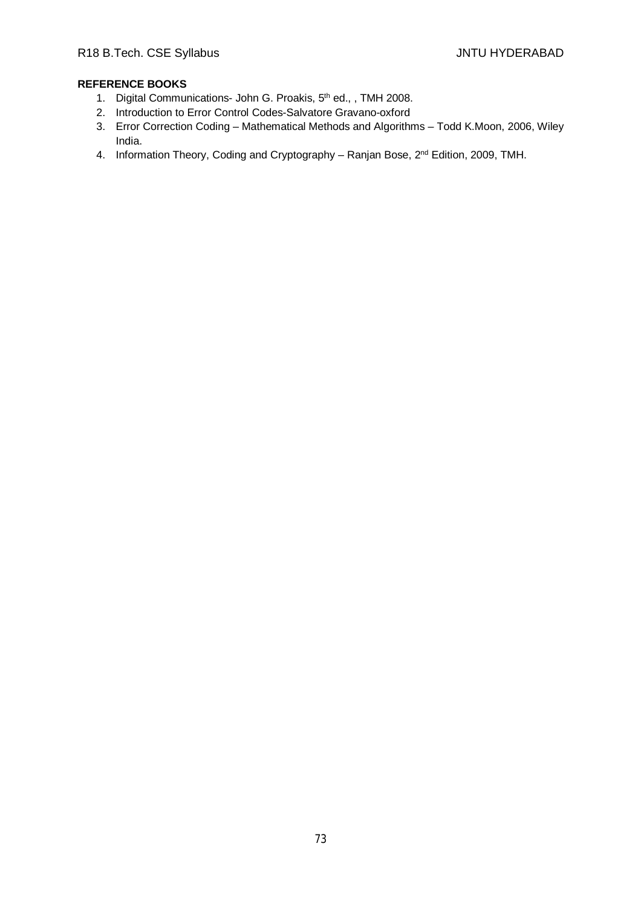- 1. Digital Communications- John G. Proakis, 5<sup>th</sup> ed., , TMH 2008.
- 2. Introduction to Error Control Codes-Salvatore Gravano-oxford
- 3. Error Correction Coding Mathematical Methods and Algorithms Todd K.Moon, 2006, Wiley India.
- 4. Information Theory, Coding and Cryptography Ranjan Bose, 2<sup>nd</sup> Edition, 2009, TMH.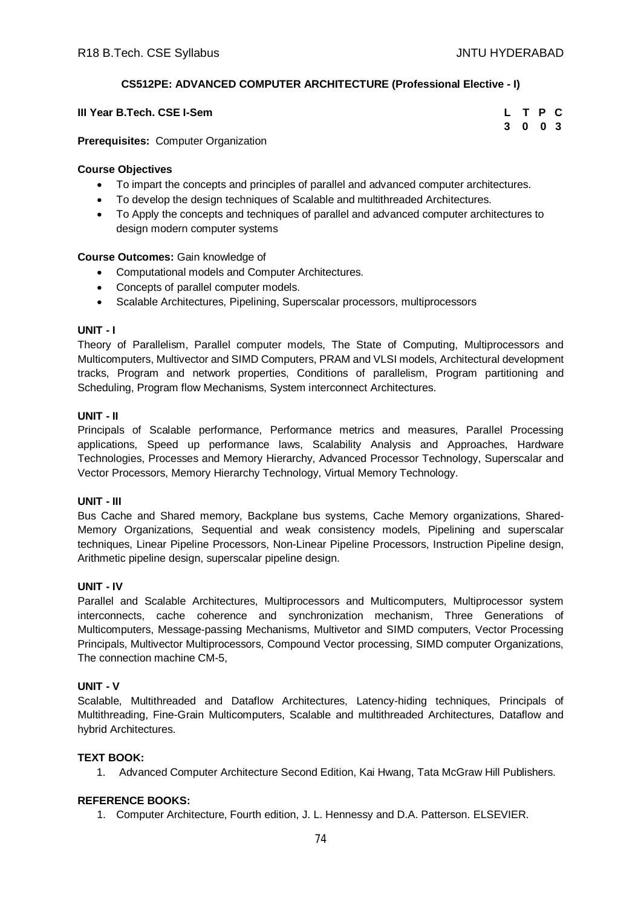# **CS512PE: ADVANCED COMPUTER ARCHITECTURE (Professional Elective - I)**

|        | III Year B.Tech. CSE I-Sem |  |  |  |  |  | LTPC    |  |  |
|--------|----------------------------|--|--|--|--|--|---------|--|--|
| $\sim$ | .                          |  |  |  |  |  | 3 0 0 3 |  |  |

**Prerequisites:** Computer Organization

# **Course Objectives**

- To impart the concepts and principles of parallel and advanced computer architectures.
- To develop the design techniques of Scalable and multithreaded Architectures.
- To Apply the concepts and techniques of parallel and advanced computer architectures to design modern computer systems

# **Course Outcomes:** Gain knowledge of

- Computational models and Computer Architectures.
- Concepts of parallel computer models.
- Scalable Architectures, Pipelining, Superscalar processors, multiprocessors

# **UNIT - I**

Theory of Parallelism, Parallel computer models, The State of Computing, Multiprocessors and Multicomputers, Multivector and SIMD Computers, PRAM and VLSI models, Architectural development tracks, Program and network properties, Conditions of parallelism, Program partitioning and Scheduling, Program flow Mechanisms, System interconnect Architectures.

# **UNIT - II**

Principals of Scalable performance, Performance metrics and measures, Parallel Processing applications, Speed up performance laws, Scalability Analysis and Approaches, Hardware Technologies, Processes and Memory Hierarchy, Advanced Processor Technology, Superscalar and Vector Processors, Memory Hierarchy Technology, Virtual Memory Technology.

# **UNIT - III**

Bus Cache and Shared memory, Backplane bus systems, Cache Memory organizations, Shared-Memory Organizations, Sequential and weak consistency models, Pipelining and superscalar techniques, Linear Pipeline Processors, Non-Linear Pipeline Processors, Instruction Pipeline design, Arithmetic pipeline design, superscalar pipeline design.

# **UNIT - IV**

Parallel and Scalable Architectures, Multiprocessors and Multicomputers, Multiprocessor system interconnects, cache coherence and synchronization mechanism, Three Generations of Multicomputers, Message-passing Mechanisms, Multivetor and SIMD computers, Vector Processing Principals, Multivector Multiprocessors, Compound Vector processing, SIMD computer Organizations, The connection machine CM-5,

# **UNIT - V**

Scalable, Multithreaded and Dataflow Architectures, Latency-hiding techniques, Principals of Multithreading, Fine-Grain Multicomputers, Scalable and multithreaded Architectures, Dataflow and hybrid Architectures.

# **TEXT BOOK:**

1. Advanced Computer Architecture Second Edition, Kai Hwang, Tata McGraw Hill Publishers.

# **REFERENCE BOOKS:**

1. Computer Architecture, Fourth edition, J. L. Hennessy and D.A. Patterson. ELSEVIER.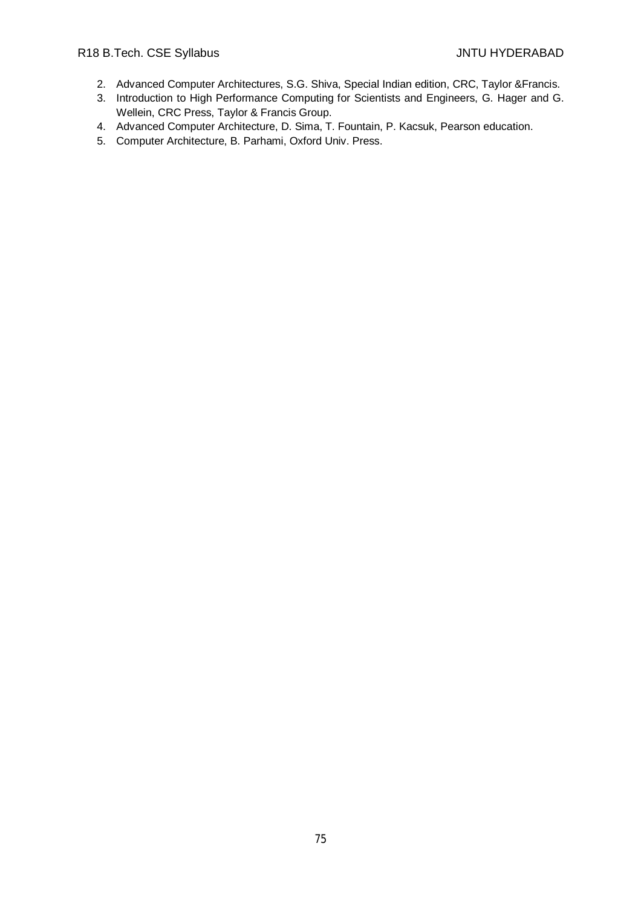# R18 B.Tech. CSE Syllabus **All Accords** CSE Syllabus **JNTU HYDERABAD**

- 2. Advanced Computer Architectures, S.G. Shiva, Special Indian edition, CRC, Taylor &Francis.
- 3. Introduction to High Performance Computing for Scientists and Engineers, G. Hager and G. Wellein, CRC Press, Taylor & Francis Group.
- 4. Advanced Computer Architecture, D. Sima, T. Fountain, P. Kacsuk, Pearson education.
- 5. Computer Architecture, B. Parhami, Oxford Univ. Press.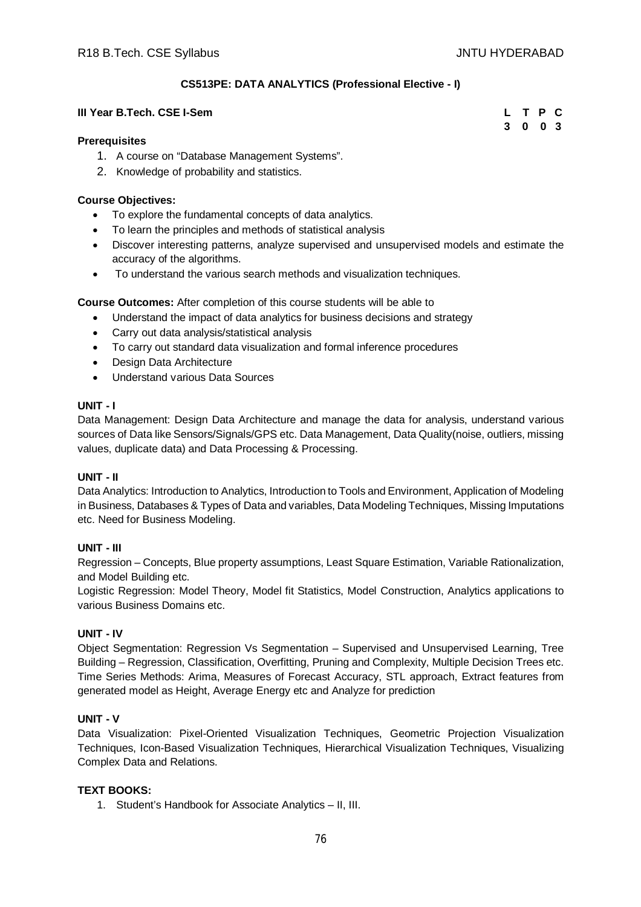# **CS513PE: DATA ANALYTICS (Professional Elective - I)**

#### **III Year B.Tech. CSE I-Sem**

| L | Т | $\mathsf{P}$ | C.  |
|---|---|--------------|-----|
| 3 | 0 | 0            | - 3 |

#### **Prerequisites**

- 1. A course on "Database Management Systems".
- 2. Knowledge of probability and statistics.

# **Course Objectives:**

- To explore the fundamental concepts of data analytics.
- To learn the principles and methods of statistical analysis
- Discover interesting patterns, analyze supervised and unsupervised models and estimate the accuracy of the algorithms.
- To understand the various search methods and visualization techniques.

**Course Outcomes:** After completion of this course students will be able to

- Understand the impact of data analytics for business decisions and strategy
- Carry out data analysis/statistical analysis
- To carry out standard data visualization and formal inference procedures
- Design Data Architecture
- Understand various Data Sources

# **UNIT - I**

Data Management: Design Data Architecture and manage the data for analysis, understand various sources of Data like Sensors/Signals/GPS etc. Data Management, Data Quality(noise, outliers, missing values, duplicate data) and Data Processing & Processing.

# **UNIT - II**

Data Analytics: Introduction to Analytics, Introduction to Tools and Environment, Application of Modeling in Business, Databases & Types of Data and variables, Data Modeling Techniques, Missing Imputations etc. Need for Business Modeling.

# **UNIT - III**

Regression – Concepts, Blue property assumptions, Least Square Estimation, Variable Rationalization, and Model Building etc.

Logistic Regression: Model Theory, Model fit Statistics, Model Construction, Analytics applications to various Business Domains etc.

# **UNIT - IV**

Object Segmentation: Regression Vs Segmentation – Supervised and Unsupervised Learning, Tree Building – Regression, Classification, Overfitting, Pruning and Complexity, Multiple Decision Trees etc. Time Series Methods: Arima, Measures of Forecast Accuracy, STL approach, Extract features from generated model as Height, Average Energy etc and Analyze for prediction

# **UNIT - V**

Data Visualization: Pixel-Oriented Visualization Techniques, Geometric Projection Visualization Techniques, Icon-Based Visualization Techniques, Hierarchical Visualization Techniques, Visualizing Complex Data and Relations.

# **TEXT BOOKS:**

1. Student's Handbook for Associate Analytics – II, III.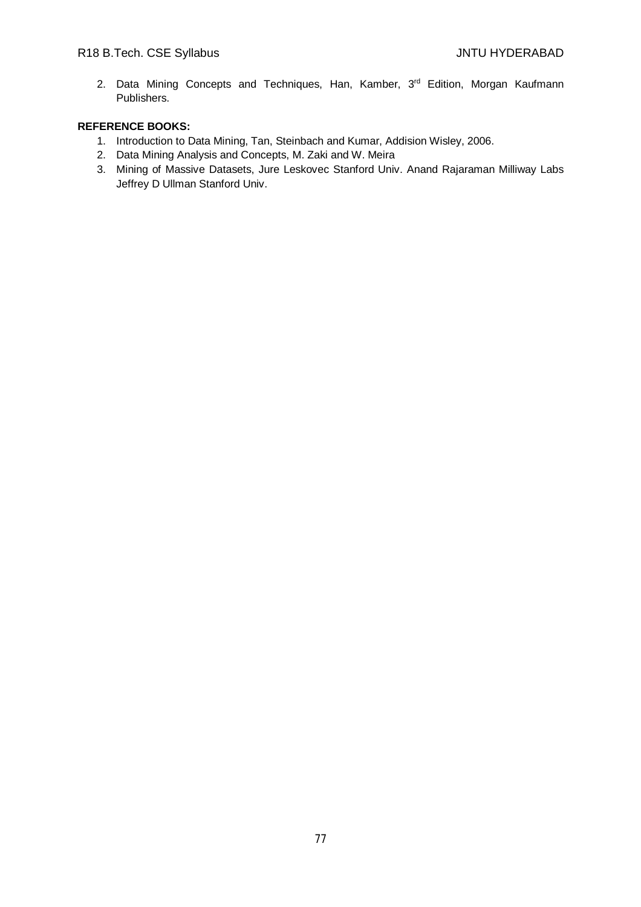2. Data Mining Concepts and Techniques, Han, Kamber, 3rd Edition, Morgan Kaufmann Publishers.

- 1. Introduction to Data Mining, Tan, Steinbach and Kumar, Addision Wisley, 2006.
- 2. Data Mining Analysis and Concepts, M. Zaki and W. Meira
- 3. Mining of Massive Datasets, Jure Leskovec Stanford Univ. Anand Rajaraman Milliway Labs Jeffrey D Ullman Stanford Univ.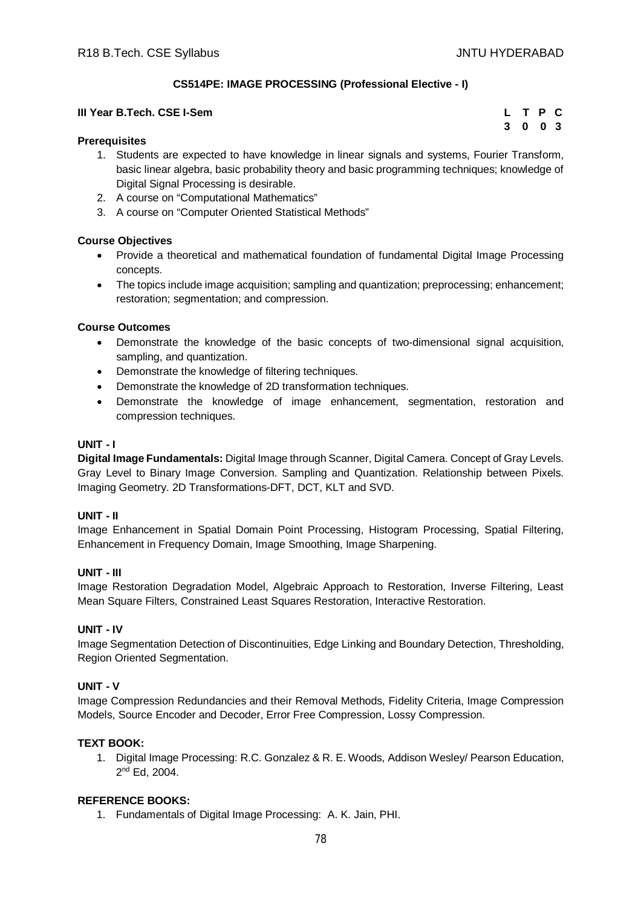**3 0 0 3**

# **CS514PE: IMAGE PROCESSING (Professional Elective - I)**

#### **III Year B.Tech. CSE I-Sem L T P C**

#### **Prerequisites**

- 1. Students are expected to have knowledge in linear signals and systems, Fourier Transform, basic linear algebra, basic probability theory and basic programming techniques; knowledge of Digital Signal Processing is desirable.
- 2. A course on "Computational Mathematics"
- 3. A course on "Computer Oriented Statistical Methods"

# **Course Objectives**

- Provide a theoretical and mathematical foundation of fundamental Digital Image Processing concepts.
- The topics include image acquisition; sampling and quantization; preprocessing; enhancement; restoration; segmentation; and compression.

# **Course Outcomes**

- Demonstrate the knowledge of the basic concepts of two-dimensional signal acquisition, sampling, and quantization.
- Demonstrate the knowledge of filtering techniques.
- Demonstrate the knowledge of 2D transformation techniques.
- Demonstrate the knowledge of image enhancement, segmentation, restoration and compression techniques.

#### **UNIT - I**

**Digital Image Fundamentals:** Digital Image through Scanner, Digital Camera. Concept of Gray Levels. Gray Level to Binary Image Conversion. Sampling and Quantization. Relationship between Pixels. Imaging Geometry. 2D Transformations-DFT, DCT, KLT and SVD.

# **UNIT - II**

Image Enhancement in Spatial Domain Point Processing, Histogram Processing, Spatial Filtering, Enhancement in Frequency Domain, Image Smoothing, Image Sharpening.

# **UNIT - III**

Image Restoration Degradation Model, Algebraic Approach to Restoration, Inverse Filtering, Least Mean Square Filters, Constrained Least Squares Restoration, Interactive Restoration.

# **UNIT - IV**

Image Segmentation Detection of Discontinuities, Edge Linking and Boundary Detection, Thresholding, Region Oriented Segmentation.

# **UNIT - V**

Image Compression Redundancies and their Removal Methods, Fidelity Criteria, Image Compression Models, Source Encoder and Decoder, Error Free Compression, Lossy Compression.

# **TEXT BOOK:**

1. Digital Image Processing: R.C. Gonzalez & R. E. Woods, Addison Wesley/ Pearson Education, 2 nd Ed, 2004.

# **REFERENCE BOOKS:**

1. Fundamentals of Digital Image Processing: A. K. Jain, PHI.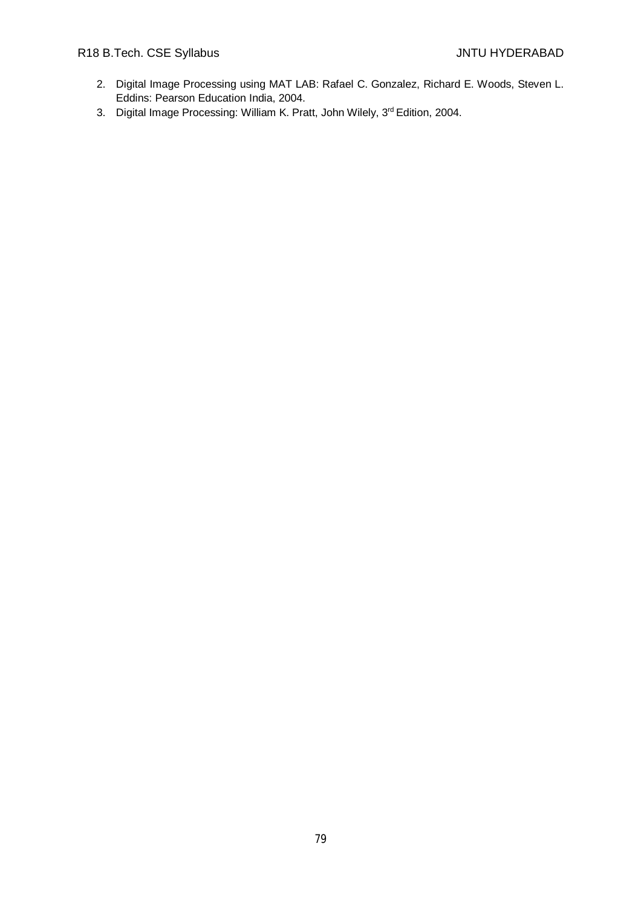- 2. Digital Image Processing using MAT LAB: Rafael C. Gonzalez, Richard E. Woods, Steven L. Eddins: Pearson Education India, 2004.
- 3. Digital Image Processing: William K. Pratt, John Wilely, 3rd Edition, 2004.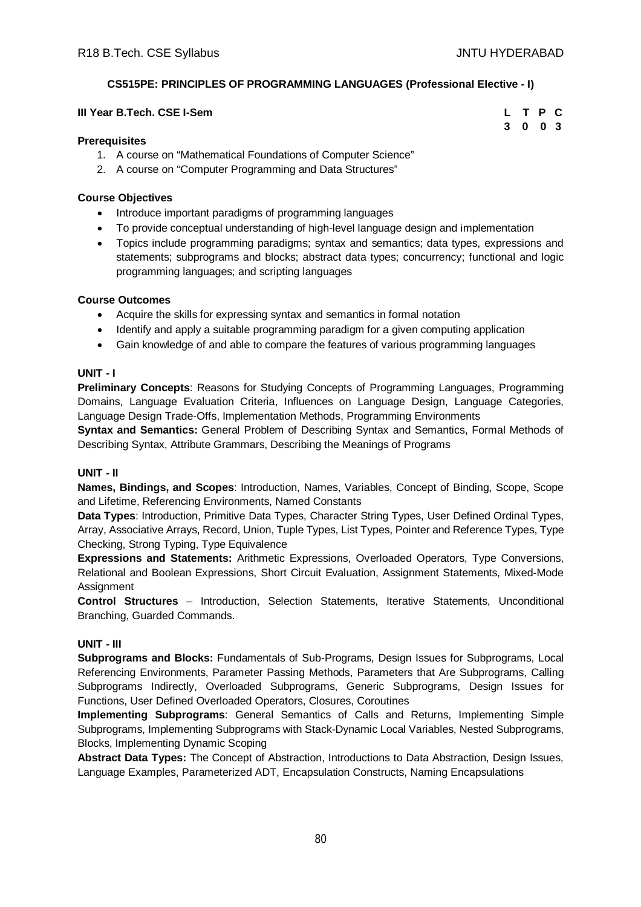**3 0 0 3**

# **CS515PE: PRINCIPLES OF PROGRAMMING LANGUAGES (Professional Elective - I)**

#### **III Year B.Tech. CSE I-Sem L T P C**

#### **Prerequisites**

- 1. A course on "Mathematical Foundations of Computer Science"
- 2. A course on "Computer Programming and Data Structures"

#### **Course Objectives**

- Introduce important paradigms of programming languages
- To provide conceptual understanding of high-level language design and implementation
- Topics include programming paradigms; syntax and semantics; data types, expressions and statements; subprograms and blocks; abstract data types; concurrency; functional and logic programming languages; and scripting languages

#### **Course Outcomes**

- Acquire the skills for expressing syntax and semantics in formal notation
- Identify and apply a suitable programming paradigm for a given computing application
- Gain knowledge of and able to compare the features of various programming languages

#### **UNIT - I**

**Preliminary Concepts**: Reasons for Studying Concepts of Programming Languages, Programming Domains, Language Evaluation Criteria, Influences on Language Design, Language Categories, Language Design Trade-Offs, Implementation Methods, Programming Environments

**Syntax and Semantics:** General Problem of Describing Syntax and Semantics, Formal Methods of Describing Syntax, Attribute Grammars, Describing the Meanings of Programs

# **UNIT - II**

**Names, Bindings, and Scopes**: Introduction, Names, Variables, Concept of Binding, Scope, Scope and Lifetime, Referencing Environments, Named Constants

**Data Types**: Introduction, Primitive Data Types, Character String Types, User Defined Ordinal Types, Array, Associative Arrays, Record, Union, Tuple Types, List Types, Pointer and Reference Types, Type Checking, Strong Typing, Type Equivalence

**Expressions and Statements:** Arithmetic Expressions, Overloaded Operators, Type Conversions, Relational and Boolean Expressions, Short Circuit Evaluation, Assignment Statements, Mixed-Mode **Assignment** 

**Control Structures** – Introduction, Selection Statements, Iterative Statements, Unconditional Branching, Guarded Commands.

# **UNIT - III**

**Subprograms and Blocks:** Fundamentals of Sub-Programs, Design Issues for Subprograms, Local Referencing Environments, Parameter Passing Methods, Parameters that Are Subprograms, Calling Subprograms Indirectly, Overloaded Subprograms, Generic Subprograms, Design Issues for Functions, User Defined Overloaded Operators, Closures, Coroutines

**Implementing Subprograms**: General Semantics of Calls and Returns, Implementing Simple Subprograms, Implementing Subprograms with Stack-Dynamic Local Variables, Nested Subprograms, Blocks, Implementing Dynamic Scoping

**Abstract Data Types:** The Concept of Abstraction, Introductions to Data Abstraction, Design Issues, Language Examples, Parameterized ADT, Encapsulation Constructs, Naming Encapsulations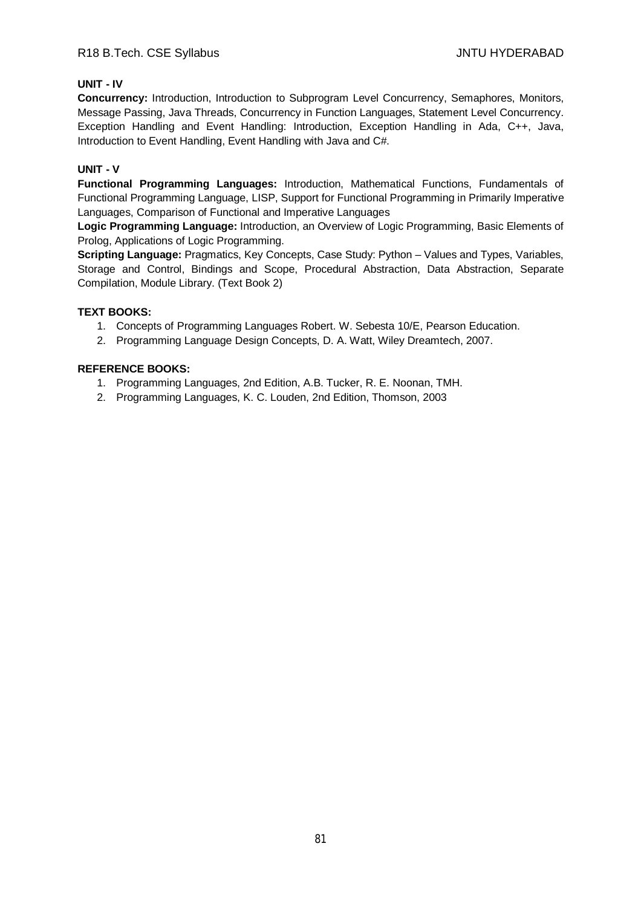# **UNIT - IV**

**Concurrency:** Introduction, Introduction to Subprogram Level Concurrency, Semaphores, Monitors, Message Passing, Java Threads, Concurrency in Function Languages, Statement Level Concurrency. Exception Handling and Event Handling: Introduction, Exception Handling in Ada, C++, Java, Introduction to Event Handling, Event Handling with Java and C#.

# **UNIT - V**

**Functional Programming Languages:** Introduction, Mathematical Functions, Fundamentals of Functional Programming Language, LISP, Support for Functional Programming in Primarily Imperative Languages, Comparison of Functional and Imperative Languages

**Logic Programming Language:** Introduction, an Overview of Logic Programming, Basic Elements of Prolog, Applications of Logic Programming.

**Scripting Language:** Pragmatics, Key Concepts, Case Study: Python – Values and Types, Variables, Storage and Control, Bindings and Scope, Procedural Abstraction, Data Abstraction, Separate Compilation, Module Library. (Text Book 2)

# **TEXT BOOKS:**

- 1. Concepts of Programming Languages Robert. W. Sebesta 10/E, Pearson Education.
- 2. Programming Language Design Concepts, D. A. Watt, Wiley Dreamtech, 2007.

- 1. Programming Languages, 2nd Edition, A.B. Tucker, R. E. Noonan, TMH.
- 2. Programming Languages, K. C. Louden, 2nd Edition, Thomson, 2003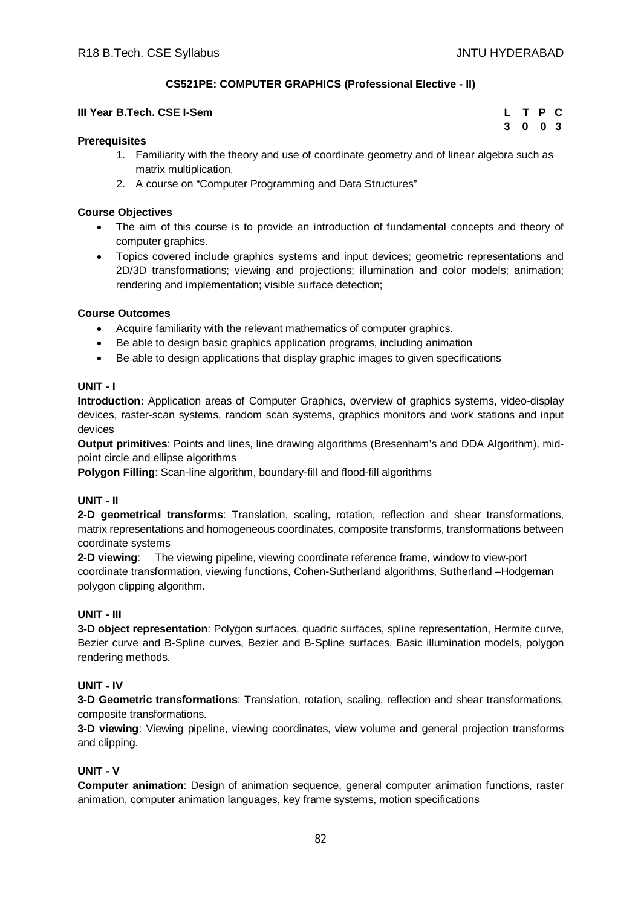**3 0 0 3**

# **CS521PE: COMPUTER GRAPHICS (Professional Elective - II)**

# **III Year B.Tech. CSE I-Sem L T P C**

#### **Prerequisites**

- 1. Familiarity with the theory and use of coordinate geometry and of linear algebra such as matrix multiplication.
- 2. A course on "Computer Programming and Data Structures"

#### **Course Objectives**

- The aim of this course is to provide an introduction of fundamental concepts and theory of computer graphics.
- Topics covered include graphics systems and input devices; geometric representations and 2D/3D transformations; viewing and projections; illumination and color models; animation; rendering and implementation; visible surface detection;

# **Course Outcomes**

- Acquire familiarity with the relevant mathematics of computer graphics.
- Be able to design basic graphics application programs, including animation
- Be able to design applications that display graphic images to given specifications

# **UNIT - I**

**Introduction:** Application areas of Computer Graphics, overview of graphics systems, video-display devices, raster-scan systems, random scan systems, graphics monitors and work stations and input devices

**Output primitives**: Points and lines, line drawing algorithms (Bresenham's and DDA Algorithm), midpoint circle and ellipse algorithms

**Polygon Filling**: Scan-line algorithm, boundary-fill and flood-fill algorithms

#### **UNIT - II**

**2-D geometrical transforms**: Translation, scaling, rotation, reflection and shear transformations, matrix representations and homogeneous coordinates, composite transforms, transformations between coordinate systems

**2-D viewing**: The viewing pipeline, viewing coordinate reference frame, window to view-port coordinate transformation, viewing functions, Cohen-Sutherland algorithms, Sutherland –Hodgeman polygon clipping algorithm.

# **UNIT - III**

**3-D object representation**: Polygon surfaces, quadric surfaces, spline representation, Hermite curve, Bezier curve and B-Spline curves, Bezier and B-Spline surfaces. Basic illumination models, polygon rendering methods.

# **UNIT - IV**

**3-D Geometric transformations**: Translation, rotation, scaling, reflection and shear transformations, composite transformations.

**3-D viewing**: Viewing pipeline, viewing coordinates, view volume and general projection transforms and clipping.

# **UNIT - V**

**Computer animation**: Design of animation sequence, general computer animation functions, raster animation, computer animation languages, key frame systems, motion specifications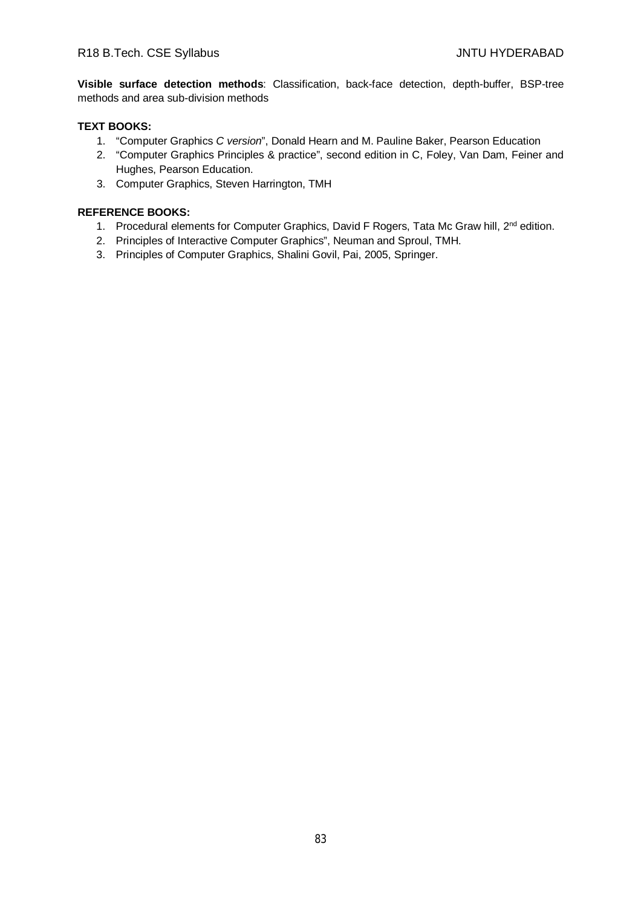**Visible surface detection methods**: Classification, back-face detection, depth-buffer, BSP-tree methods and area sub-division methods

# **TEXT BOOKS:**

- 1. "Computer Graphics *C version*", Donald Hearn and M. Pauline Baker, Pearson Education
- 2. "Computer Graphics Principles & practice", second edition in C, Foley, Van Dam, Feiner and Hughes, Pearson Education.
- 3. Computer Graphics, Steven Harrington, TMH

- 1. Procedural elements for Computer Graphics, David F Rogers, Tata Mc Graw hill, 2<sup>nd</sup> edition.
- 2. Principles of Interactive Computer Graphics", Neuman and Sproul, TMH.
- 3. Principles of Computer Graphics, Shalini Govil, Pai, 2005, Springer.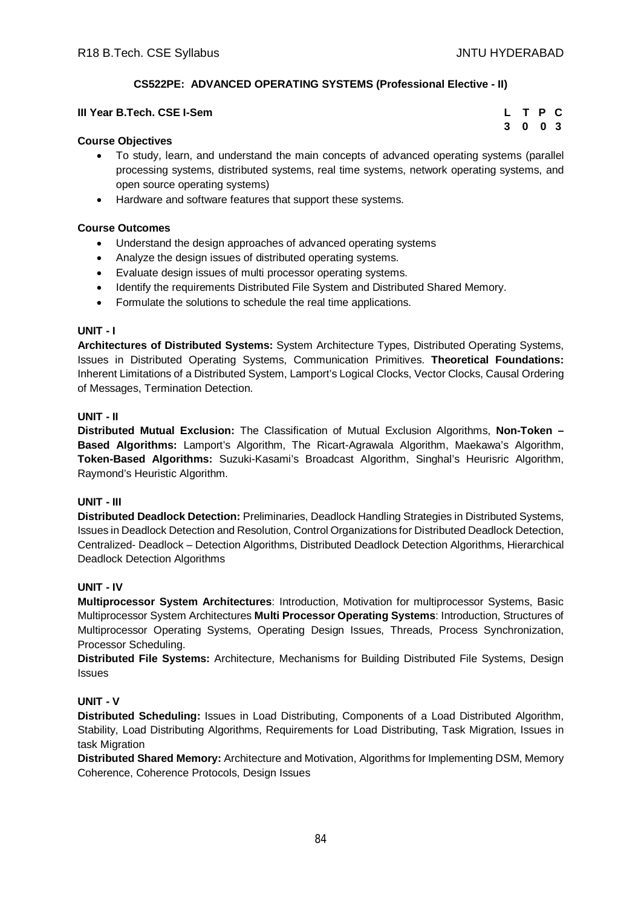# **CS522PE: ADVANCED OPERATING SYSTEMS (Professional Elective - II)**

| III Year B.Tech. CSE I-Sem | L T P C |  |  |
|----------------------------|---------|--|--|
|                            | 3 0 0 3 |  |  |

# **Course Objectives**

- To study, learn, and understand the main concepts of advanced operating systems (parallel processing systems, distributed systems, real time systems, network operating systems, and open source operating systems)
- Hardware and software features that support these systems.

# **Course Outcomes**

- Understand the design approaches of advanced operating systems
- Analyze the design issues of distributed operating systems.
- Evaluate design issues of multi processor operating systems.
- Identify the requirements Distributed File System and Distributed Shared Memory.
- Formulate the solutions to schedule the real time applications.

# **UNIT - I**

**Architectures of Distributed Systems:** System Architecture Types, Distributed Operating Systems, Issues in Distributed Operating Systems, Communication Primitives. **Theoretical Foundations:**  Inherent Limitations of a Distributed System, Lamport's Logical Clocks, Vector Clocks, Causal Ordering of Messages, Termination Detection.

# **UNIT - II**

**Distributed Mutual Exclusion:** The Classification of Mutual Exclusion Algorithms, **Non-Token – Based Algorithms:** Lamport's Algorithm, The Ricart-Agrawala Algorithm, Maekawa's Algorithm, **Token-Based Algorithms:** Suzuki-Kasami's Broadcast Algorithm, Singhal's Heurisric Algorithm, Raymond's Heuristic Algorithm.

# **UNIT - III**

**Distributed Deadlock Detection:** Preliminaries, Deadlock Handling Strategies in Distributed Systems, Issues in Deadlock Detection and Resolution, Control Organizations for Distributed Deadlock Detection, Centralized- Deadlock – Detection Algorithms, Distributed Deadlock Detection Algorithms, Hierarchical Deadlock Detection Algorithms

# **UNIT - IV**

**Multiprocessor System Architectures**: Introduction, Motivation for multiprocessor Systems, Basic Multiprocessor System Architectures **Multi Processor Operating Systems**: Introduction, Structures of Multiprocessor Operating Systems, Operating Design Issues, Threads, Process Synchronization, Processor Scheduling.

**Distributed File Systems:** Architecture, Mechanisms for Building Distributed File Systems, Design Issues

# **UNIT - V**

**Distributed Scheduling:** Issues in Load Distributing, Components of a Load Distributed Algorithm, Stability, Load Distributing Algorithms, Requirements for Load Distributing, Task Migration, Issues in task Migration

**Distributed Shared Memory:** Architecture and Motivation, Algorithms for Implementing DSM, Memory Coherence, Coherence Protocols, Design Issues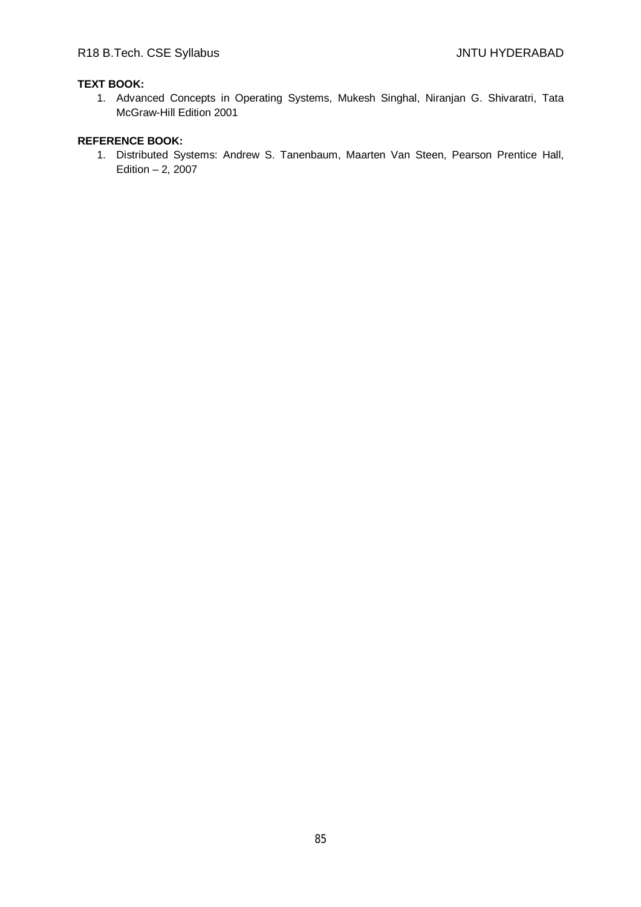# **TEXT BOOK:**

1. Advanced Concepts in Operating Systems, Mukesh Singhal, Niranjan G. Shivaratri, Tata McGraw-Hill Edition 2001

# **REFERENCE BOOK:**

1. Distributed Systems: Andrew S. Tanenbaum, Maarten Van Steen, Pearson Prentice Hall, Edition  $-2$ , 2007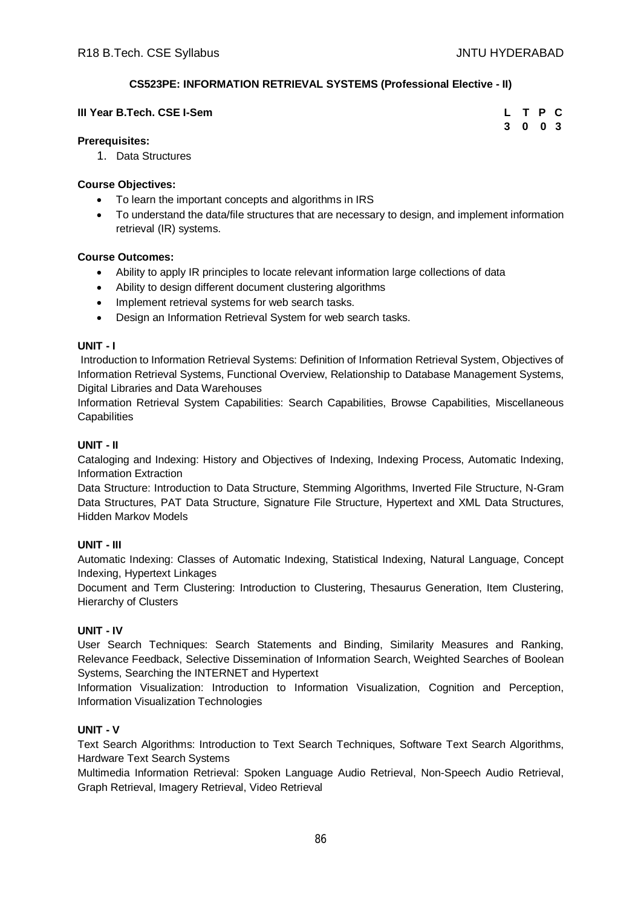# **CS523PE: INFORMATION RETRIEVAL SYSTEMS (Professional Elective - II)**

| III Year B.Tech. CSE I-Sem |         | L T P C |  |
|----------------------------|---------|---------|--|
|                            | 3 0 0 3 |         |  |

# **Prerequisites:**

1. Data Structures

# **Course Objectives:**

- To learn the important concepts and algorithms in IRS
- To understand the data/file structures that are necessary to design, and implement information retrieval (IR) systems.

# **Course Outcomes:**

- Ability to apply IR principles to locate relevant information large collections of data
- Ability to design different document clustering algorithms
- Implement retrieval systems for web search tasks.
- Design an Information Retrieval System for web search tasks.

# **UNIT - I**

Introduction to Information Retrieval Systems: Definition of Information Retrieval System, Objectives of Information Retrieval Systems, Functional Overview, Relationship to Database Management Systems, Digital Libraries and Data Warehouses

Information Retrieval System Capabilities: Search Capabilities, Browse Capabilities, Miscellaneous **Capabilities** 

# **UNIT - II**

Cataloging and Indexing: History and Objectives of Indexing, Indexing Process, Automatic Indexing, Information Extraction

Data Structure: Introduction to Data Structure, Stemming Algorithms, Inverted File Structure, N-Gram Data Structures, PAT Data Structure, Signature File Structure, Hypertext and XML Data Structures, Hidden Markov Models

# **UNIT - III**

Automatic Indexing: Classes of Automatic Indexing, Statistical Indexing, Natural Language, Concept Indexing, Hypertext Linkages

Document and Term Clustering: Introduction to Clustering, Thesaurus Generation, Item Clustering, Hierarchy of Clusters

# **UNIT - IV**

User Search Techniques: Search Statements and Binding, Similarity Measures and Ranking, Relevance Feedback, Selective Dissemination of Information Search, Weighted Searches of Boolean Systems, Searching the INTERNET and Hypertext

Information Visualization: Introduction to Information Visualization, Cognition and Perception, Information Visualization Technologies

# **UNIT - V**

Text Search Algorithms: Introduction to Text Search Techniques, Software Text Search Algorithms, Hardware Text Search Systems

Multimedia Information Retrieval: Spoken Language Audio Retrieval, Non-Speech Audio Retrieval, Graph Retrieval, Imagery Retrieval, Video Retrieval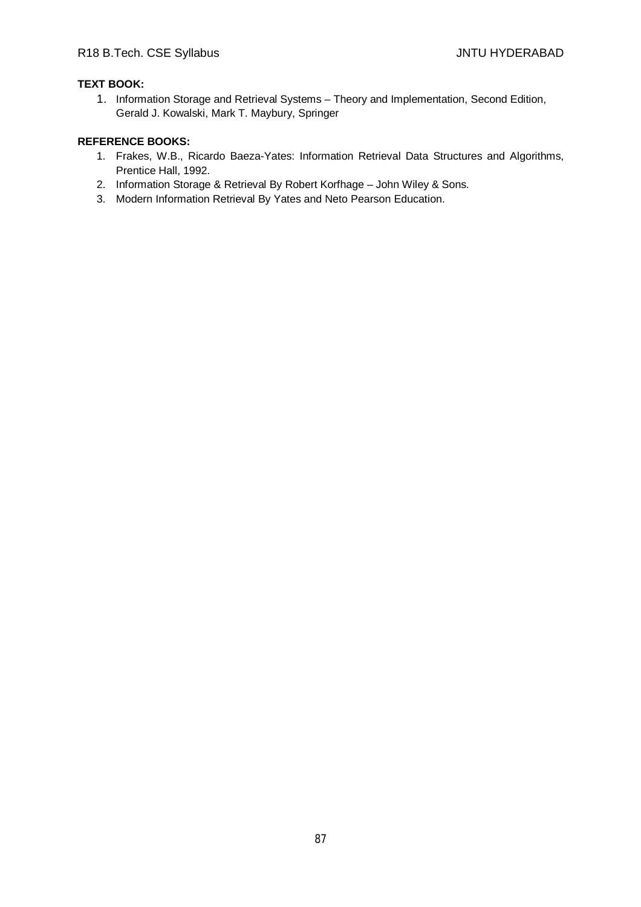# **TEXT BOOK:**

1. Information Storage and Retrieval Systems – Theory and Implementation, Second Edition, Gerald J. Kowalski, Mark T. Maybury, Springer

- 1. Frakes, W.B., Ricardo Baeza-Yates: Information Retrieval Data Structures and Algorithms, Prentice Hall, 1992.
- 2. Information Storage & Retrieval By Robert Korfhage John Wiley & Sons.
- 3. Modern Information Retrieval By Yates and Neto Pearson Education.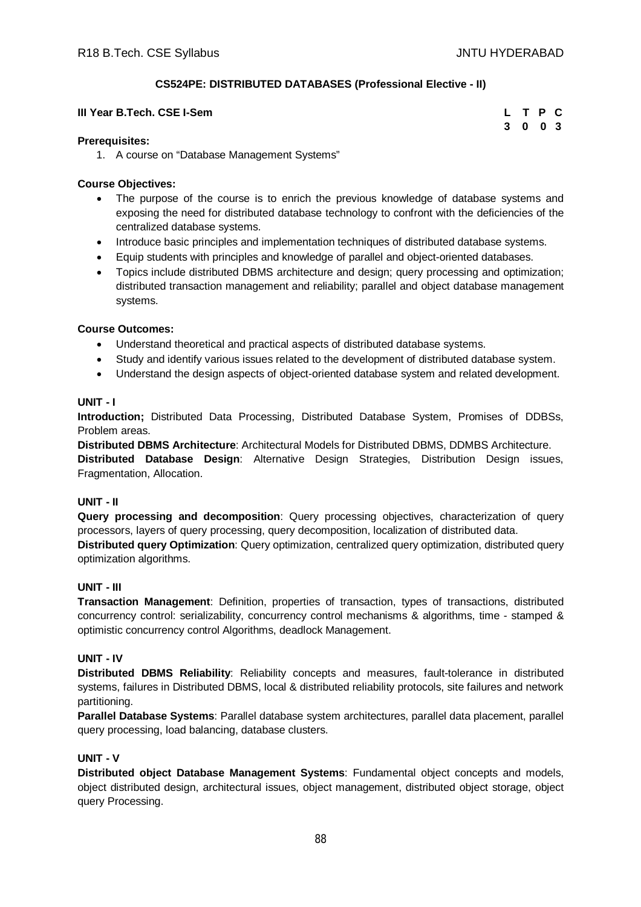# **CS524PE: DISTRIBUTED DATABASES (Professional Elective - II)**

| III Year B.Tech. CSE I-Sem | L T P C |  |  |
|----------------------------|---------|--|--|
|                            | 3 0 0 3 |  |  |

#### **Prerequisites:**

1. A course on "Database Management Systems"

#### **Course Objectives:**

- The purpose of the course is to enrich the previous knowledge of database systems and exposing the need for distributed database technology to confront with the deficiencies of the centralized database systems.
- Introduce basic principles and implementation techniques of distributed database systems.
- Equip students with principles and knowledge of parallel and object-oriented databases.
- Topics include distributed DBMS architecture and design; query processing and optimization; distributed transaction management and reliability; parallel and object database management systems.

#### **Course Outcomes:**

- Understand theoretical and practical aspects of distributed database systems.
- Study and identify various issues related to the development of distributed database system.
- Understand the design aspects of object-oriented database system and related development.

#### **UNIT - I**

**Introduction;** Distributed Data Processing, Distributed Database System, Promises of DDBSs, Problem areas.

**Distributed DBMS Architecture**: Architectural Models for Distributed DBMS, DDMBS Architecture.

**Distributed Database Design**: Alternative Design Strategies, Distribution Design issues, Fragmentation, Allocation.

# **UNIT - II**

**Query processing and decomposition**: Query processing objectives, characterization of query processors, layers of query processing, query decomposition, localization of distributed data. **Distributed query Optimization**: Query optimization, centralized query optimization, distributed query optimization algorithms.

# **UNIT - III**

**Transaction Management**: Definition, properties of transaction, types of transactions, distributed concurrency control: serializability, concurrency control mechanisms & algorithms, time - stamped & optimistic concurrency control Algorithms, deadlock Management.

#### **UNIT - IV**

**Distributed DBMS Reliability**: Reliability concepts and measures, fault-tolerance in distributed systems, failures in Distributed DBMS, local & distributed reliability protocols, site failures and network partitioning.

**Parallel Database Systems**: Parallel database system architectures, parallel data placement, parallel query processing, load balancing, database clusters.

# **UNIT - V**

**Distributed object Database Management Systems**: Fundamental object concepts and models, object distributed design, architectural issues, object management, distributed object storage, object query Processing.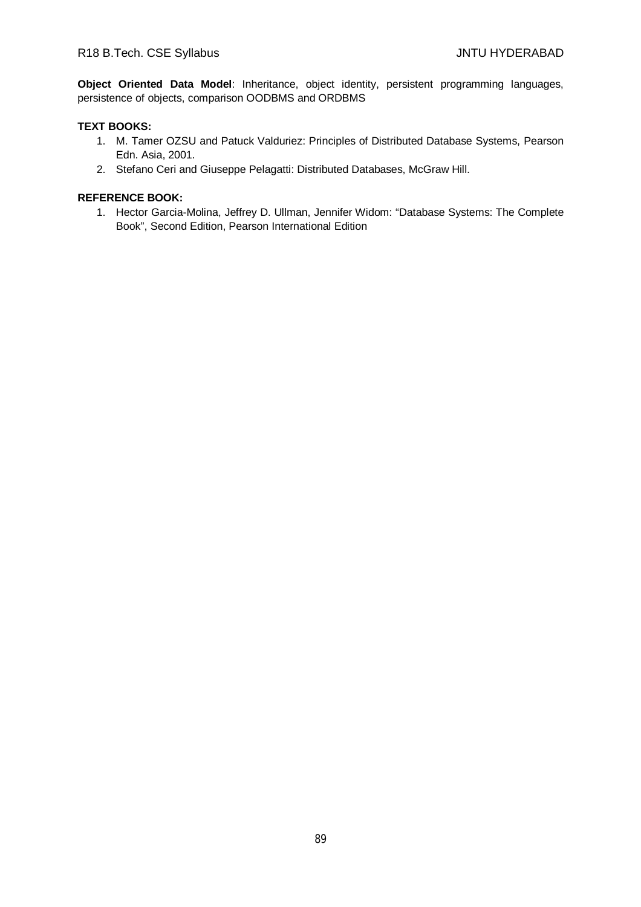**Object Oriented Data Model**: Inheritance, object identity, persistent programming languages, persistence of objects, comparison OODBMS and ORDBMS

# **TEXT BOOKS:**

- 1. M. Tamer OZSU and Patuck Valduriez: Principles of Distributed Database Systems, Pearson Edn. Asia, 2001.
- 2. Stefano Ceri and Giuseppe Pelagatti: Distributed Databases, McGraw Hill.

# **REFERENCE BOOK:**

1. Hector Garcia-Molina, Jeffrey D. Ullman, Jennifer Widom: "Database Systems: The Complete Book", Second Edition, Pearson International Edition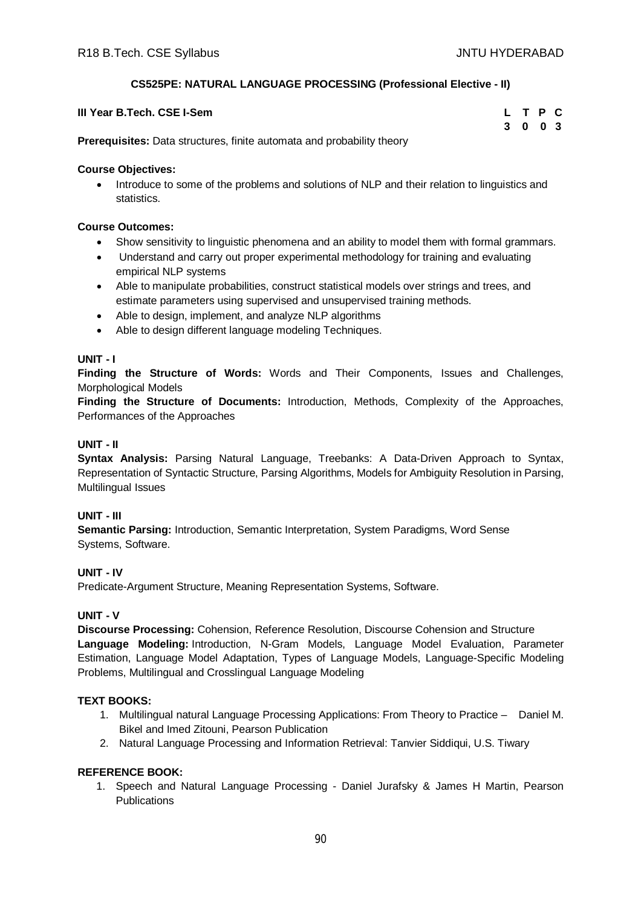# **CS525PE: NATURAL LANGUAGE PROCESSING (Professional Elective - II)**

| III Year B.Tech. CSE I-Sem                                                    | L T P C |  |  |
|-------------------------------------------------------------------------------|---------|--|--|
|                                                                               | 3 0 0 3 |  |  |
| <b>Prerequisites:</b> Data structures, finite automata and probability theory |         |  |  |

**Course Objectives:**

• Introduce to some of the problems and solutions of NLP and their relation to linguistics and statistics.

# **Course Outcomes:**

- Show sensitivity to linguistic phenomena and an ability to model them with formal grammars.
- Understand and carry out proper experimental methodology for training and evaluating empirical NLP systems
- Able to manipulate probabilities, construct statistical models over strings and trees, and estimate parameters using supervised and unsupervised training methods.
- Able to design, implement, and analyze NLP algorithms
- Able to design different language modeling Techniques.

# **UNIT - I**

**Finding the Structure of Words:** Words and Their Components, Issues and Challenges, Morphological Models

**Finding the Structure of Documents:** Introduction, Methods, Complexity of the Approaches, Performances of the Approaches

# **UNIT - II**

**Syntax Analysis:** Parsing Natural Language, Treebanks: A Data-Driven Approach to Syntax, Representation of Syntactic Structure, Parsing Algorithms, Models for Ambiguity Resolution in Parsing, Multilingual Issues

# **UNIT - III**

**Semantic Parsing:** Introduction, Semantic Interpretation, System Paradigms, Word Sense Systems, Software.

# **UNIT - IV**

Predicate-Argument Structure, Meaning Representation Systems, Software.

# **UNIT - V**

**Discourse Processing:** Cohension, Reference Resolution, Discourse Cohension and Structure **Language Modeling:** Introduction, N-Gram Models, Language Model Evaluation, Parameter Estimation, Language Model Adaptation, Types of Language Models, Language-Specific Modeling Problems, Multilingual and Crosslingual Language Modeling

# **TEXT BOOKS:**

- 1. Multilingual natural Language Processing Applications: From Theory to Practice Daniel M. Bikel and Imed Zitouni, Pearson Publication
- 2. Natural Language Processing and Information Retrieval: Tanvier Siddiqui, U.S. Tiwary

# **REFERENCE BOOK:**

1. Speech and Natural Language Processing - Daniel Jurafsky & James H Martin, Pearson **Publications**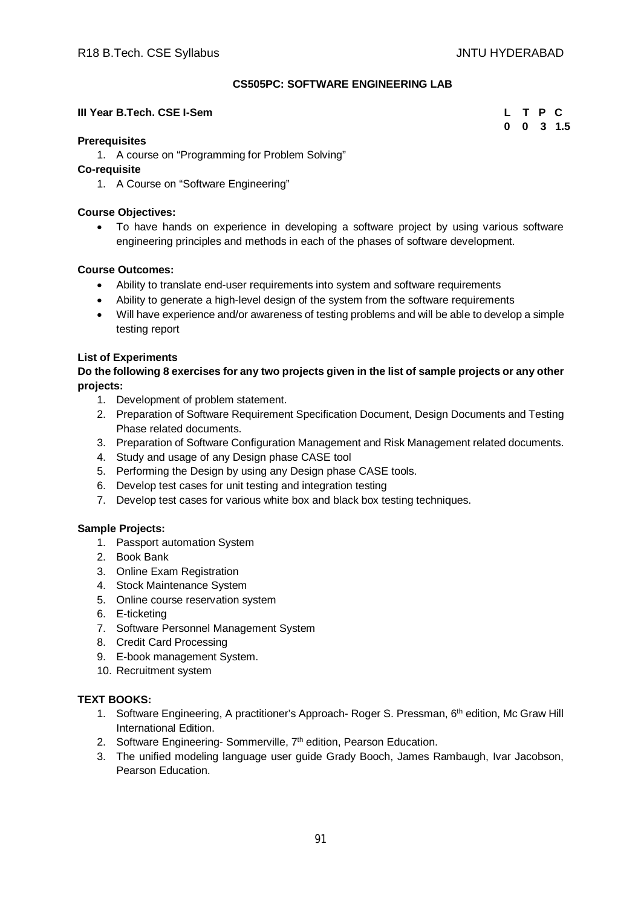# **CS505PC: SOFTWARE ENGINEERING LAB**

# **III Year B.Tech. CSE I-Sem**

| L | Т | Р            | C                |
|---|---|--------------|------------------|
| 0 | 0 | $\mathbf{3}$ | 1.5 <sub>1</sub> |

# **Prerequisites**

1. A course on "Programming for Problem Solving"

# **Co-requisite**

1. A Course on "Software Engineering"

# **Course Objectives:**

 To have hands on experience in developing a software project by using various software engineering principles and methods in each of the phases of software development.

# **Course Outcomes:**

- Ability to translate end-user requirements into system and software requirements
- Ability to generate a high-level design of the system from the software requirements
- Will have experience and/or awareness of testing problems and will be able to develop a simple testing report

# **List of Experiments**

**Do the following 8 exercises for any two projects given in the list of sample projects or any other projects:**

- 1. Development of problem statement.
- 2. Preparation of Software Requirement Specification Document, Design Documents and Testing Phase related documents.
- 3. Preparation of Software Configuration Management and Risk Management related documents.
- 4. Study and usage of any Design phase CASE tool
- 5. Performing the Design by using any Design phase CASE tools.
- 6. Develop test cases for unit testing and integration testing
- 7. Develop test cases for various white box and black box testing techniques.

# **Sample Projects:**

- 1. Passport automation System
- 2. Book Bank
- 3. Online Exam Registration
- 4. Stock Maintenance System
- 5. Online course reservation system
- 6. E-ticketing
- 7. Software Personnel Management System
- 8. Credit Card Processing
- 9. E-book management System.
- 10. Recruitment system

# **TEXT BOOKS:**

- 1. Software Engineering, A practitioner's Approach- Roger S. Pressman, 6th edition, Mc Graw Hill International Edition.
- 2. Software Engineering- Sommerville, 7<sup>th</sup> edition, Pearson Education.
- 3. The unified modeling language user guide Grady Booch, James Rambaugh, Ivar Jacobson, Pearson Education.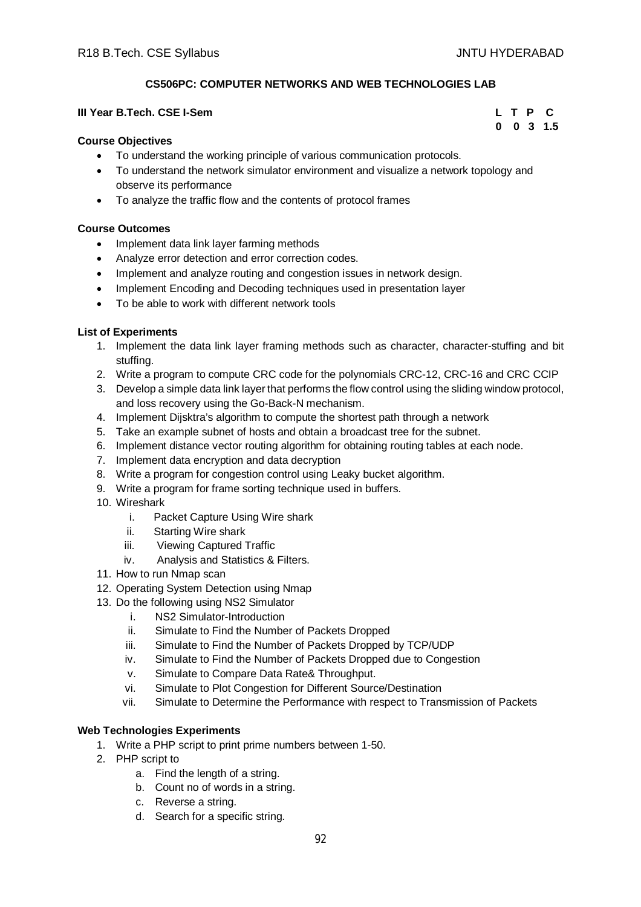# **CS506PC: COMPUTER NETWORKS AND WEB TECHNOLOGIES LAB**

# **III Year B.Tech. CSE I-Sem L T P C**

#### **Course Objectives**

- To understand the working principle of various communication protocols.
- To understand the network simulator environment and visualize a network topology and observe its performance
- To analyze the traffic flow and the contents of protocol frames

#### **Course Outcomes**

- Implement data link layer farming methods
- Analyze error detection and error correction codes.
- Implement and analyze routing and congestion issues in network design.
- Implement Encoding and Decoding techniques used in presentation layer
- To be able to work with different network tools

#### **List of Experiments**

- 1. Implement the data link layer framing methods such as character, character-stuffing and bit stuffing.
- 2. Write a program to compute CRC code for the polynomials CRC-12, CRC-16 and CRC CCIP
- 3. Develop a simple data link layer that performs the flow control using the sliding window protocol, and loss recovery using the Go-Back-N mechanism.
- 4. Implement Dijsktra's algorithm to compute the shortest path through a network
- 5. Take an example subnet of hosts and obtain a broadcast tree for the subnet.
- 6. Implement distance vector routing algorithm for obtaining routing tables at each node.
- 7. Implement data encryption and data decryption
- 8. Write a program for congestion control using Leaky bucket algorithm.
- 9. Write a program for frame sorting technique used in buffers.
- 10. Wireshark
	- i. Packet Capture Using Wire shark
	- ii. Starting Wire shark
	- iii. Viewing Captured Traffic
	- iv. Analysis and Statistics & Filters.
- 11. How to run Nmap scan
- 12. Operating System Detection using Nmap
- 13. Do the following using NS2 Simulator
	- i. NS2 Simulator-Introduction
	- ii. Simulate to Find the Number of Packets Dropped
	- iii. Simulate to Find the Number of Packets Dropped by TCP/UDP
	- iv. Simulate to Find the Number of Packets Dropped due to Congestion
	- v. Simulate to Compare Data Rate& Throughput.
	- vi. Simulate to Plot Congestion for Different Source/Destination
	- vii. Simulate to Determine the Performance with respect to Transmission of Packets

#### **Web Technologies Experiments**

- 1. Write a PHP script to print prime numbers between 1-50.
- 2. PHP script to
	- a. Find the length of a string.
	- b. Count no of words in a string.
	- c. Reverse a string.
	- d. Search for a specific string.

# **0 0 3 1.5**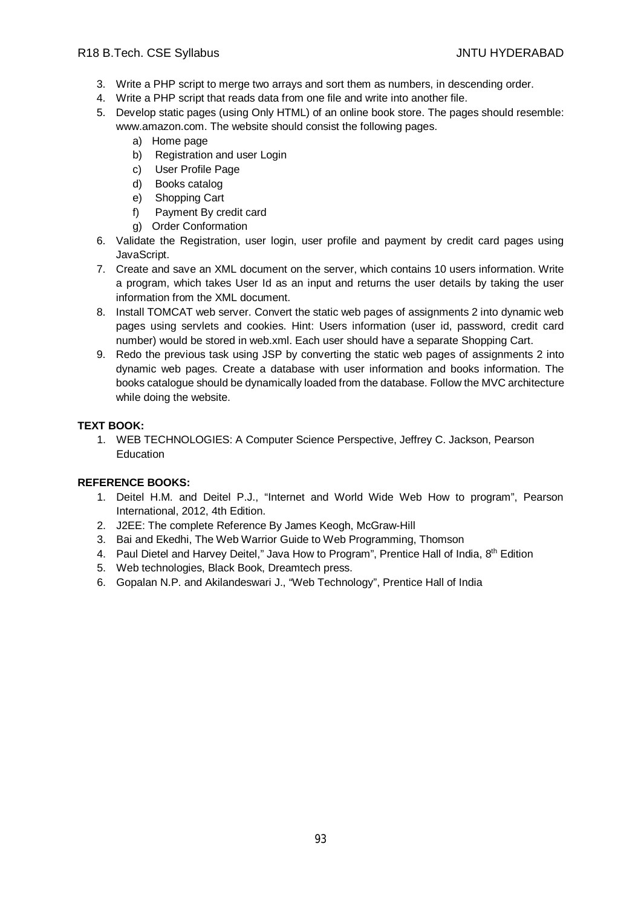# R18 B.Tech. CSE Syllabus JNTU HYDERABAD

- 3. Write a PHP script to merge two arrays and sort them as numbers, in descending order.
- 4. Write a PHP script that reads data from one file and write into another file.
- 5. Develop static pages (using Only HTML) of an online book store. The pages should resemble: [www.amazon.com.](http://www.amazon.com.) The website should consist the following pages.
	- a) Home page
	- b) Registration and user Login
	- c) User Profile Page
	- d) Books catalog
	- e) Shopping Cart
	- f) Payment By credit card
	- g) Order Conformation
- 6. Validate the Registration, user login, user profile and payment by credit card pages using JavaScript.
- 7. Create and save an XML document on the server, which contains 10 users information. Write a program, which takes User Id as an input and returns the user details by taking the user information from the XML document.
- 8. Install TOMCAT web server. Convert the static web pages of assignments 2 into dynamic web pages using servlets and cookies. Hint: Users information (user id, password, credit card number) would be stored in web.xml. Each user should have a separate Shopping Cart.
- 9. Redo the previous task using JSP by converting the static web pages of assignments 2 into dynamic web pages. Create a database with user information and books information. The books catalogue should be dynamically loaded from the database. Follow the MVC architecture while doing the website.

# **TEXT BOOK:**

1. WEB TECHNOLOGIES: A Computer Science Perspective, Jeffrey C. Jackson, Pearson Education

- 1. Deitel H.M. and Deitel P.J., "Internet and World Wide Web How to program", Pearson International, 2012, 4th Edition.
- 2. J2EE: The complete Reference By James Keogh, McGraw-Hill
- 3. Bai and Ekedhi, The Web Warrior Guide to Web Programming, Thomson
- 4. Paul Dietel and Harvey Deitel," Java How to Program", Prentice Hall of India, 8th Edition
- 5. Web technologies, Black Book, Dreamtech press.
- 6. Gopalan N.P. and Akilandeswari J., "Web Technology", Prentice Hall of India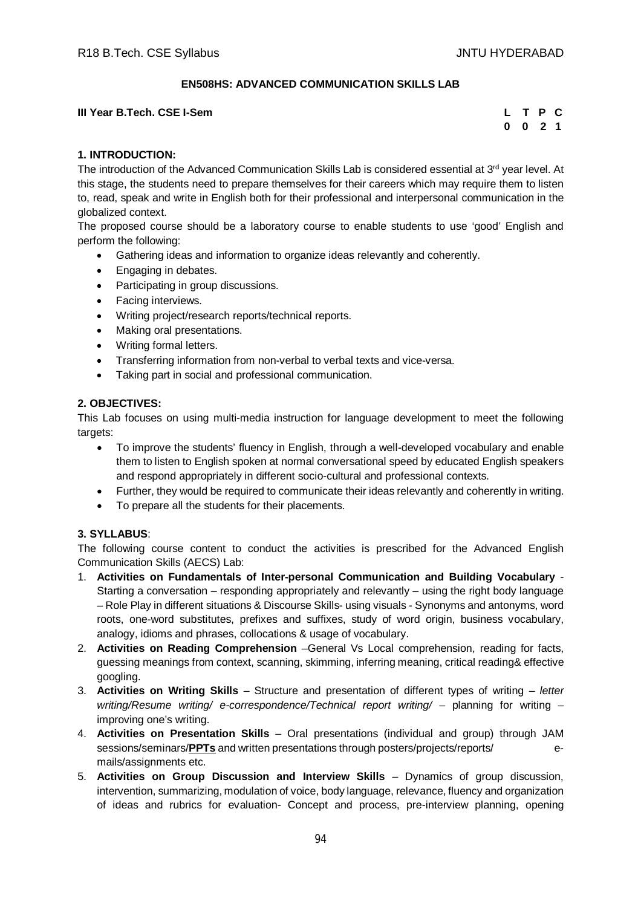# **EN508HS: ADVANCED COMMUNICATION SKILLS LAB**

**III Year B.Tech. CSE I-Sem** 

| L        | T P |                | С |
|----------|-----|----------------|---|
| $\bf{0}$ | 0   | $\overline{2}$ | 1 |

# **1. INTRODUCTION:**

The introduction of the Advanced Communication Skills Lab is considered essential at  $3<sup>rd</sup>$  year level. At this stage, the students need to prepare themselves for their careers which may require them to listen to, read, speak and write in English both for their professional and interpersonal communication in the globalized context.

The proposed course should be a laboratory course to enable students to use 'good' English and perform the following:

- Gathering ideas and information to organize ideas relevantly and coherently.
- Engaging in debates.
- Participating in group discussions.
- Facing interviews.
- Writing project/research reports/technical reports.
- Making oral presentations.
- Writing formal letters.
- Transferring information from non-verbal to verbal texts and vice-versa.
- Taking part in social and professional communication.

# **2. OBJECTIVES:**

This Lab focuses on using multi-media instruction for language development to meet the following targets:

- To improve the students' fluency in English, through a well-developed vocabulary and enable them to listen to English spoken at normal conversational speed by educated English speakers and respond appropriately in different socio-cultural and professional contexts.
- Further, they would be required to communicate their ideas relevantly and coherently in writing.
- To prepare all the students for their placements.

# **3. SYLLABUS**:

The following course content to conduct the activities is prescribed for the Advanced English Communication Skills (AECS) Lab:

- 1. **Activities on Fundamentals of Inter-personal Communication and Building Vocabulary**  Starting a conversation – responding appropriately and relevantly – using the right body language – Role Play in different situations & Discourse Skills- using visuals - Synonyms and antonyms, word roots, one-word substitutes, prefixes and suffixes, study of word origin, business vocabulary, analogy, idioms and phrases, collocations & usage of vocabulary.
- 2. **Activities on Reading Comprehension** –General Vs Local comprehension, reading for facts, guessing meanings from context, scanning, skimming, inferring meaning, critical reading& effective googling.
- 3. **Activities on Writing Skills** Structure and presentation of different types of writing *letter writing/Resume writing/ e-correspondence/Technical report writing/ – planning for writing –* improving one's writing.
- 4. **Activities on Presentation Skills** Oral presentations (individual and group) through JAM sessions/seminars/**PPTs** and written presentations through posters/projects/reports/ emails/assignments etc.
- 5. **Activities on Group Discussion and Interview Skills** Dynamics of group discussion, intervention, summarizing, modulation of voice, body language, relevance, fluency and organization of ideas and rubrics for evaluation- Concept and process, pre-interview planning, opening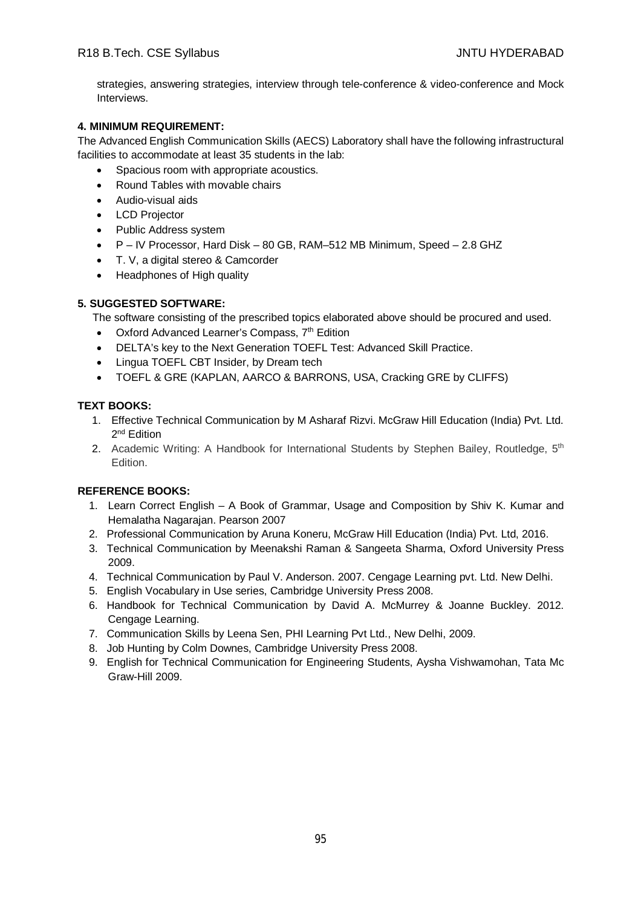strategies, answering strategies, interview through tele-conference & video-conference and Mock Interviews.

# **4. MINIMUM REQUIREMENT:**

The Advanced English Communication Skills (AECS) Laboratory shall have the following infrastructural facilities to accommodate at least 35 students in the lab:

- Spacious room with appropriate acoustics.
- Round Tables with movable chairs
- Audio-visual aids
- LCD Projector
- Public Address system
- P IV Processor, Hard Disk 80 GB, RAM–512 MB Minimum, Speed 2.8 GHZ
- T. V, a digital stereo & Camcorder
- Headphones of High quality

# **5. SUGGESTED SOFTWARE:**

The software consisting of the prescribed topics elaborated above should be procured and used.

- Oxford Advanced Learner's Compass, 7<sup>th</sup> Edition
- DELTA's key to the Next Generation TOEFL Test: Advanced Skill Practice.
- Lingua TOEFL CBT Insider, by Dream tech
- TOEFL & GRE (KAPLAN, AARCO & BARRONS, USA, Cracking GRE by CLIFFS)

# **TEXT BOOKS:**

- 1. Effective Technical Communication by M Asharaf Rizvi. McGraw Hill Education (India) Pvt. Ltd. 2<sup>nd</sup> Edition
- 2. Academic Writing: A Handbook for International Students by Stephen Bailey, Routledge, 5<sup>th</sup> Edition.

- 1. Learn Correct English A Book of Grammar, Usage and Composition by Shiv K. Kumar and Hemalatha Nagarajan. Pearson 2007
- 2. Professional Communication by Aruna Koneru, McGraw Hill Education (India) Pvt. Ltd, 2016.
- 3. Technical Communication by Meenakshi Raman & Sangeeta Sharma, Oxford University Press 2009.
- 4. Technical Communication by Paul V. Anderson. 2007. Cengage Learning pvt. Ltd. New Delhi.
- 5. English Vocabulary in Use series, Cambridge University Press 2008.
- 6. Handbook for Technical Communication by David A. McMurrey & Joanne Buckley. 2012. Cengage Learning.
- 7. Communication Skills by Leena Sen, PHI Learning Pvt Ltd., New Delhi, 2009.
- 8. Job Hunting by Colm Downes, Cambridge University Press 2008.
- 9. English for Technical Communication for Engineering Students, Aysha Vishwamohan, Tata Mc Graw-Hill 2009.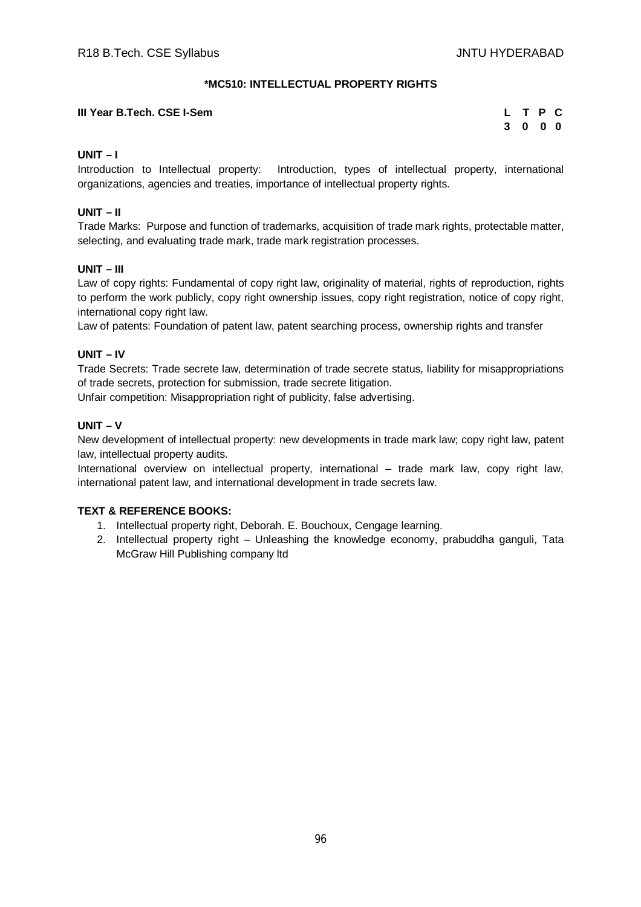# **\*MC510: INTELLECTUAL PROPERTY RIGHTS**

# **III Year B.Tech. CSE I-Sem**

| L. | T P |                                     | C |
|----|-----|-------------------------------------|---|
| 3  | 0   | $\begin{matrix} 0 & 0 \end{matrix}$ |   |

# **UNIT – I**

Introduction to Intellectual property: Introduction, types of intellectual property, international organizations, agencies and treaties, importance of intellectual property rights.

# **UNIT – II**

Trade Marks: Purpose and function of trademarks, acquisition of trade mark rights, protectable matter, selecting, and evaluating trade mark, trade mark registration processes.

# **UNIT – III**

Law of copy rights: Fundamental of copy right law, originality of material, rights of reproduction, rights to perform the work publicly, copy right ownership issues, copy right registration, notice of copy right, international copy right law.

Law of patents: Foundation of patent law, patent searching process, ownership rights and transfer

# **UNIT – IV**

Trade Secrets: Trade secrete law, determination of trade secrete status, liability for misappropriations of trade secrets, protection for submission, trade secrete litigation.

Unfair competition: Misappropriation right of publicity, false advertising.

# **UNIT – V**

New development of intellectual property: new developments in trade mark law; copy right law, patent law, intellectual property audits.

International overview on intellectual property, international – trade mark law, copy right law, international patent law, and international development in trade secrets law.

# **TEXT & REFERENCE BOOKS:**

- 1. Intellectual property right, Deborah. E. Bouchoux, Cengage learning.
- 2. Intellectual property right Unleashing the knowledge economy, prabuddha ganguli, Tata McGraw Hill Publishing company ltd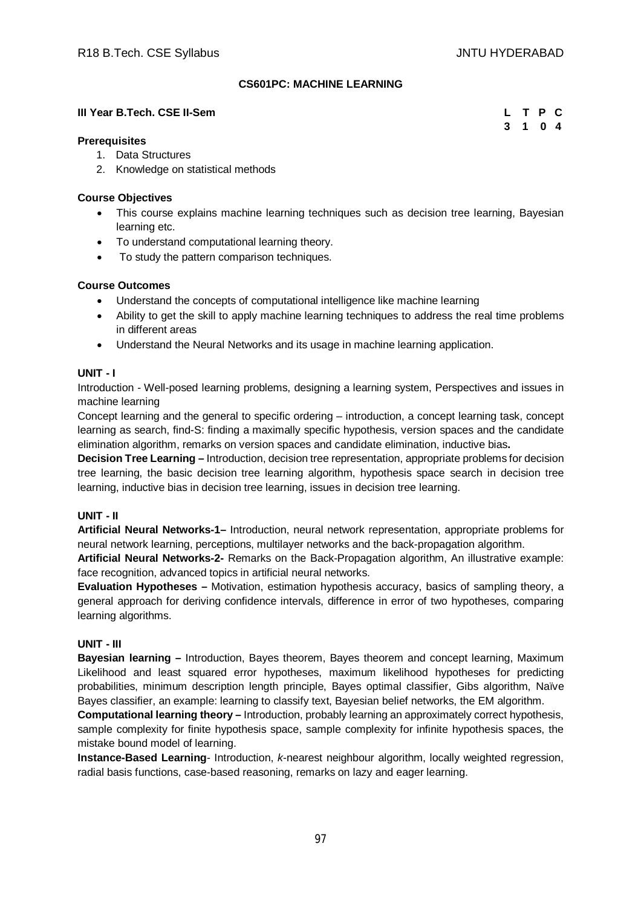**3 1 0 4**

# **CS601PC: MACHINE LEARNING**

#### **III Year B.Tech. CSE II-Sem L T P C**

#### **Prerequisites**

- 1. Data Structures
- 2. Knowledge on statistical methods

#### **Course Objectives**

- This course explains machine learning techniques such as decision tree learning, Bayesian learning etc.
- To understand computational learning theory.
- To study the pattern comparison techniques.

# **Course Outcomes**

- Understand the concepts of computational intelligence like machine learning
- Ability to get the skill to apply machine learning techniques to address the real time problems in different areas
- Understand the Neural Networks and its usage in machine learning application.

#### **UNIT - I**

Introduction - Well-posed learning problems, designing a learning system, Perspectives and issues in machine learning

Concept learning and the general to specific ordering – introduction, a concept learning task, concept learning as search, find-S: finding a maximally specific hypothesis, version spaces and the candidate elimination algorithm, remarks on version spaces and candidate elimination, inductive bias**.**

**Decision Tree Learning –** Introduction, decision tree representation, appropriate problems for decision tree learning, the basic decision tree learning algorithm, hypothesis space search in decision tree learning, inductive bias in decision tree learning, issues in decision tree learning.

# **UNIT - II**

**Artificial Neural Networks-1–** Introduction, neural network representation, appropriate problems for neural network learning, perceptions, multilayer networks and the back-propagation algorithm.

**Artificial Neural Networks-2-** Remarks on the Back-Propagation algorithm, An illustrative example: face recognition, advanced topics in artificial neural networks.

**Evaluation Hypotheses –** Motivation, estimation hypothesis accuracy, basics of sampling theory, a general approach for deriving confidence intervals, difference in error of two hypotheses, comparing learning algorithms.

# **UNIT - III**

**Bayesian learning –** Introduction, Bayes theorem, Bayes theorem and concept learning, Maximum Likelihood and least squared error hypotheses, maximum likelihood hypotheses for predicting probabilities, minimum description length principle, Bayes optimal classifier, Gibs algorithm, Naïve Bayes classifier, an example: learning to classify text, Bayesian belief networks, the EM algorithm.

**Computational learning theory –** Introduction, probably learning an approximately correct hypothesis, sample complexity for finite hypothesis space, sample complexity for infinite hypothesis spaces, the mistake bound model of learning.

**Instance-Based Learning**- Introduction, *k*-nearest neighbour algorithm, locally weighted regression, radial basis functions, case-based reasoning, remarks on lazy and eager learning.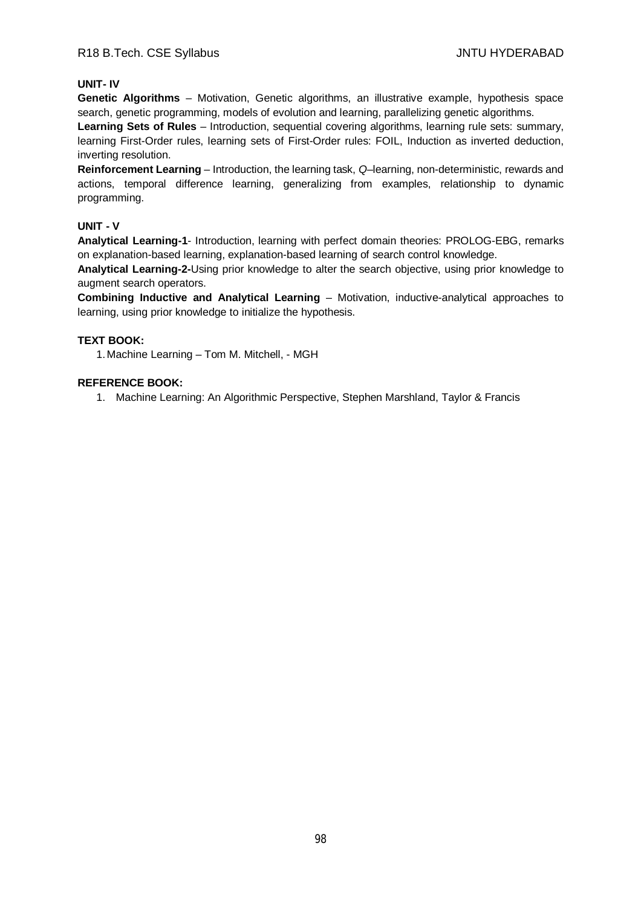# **UNIT- IV**

**Genetic Algorithms** – Motivation, Genetic algorithms, an illustrative example, hypothesis space search, genetic programming, models of evolution and learning, parallelizing genetic algorithms.

**Learning Sets of Rules** – Introduction, sequential covering algorithms, learning rule sets: summary, learning First-Order rules, learning sets of First-Order rules: FOIL, Induction as inverted deduction, inverting resolution.

**Reinforcement Learning** – Introduction, the learning task, *Q*–learning, non-deterministic, rewards and actions, temporal difference learning, generalizing from examples, relationship to dynamic programming.

# **UNIT - V**

**Analytical Learning-1**- Introduction, learning with perfect domain theories: PROLOG-EBG, remarks on explanation-based learning, explanation-based learning of search control knowledge.

**Analytical Learning-2-**Using prior knowledge to alter the search objective, using prior knowledge to augment search operators.

**Combining Inductive and Analytical Learning** – Motivation, inductive-analytical approaches to learning, using prior knowledge to initialize the hypothesis.

# **TEXT BOOK:**

1.Machine Learning – Tom M. Mitchell, - MGH

# **REFERENCE BOOK:**

1. Machine Learning: An Algorithmic Perspective, Stephen Marshland, Taylor & Francis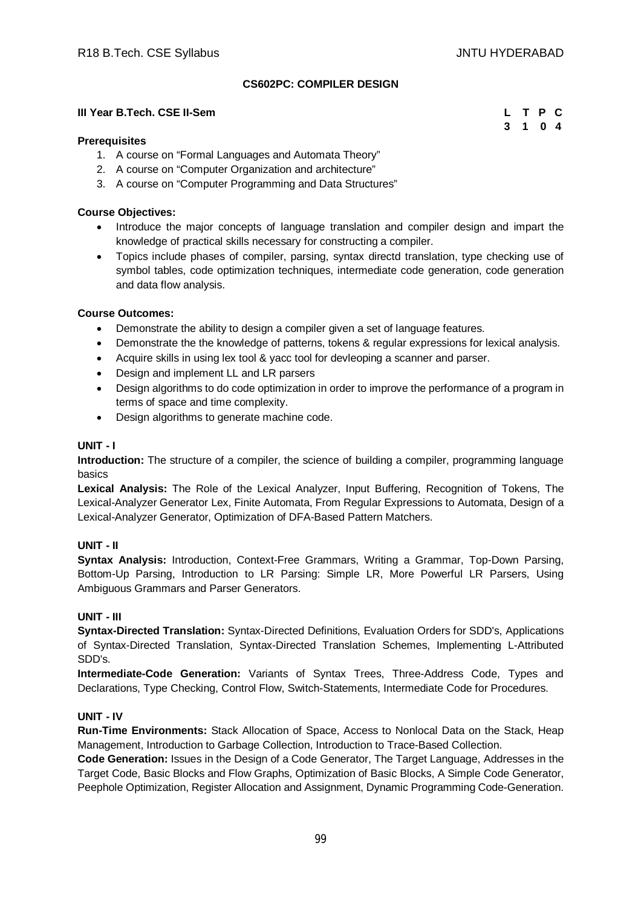# **CS602PC: COMPILER DESIGN**

#### **III Year B.Tech. CSE II-Sem**

#### **Prerequisites**

- 1. A course on "Formal Languages and Automata Theory"
- 2. A course on "Computer Organization and architecture"
- 3. A course on "Computer Programming and Data Structures"

#### **Course Objectives:**

- Introduce the major concepts of language translation and compiler design and impart the knowledge of practical skills necessary for constructing a compiler.
- Topics include phases of compiler, parsing, syntax directd translation, type checking use of symbol tables, code optimization techniques, intermediate code generation, code generation and data flow analysis.

#### **Course Outcomes:**

- Demonstrate the ability to design a compiler given a set of language features.
- Demonstrate the the knowledge of patterns, tokens & regular expressions for lexical analysis.
- Acquire skills in using lex tool & yacc tool for devleoping a scanner and parser.
- Design and implement LL and LR parsers
- Design algorithms to do code optimization in order to improve the performance of a program in terms of space and time complexity.
- Design algorithms to generate machine code.

#### **UNIT - I**

**Introduction:** The structure of a compiler, the science of building a compiler, programming language basics

**Lexical Analysis:** The Role of the Lexical Analyzer, Input Buffering, Recognition of Tokens, The Lexical-Analyzer Generator Lex, Finite Automata, From Regular Expressions to Automata, Design of a Lexical-Analyzer Generator, Optimization of DFA-Based Pattern Matchers.

# **UNIT - II**

**Syntax Analysis:** Introduction, Context-Free Grammars, Writing a Grammar, Top-Down Parsing, Bottom-Up Parsing, Introduction to LR Parsing: Simple LR, More Powerful LR Parsers, Using Ambiguous Grammars and Parser Generators.

#### **UNIT - III**

**Syntax-Directed Translation:** Syntax-Directed Definitions, Evaluation Orders for SDD's, Applications of Syntax-Directed Translation, Syntax-Directed Translation Schemes, Implementing L-Attributed SDD's.

**Intermediate-Code Generation:** Variants of Syntax Trees, Three-Address Code, Types and Declarations, Type Checking, Control Flow, Switch-Statements, Intermediate Code for Procedures.

#### **UNIT - IV**

**Run-Time Environments:** Stack Allocation of Space, Access to Nonlocal Data on the Stack, Heap Management, Introduction to Garbage Collection, Introduction to Trace-Based Collection.

**Code Generation:** Issues in the Design of a Code Generator, The Target Language, Addresses in the Target Code, Basic Blocks and Flow Graphs, Optimization of Basic Blocks, A Simple Code Generator, Peephole Optimization, Register Allocation and Assignment, Dynamic Programming Code-Generation.

| L | T P                  | C              |
|---|----------------------|----------------|
| 3 | $\blacktriangleleft$ | 0 <sub>4</sub> |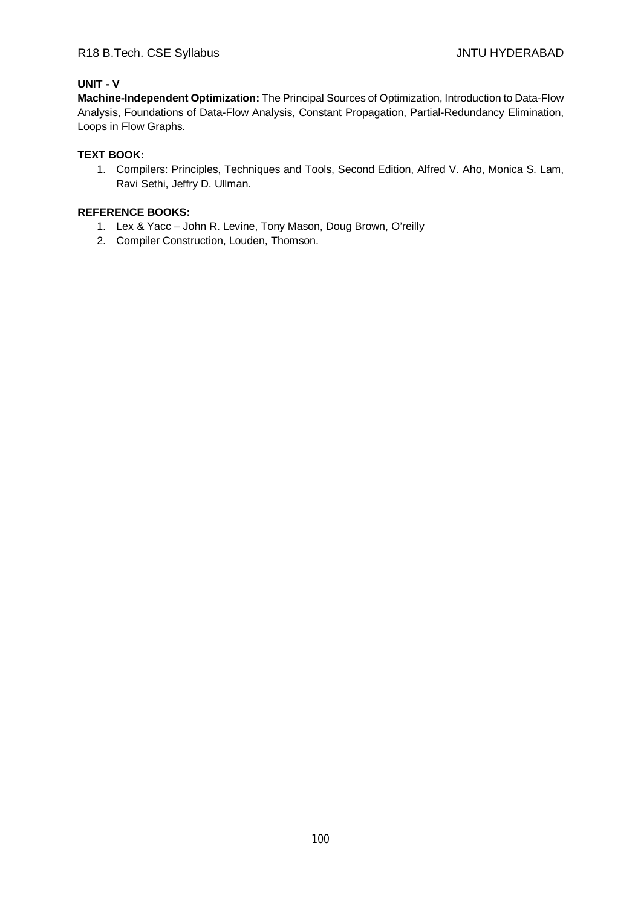# **UNIT - V**

**Machine-Independent Optimization:** The Principal Sources of Optimization, Introduction to Data-Flow Analysis, Foundations of Data-Flow Analysis, Constant Propagation, Partial-Redundancy Elimination, Loops in Flow Graphs.

# **TEXT BOOK:**

1. Compilers: Principles, Techniques and Tools, Second Edition, Alfred V. Aho, Monica S. Lam, Ravi Sethi, Jeffry D. Ullman.

- 1. Lex & Yacc John R. Levine, Tony Mason, Doug Brown, O'reilly
- 2. Compiler Construction, Louden, Thomson.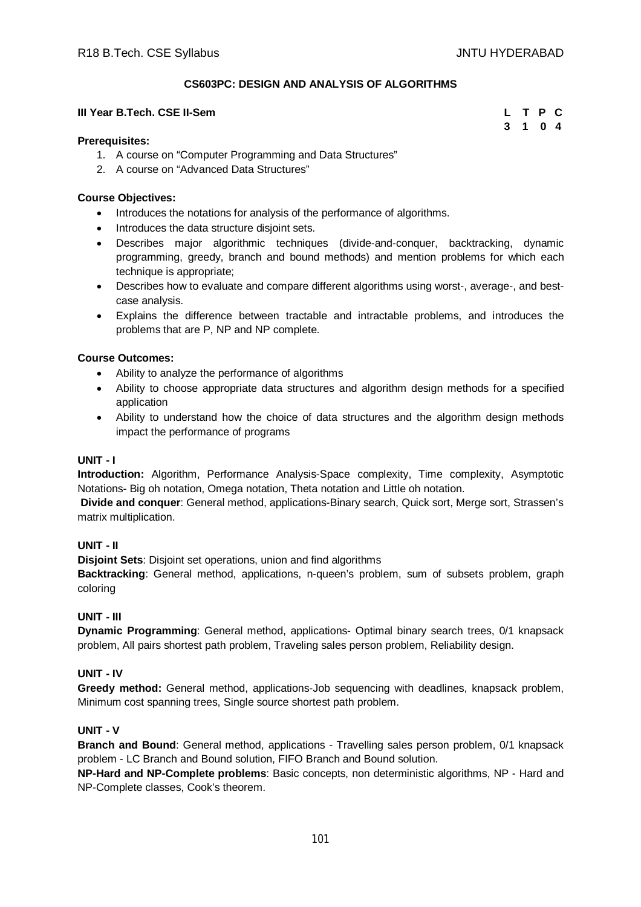# **CS603PC: DESIGN AND ANALYSIS OF ALGORITHMS**

#### **III Year B.Tech. CSE II-Sem**

| L |             | T P C          |  |
|---|-------------|----------------|--|
| 3 | $\mathbf 1$ | 0 <sub>4</sub> |  |

#### **Prerequisites:**

- 1. A course on "Computer Programming and Data Structures"
- 2. A course on "Advanced Data Structures"

#### **Course Objectives:**

- Introduces the notations for analysis of the performance of algorithms.
- Introduces the data structure disjoint sets.
- Describes major algorithmic techniques (divide-and-conquer, backtracking, dynamic programming, greedy, branch and bound methods) and mention problems for which each technique is appropriate;
- Describes how to evaluate and compare different algorithms using worst-, average-, and bestcase analysis.
- Explains the difference between tractable and intractable problems, and introduces the problems that are P, NP and NP complete.

#### **Course Outcomes:**

- Ability to analyze the performance of algorithms
- Ability to choose appropriate data structures and algorithm design methods for a specified application
- Ability to understand how the choice of data structures and the algorithm design methods impact the performance of programs

#### **UNIT - I**

**Introduction:** Algorithm, Performance Analysis-Space complexity, Time complexity, Asymptotic Notations- Big oh notation, Omega notation, Theta notation and Little oh notation.

**Divide and conquer**: General method, applications-Binary search, Quick sort, Merge sort, Strassen's matrix multiplication.

# **UNIT - II**

**Disjoint Sets**: Disjoint set operations, union and find algorithms

**Backtracking**: General method, applications, n-queen's problem, sum of subsets problem, graph coloring

# **UNIT - III**

**Dynamic Programming**: General method, applications- Optimal binary search trees, 0/1 knapsack problem, All pairs shortest path problem, Traveling sales person problem, Reliability design.

# **UNIT - IV**

**Greedy method:** General method, applications-Job sequencing with deadlines, knapsack problem, Minimum cost spanning trees, Single source shortest path problem.

# **UNIT - V**

**Branch and Bound**: General method, applications - Travelling sales person problem, 0/1 knapsack problem - LC Branch and Bound solution, FIFO Branch and Bound solution.

**NP-Hard and NP-Complete problems**: Basic concepts, non deterministic algorithms, NP - Hard and NP-Complete classes, Cook's theorem.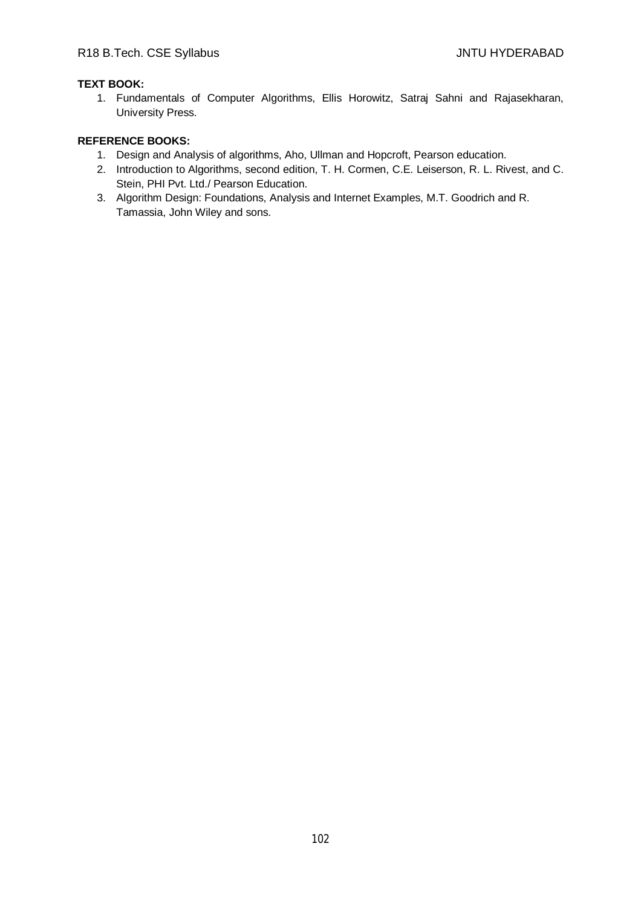# **TEXT BOOK:**

1. Fundamentals of Computer Algorithms, Ellis Horowitz, Satraj Sahni and Rajasekharan, University Press.

- 1. Design and Analysis of algorithms, Aho, Ullman and Hopcroft, Pearson education.
- 2. Introduction to Algorithms, second edition, T. H. Cormen, C.E. Leiserson, R. L. Rivest, and C. Stein, PHI Pvt. Ltd./ Pearson Education.
- 3. Algorithm Design: Foundations, Analysis and Internet Examples, M.T. Goodrich and R. Tamassia, John Wiley and sons.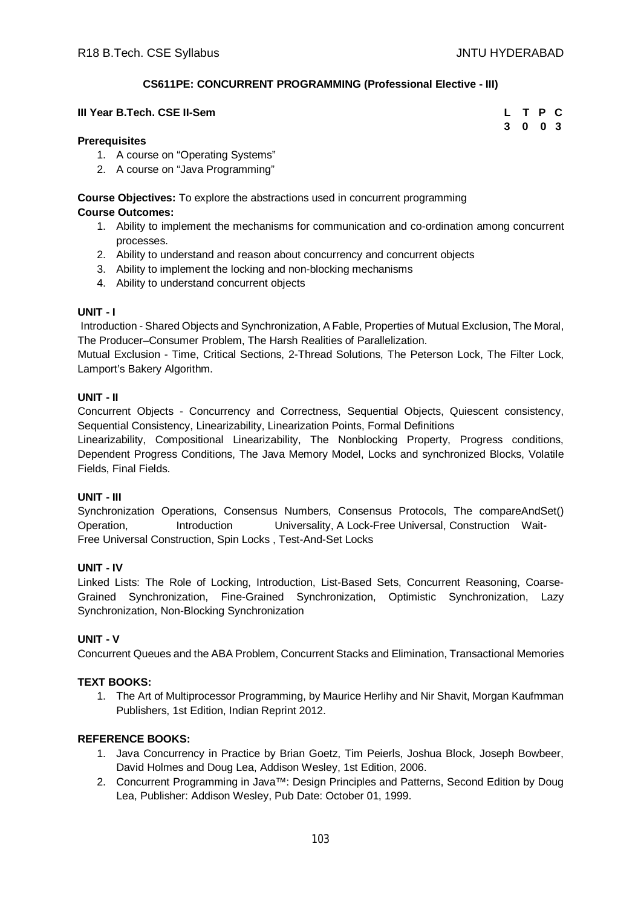# **CS611PE: CONCURRENT PROGRAMMING (Professional Elective - III)**

#### **III Year B.Tech. CSE II-Sem**

| L | т | $\mathsf{P}$   | C. |
|---|---|----------------|----|
| 3 | 0 | 0 <sup>3</sup> |    |

#### **Prerequisites**

- 1. A course on "Operating Systems"
- 2. A course on "Java Programming"

**Course Objectives:** To explore the abstractions used in concurrent programming

# **Course Outcomes:**

- 1. Ability to implement the mechanisms for communication and co-ordination among concurrent processes.
- 2. Ability to understand and reason about concurrency and concurrent objects
- 3. Ability to implement the locking and non-blocking mechanisms
- 4. Ability to understand concurrent objects

# **UNIT - I**

Introduction - Shared Objects and Synchronization, A Fable, Properties of Mutual Exclusion, The Moral, The Producer–Consumer Problem, The Harsh Realities of Parallelization.

Mutual Exclusion - Time, Critical Sections, 2-Thread Solutions, The Peterson Lock, The Filter Lock, Lamport's Bakery Algorithm.

# **UNIT - II**

Concurrent Objects - Concurrency and Correctness, Sequential Objects, Quiescent consistency, Sequential Consistency, Linearizability, Linearization Points, Formal Definitions

Linearizability, Compositional Linearizability, The Nonblocking Property, Progress conditions, Dependent Progress Conditions, The Java Memory Model, Locks and synchronized Blocks, Volatile Fields, Final Fields.

# **UNIT - III**

Synchronization Operations, Consensus Numbers, Consensus Protocols, The compareAndSet() Operation, Introduction Universality, A Lock-Free Universal, Construction Wait-Free Universal Construction, Spin Locks , Test-And-Set Locks

# **UNIT - IV**

Linked Lists: The Role of Locking, Introduction, List-Based Sets, Concurrent Reasoning, Coarse-Grained Synchronization, Fine-Grained Synchronization, Optimistic Synchronization, Lazy Synchronization, Non-Blocking Synchronization

# **UNIT - V**

Concurrent Queues and the ABA Problem, Concurrent Stacks and Elimination, Transactional Memories

# **TEXT BOOKS:**

1. The Art of Multiprocessor Programming, by Maurice Herlihy and Nir Shavit, Morgan Kaufmman Publishers, 1st Edition, Indian Reprint 2012.

- 1. Java Concurrency in Practice by Brian Goetz, Tim Peierls, Joshua Block, Joseph Bowbeer, David Holmes and Doug Lea, Addison Wesley, 1st Edition, 2006.
- 2. Concurrent Programming in Java™: Design Principles and Patterns, Second Edition by Doug Lea, Publisher: Addison Wesley, Pub Date: October 01, 1999.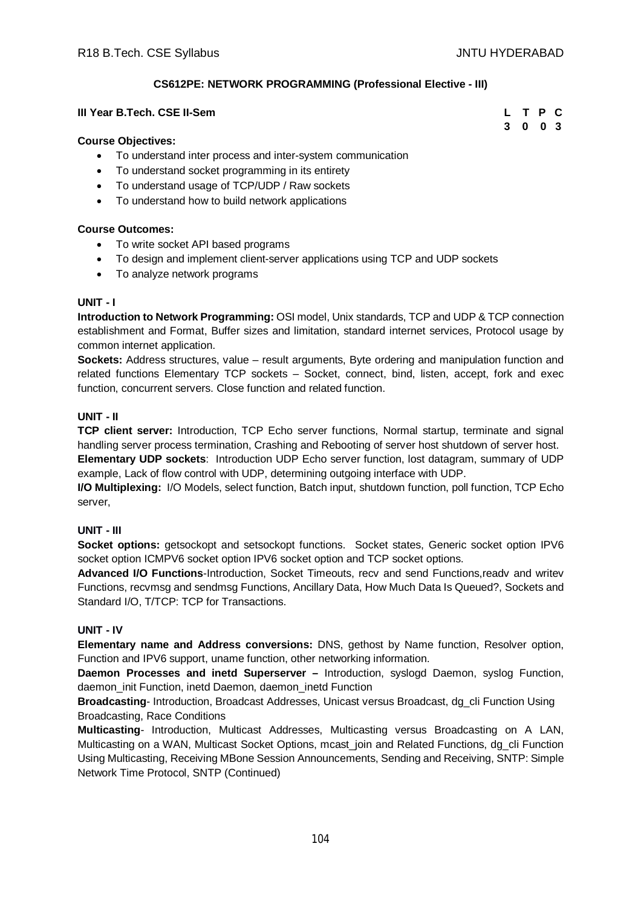**3 0 0 3**

# **CS612PE: NETWORK PROGRAMMING (Professional Elective - III)**

#### **III Year B.Tech. CSE II-Sem L T P C**

#### **Course Objectives:**

- To understand inter process and inter-system communication
- To understand socket programming in its entirety
- To understand usage of TCP/UDP / Raw sockets
- To understand how to build network applications

#### **Course Outcomes:**

- To write socket API based programs
- To design and implement client-server applications using TCP and UDP sockets
- To analyze network programs

#### **UNIT - I**

**Introduction to Network Programming:** OSI model, Unix standards, TCP and UDP & TCP connection establishment and Format, Buffer sizes and limitation, standard internet services, Protocol usage by common internet application.

**Sockets:** Address structures, value – result arguments, Byte ordering and manipulation function and related functions Elementary TCP sockets – Socket, connect, bind, listen, accept, fork and exec function, concurrent servers. Close function and related function.

# **UNIT - II**

**TCP client server:** Introduction, TCP Echo server functions, Normal startup, terminate and signal handling server process termination, Crashing and Rebooting of server host shutdown of server host.

**Elementary UDP sockets**: Introduction UDP Echo server function, lost datagram, summary of UDP example, Lack of flow control with UDP, determining outgoing interface with UDP.

**I/O Multiplexing:** I/O Models, select function, Batch input, shutdown function, poll function, TCP Echo server,

# **UNIT - III**

**Socket options:** getsockopt and setsockopt functions. Socket states, Generic socket option IPV6 socket option ICMPV6 socket option IPV6 socket option and TCP socket options.

**Advanced I/O Functions**-Introduction, Socket Timeouts, recv and send Functions,readv and writev Functions, recvmsg and sendmsg Functions, Ancillary Data, How Much Data Is Queued?, Sockets and Standard I/O, T/TCP: TCP for Transactions.

# **UNIT - IV**

**Elementary name and Address conversions:** DNS, gethost by Name function, Resolver option, Function and IPV6 support, uname function, other networking information.

**Daemon Processes and inetd Superserver –** Introduction, syslogd Daemon, syslog Function, daemon\_init Function, inetd Daemon, daemon\_inetd Function

**Broadcasting**- Introduction, Broadcast Addresses, Unicast versus Broadcast, dg\_cli Function Using Broadcasting, Race Conditions

**Multicasting**- Introduction, Multicast Addresses, Multicasting versus Broadcasting on A LAN, Multicasting on a WAN, Multicast Socket Options, mcast\_join and Related Functions, dg\_cli Function Using Multicasting, Receiving MBone Session Announcements, Sending and Receiving, SNTP: Simple Network Time Protocol, SNTP (Continued)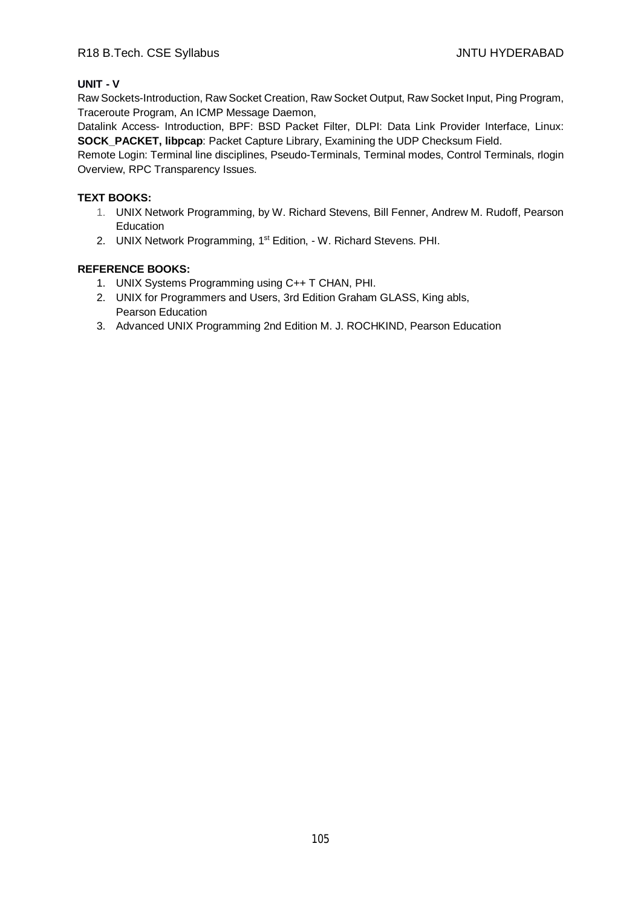# R18 B.Tech. CSE Syllabus **All Accords** CSE Syllabus **JNTU HYDERABAD**

# **UNIT - V**

Raw Sockets-Introduction, Raw Socket Creation, Raw Socket Output, Raw Socket Input, Ping Program, Traceroute Program, An ICMP Message Daemon,

Datalink Access- Introduction, BPF: BSD Packet Filter, DLPI: Data Link Provider Interface, Linux: **SOCK\_PACKET, libpcap**: Packet Capture Library, Examining the UDP Checksum Field.

Remote Login: Terminal line disciplines, Pseudo-Terminals, Terminal modes, Control Terminals, rlogin Overview, RPC Transparency Issues.

# **TEXT BOOKS:**

- 1. UNIX Network Programming, by W. Richard Stevens, Bill Fenner, Andrew M. Rudoff, Pearson Education
- 2. UNIX Network Programming, 1<sup>st</sup> Edition, W. Richard Stevens. PHI.

- 1. UNIX Systems Programming using C++ T CHAN, PHI.
- 2. UNIX for Programmers and Users, 3rd Edition Graham GLASS, King abls, Pearson Education
- 3. Advanced UNIX Programming 2nd Edition M. J. ROCHKIND, Pearson Education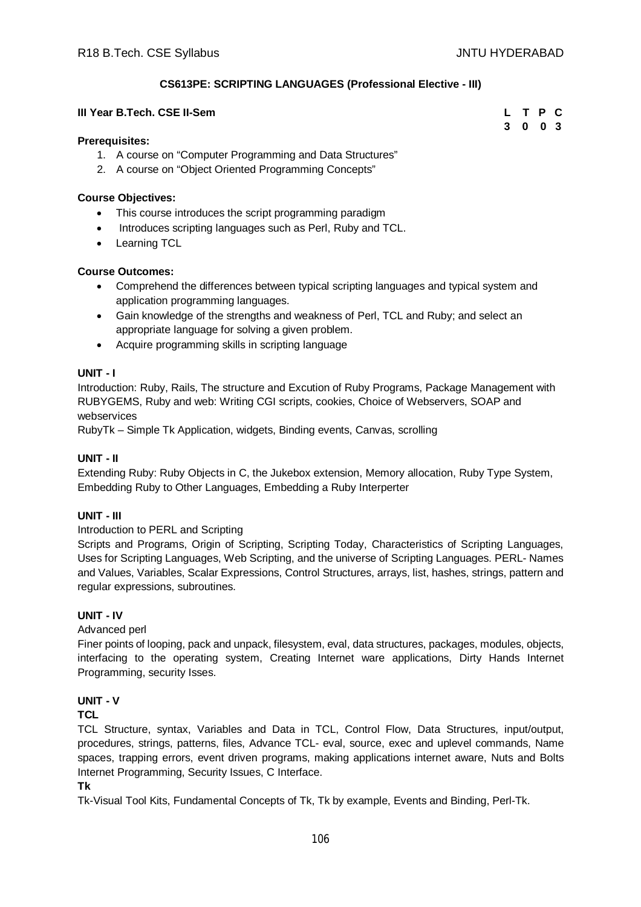# **CS613PE: SCRIPTING LANGUAGES (Professional Elective - III)**

#### **III Year B.Tech. CSE II-Sem**

| L | т | -P | C.  |
|---|---|----|-----|
| 3 | 0 | 0  | - 3 |

#### **Prerequisites:**

- 1. A course on "Computer Programming and Data Structures"
- 2. A course on "Object Oriented Programming Concepts"

#### **Course Objectives:**

- This course introduces the script programming paradigm
- Introduces scripting languages such as Perl, Ruby and TCL.
- Learning TCL

# **Course Outcomes:**

- Comprehend the differences between typical scripting languages and typical system and application programming languages.
- Gain knowledge of the strengths and weakness of Perl, TCL and Ruby; and select an appropriate language for solving a given problem.
- Acquire programming skills in scripting language

# **UNIT - I**

Introduction: Ruby, Rails, The structure and Excution of Ruby Programs, Package Management with RUBYGEMS, Ruby and web: Writing CGI scripts, cookies, Choice of Webservers, SOAP and webservices

RubyTk – Simple Tk Application, widgets, Binding events, Canvas, scrolling

#### **UNIT - II**

Extending Ruby: Ruby Objects in C, the Jukebox extension, Memory allocation, Ruby Type System, Embedding Ruby to Other Languages, Embedding a Ruby Interperter

# **UNIT - III**

Introduction to PERL and Scripting

Scripts and Programs, Origin of Scripting, Scripting Today, Characteristics of Scripting Languages, Uses for Scripting Languages, Web Scripting, and the universe of Scripting Languages. PERL- Names and Values, Variables, Scalar Expressions, Control Structures, arrays, list, hashes, strings, pattern and regular expressions, subroutines.

# **UNIT - IV**

#### Advanced perl

Finer points of looping, pack and unpack, filesystem, eval, data structures, packages, modules, objects, interfacing to the operating system, Creating Internet ware applications, Dirty Hands Internet Programming, security Isses.

# **UNIT - V**

# **TCL**

TCL Structure, syntax, Variables and Data in TCL, Control Flow, Data Structures, input/output, procedures, strings, patterns, files, Advance TCL- eval, source, exec and uplevel commands, Name spaces, trapping errors, event driven programs, making applications internet aware, Nuts and Bolts Internet Programming, Security Issues, C Interface.

# **Tk**

Tk-Visual Tool Kits, Fundamental Concepts of Tk, Tk by example, Events and Binding, Perl-Tk.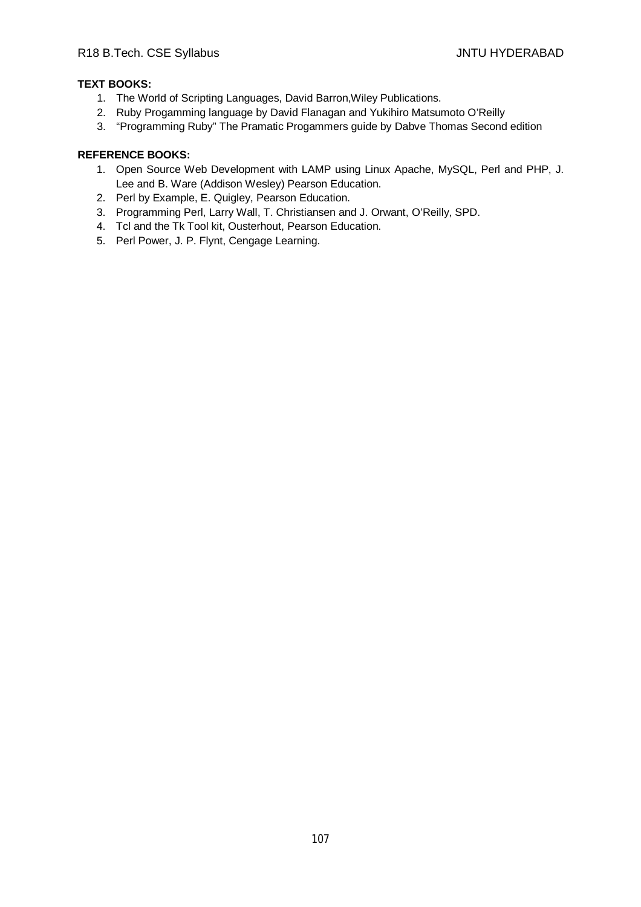# **TEXT BOOKS:**

- 1. The World of Scripting Languages, David Barron,Wiley Publications.
- 2. Ruby Progamming language by David Flanagan and Yukihiro Matsumoto O'Reilly
- 3. "Programming Ruby" The Pramatic Progammers guide by Dabve Thomas Second edition

- 1. Open Source Web Development with LAMP using Linux Apache, MySQL, Perl and PHP, J. Lee and B. Ware (Addison Wesley) Pearson Education.
- 2. Perl by Example, E. Quigley, Pearson Education.
- 3. Programming Perl, Larry Wall, T. Christiansen and J. Orwant, O'Reilly, SPD.
- 4. Tcl and the Tk Tool kit, Ousterhout, Pearson Education.
- 5. Perl Power, J. P. Flynt, Cengage Learning.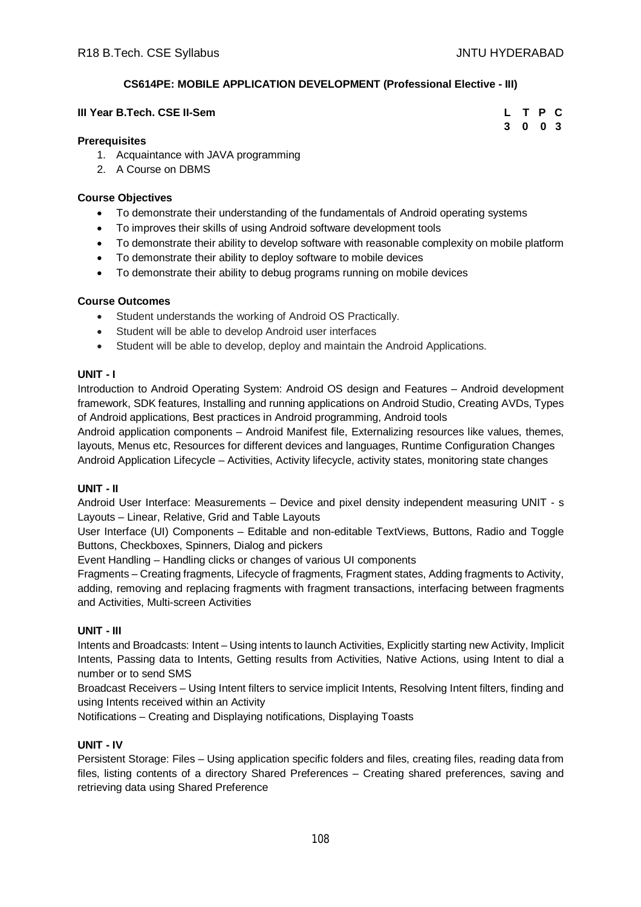# **CS614PE: MOBILE APPLICATION DEVELOPMENT (Professional Elective - III)**

| III Year B.Tech. CSE II-Sem | L T P C |  |  |
|-----------------------------|---------|--|--|
|                             | 3 0 0 3 |  |  |

# **Prerequisites**

- 1. Acquaintance with JAVA programming
- 2. A Course on DBMS

# **Course Objectives**

- To demonstrate their understanding of the fundamentals of Android operating systems
- To improves their skills of using Android software development tools
- To demonstrate their ability to develop software with reasonable complexity on mobile platform
- To demonstrate their ability to deploy software to mobile devices
- To demonstrate their ability to debug programs running on mobile devices

# **Course Outcomes**

- Student understands the working of Android OS Practically.
- Student will be able to develop Android user interfaces
- Student will be able to develop, deploy and maintain the Android Applications.

# **UNIT - I**

Introduction to Android Operating System: Android OS design and Features – Android development framework, SDK features, Installing and running applications on Android Studio, Creating AVDs, Types of Android applications, Best practices in Android programming, Android tools

Android application components – Android Manifest file, Externalizing resources like values, themes, layouts, Menus etc, Resources for different devices and languages, Runtime Configuration Changes Android Application Lifecycle – Activities, Activity lifecycle, activity states, monitoring state changes

# **UNIT - II**

Android User Interface: Measurements – Device and pixel density independent measuring UNIT - s Layouts – Linear, Relative, Grid and Table Layouts

User Interface (UI) Components – Editable and non-editable TextViews, Buttons, Radio and Toggle Buttons, Checkboxes, Spinners, Dialog and pickers

Event Handling – Handling clicks or changes of various UI components

Fragments – Creating fragments, Lifecycle of fragments, Fragment states, Adding fragments to Activity, adding, removing and replacing fragments with fragment transactions, interfacing between fragments and Activities, Multi-screen Activities

# **UNIT - III**

Intents and Broadcasts: Intent – Using intents to launch Activities, Explicitly starting new Activity, Implicit Intents, Passing data to Intents, Getting results from Activities, Native Actions, using Intent to dial a number or to send SMS

Broadcast Receivers – Using Intent filters to service implicit Intents, Resolving Intent filters, finding and using Intents received within an Activity

Notifications – Creating and Displaying notifications, Displaying Toasts

# **UNIT - IV**

Persistent Storage: Files – Using application specific folders and files, creating files, reading data from files, listing contents of a directory Shared Preferences – Creating shared preferences, saving and retrieving data using Shared Preference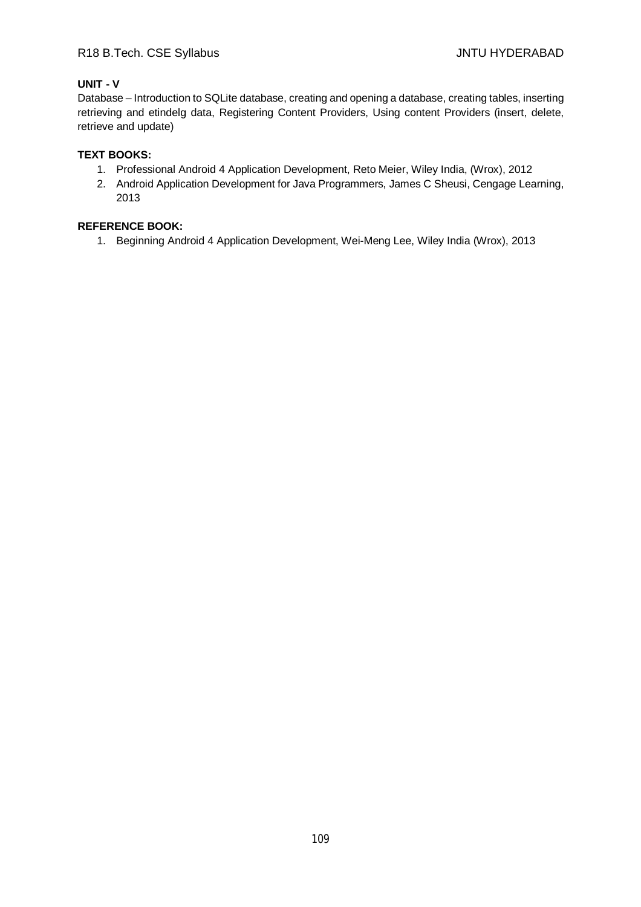# R18 B.Tech. CSE Syllabus **All Accords** CSE Syllabus **JNTU HYDERABAD**

# **UNIT - V**

Database – Introduction to SQLite database, creating and opening a database, creating tables, inserting retrieving and etindelg data, Registering Content Providers, Using content Providers (insert, delete, retrieve and update)

## **TEXT BOOKS:**

- 1. Professional Android 4 Application Development, Reto Meier, Wiley India, (Wrox), 2012
- 2. Android Application Development for Java Programmers, James C Sheusi, Cengage Learning, 2013

# **REFERENCE BOOK:**

1. Beginning Android 4 Application Development, Wei-Meng Lee, Wiley India (Wrox), 2013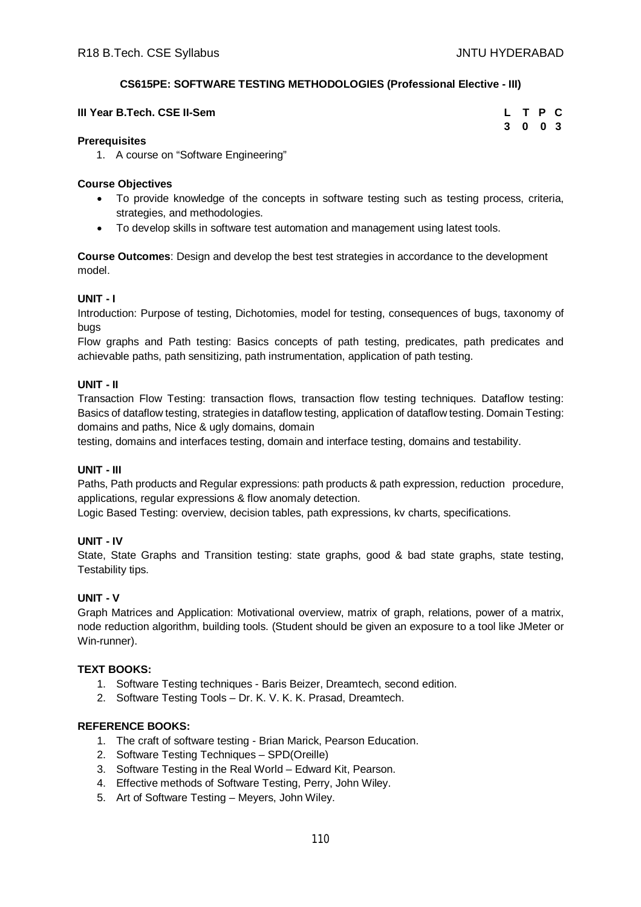# **CS615PE: SOFTWARE TESTING METHODOLOGIES (Professional Elective - III)**

| III Year B.Tech. CSE II-Sem | L T P C |  |  |
|-----------------------------|---------|--|--|
|                             | 3 0 0 3 |  |  |

## **Prerequisites**

1. A course on "Software Engineering"

#### **Course Objectives**

- To provide knowledge of the concepts in software testing such as testing process, criteria, strategies, and methodologies.
- To develop skills in software test automation and management using latest tools.

**Course Outcomes**: Design and develop the best test strategies in accordance to the development model.

## **UNIT - I**

Introduction: Purpose of testing, Dichotomies, model for testing, consequences of bugs, taxonomy of bugs

Flow graphs and Path testing: Basics concepts of path testing, predicates, path predicates and achievable paths, path sensitizing, path instrumentation, application of path testing.

#### **UNIT - II**

Transaction Flow Testing: transaction flows, transaction flow testing techniques. Dataflow testing: Basics of dataflow testing, strategies in dataflow testing, application of dataflow testing. Domain Testing: domains and paths, Nice & ugly domains, domain

testing, domains and interfaces testing, domain and interface testing, domains and testability.

## **UNIT - III**

Paths, Path products and Regular expressions: path products & path expression, reduction procedure, applications, regular expressions & flow anomaly detection.

Logic Based Testing: overview, decision tables, path expressions, kv charts, specifications.

## **UNIT - IV**

State, State Graphs and Transition testing: state graphs, good & bad state graphs, state testing, Testability tips.

## **UNIT - V**

Graph Matrices and Application: Motivational overview, matrix of graph, relations, power of a matrix, node reduction algorithm, building tools. (Student should be given an exposure to a tool like JMeter or Win-runner).

## **TEXT BOOKS:**

- 1. Software Testing techniques Baris Beizer, Dreamtech, second edition.
- 2. Software Testing Tools Dr. K. V. K. K. Prasad, Dreamtech.

- 1. The craft of software testing Brian Marick, Pearson Education.
- 2. Software Testing Techniques SPD(Oreille)
- 3. Software Testing in the Real World Edward Kit, Pearson.
- 4. Effective methods of Software Testing, Perry, John Wiley.
- 5. Art of Software Testing Meyers, John Wiley.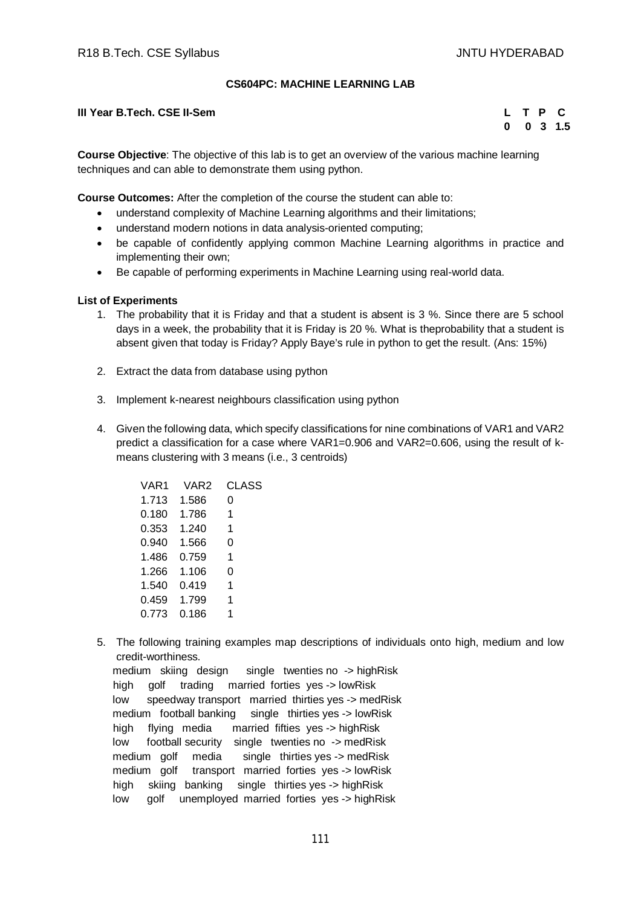## **CS604PC: MACHINE LEARNING LAB**

**III Year B.Tech. CSE II-Sem** 

|   | т | Р                       | c   |
|---|---|-------------------------|-----|
| 0 | 0 | $\overline{\mathbf{3}}$ | 1.5 |

**Course Objective**: The objective of this lab is to get an overview of the various machine learning techniques and can able to demonstrate them using python.

**Course Outcomes:** After the completion of the course the student can able to:

- understand complexity of Machine Learning algorithms and their limitations;
- understand modern notions in data analysis-oriented computing;
- be capable of confidently applying common Machine Learning algorithms in practice and implementing their own;
- Be capable of performing experiments in Machine Learning using real-world data.

#### **List of Experiments**

- 1. The probability that it is Friday and that a student is absent is 3 %. Since there are 5 school days in a week, the probability that it is Friday is 20 %. What is theprobability that a student is absent given that today is Friday? Apply Baye's rule in python to get the result. (Ans: 15%)
- 2. Extract the data from database using python
- 3. Implement k-nearest neighbours classification using python
- 4. Given the following data, which specify classifications for nine combinations of VAR1 and VAR2 predict a classification for a case where VAR1=0.906 and VAR2=0.606, using the result of kmeans clustering with 3 means (i.e., 3 centroids)

| VAR1  | VAR <sub>2</sub> | <b>CLASS</b> |
|-------|------------------|--------------|
| 1.713 | 1.586            | 0            |
| 0.180 | 1.786            | 1            |
| 0.353 | 1.240            | 1            |
| 0.940 | 1.566            | 0            |
| 1.486 | 0.759            | 1            |
| 1.266 | 1.106            | 0            |
| 1.540 | 0.419            | 1            |
| 0.459 | 1.799            | 1            |
| 0.773 | 0.186            | 1            |
|       |                  |              |

5. The following training examples map descriptions of individuals onto high, medium and low credit-worthiness.

 medium skiing design single twenties no -> highRisk high golf trading married forties yes -> lowRisk low speedway transport married thirties yes -> medRisk medium football banking single thirties yes -> lowRisk high flying media married fifties yes -> highRisk low football security single twenties no -> medRisk medium golf media single thirties yes -> medRisk medium golf transport married forties yes -> lowRisk high skiing banking single thirties yes -> highRisk low golf unemployed married forties yes -> highRisk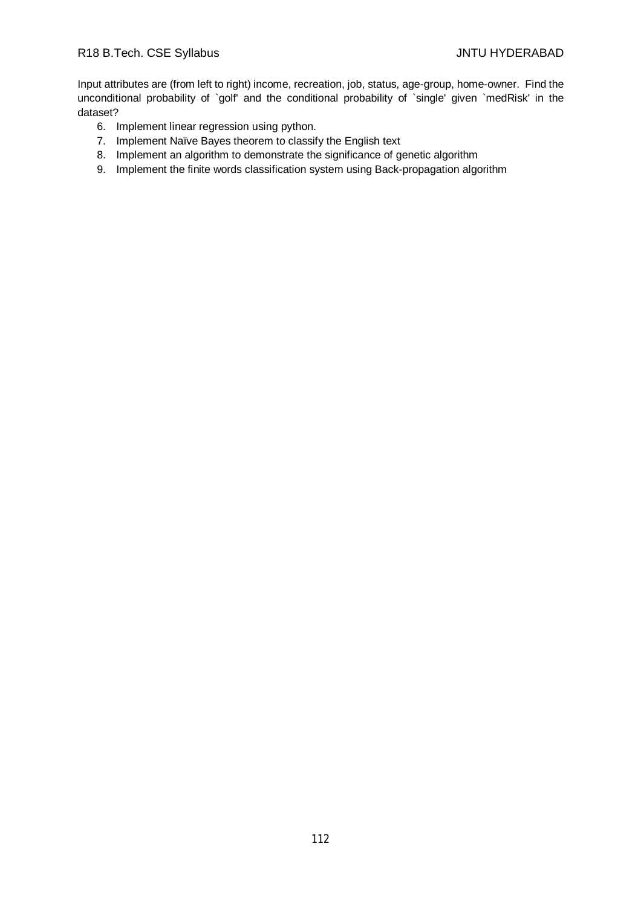Input attributes are (from left to right) income, recreation, job, status, age-group, home-owner. Find the unconditional probability of `golf' and the conditional probability of `single' given `medRisk' in the dataset?

- 6. Implement linear regression using python.
- 7. Implement Naïve Bayes theorem to classify the English text
- 8. Implement an algorithm to demonstrate the significance of genetic algorithm
- 9. Implement the finite words classification system using Back-propagation algorithm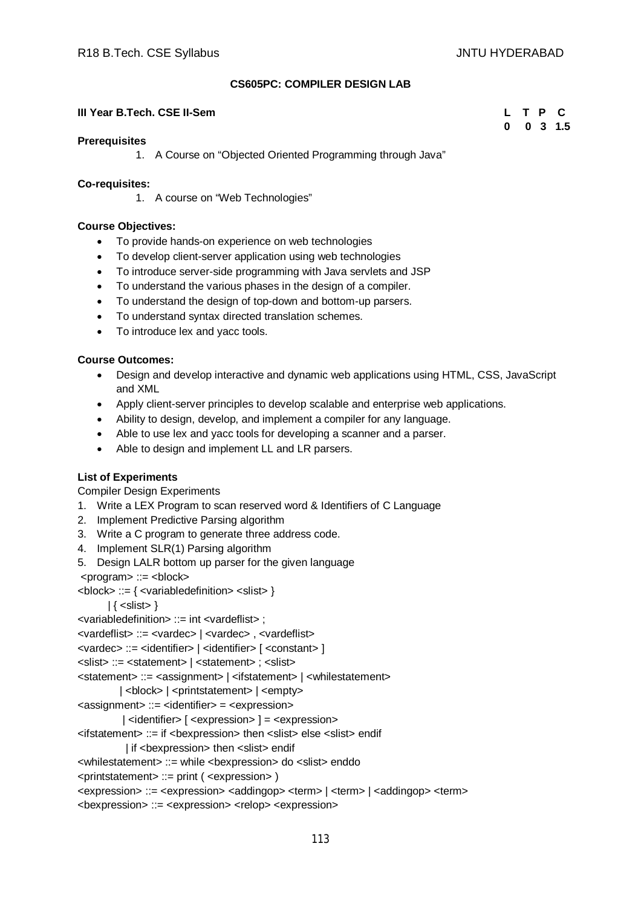#### **CS605PC: COMPILER DESIGN LAB**

#### **III Year B.Tech. CSE II-Sem L** The contract of the contract of the contract of the contract of the contract of the contract of the contract of the contract of the contract of the contract of the contract of the contract

| L | т | $\mathsf{P}$ | c   |
|---|---|--------------|-----|
| 0 | 0 | $\mathbf{3}$ | 1.5 |

#### **Prerequisites**

1. A Course on "Objected Oriented Programming through Java"

#### **Co-requisites:**

1. A course on "Web Technologies"

#### **Course Objectives:**

- To provide hands-on experience on web technologies
- To develop client-server application using web technologies
- To introduce server-side programming with Java servlets and JSP
- To understand the various phases in the design of a compiler.
- To understand the design of top-down and bottom-up parsers.
- To understand syntax directed translation schemes.
- To introduce lex and yacc tools.

#### **Course Outcomes:**

- Design and develop interactive and dynamic web applications using HTML, CSS, JavaScript and XML
- Apply client-server principles to develop scalable and enterprise web applications.
- Ability to design, develop, and implement a compiler for any language.
- Able to use lex and yacc tools for developing a scanner and a parser.
- Able to design and implement LL and LR parsers.

## **List of Experiments**

Compiler Design Experiments

- 1. Write a LEX Program to scan reserved word & Identifiers of C Language
- 2. Implement Predictive Parsing algorithm
- 3. Write a C program to generate three address code.
- 4. Implement SLR(1) Parsing algorithm
- 5. Design LALR bottom up parser for the given language
- <program> ::= <block>

```
<block> ::= { <variabledefinition> <slist> }
```
 $| \{$  < slist >  $\}$ 

```
<variabledefinition> ::= int <vardeflist> ;
```
<vardeflist> ::= <vardec> | <vardec> , <vardeflist>

```
<vardec> ::= <identifier> | <identifier> [ <constant> ]
```

```
<slist> ::= <statement> | <statement> ; <slist>
```
<statement> ::= <assignment> | <ifstatement> | <whilestatement>

```
| <br />block> | <printstatement> | <empty>
```

```
<assignment> ::= <identifier> = <expression>
```
 $\vert$  <identifier>  $\vert$  <expression>  $\vert$  = <expression>

<ifstatement> ::= if <bexpression> then <slist> else <slist> endif

```
| if <bexpression> then <slist> endif
```

```
<whilestatement> ::= while <bexpression> do <slist> enddo
```

```
<printstatement> ::= print ( <expression> )
```

```
<expression> ::= <expression> <addingop> <term> | <term> | <addingop> <term>
```

```
<bexpression> ::= <expression> <relop> <expression>
```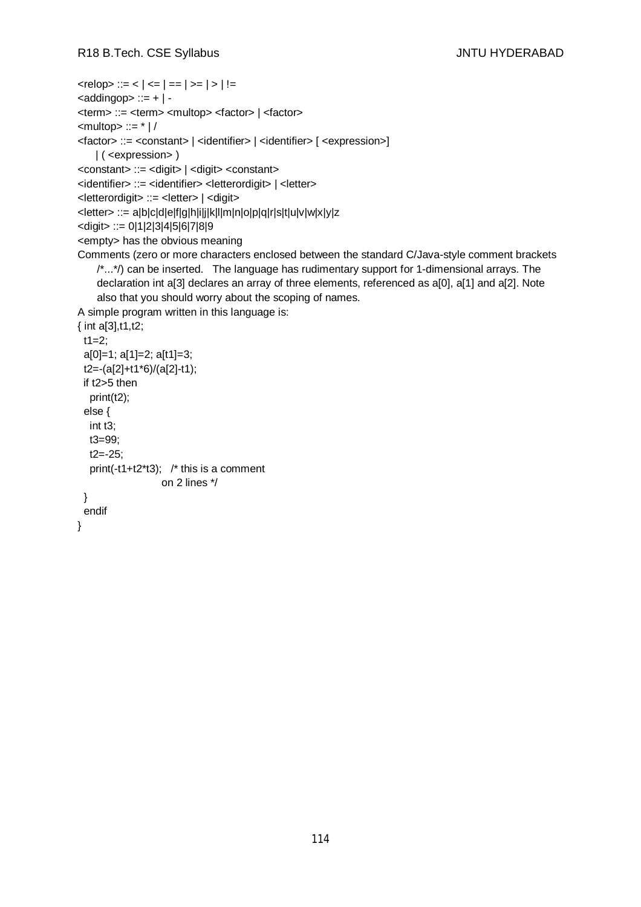```
\langle <relop> ::= \langle | \langle = | == | >= | > | !=
\leqaddingop> ::= + | -
<term> ::= <term> <multop> <factor> | <factor>
\leqmultop\geq ::= * |/
<factor> ::= <constant> | <identifier> | <identifier> [ <expression>]
    | ( <expression> )
<constant> ::= <digit> | <digit> <constant>
<identifier> ::= <identifier> <letterordigit> | <letter>
<letterordigit> ::= <letter> | <digit>
<letter> ::= a|b|c|d|e|f|g|h|i|j|k|l|m|n|o|p|q|r|s|t|u|v|w|x|y|z
<digit> ::= 0|1|2|3|4|5|6|7|8|9
<empty> has the obvious meaning
Comments (zero or more characters enclosed between the standard C/Java-style comment brackets 
    \langle \cdot, \cdot, \cdot \rangle can be inserted. The language has rudimentary support for 1-dimensional arrays. The
    declaration int a[3] declares an array of three elements, referenced as a[0], a[1] and a[2]. Note 
    also that you should worry about the scoping of names. 
A simple program written in this language is: 
{ int a[3],t1,t2;
 t1=2;
  a[0]=1; a[1]=2; a[t1]=3;
  t2=-(a[2]+t1*6)/(a[2]-t1);
  if t2>5 then
   print(t2);
  else {
   int t3;
   t3=99;
   t2=-25;
   print(-t1+t2*t3); /* this is a comment
                    on 2 lines */
  }
  endif
}
```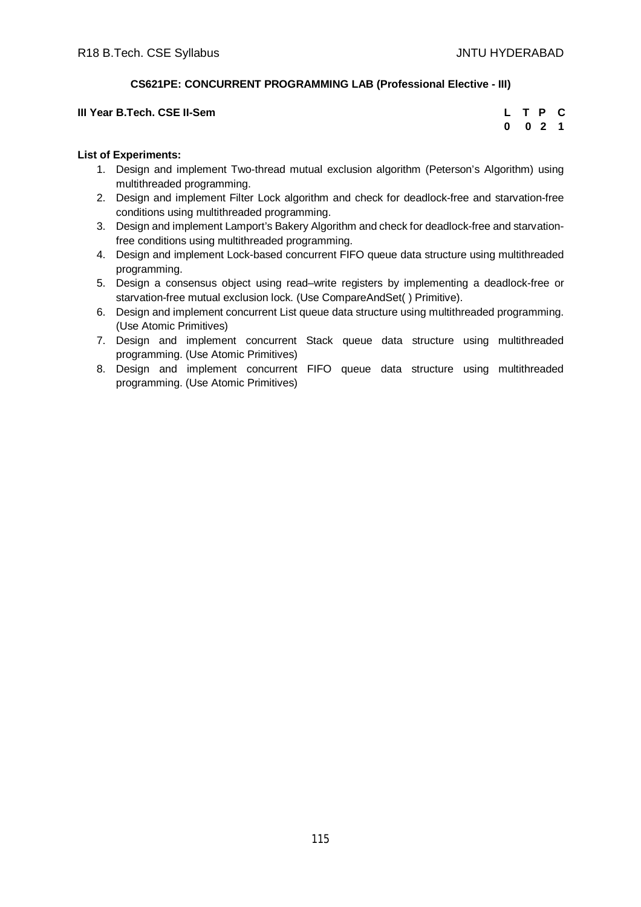# **CS621PE: CONCURRENT PROGRAMMING LAB (Professional Elective - III)**

| III Year B.Tech. CSE II-Sem |         | L T P C |  |
|-----------------------------|---------|---------|--|
|                             | 0 0 2 1 |         |  |

## **List of Experiments:**

- 1. Design and implement Two-thread mutual exclusion algorithm (Peterson's Algorithm) using multithreaded programming.
- 2. Design and implement Filter Lock algorithm and check for deadlock-free and starvation-free conditions using multithreaded programming.
- 3. Design and implement Lamport's Bakery Algorithm and check for deadlock-free and starvationfree conditions using multithreaded programming.
- 4. Design and implement Lock-based concurrent FIFO queue data structure using multithreaded programming.
- 5. Design a consensus object using read–write registers by implementing a deadlock-free or starvation-free mutual exclusion lock. (Use CompareAndSet( ) Primitive).
- 6. Design and implement concurrent List queue data structure using multithreaded programming. (Use Atomic Primitives)
- 7. Design and implement concurrent Stack queue data structure using multithreaded programming. (Use Atomic Primitives)
- 8. Design and implement concurrent FIFO queue data structure using multithreaded programming. (Use Atomic Primitives)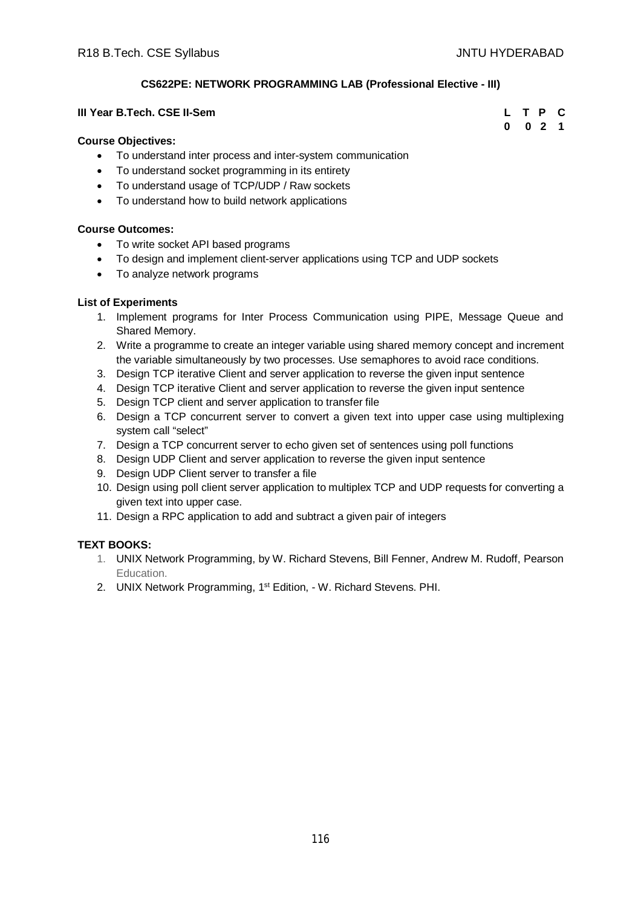**0 0 2 1**

# **CS622PE: NETWORK PROGRAMMING LAB (Professional Elective - III)**

#### **III Year B.Tech. CSE II-Sem L T P C**

#### **Course Objectives:**

- To understand inter process and inter-system communication
- To understand socket programming in its entirety
- To understand usage of TCP/UDP / Raw sockets
- To understand how to build network applications

#### **Course Outcomes:**

- To write socket API based programs
- To design and implement client-server applications using TCP and UDP sockets
- To analyze network programs

## **List of Experiments**

- 1. Implement programs for Inter Process Communication using PIPE, Message Queue and Shared Memory.
- 2. Write a programme to create an integer variable using shared memory concept and increment the variable simultaneously by two processes. Use semaphores to avoid race conditions.
- 3. Design TCP iterative Client and server application to reverse the given input sentence
- 4. Design TCP iterative Client and server application to reverse the given input sentence
- 5. Design TCP client and server application to transfer file
- 6. Design a TCP concurrent server to convert a given text into upper case using multiplexing system call "select"
- 7. Design a TCP concurrent server to echo given set of sentences using poll functions
- 8. Design UDP Client and server application to reverse the given input sentence
- 9. Design UDP Client server to transfer a file
- 10. Design using poll client server application to multiplex TCP and UDP requests for converting a given text into upper case.
- 11. Design a RPC application to add and subtract a given pair of integers

## **TEXT BOOKS:**

- 1. UNIX Network Programming, by W. Richard Stevens, Bill Fenner, Andrew M. Rudoff, Pearson Education.
- 2. UNIX Network Programming, 1<sup>st</sup> Edition, W. Richard Stevens. PHI.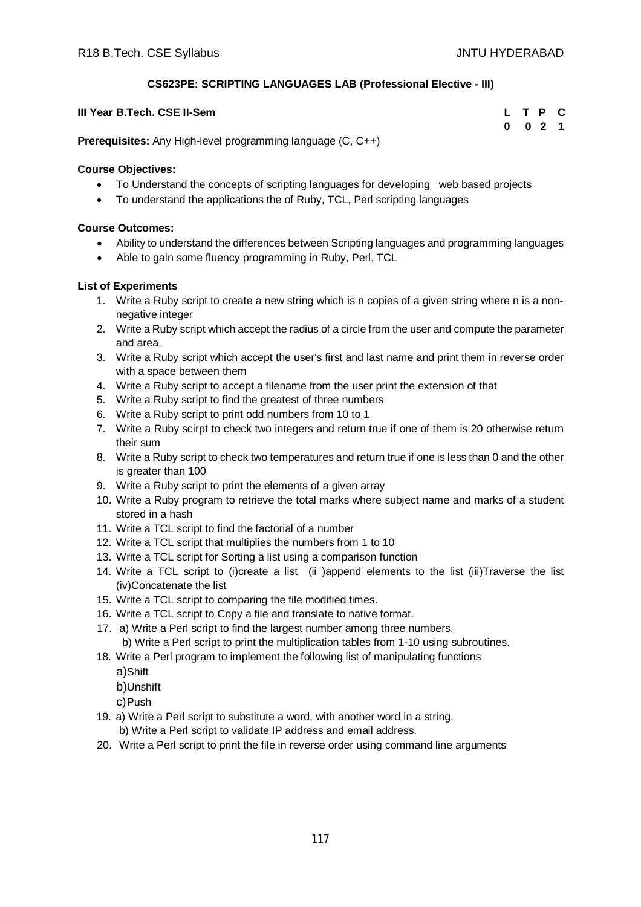# **CS623PE: SCRIPTING LANGUAGES LAB (Professional Elective - III)**

| III Year B.Tech. CSE II-Sem | L T P C |         |  |
|-----------------------------|---------|---------|--|
|                             |         | 0 0 2 1 |  |

**Prerequisites:** Any High-level programming language (C, C++)

## **Course Objectives:**

- To Understand the concepts of scripting languages for developing web based projects
- To understand the applications the of Ruby, TCL, Perl scripting languages

# **Course Outcomes:**

- Ability to understand the differences between Scripting languages and programming languages
- Able to gain some fluency programming in Ruby, Perl, TCL

# **List of Experiments**

- 1. Write a Ruby script to create a new string which is n copies of a given string where n is a nonnegative integer
- 2. Write a Ruby script which accept the radius of a circle from the user and compute the parameter and area.
- 3. Write a Ruby script which accept the user's first and last name and print them in reverse order with a space between them
- 4. Write a Ruby script to accept a filename from the user print the extension of that
- 5. Write a Ruby script to find the greatest of three numbers
- 6. Write a Ruby script to print odd numbers from 10 to 1
- 7. Write a Ruby scirpt to check two integers and return true if one of them is 20 otherwise return their sum
- 8. Write a Ruby script to check two temperatures and return true if one is less than 0 and the other is greater than 100
- 9. Write a Ruby script to print the elements of a given array
- 10. Write a Ruby program to retrieve the total marks where subject name and marks of a student stored in a hash
- 11. Write a TCL script to find the factorial of a number
- 12. Write a TCL script that multiplies the numbers from 1 to 10
- 13. Write a TCL script for Sorting a list using a comparison function
- 14. Write a TCL script to (i)create a list (ii )append elements to the list (iii)Traverse the list (iv)Concatenate the list
- 15. Write a TCL script to comparing the file modified times.
- 16. Write a TCL script to Copy a file and translate to native format.
- 17. a) Write a Perl script to find the largest number among three numbers. b) Write a Perl script to print the multiplication tables from 1-10 using subroutines.
- 18. Write a Perl program to implement the following list of manipulating functions
	- a)Shift
	- b)Unshift

c)Push

- 19. a) Write a Perl script to substitute a word, with another word in a string.
	- b) Write a Perl script to validate IP address and email address.
- 20. Write a Perl script to print the file in reverse order using command line arguments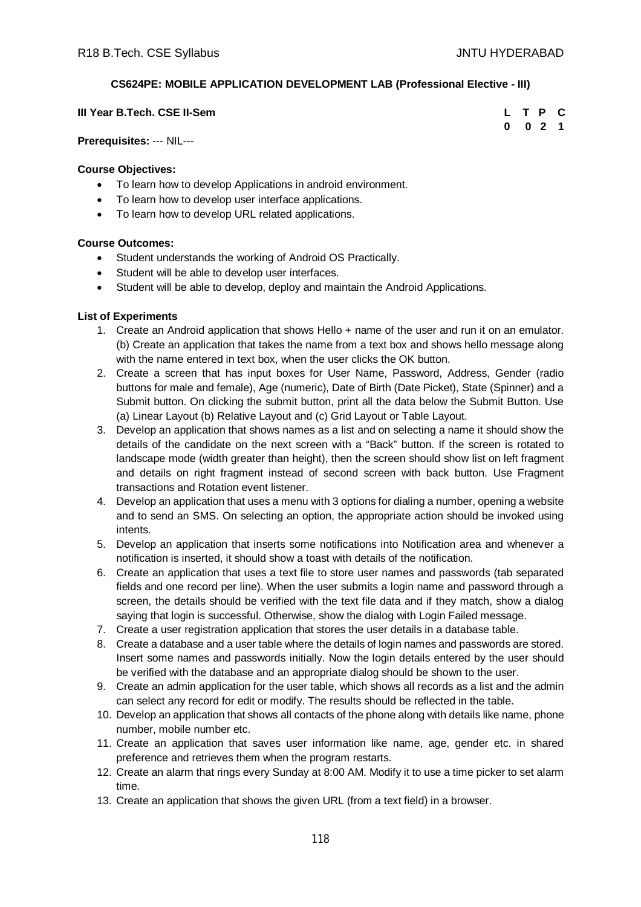# **CS624PE: MOBILE APPLICATION DEVELOPMENT LAB (Professional Elective - III)**

| III Year B.Tech. CSE II-Sem | L T P C            |  |  |
|-----------------------------|--------------------|--|--|
|                             | $0 \t 0 \t 2 \t 1$ |  |  |

**Prerequisites:** --- NIL---

## **Course Objectives:**

- To learn how to develop Applications in android environment.
- To learn how to develop user interface applications.
- To learn how to develop URL related applications.

# **Course Outcomes:**

- Student understands the working of Android OS Practically.
- Student will be able to develop user interfaces.
- Student will be able to develop, deploy and maintain the Android Applications.

# **List of Experiments**

- 1. Create an Android application that shows Hello + name of the user and run it on an emulator. (b) Create an application that takes the name from a text box and shows hello message along with the name entered in text box, when the user clicks the OK button.
- 2. Create a screen that has input boxes for User Name, Password, Address, Gender (radio buttons for male and female), Age (numeric), Date of Birth (Date Picket), State (Spinner) and a Submit button. On clicking the submit button, print all the data below the Submit Button. Use (a) Linear Layout (b) Relative Layout and (c) Grid Layout or Table Layout.
- 3. Develop an application that shows names as a list and on selecting a name it should show the details of the candidate on the next screen with a "Back" button. If the screen is rotated to landscape mode (width greater than height), then the screen should show list on left fragment and details on right fragment instead of second screen with back button. Use Fragment transactions and Rotation event listener.
- 4. Develop an application that uses a menu with 3 options for dialing a number, opening a website and to send an SMS. On selecting an option, the appropriate action should be invoked using intents.
- 5. Develop an application that inserts some notifications into Notification area and whenever a notification is inserted, it should show a toast with details of the notification.
- 6. Create an application that uses a text file to store user names and passwords (tab separated fields and one record per line). When the user submits a login name and password through a screen, the details should be verified with the text file data and if they match, show a dialog saying that login is successful. Otherwise, show the dialog with Login Failed message.
- 7. Create a user registration application that stores the user details in a database table.
- 8. Create a database and a user table where the details of login names and passwords are stored. Insert some names and passwords initially. Now the login details entered by the user should be verified with the database and an appropriate dialog should be shown to the user.
- 9. Create an admin application for the user table, which shows all records as a list and the admin can select any record for edit or modify. The results should be reflected in the table.
- 10. Develop an application that shows all contacts of the phone along with details like name, phone number, mobile number etc.
- 11. Create an application that saves user information like name, age, gender etc. in shared preference and retrieves them when the program restarts.
- 12. Create an alarm that rings every Sunday at 8:00 AM. Modify it to use a time picker to set alarm time.
- 13. Create an application that shows the given URL (from a text field) in a browser.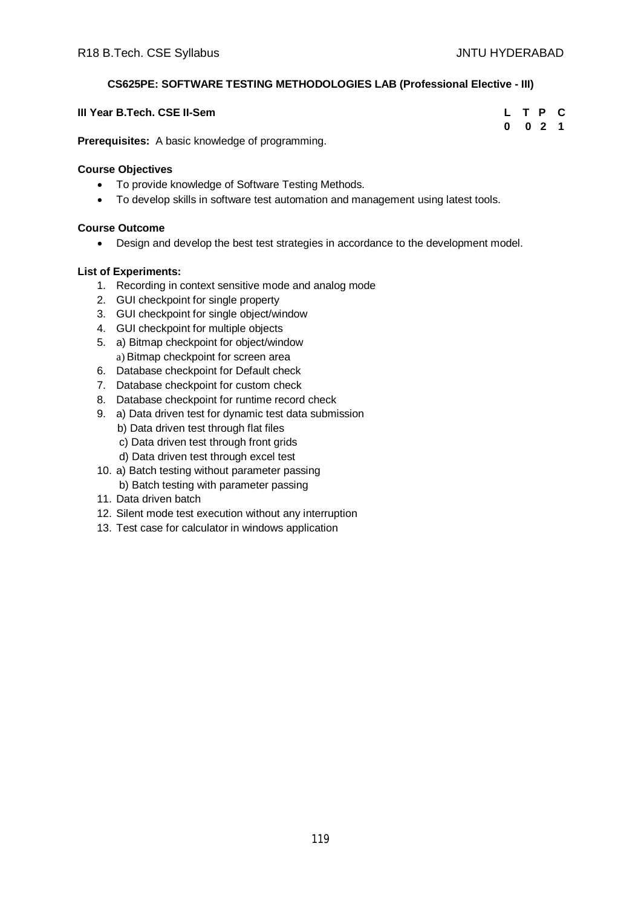# **CS625PE: SOFTWARE TESTING METHODOLOGIES LAB (Professional Elective - III)**

| III Year B.Tech. CSE II-Sem |   |  |  | L T P C |  |
|-----------------------------|---|--|--|---------|--|
| $\overline{\phantom{0}}$    | . |  |  | 0 0 2 1 |  |

**Prerequisites:** A basic knowledge of programming.

## **Course Objectives**

- To provide knowledge of Software Testing Methods.
- To develop skills in software test automation and management using latest tools.

# **Course Outcome**

Design and develop the best test strategies in accordance to the development model.

# **List of Experiments:**

- 1. Recording in context sensitive mode and analog mode
- 2. GUI checkpoint for single property
- 3. GUI checkpoint for single object/window
- 4. GUI checkpoint for multiple objects
- 5. a) Bitmap checkpoint for object/window a) Bitmap checkpoint for screen area
- 6. Database checkpoint for Default check
- 7. Database checkpoint for custom check
- 8. Database checkpoint for runtime record check
- 9. a) Data driven test for dynamic test data submission
	- b) Data driven test through flat files
	- c) Data driven test through front grids
	- d) Data driven test through excel test
- 10. a) Batch testing without parameter passing
- b) Batch testing with parameter passing
- 11. Data driven batch
- 12. Silent mode test execution without any interruption
- 13. Test case for calculator in windows application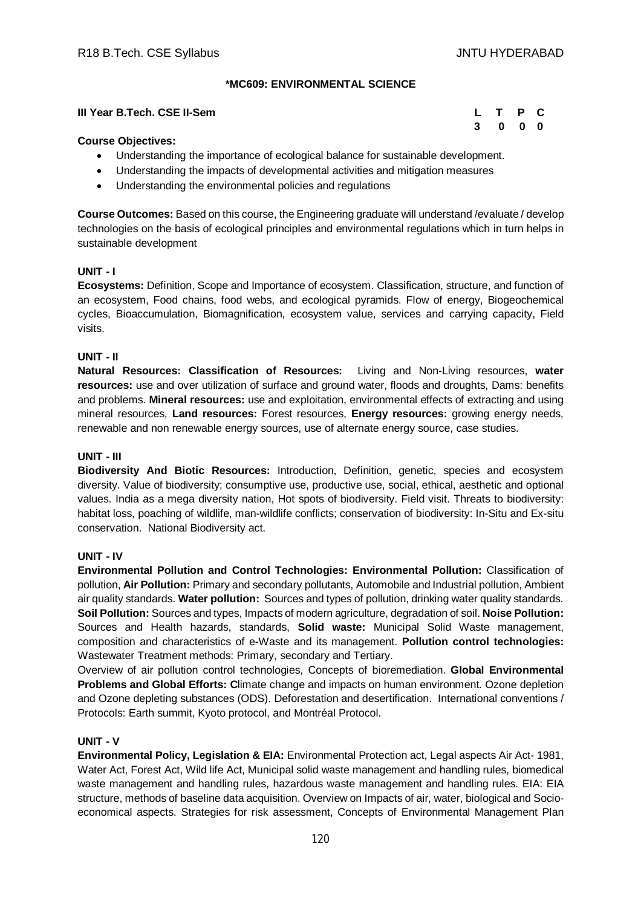## **\*MC609: ENVIRONMENTAL SCIENCE**

# **III Year B.Tech. CSE II-Sem L T P C 3 0 0 0**

## **Course Objectives:**

- Understanding the importance of ecological balance for sustainable development.
- Understanding the impacts of developmental activities and mitigation measures
- Understanding the environmental policies and regulations

**Course Outcomes:** Based on this course, the Engineering graduate will understand /evaluate / develop technologies on the basis of ecological principles and environmental regulations which in turn helps in sustainable development

## **UNIT - I**

**Ecosystems:** Definition, Scope and Importance of ecosystem. Classification, structure, and function of an ecosystem, Food chains, food webs, and ecological pyramids. Flow of energy, Biogeochemical cycles, Bioaccumulation, Biomagnification, ecosystem value, services and carrying capacity, Field visits.

## **UNIT - II**

**Natural Resources: Classification of Resources:** Living and Non-Living resources, **water resources:** use and over utilization of surface and ground water, floods and droughts, Dams: benefits and problems. **Mineral resources:** use and exploitation, environmental effects of extracting and using mineral resources, **Land resources:** Forest resources, **Energy resources:** growing energy needs, renewable and non renewable energy sources, use of alternate energy source, case studies.

## **UNIT - III**

**Biodiversity And Biotic Resources:** Introduction, Definition, genetic, species and ecosystem diversity. Value of biodiversity; consumptive use, productive use, social, ethical, aesthetic and optional values. India as a mega diversity nation, Hot spots of biodiversity. Field visit. Threats to biodiversity: habitat loss, poaching of wildlife, man-wildlife conflicts; conservation of biodiversity: In-Situ and Ex-situ conservation. National Biodiversity act.

## **UNIT - IV**

**Environmental Pollution and Control Technologies: Environmental Pollution:** Classification of pollution, **Air Pollution:** Primary and secondary pollutants, Automobile and Industrial pollution, Ambient air quality standards. **Water pollution:** Sources and types of pollution, drinking water quality standards. **Soil Pollution:** Sources and types, Impacts of modern agriculture, degradation of soil. **Noise Pollution:**  Sources and Health hazards, standards, **Solid waste:** Municipal Solid Waste management, composition and characteristics of e-Waste and its management. **Pollution control technologies:** Wastewater Treatment methods: Primary, secondary and Tertiary.

Overview of air pollution control technologies, Concepts of bioremediation. **Global Environmental Problems and Global Efforts: C**limate change and impacts on human environment. Ozone depletion and Ozone depleting substances (ODS). Deforestation and desertification. International conventions / Protocols: Earth summit, Kyoto protocol, and Montréal Protocol.

## **UNIT - V**

**Environmental Policy, Legislation & EIA:** Environmental Protection act, Legal aspects Air Act- 1981, Water Act, Forest Act, Wild life Act, Municipal solid waste management and handling rules, biomedical waste management and handling rules, hazardous waste management and handling rules. EIA: EIA structure, methods of baseline data acquisition. Overview on Impacts of air, water, biological and Socioeconomical aspects. Strategies for risk assessment, Concepts of Environmental Management Plan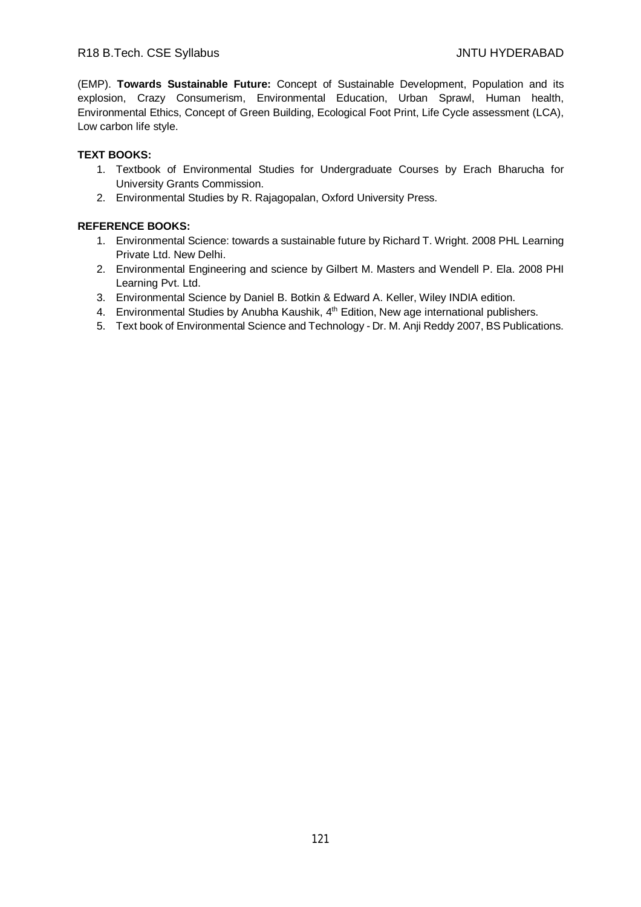(EMP). **Towards Sustainable Future:** Concept of Sustainable Development, Population and its explosion, Crazy Consumerism, Environmental Education, Urban Sprawl, Human health, Environmental Ethics, Concept of Green Building, Ecological Foot Print, Life Cycle assessment (LCA), Low carbon life style.

# **TEXT BOOKS:**

- 1. Textbook of Environmental Studies for Undergraduate Courses by Erach Bharucha for University Grants Commission.
- 2. Environmental Studies by R. Rajagopalan, Oxford University Press.

- 1. Environmental Science: towards a sustainable future by Richard T. Wright. 2008 PHL Learning Private Ltd. New Delhi.
- 2. Environmental Engineering and science by Gilbert M. Masters and Wendell P. Ela. 2008 PHI Learning Pvt. Ltd.
- 3. Environmental Science by Daniel B. Botkin & Edward A. Keller, Wiley INDIA edition.
- 4. Environmental Studies by Anubha Kaushik, 4<sup>th</sup> Edition, New age international publishers.
- 5. Text book of Environmental Science and Technology Dr. M. Anji Reddy 2007, BS Publications.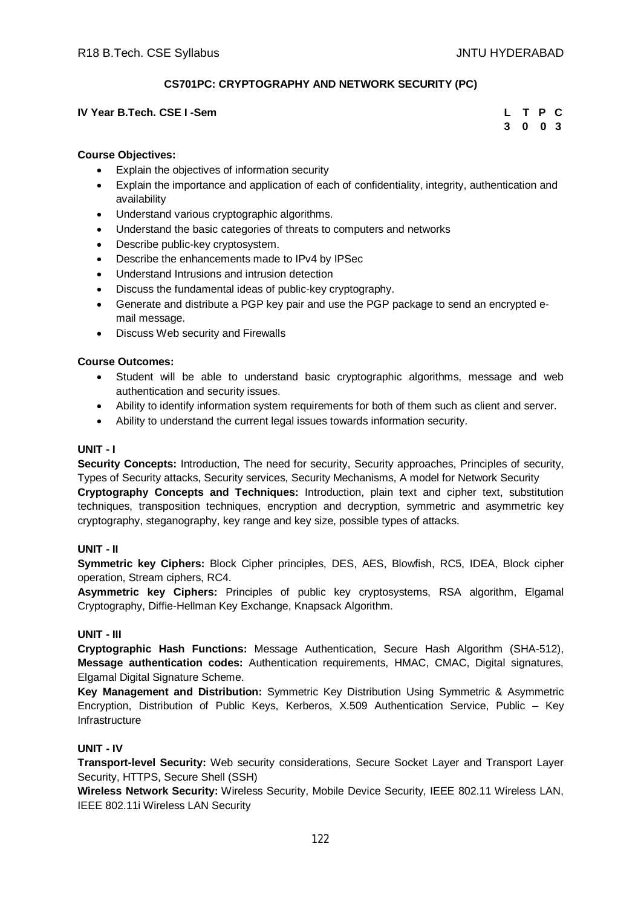# **CS701PC: CRYPTOGRAPHY AND NETWORK SECURITY (PC)**

## **IV** Year B.Tech. CSE I -Sem

| L. | T P      | C              |
|----|----------|----------------|
| 3  | $\bf{0}$ | 0 <sup>3</sup> |

## **Course Objectives:**

- Explain the objectives of information security
- Explain the importance and application of each of confidentiality, integrity, authentication and availability
- Understand various cryptographic algorithms.
- Understand the basic categories of threats to computers and networks
- Describe public-key cryptosystem.
- Describe the enhancements made to IPv4 by IPSec
- Understand Intrusions and intrusion detection
- Discuss the fundamental ideas of public-key cryptography.
- Generate and distribute a PGP key pair and use the PGP package to send an encrypted email message.
- Discuss Web security and Firewalls

## **Course Outcomes:**

- Student will be able to understand basic cryptographic algorithms, message and web authentication and security issues.
- Ability to identify information system requirements for both of them such as client and server.
- Ability to understand the current legal issues towards information security.

## **UNIT - I**

**Security Concepts:** Introduction, The need for security, Security approaches, Principles of security, Types of Security attacks, Security services, Security Mechanisms, A model for Network Security **Cryptography Concepts and Techniques:** Introduction, plain text and cipher text, substitution techniques, transposition techniques, encryption and decryption, symmetric and asymmetric key cryptography, steganography, key range and key size, possible types of attacks.

## **UNIT - II**

**Symmetric key Ciphers:** Block Cipher principles, DES, AES, Blowfish, RC5, IDEA, Block cipher operation, Stream ciphers, RC4.

**Asymmetric key Ciphers:** Principles of public key cryptosystems, RSA algorithm, Elgamal Cryptography, Diffie-Hellman Key Exchange, Knapsack Algorithm.

## **UNIT - III**

**Cryptographic Hash Functions:** Message Authentication, Secure Hash Algorithm (SHA-512), **Message authentication codes:** Authentication requirements, HMAC, CMAC, Digital signatures, Elgamal Digital Signature Scheme.

**Key Management and Distribution:** Symmetric Key Distribution Using Symmetric & Asymmetric Encryption, Distribution of Public Keys, Kerberos, X.509 Authentication Service, Public – Key **Infrastructure** 

## **UNIT - IV**

**Transport-level Security:** Web security considerations, Secure Socket Layer and Transport Layer Security, HTTPS, Secure Shell (SSH)

**Wireless Network Security:** Wireless Security, Mobile Device Security, IEEE 802.11 Wireless LAN, IEEE 802.11i Wireless LAN Security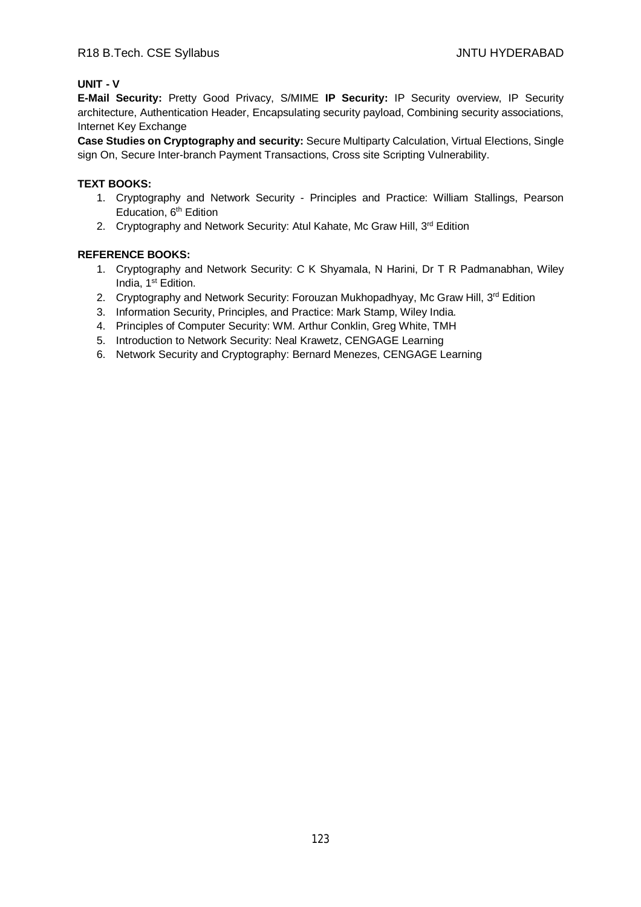# **UNIT - V**

**E-Mail Security:** Pretty Good Privacy, S/MIME **IP Security:** IP Security overview, IP Security architecture, Authentication Header, Encapsulating security payload, Combining security associations, Internet Key Exchange

**Case Studies on Cryptography and security:** Secure Multiparty Calculation, Virtual Elections, Single sign On, Secure Inter-branch Payment Transactions, Cross site Scripting Vulnerability.

## **TEXT BOOKS:**

- 1. Cryptography and Network Security Principles and Practice: William Stallings, Pearson Education, 6<sup>th</sup> Edition
- 2. Cryptography and Network Security: Atul Kahate, Mc Graw Hill, 3rd Edition

- 1. Cryptography and Network Security: C K Shyamala, N Harini, Dr T R Padmanabhan, Wiley India, 1<sup>st</sup> Edition.
- 2. Cryptography and Network Security: Forouzan Mukhopadhyay, Mc Graw Hill, 3<sup>rd</sup> Edition
- 3. Information Security, Principles, and Practice: Mark Stamp, Wiley India.
- 4. Principles of Computer Security: WM. Arthur Conklin, Greg White, TMH
- 5. Introduction to Network Security: Neal Krawetz, CENGAGE Learning
- 6. Network Security and Cryptography: Bernard Menezes, CENGAGE Learning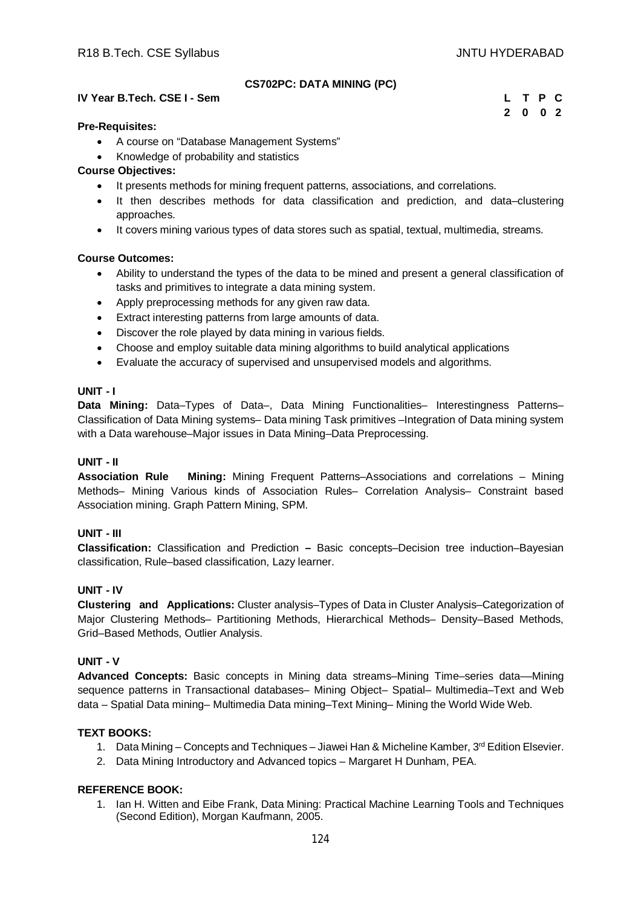## **CS702PC: DATA MINING (PC)**

# **IV Year B.Tech. CSE I - Sem L T P C**

# **2 0 0 2**

#### **Pre-Requisites:**

- A course on "Database Management Systems"
- Knowledge of probability and statistics

# **Course Objectives:**

- It presents methods for mining frequent patterns, associations, and correlations.
- It then describes methods for data classification and prediction, and data–clustering approaches.
- It covers mining various types of data stores such as spatial, textual, multimedia, streams.

## **Course Outcomes:**

- Ability to understand the types of the data to be mined and present a general classification of tasks and primitives to integrate a data mining system.
- Apply preprocessing methods for any given raw data.
- Extract interesting patterns from large amounts of data.
- Discover the role played by data mining in various fields.
- Choose and employ suitable data mining algorithms to build analytical applications
- Evaluate the accuracy of supervised and unsupervised models and algorithms.

## **UNIT - I**

**Data Mining:** Data–Types of Data–, Data Mining Functionalities– Interestingness Patterns– Classification of Data Mining systems– Data mining Task primitives –Integration of Data mining system with a Data warehouse–Major issues in Data Mining–Data Preprocessing.

## **UNIT - II**

**Association Rule Mining:** Mining Frequent Patterns–Associations and correlations – Mining Methods– Mining Various kinds of Association Rules– Correlation Analysis– Constraint based Association mining. Graph Pattern Mining, SPM.

## **UNIT - III**

**Classification:** Classification and Prediction **–** Basic concepts–Decision tree induction–Bayesian classification, Rule–based classification, Lazy learner.

## **UNIT - IV**

**Clustering and Applications:** Cluster analysis–Types of Data in Cluster Analysis–Categorization of Major Clustering Methods– Partitioning Methods, Hierarchical Methods– Density–Based Methods, Grid–Based Methods, Outlier Analysis.

# **UNIT - V**

**Advanced Concepts:** Basic concepts in Mining data streams–Mining Time–series data––Mining sequence patterns in Transactional databases– Mining Object– Spatial– Multimedia–Text and Web data – Spatial Data mining– Multimedia Data mining–Text Mining– Mining the World Wide Web.

# **TEXT BOOKS:**

- 1. Data Mining Concepts and Techniques Jiawei Han & Micheline Kamber, 3rd Edition Elsevier.
- 2. Data Mining Introductory and Advanced topics Margaret H Dunham, PEA.

## **REFERENCE BOOK:**

1. Ian H. Witten and Eibe Frank, Data Mining: Practical Machine Learning Tools and Techniques (Second Edition), Morgan Kaufmann, 2005.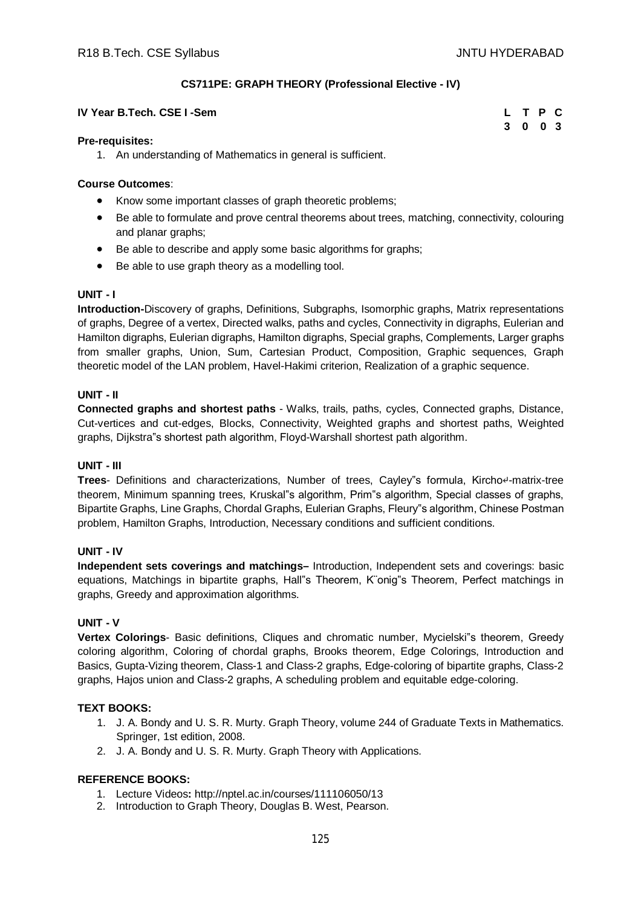**3 0 0 3**

## **CS711PE: GRAPH THEORY (Professional Elective - IV)**

#### **IV Year B.Tech. CSE I -Sem L T P C**

# **Pre-requisites:**

1. An understanding of Mathematics in general is sufficient.

## **Course Outcomes**:

- Know some important classes of graph theoretic problems;
- Be able to formulate and prove central theorems about trees, matching, connectivity, colouring and planar graphs;
- Be able to describe and apply some basic algorithms for graphs;
- Be able to use graph theory as a modelling tool.

## **UNIT - I**

**Introduction-**Discovery of graphs, Definitions, Subgraphs, Isomorphic graphs, Matrix representations of graphs, Degree of a vertex, Directed walks, paths and cycles, Connectivity in digraphs, Eulerian and Hamilton digraphs, Eulerian digraphs, Hamilton digraphs, Special graphs, Complements, Larger graphs from smaller graphs, Union, Sum, Cartesian Product, Composition, Graphic sequences, Graph theoretic model of the LAN problem, Havel-Hakimi criterion, Realization of a graphic sequence.

## **UNIT - II**

**Connected graphs and shortest paths** - Walks, trails, paths, cycles, Connected graphs, Distance, Cut-vertices and cut-edges, Blocks, Connectivity, Weighted graphs and shortest paths, Weighted graphs, Dijkstra"s shortest path algorithm, Floyd-Warshall shortest path algorithm.

## **UNIT - III**

**Trees**- Definitions and characterizations, Number of trees, Cayley"s formula, Kircho↵-matrix-tree theorem, Minimum spanning trees, Kruskal"s algorithm, Prim"s algorithm, Special classes of graphs, Bipartite Graphs, Line Graphs, Chordal Graphs, Eulerian Graphs, Fleury"s algorithm, Chinese Postman problem, Hamilton Graphs, Introduction, Necessary conditions and sufficient conditions.

# **UNIT - IV**

**Independent sets coverings and matchings–** Introduction, Independent sets and coverings: basic equations, Matchings in bipartite graphs, Hall"s Theorem, K¨onig"s Theorem, Perfect matchings in graphs, Greedy and approximation algorithms.

## **UNIT - V**

**Vertex Colorings**- Basic definitions, Cliques and chromatic number, Mycielski"s theorem, Greedy coloring algorithm, Coloring of chordal graphs, Brooks theorem, Edge Colorings, Introduction and Basics, Gupta-Vizing theorem, Class-1 and Class-2 graphs, Edge-coloring of bipartite graphs, Class-2 graphs, Hajos union and Class-2 graphs, A scheduling problem and equitable edge-coloring.

## **TEXT BOOKS:**

- 1. J. A. Bondy and U. S. R. Murty. Graph Theory, volume 244 of Graduate Texts in Mathematics. Springer, 1st edition, 2008.
- 2. J. A. Bondy and U. S. R. Murty. Graph Theory with Applications.

- 1. Lecture Videos**:** <http://nptel.ac.in/courses/111106050/13>
- 2. Introduction to Graph Theory, Douglas B. West, Pearson.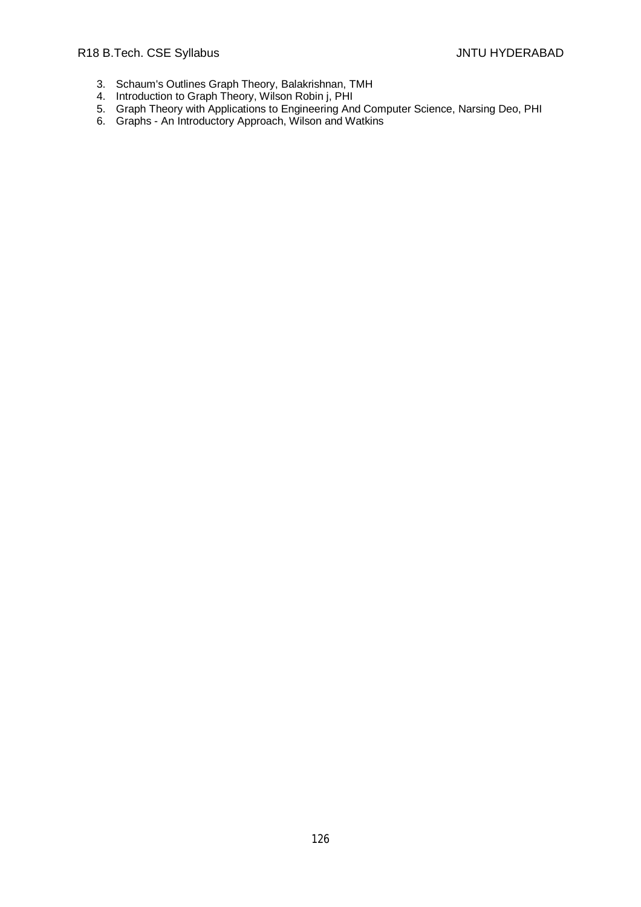- 3. Schaum's Outlines Graph Theory, Balakrishnan, TMH
- 4. Introduction to Graph Theory, Wilson Robin j, PHI
- 5. Graph Theory with Applications to Engineering And Computer Science, Narsing Deo, PHI
- 6. Graphs An Introductory Approach, Wilson and Watkins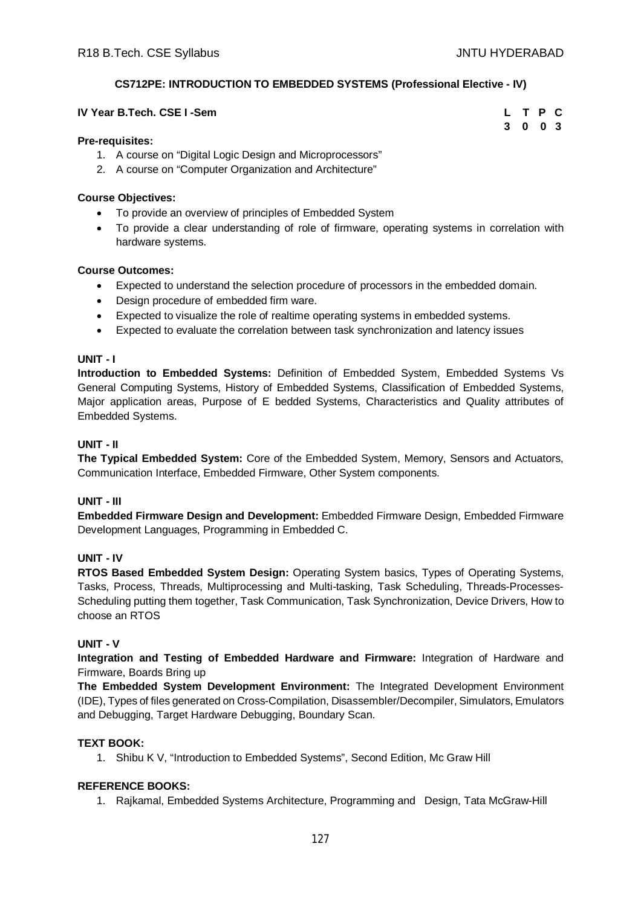# **CS712PE: INTRODUCTION TO EMBEDDED SYSTEMS (Professional Elective - IV)**

| IV Year B.Tech. CSE I -Sem |  | L T P C |  |
|----------------------------|--|---------|--|
|                            |  | 3 0 0 3 |  |

## **Pre-requisites:**

- 1. A course on "Digital Logic Design and Microprocessors"
- 2. A course on "Computer Organization and Architecture"

## **Course Objectives:**

- To provide an overview of principles of Embedded System
- To provide a clear understanding of role of firmware, operating systems in correlation with hardware systems.

# **Course Outcomes:**

- Expected to understand the selection procedure of processors in the embedded domain.
- Design procedure of embedded firm ware.
- Expected to visualize the role of realtime operating systems in embedded systems.
- Expected to evaluate the correlation between task synchronization and latency issues

# **UNIT - I**

**Introduction to Embedded Systems:** Definition of Embedded System, Embedded Systems Vs General Computing Systems, History of Embedded Systems, Classification of Embedded Systems, Major application areas, Purpose of E bedded Systems, Characteristics and Quality attributes of Embedded Systems.

# **UNIT - II**

**The Typical Embedded System:** Core of the Embedded System, Memory, Sensors and Actuators, Communication Interface, Embedded Firmware, Other System components.

## **UNIT - III**

**Embedded Firmware Design and Development:** Embedded Firmware Design, Embedded Firmware Development Languages, Programming in Embedded C.

## **UNIT - IV**

**RTOS Based Embedded System Design:** Operating System basics, Types of Operating Systems, Tasks, Process, Threads, Multiprocessing and Multi-tasking, Task Scheduling, Threads-Processes-Scheduling putting them together, Task Communication, Task Synchronization, Device Drivers, How to choose an RTOS

## **UNIT - V**

**Integration and Testing of Embedded Hardware and Firmware:** Integration of Hardware and Firmware, Boards Bring up

**The Embedded System Development Environment:** The Integrated Development Environment (IDE), Types of files generated on Cross-Compilation, Disassembler/Decompiler, Simulators, Emulators and Debugging, Target Hardware Debugging, Boundary Scan.

## **TEXT BOOK:**

1. Shibu K V, "Introduction to Embedded Systems", Second Edition, Mc Graw Hill

# **REFERENCE BOOKS:**

1. Rajkamal, Embedded Systems Architecture, Programming and Design, Tata McGraw-Hill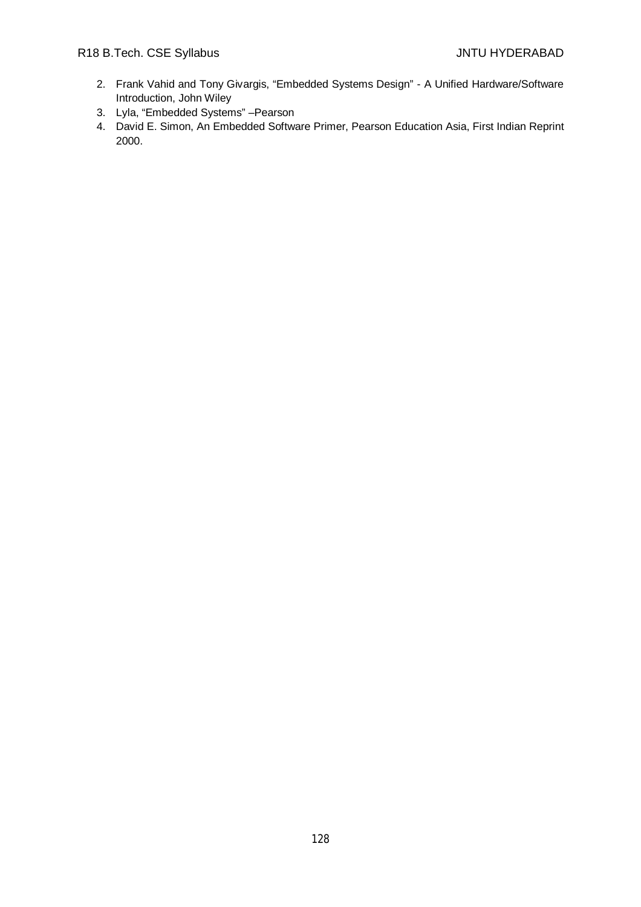- 2. Frank Vahid and Tony Givargis, "Embedded Systems Design" A Unified Hardware/Software Introduction, John Wiley
- 3. Lyla, "Embedded Systems" –Pearson
- 4. David E. Simon, An Embedded Software Primer, Pearson Education Asia, First Indian Reprint 2000.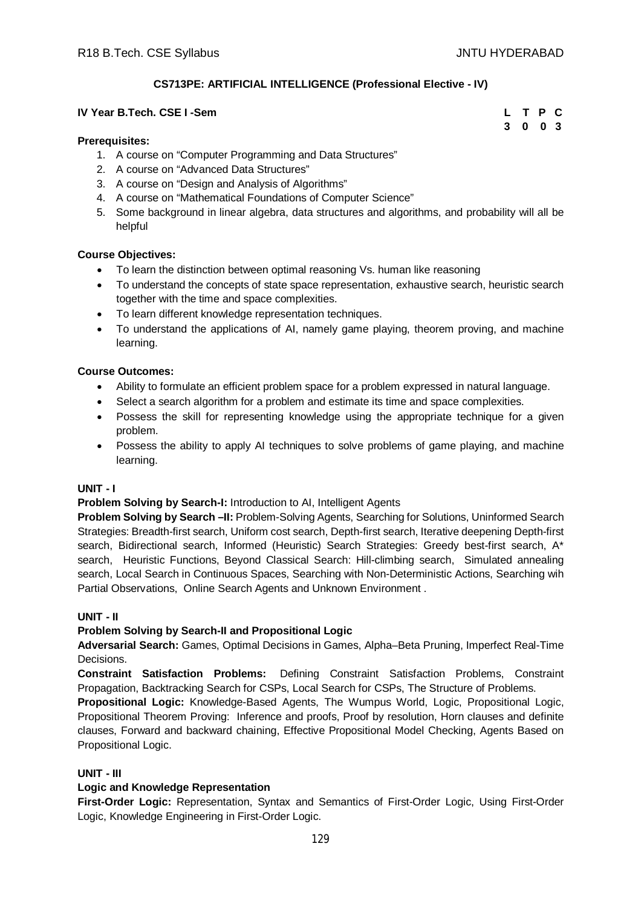**3 0 0 3**

# **CS713PE: ARTIFICIAL INTELLIGENCE (Professional Elective - IV)**

## **IV Year B.Tech. CSE I -Sem L T P C**

#### **Prerequisites:**

- 1. A course on "Computer Programming and Data Structures"
- 2. A course on "Advanced Data Structures"
- 3. A course on "Design and Analysis of Algorithms"
- 4. A course on "Mathematical Foundations of Computer Science"
- 5. Some background in linear algebra, data structures and algorithms, and probability will all be helpful

#### **Course Objectives:**

- To learn the distinction between optimal reasoning Vs. human like reasoning
- To understand the concepts of state space representation, exhaustive search, heuristic search together with the time and space complexities.
- To learn different knowledge representation techniques.
- To understand the applications of AI, namely game playing, theorem proving, and machine learning.

#### **Course Outcomes:**

- Ability to formulate an efficient problem space for a problem expressed in natural language.
- Select a search algorithm for a problem and estimate its time and space complexities.
- Possess the skill for representing knowledge using the appropriate technique for a given problem.
- Possess the ability to apply AI techniques to solve problems of game playing, and machine learning.

## **UNIT - I**

#### **Problem Solving by Search-I:** Introduction to AI, Intelligent Agents

**Problem Solving by Search –II:** Problem-Solving Agents, Searching for Solutions, Uninformed Search Strategies: Breadth-first search, Uniform cost search, Depth-first search, Iterative deepening Depth-first search, Bidirectional search, Informed (Heuristic) Search Strategies: Greedy best-first search, A\* search, Heuristic Functions, Beyond Classical Search: Hill-climbing search, Simulated annealing search, Local Search in Continuous Spaces, Searching with Non-Deterministic Actions, Searching wih Partial Observations, Online Search Agents and Unknown Environment .

#### **UNIT - II**

#### **Problem Solving by Search-II and Propositional Logic**

**Adversarial Search:** Games, Optimal Decisions in Games, Alpha–Beta Pruning, Imperfect Real-Time Decisions.

**Constraint Satisfaction Problems:** Defining Constraint Satisfaction Problems, Constraint Propagation, Backtracking Search for CSPs, Local Search for CSPs, The Structure of Problems.

**Propositional Logic:** Knowledge-Based Agents, The Wumpus World, Logic, Propositional Logic, Propositional Theorem Proving: Inference and proofs, Proof by resolution, Horn clauses and definite clauses, Forward and backward chaining, Effective Propositional Model Checking, Agents Based on Propositional Logic.

#### **UNIT - III**

## **Logic and Knowledge Representation**

**First-Order Logic:** Representation, Syntax and Semantics of First-Order Logic, Using First-Order Logic, Knowledge Engineering in First-Order Logic.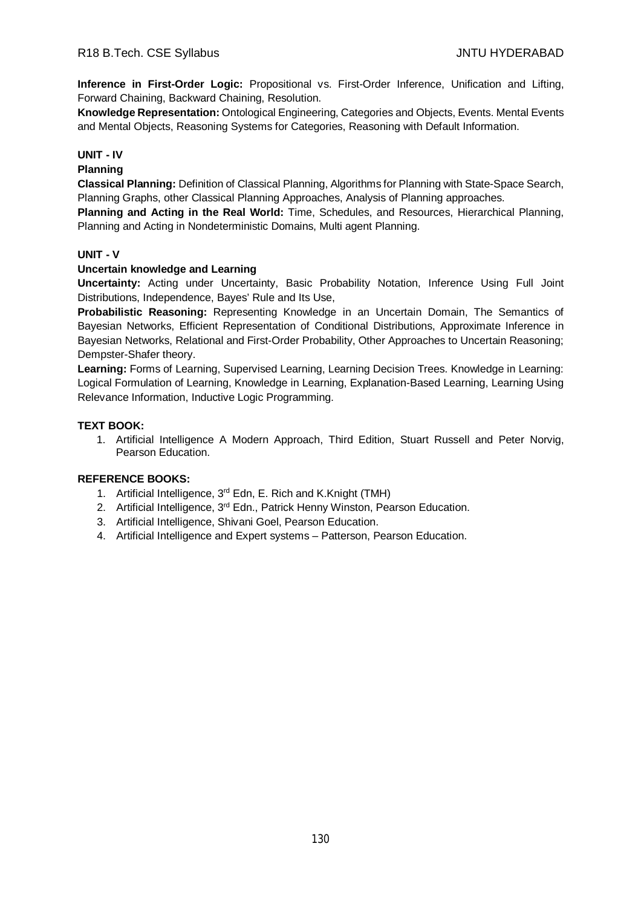**Inference in First-Order Logic:** Propositional vs. First-Order Inference, Unification and Lifting, Forward Chaining, Backward Chaining, Resolution.

**Knowledge Representation:** Ontological Engineering, Categories and Objects, Events. Mental Events and Mental Objects, Reasoning Systems for Categories, Reasoning with Default Information.

# **UNIT - IV**

## **Planning**

**Classical Planning:** Definition of Classical Planning, Algorithms for Planning with State-Space Search, Planning Graphs, other Classical Planning Approaches, Analysis of Planning approaches.

**Planning and Acting in the Real World:** Time, Schedules, and Resources, Hierarchical Planning, Planning and Acting in Nondeterministic Domains, Multi agent Planning.

#### **UNIT - V**

#### **Uncertain knowledge and Learning**

**Uncertainty:** Acting under Uncertainty, Basic Probability Notation, Inference Using Full Joint Distributions, Independence, Bayes' Rule and Its Use,

**Probabilistic Reasoning:** Representing Knowledge in an Uncertain Domain, The Semantics of Bayesian Networks, Efficient Representation of Conditional Distributions, Approximate Inference in Bayesian Networks, Relational and First-Order Probability, Other Approaches to Uncertain Reasoning; Dempster-Shafer theory.

**Learning:** Forms of Learning, Supervised Learning, Learning Decision Trees. Knowledge in Learning: Logical Formulation of Learning, Knowledge in Learning, Explanation-Based Learning, Learning Using Relevance Information, Inductive Logic Programming.

#### **TEXT BOOK:**

1. Artificial Intelligence A Modern Approach, Third Edition, Stuart Russell and Peter Norvig, Pearson Education.

- 1. Artificial Intelligence, 3<sup>rd</sup> Edn, E. Rich and K.Knight (TMH)
- 2. Artificial Intelligence, 3<sup>rd</sup> Edn., Patrick Henny Winston, Pearson Education.
- 3. Artificial Intelligence, Shivani Goel, Pearson Education.
- 4. Artificial Intelligence and Expert systems Patterson, Pearson Education.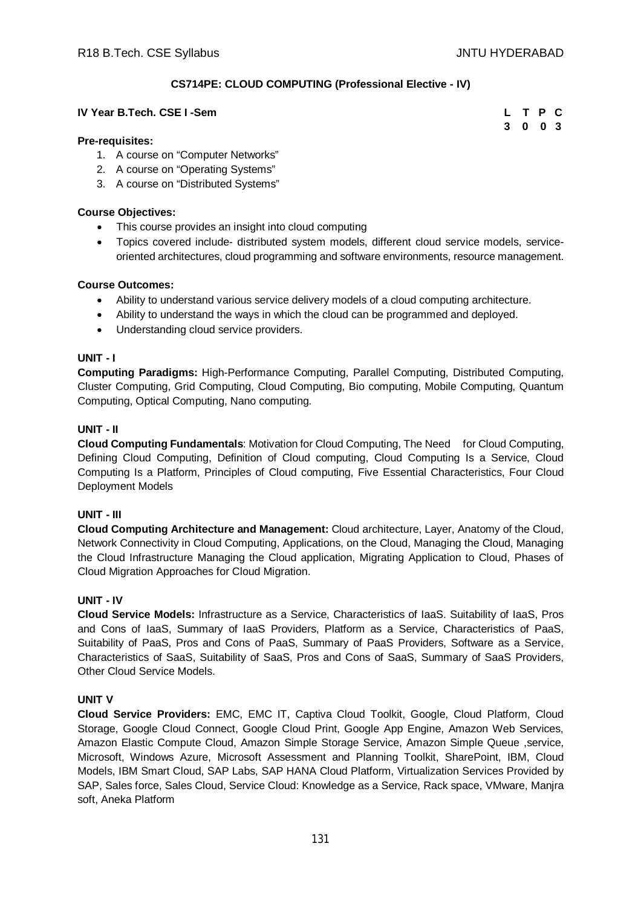# **CS714PE: CLOUD COMPUTING (Professional Elective - IV)**

## **IV Year B.Tech. CSE I -Sem L**

| L | T P | C  |
|---|-----|----|
| 3 | 0   | 03 |

## **Pre-requisites:**

- 1. A course on "Computer Networks"
- 2. A course on "Operating Systems"
- 3. A course on "Distributed Systems"

## **Course Objectives:**

- This course provides an insight into cloud computing
- Topics covered include- distributed system models, different cloud service models, serviceoriented architectures, cloud programming and software environments, resource management.

## **Course Outcomes:**

- Ability to understand various service delivery models of a cloud computing architecture.
- Ability to understand the ways in which the cloud can be programmed and deployed.
- Understanding cloud service providers.

## **UNIT - I**

**Computing Paradigms:** High-Performance Computing, Parallel Computing, Distributed Computing, Cluster Computing, Grid Computing, Cloud Computing, Bio computing, Mobile Computing, Quantum Computing, Optical Computing, Nano computing.

## **UNIT - II**

**Cloud Computing Fundamentals**: Motivation for Cloud Computing, The Need for Cloud Computing, Defining Cloud Computing, Definition of Cloud computing, Cloud Computing Is a Service, Cloud Computing Is a Platform, Principles of Cloud computing, Five Essential Characteristics, Four Cloud Deployment Models

## **UNIT - III**

**Cloud Computing Architecture and Management:** Cloud architecture, Layer, Anatomy of the Cloud, Network Connectivity in Cloud Computing, Applications, on the Cloud, Managing the Cloud, Managing the Cloud Infrastructure Managing the Cloud application, Migrating Application to Cloud, Phases of Cloud Migration Approaches for Cloud Migration.

## **UNIT - IV**

**Cloud Service Models:** Infrastructure as a Service, Characteristics of IaaS. Suitability of IaaS, Pros and Cons of IaaS, Summary of IaaS Providers, Platform as a Service, Characteristics of PaaS, Suitability of PaaS, Pros and Cons of PaaS, Summary of PaaS Providers, Software as a Service, Characteristics of SaaS, Suitability of SaaS, Pros and Cons of SaaS, Summary of SaaS Providers, Other Cloud Service Models.

## **UNIT V**

**Cloud Service Providers:** EMC, EMC IT, Captiva Cloud Toolkit, Google, Cloud Platform, Cloud Storage, Google Cloud Connect, Google Cloud Print, Google App Engine, Amazon Web Services, Amazon Elastic Compute Cloud, Amazon Simple Storage Service, Amazon Simple Queue ,service, Microsoft, Windows Azure, Microsoft Assessment and Planning Toolkit, SharePoint, IBM, Cloud Models, IBM Smart Cloud, SAP Labs, SAP HANA Cloud Platform, Virtualization Services Provided by SAP, Sales force, Sales Cloud, Service Cloud: Knowledge as a Service, Rack space, VMware, Manjra soft, Aneka Platform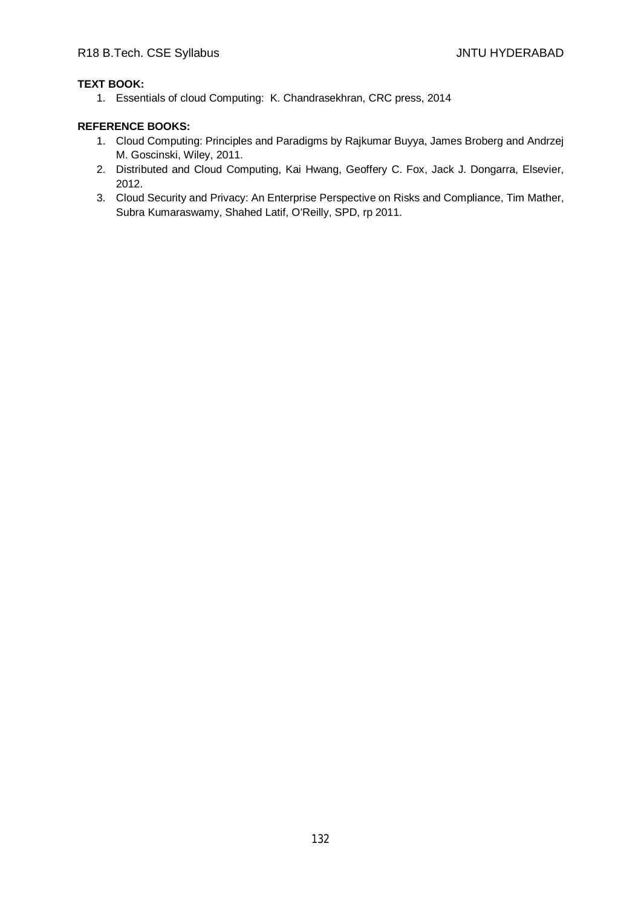# **TEXT BOOK:**

1. Essentials of cloud Computing: K. Chandrasekhran, CRC press, 2014

- 1. Cloud Computing: Principles and Paradigms by Rajkumar Buyya, James Broberg and Andrzej M. Goscinski, Wiley, 2011.
- 2. Distributed and Cloud Computing, Kai Hwang, Geoffery C. Fox, Jack J. Dongarra, Elsevier, 2012.
- 3. Cloud Security and Privacy: An Enterprise Perspective on Risks and Compliance, Tim Mather, Subra Kumaraswamy, Shahed Latif, O'Reilly, SPD, rp 2011.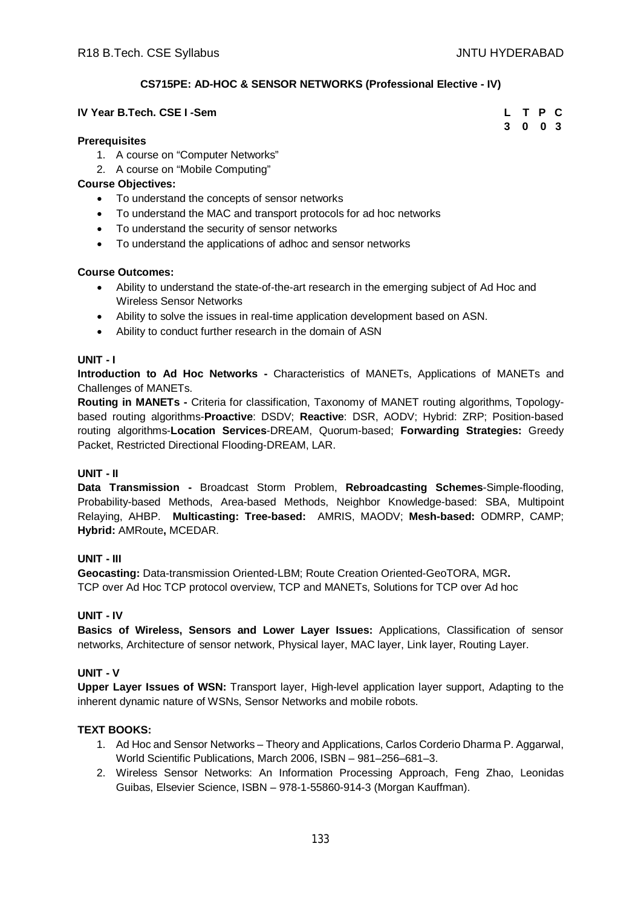# **CS715PE: AD-HOC & SENSOR NETWORKS (Professional Elective - IV)**

## **IV** Year B.Tech. CSE I -Sem

| L | т | $\mathsf{P}$ | C   |
|---|---|--------------|-----|
| 3 | 0 | 0            | - 3 |

## **Prerequisites**

- 1. A course on "Computer Networks"
- 2. A course on "Mobile Computing"

## **Course Objectives:**

- To understand the concepts of sensor networks
- To understand the MAC and transport protocols for ad hoc networks
- To understand the security of sensor networks
- To understand the applications of adhoc and sensor networks

## **Course Outcomes:**

- Ability to understand the state-of-the-art research in the emerging subject of Ad Hoc and Wireless Sensor Networks
- Ability to solve the issues in real-time application development based on ASN.
- Ability to conduct further research in the domain of ASN

## **UNIT - I**

**Introduction to Ad Hoc Networks -** Characteristics of MANETs, Applications of MANETs and Challenges of MANETs.

**Routing in MANETs -** Criteria for classification, Taxonomy of MANET routing algorithms, Topologybased routing algorithms-**Proactive**: DSDV; **Reactive**: DSR, AODV; Hybrid: ZRP; Position-based routing algorithms-**Location Services**-DREAM, Quorum-based; **Forwarding Strategies:** Greedy Packet, Restricted Directional Flooding-DREAM, LAR.

## **UNIT - II**

**Data Transmission -** Broadcast Storm Problem, **Rebroadcasting Schemes**-Simple-flooding, Probability-based Methods, Area-based Methods, Neighbor Knowledge-based: SBA, Multipoint Relaying, AHBP. **Multicasting: Tree-based:** AMRIS, MAODV; **Mesh-based:** ODMRP, CAMP; **Hybrid:** AMRoute**,** MCEDAR.

## **UNIT - III**

**Geocasting:** Data-transmission Oriented-LBM; Route Creation Oriented-GeoTORA, MGR**.**  TCP over Ad Hoc TCP protocol overview, TCP and MANETs, Solutions for TCP over Ad hoc

## **UNIT - IV**

**Basics of Wireless, Sensors and Lower Layer Issues:** Applications, Classification of sensor networks, Architecture of sensor network, Physical layer, MAC layer, Link layer, Routing Layer.

## **UNIT - V**

**Upper Layer Issues of WSN:** Transport layer, High-level application layer support, Adapting to the inherent dynamic nature of WSNs, Sensor Networks and mobile robots.

# **TEXT BOOKS:**

- 1. Ad Hoc and Sensor Networks Theory and Applications, Carlos Corderio Dharma P. Aggarwal, World Scientific Publications, March 2006, ISBN – 981–256–681–3.
- 2. Wireless Sensor Networks: An Information Processing Approach, Feng Zhao, Leonidas Guibas, Elsevier Science, ISBN – 978-1-55860-914-3 (Morgan Kauffman).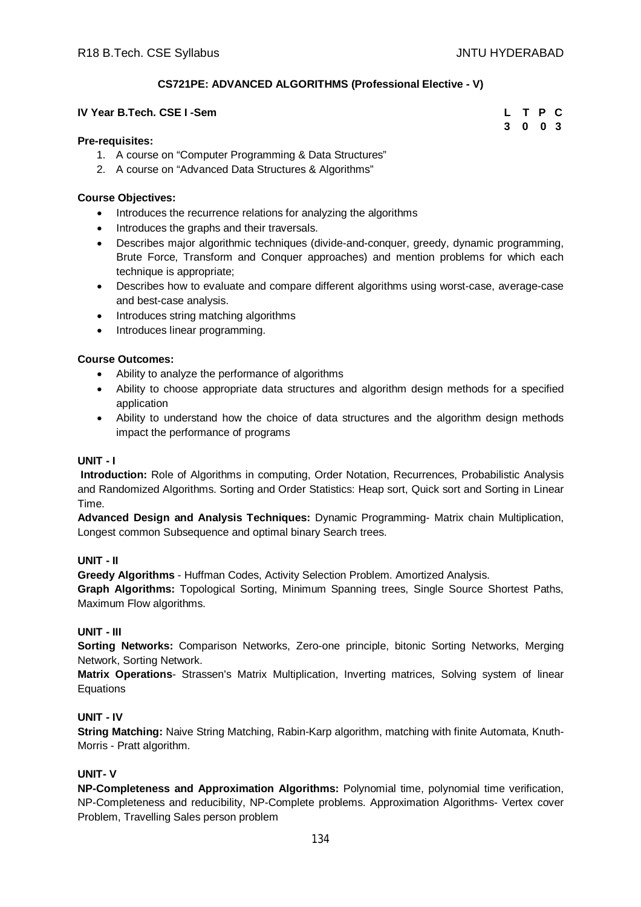**3 0 0 3**

## **CS721PE: ADVANCED ALGORITHMS (Professional Elective - V)**

#### **IV Year B.Tech. CSE I -Sem L T P C**

#### **Pre-requisites:**

- 1. A course on "Computer Programming & Data Structures"
- 2. A course on "Advanced Data Structures & Algorithms"

#### **Course Objectives:**

- Introduces the recurrence relations for analyzing the algorithms
- Introduces the graphs and their traversals.
- Describes major algorithmic techniques (divide-and-conquer, greedy, dynamic programming, Brute Force, Transform and Conquer approaches) and mention problems for which each technique is appropriate;
- Describes how to evaluate and compare different algorithms using worst-case, average-case and best-case analysis.
- Introduces string matching algorithms
- Introduces linear programming.

#### **Course Outcomes:**

- Ability to analyze the performance of algorithms
- Ability to choose appropriate data structures and algorithm design methods for a specified application
- Ability to understand how the choice of data structures and the algorithm design methods impact the performance of programs

#### **UNIT - I**

**Introduction:** Role of Algorithms in computing, Order Notation, Recurrences, Probabilistic Analysis and Randomized Algorithms. Sorting and Order Statistics: Heap sort, Quick sort and Sorting in Linear Time.

**Advanced Design and Analysis Techniques:** Dynamic Programming- Matrix chain Multiplication, Longest common Subsequence and optimal binary Search trees.

#### **UNIT - II**

**Greedy Algorithms** - Huffman Codes, Activity Selection Problem. Amortized Analysis.

**Graph Algorithms:** Topological Sorting, Minimum Spanning trees, Single Source Shortest Paths, Maximum Flow algorithms.

#### **UNIT - III**

**Sorting Networks:** Comparison Networks, Zero-one principle, bitonic Sorting Networks, Merging Network, Sorting Network.

**Matrix Operations**- Strassen's Matrix Multiplication, Inverting matrices, Solving system of linear Equations

## **UNIT - IV**

**String Matching:** Naive String Matching, Rabin-Karp algorithm, matching with finite Automata, Knuth-Morris - Pratt algorithm.

## **UNIT- V**

**NP-Completeness and Approximation Algorithms:** Polynomial time, polynomial time verification, NP-Completeness and reducibility, NP-Complete problems. Approximation Algorithms- Vertex cover Problem, Travelling Sales person problem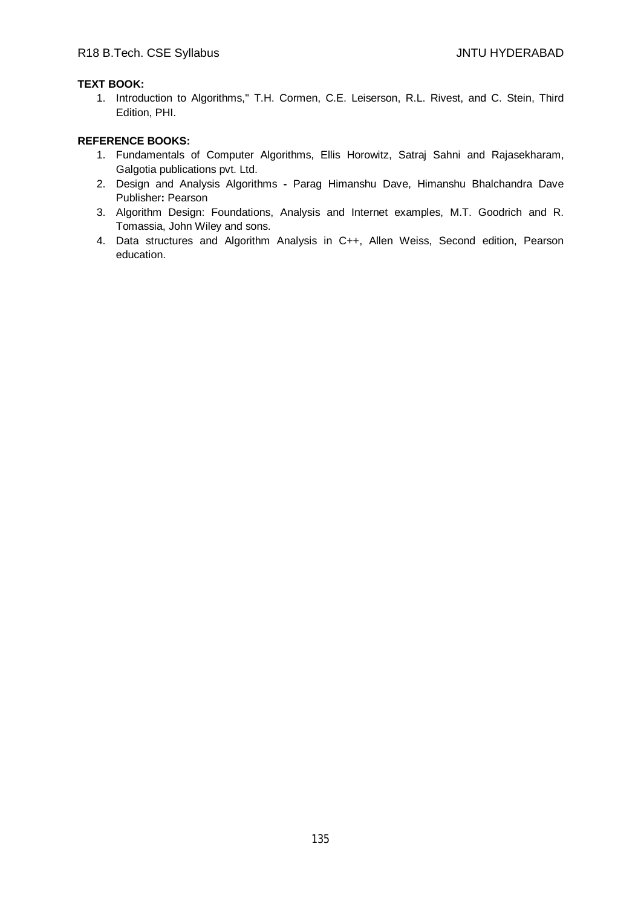# **TEXT BOOK:**

1. Introduction to Algorithms,'' T.H. Cormen, C.E. Leiserson, R.L. Rivest, and C. Stein, Third Edition, PHI.

- 1. Fundamentals of Computer Algorithms, Ellis Horowitz, Satraj Sahni and Rajasekharam, Galgotia publications pvt. Ltd.
- 2. Design and Analysis Algorithms **-** Parag Himanshu Dave, Himanshu Bhalchandra Dave Publisher**:** Pearson
- 3. Algorithm Design: Foundations, Analysis and Internet examples, M.T. Goodrich and R. Tomassia, John Wiley and sons.
- 4. Data structures and Algorithm Analysis in C++, Allen Weiss, Second edition, Pearson education.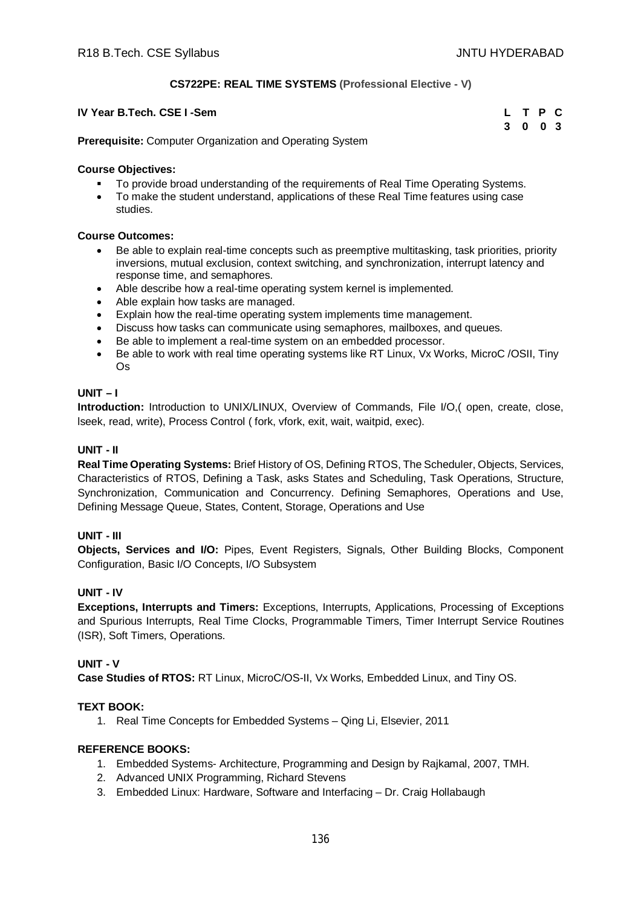# **CS722PE: REAL TIME SYSTEMS (Professional Elective - V)**

| IV Year B.Tech. CSE I -Sem | L T P C |  |  |
|----------------------------|---------|--|--|
|                            | 3 0 0 3 |  |  |

**Prerequisite:** Computer Organization and Operating System

#### **Course Objectives:**

- To provide broad understanding of the requirements of Real Time Operating Systems.
- To make the student understand, applications of these Real Time features using case studies.

#### **Course Outcomes:**

- Be able to explain real-time concepts such as preemptive multitasking, task priorities, priority inversions, mutual exclusion, context switching, and synchronization, interrupt latency and response time, and semaphores.
- Able describe how a real-time operating system kernel is implemented.
- Able explain how tasks are managed.
- Explain how the real-time operating system implements time management.
- Discuss how tasks can communicate using semaphores, mailboxes, and queues.
- Be able to implement a real-time system on an embedded processor.
- Be able to work with real time operating systems like RT Linux, Vx Works, MicroC /OSII, Tiny Os

#### **UNIT – I**

**Introduction:** Introduction to UNIX/LINUX, Overview of Commands, File I/O,( open, create, close, lseek, read, write), Process Control ( fork, vfork, exit, wait, waitpid, exec).

#### **UNIT - II**

**Real Time Operating Systems:** Brief History of OS, Defining RTOS, The Scheduler, Objects, Services, Characteristics of RTOS, Defining a Task, asks States and Scheduling, Task Operations, Structure, Synchronization, Communication and Concurrency. Defining Semaphores, Operations and Use, Defining Message Queue, States, Content, Storage, Operations and Use

## **UNIT - III**

**Objects, Services and I/O:** Pipes, Event Registers, Signals, Other Building Blocks, Component Configuration, Basic I/O Concepts, I/O Subsystem

## **UNIT - IV**

**Exceptions, Interrupts and Timers:** Exceptions, Interrupts, Applications, Processing of Exceptions and Spurious Interrupts, Real Time Clocks, Programmable Timers, Timer Interrupt Service Routines (ISR), Soft Timers, Operations.

## **UNIT - V**

**Case Studies of RTOS:** RT Linux, MicroC/OS-II, Vx Works, Embedded Linux, and Tiny OS.

## **TEXT BOOK:**

1. Real Time Concepts for Embedded Systems – Qing Li, Elsevier, 2011

- 1. Embedded Systems- Architecture, Programming and Design by Rajkamal, 2007, TMH.
- 2. Advanced UNIX Programming, Richard Stevens
- 3. Embedded Linux: Hardware, Software and Interfacing Dr. Craig Hollabaugh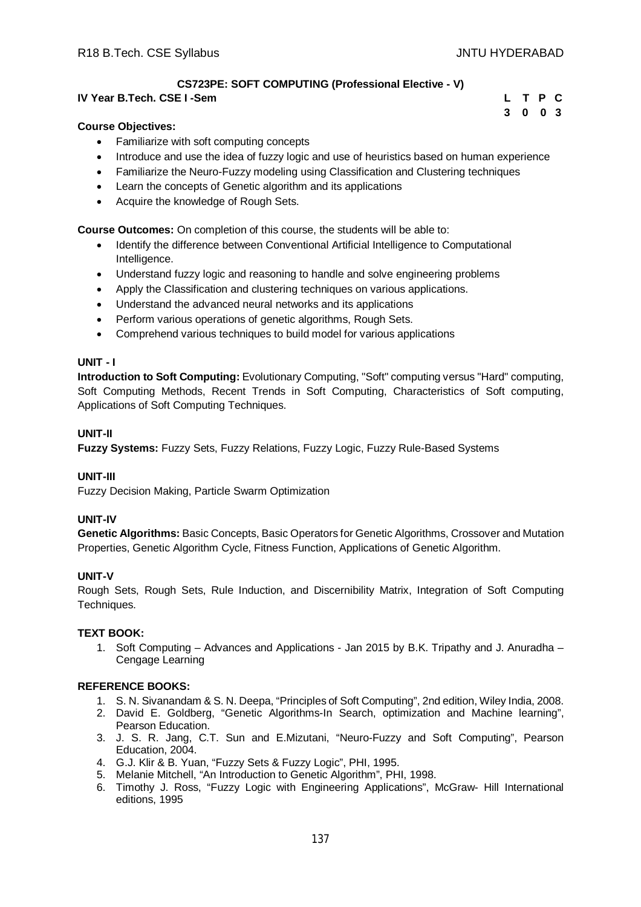**3 0 0 3**

# **CS723PE: SOFT COMPUTING (Professional Elective - V)**

## **IV Year B.Tech. CSE I -Sem L T P C**

## **Course Objectives:**

- Familiarize with soft computing concepts
- Introduce and use the idea of fuzzy logic and use of heuristics based on human experience
- Familiarize the Neuro-Fuzzy modeling using Classification and Clustering techniques
- Learn the concepts of Genetic algorithm and its applications
- Acquire the knowledge of Rough Sets.

**Course Outcomes:** On completion of this course, the students will be able to:

- Identify the difference between Conventional Artificial Intelligence to Computational Intelligence.
- Understand fuzzy logic and reasoning to handle and solve engineering problems
- Apply the Classification and clustering techniques on various applications.
- Understand the advanced neural networks and its applications
- Perform various operations of genetic algorithms, Rough Sets.
- Comprehend various techniques to build model for various applications

#### **UNIT - I**

**Introduction to Soft Computing:** Evolutionary Computing, "Soft" computing versus "Hard" computing, Soft Computing Methods, Recent Trends in Soft Computing, Characteristics of Soft computing, Applications of Soft Computing Techniques.

## **UNIT-II**

**Fuzzy Systems:** Fuzzy Sets, Fuzzy Relations, Fuzzy Logic, Fuzzy Rule-Based Systems

## **UNIT-III**

Fuzzy Decision Making, Particle Swarm Optimization

#### **UNIT-IV**

**Genetic Algorithms:** Basic Concepts, Basic Operators for Genetic Algorithms, Crossover and Mutation Properties, Genetic Algorithm Cycle, Fitness Function, Applications of Genetic Algorithm.

## **UNIT-V**

Rough Sets, Rough Sets, Rule Induction, and Discernibility Matrix, Integration of Soft Computing Techniques.

#### **TEXT BOOK:**

1. Soft Computing – Advances and Applications - Jan 2015 by B.K. Tripathy and J. Anuradha – Cengage Learning

- 1. S. N. Sivanandam & S. N. Deepa, "Principles of Soft Computing", 2nd edition, Wiley India, 2008.
- 2. David E. Goldberg, "Genetic Algorithms-In Search, optimization and Machine learning", Pearson Education.
- 3. J. S. R. Jang, C.T. Sun and E.Mizutani, "Neuro-Fuzzy and Soft Computing", Pearson Education, 2004.
- 4. G.J. Klir & B. Yuan, "Fuzzy Sets & Fuzzy Logic", PHI, 1995.
- 5. Melanie Mitchell, "An Introduction to Genetic Algorithm", PHI, 1998.
- 6. Timothy J. Ross, "Fuzzy Logic with Engineering Applications", McGraw- Hill International editions, 1995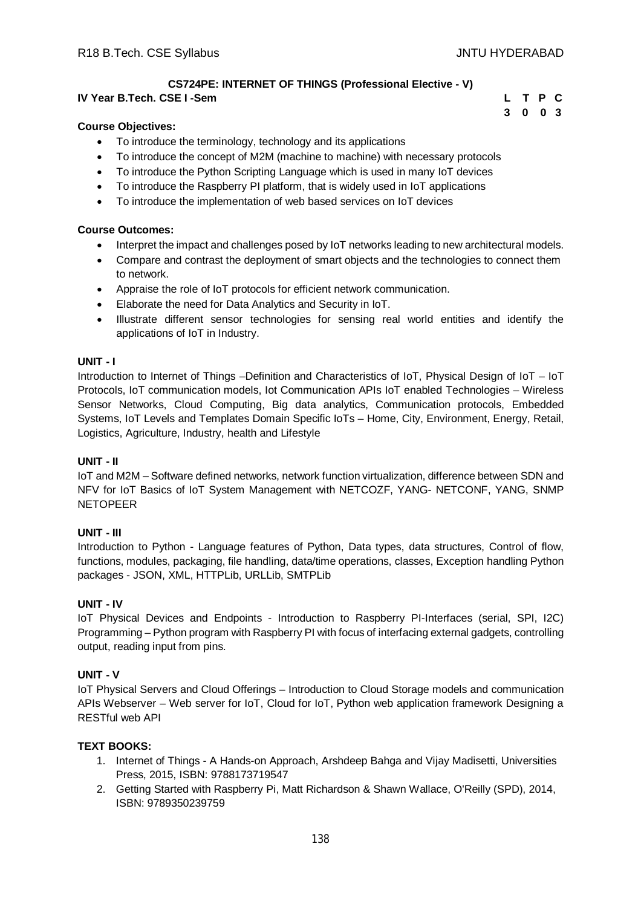# **CS724PE: INTERNET OF THINGS (Professional Elective - V)**

# **IV Year B.Tech. CSE I -Sem L T P C**

# **3 0 0 3**

## **Course Objectives:**

- To introduce the terminology, technology and its applications
- To introduce the concept of M2M (machine to machine) with necessary protocols
- To introduce the Python Scripting Language which is used in many IoT devices
- To introduce the Raspberry PI platform, that is widely used in IoT applications
- To introduce the implementation of web based services on IoT devices

## **Course Outcomes:**

- Interpret the impact and challenges posed by IoT networks leading to new architectural models.
- Compare and contrast the deployment of smart objects and the technologies to connect them to network.
- Appraise the role of IoT protocols for efficient network communication.
- Elaborate the need for Data Analytics and Security in IoT.
- Illustrate different sensor technologies for sensing real world entities and identify the applications of IoT in Industry.

#### **UNIT - I**

Introduction to Internet of Things –Definition and Characteristics of IoT, Physical Design of IoT – IoT Protocols, IoT communication models, Iot Communication APIs IoT enabled Technologies – Wireless Sensor Networks, Cloud Computing, Big data analytics, Communication protocols, Embedded Systems, IoT Levels and Templates Domain Specific IoTs – Home, City, Environment, Energy, Retail, Logistics, Agriculture, Industry, health and Lifestyle

## **UNIT - II**

IoT and M2M – Software defined networks, network function virtualization, difference between SDN and NFV for IoT Basics of IoT System Management with NETCOZF, YANG- NETCONF, YANG, SNMP NETOPEER

## **UNIT - III**

Introduction to Python - Language features of Python, Data types, data structures, Control of flow, functions, modules, packaging, file handling, data/time operations, classes, Exception handling Python packages - JSON, XML, HTTPLib, URLLib, SMTPLib

## **UNIT - IV**

IoT Physical Devices and Endpoints - Introduction to Raspberry PI-Interfaces (serial, SPI, I2C) Programming – Python program with Raspberry PI with focus of interfacing external gadgets, controlling output, reading input from pins.

## **UNIT - V**

IoT Physical Servers and Cloud Offerings – Introduction to Cloud Storage models and communication APIs Webserver – Web server for IoT, Cloud for IoT, Python web application framework Designing a RESTful web API

## **TEXT BOOKS:**

- 1. Internet of Things A Hands-on Approach, Arshdeep Bahga and Vijay Madisetti, Universities Press, 2015, ISBN: 9788173719547
- 2. Getting Started with Raspberry Pi, Matt Richardson & Shawn Wallace, O'Reilly (SPD), 2014, ISBN: 9789350239759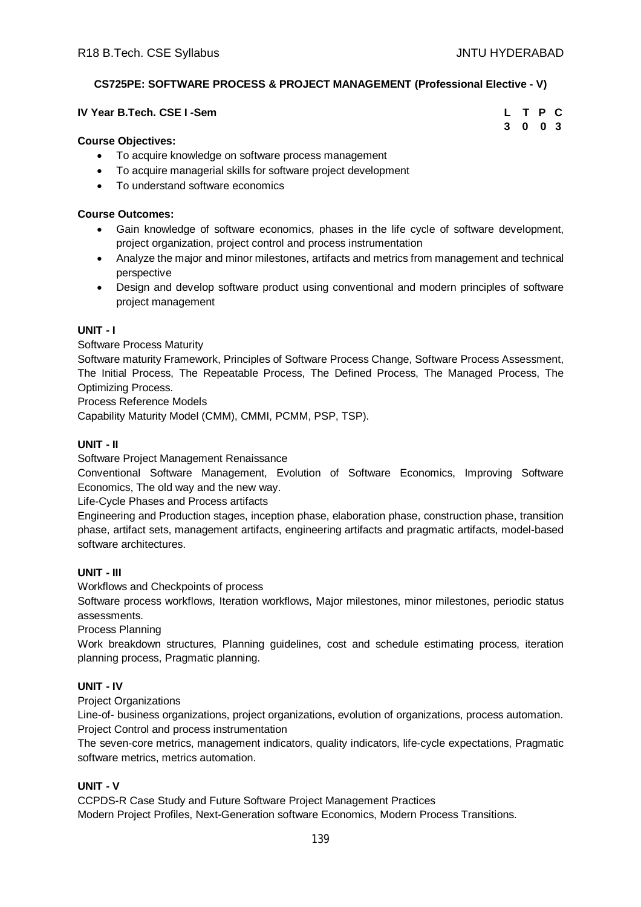# **CS725PE: SOFTWARE PROCESS & PROJECT MANAGEMENT (Professional Elective - V)**

#### **IV** Year B.Tech. CSE I -Sem

| L | T P | C              |
|---|-----|----------------|
| 3 | 0   | 0 <sup>3</sup> |

## **Course Objectives:**

- To acquire knowledge on software process management
- To acquire managerial skills for software project development
- To understand software economics

#### **Course Outcomes:**

- Gain knowledge of software economics, phases in the life cycle of software development, project organization, project control and process instrumentation
- Analyze the major and minor milestones, artifacts and metrics from management and technical perspective
- Design and develop software product using conventional and modern principles of software project management

#### **UNIT - I**

Software Process Maturity

Software maturity Framework, Principles of Software Process Change, Software Process Assessment, The Initial Process, The Repeatable Process, The Defined Process, The Managed Process, The Optimizing Process.

Process Reference Models

Capability Maturity Model (CMM), CMMI, PCMM, PSP, TSP).

## **UNIT - II**

Software Project Management Renaissance

Conventional Software Management, Evolution of Software Economics, Improving Software Economics, The old way and the new way.

Life-Cycle Phases and Process artifacts

Engineering and Production stages, inception phase, elaboration phase, construction phase, transition phase, artifact sets, management artifacts, engineering artifacts and pragmatic artifacts, model-based software architectures.

## **UNIT - III**

Workflows and Checkpoints of process

Software process workflows, Iteration workflows, Major milestones, minor milestones, periodic status assessments.

Process Planning

Work breakdown structures, Planning guidelines, cost and schedule estimating process, iteration planning process, Pragmatic planning.

## **UNIT - IV**

Project Organizations

Line-of- business organizations, project organizations, evolution of organizations, process automation. Project Control and process instrumentation

The seven-core metrics, management indicators, quality indicators, life-cycle expectations, Pragmatic software metrics, metrics automation.

# **UNIT - V**

CCPDS-R Case Study and Future Software Project Management Practices Modern Project Profiles, Next-Generation software Economics, Modern Process Transitions.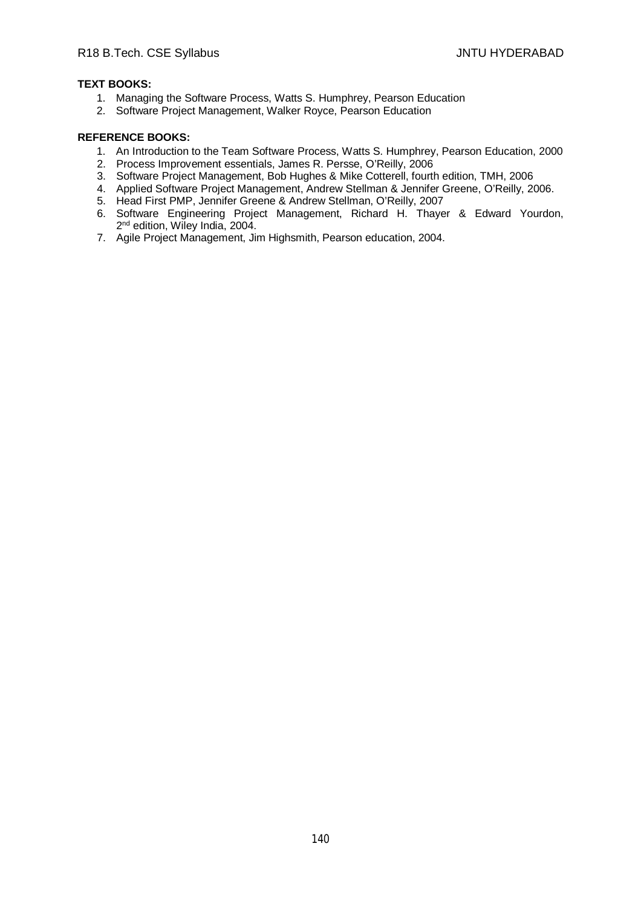## **TEXT BOOKS:**

- 1. Managing the Software Process, Watts S. Humphrey, Pearson Education
- 2. Software Project Management, Walker Royce, Pearson Education

- 1. An Introduction to the Team Software Process, Watts S. Humphrey, Pearson Education, 2000
- 2. Process Improvement essentials, James R. Persse, O'Reilly, 2006
- 3. Software Project Management, Bob Hughes & Mike Cotterell, fourth edition, TMH, 2006
- 4. Applied Software Project Management, Andrew Stellman & Jennifer Greene, O'Reilly, 2006.
- 5. Head First PMP, Jennifer Greene & Andrew Stellman, O'Reilly, 2007
- 6. Software Engineering Project Management, Richard H. Thayer & Edward Yourdon, 2<sup>nd</sup> edition, Wiley India, 2004.
- 7. Agile Project Management, Jim Highsmith, Pearson education, 2004.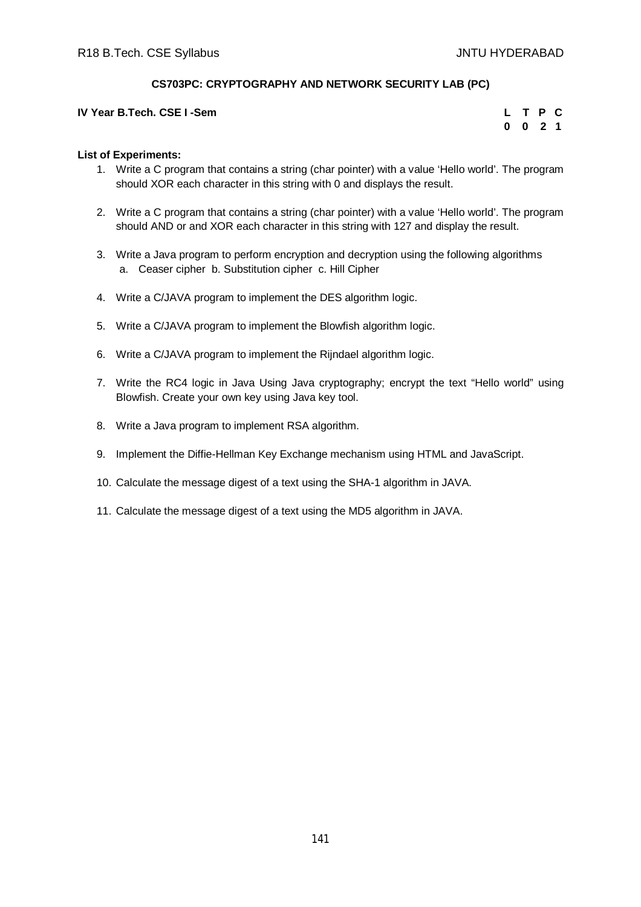# **CS703PC: CRYPTOGRAPHY AND NETWORK SECURITY LAB (PC)**

#### **IV** Year B.Tech. CSE I -Sem

|          |   | T P            | G |
|----------|---|----------------|---|
| $\bf{0}$ | 0 | $\overline{2}$ | 1 |

## **List of Experiments:**

- 1. Write a C program that contains a string (char pointer) with a value 'Hello world'. The program should XOR each character in this string with 0 and displays the result.
- 2. Write a C program that contains a string (char pointer) with a value 'Hello world'. The program should AND or and XOR each character in this string with 127 and display the result.
- 3. Write a Java program to perform encryption and decryption using the following algorithms a. Ceaser cipher b. Substitution cipher c. Hill Cipher
- 4. Write a C/JAVA program to implement the DES algorithm logic.
- 5. Write a C/JAVA program to implement the Blowfish algorithm logic.
- 6. Write a C/JAVA program to implement the Rijndael algorithm logic.
- 7. Write the RC4 logic in Java Using Java cryptography; encrypt the text "Hello world" using Blowfish. Create your own key using Java key tool.
- 8. Write a Java program to implement RSA algorithm.
- 9. Implement the Diffie-Hellman Key Exchange mechanism using HTML and JavaScript.
- 10. Calculate the message digest of a text using the SHA-1 algorithm in JAVA.
- 11. Calculate the message digest of a text using the MD5 algorithm in JAVA.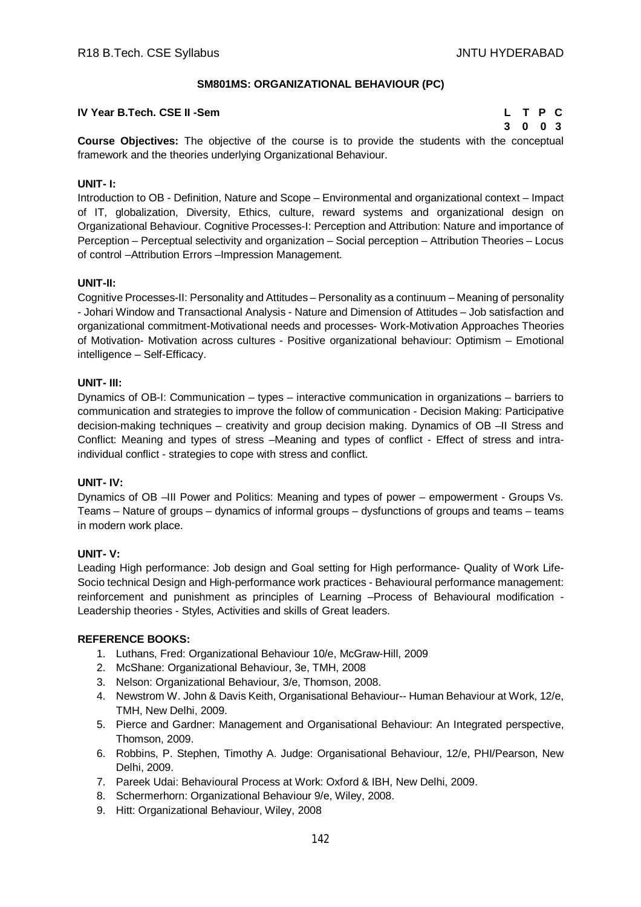## **SM801MS: ORGANIZATIONAL BEHAVIOUR (PC)**

## **IV Year B.Tech. CSE II -Sem L T P C**

**3 0 0 3**

**Course Objectives:** The objective of the course is to provide the students with the conceptual framework and the theories underlying Organizational Behaviour.

# **UNIT- I:**

Introduction to OB - Definition, Nature and Scope – Environmental and organizational context – Impact of IT, globalization, Diversity, Ethics, culture, reward systems and organizational design on Organizational Behaviour. Cognitive Processes-I: Perception and Attribution: Nature and importance of Perception – Perceptual selectivity and organization – Social perception – Attribution Theories – Locus of control –Attribution Errors –Impression Management.

#### **UNIT-II:**

Cognitive Processes-II: Personality and Attitudes – Personality as a continuum – Meaning of personality - Johari Window and Transactional Analysis - Nature and Dimension of Attitudes – Job satisfaction and organizational commitment-Motivational needs and processes- Work-Motivation Approaches Theories of Motivation- Motivation across cultures - Positive organizational behaviour: Optimism – Emotional intelligence – Self-Efficacy.

#### **UNIT- III:**

Dynamics of OB-I: Communication – types – interactive communication in organizations – barriers to communication and strategies to improve the follow of communication - Decision Making: Participative decision-making techniques – creativity and group decision making. Dynamics of OB –II Stress and Conflict: Meaning and types of stress –Meaning and types of conflict - Effect of stress and intraindividual conflict - strategies to cope with stress and conflict.

## **UNIT- IV:**

Dynamics of OB –III Power and Politics: Meaning and types of power – empowerment - Groups Vs. Teams – Nature of groups – dynamics of informal groups – dysfunctions of groups and teams – teams in modern work place.

#### **UNIT- V:**

Leading High performance: Job design and Goal setting for High performance- Quality of Work Life-Socio technical Design and High-performance work practices - Behavioural performance management: reinforcement and punishment as principles of Learning –Process of Behavioural modification - Leadership theories - Styles, Activities and skills of Great leaders.

- 1. Luthans, Fred: Organizational Behaviour 10/e, McGraw-Hill, 2009
- 2. McShane: Organizational Behaviour, 3e, TMH, 2008
- 3. Nelson: Organizational Behaviour, 3/e, Thomson, 2008.
- 4. Newstrom W. John & Davis Keith, Organisational Behaviour-- Human Behaviour at Work, 12/e, TMH, New Delhi, 2009.
- 5. Pierce and Gardner: Management and Organisational Behaviour: An Integrated perspective, Thomson, 2009.
- 6. Robbins, P. Stephen, Timothy A. Judge: Organisational Behaviour, 12/e, PHI/Pearson, New Delhi, 2009.
- 7. Pareek Udai: Behavioural Process at Work: Oxford & IBH, New Delhi, 2009.
- 8. Schermerhorn: Organizational Behaviour 9/e, Wiley, 2008.
- 9. Hitt: Organizational Behaviour, Wiley, 2008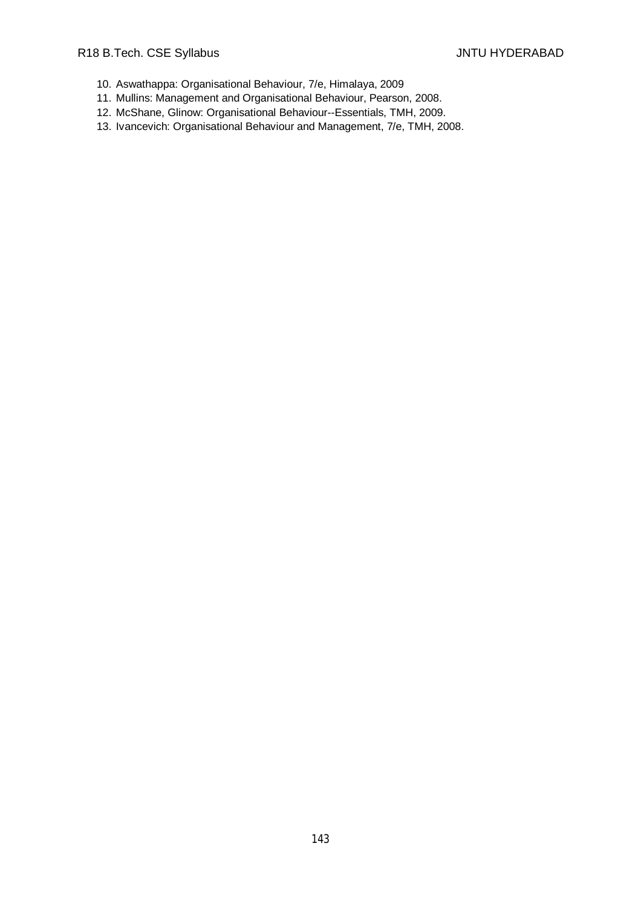- 10. Aswathappa: Organisational Behaviour, 7/e, Himalaya, 2009
- 11. Mullins: Management and Organisational Behaviour, Pearson, 2008.
- 12. McShane, Glinow: Organisational Behaviour--Essentials, TMH, 2009.
- 13. Ivancevich: Organisational Behaviour and Management, 7/e, TMH, 2008.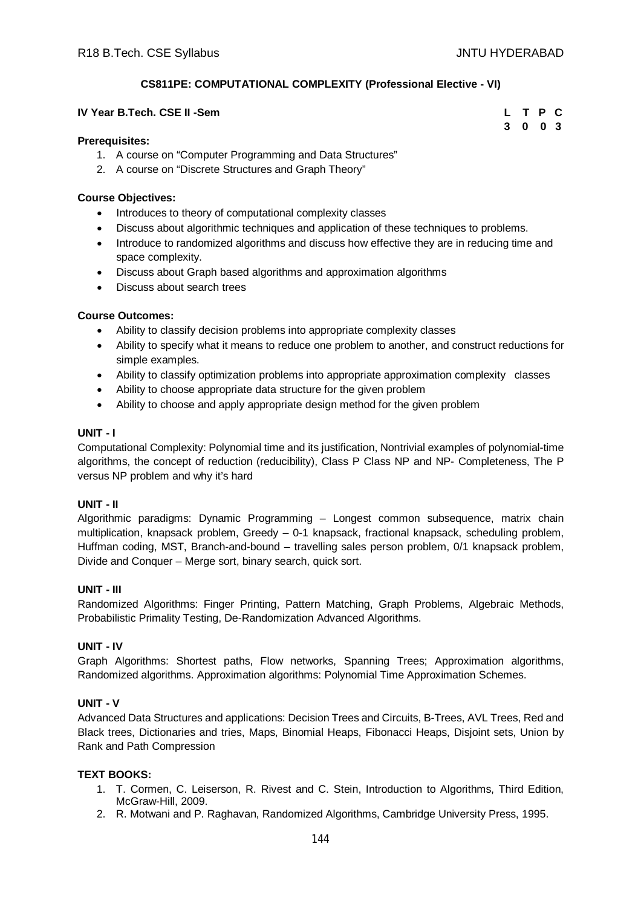**3 0 0 3**

# **CS811PE: COMPUTATIONAL COMPLEXITY (Professional Elective - VI)**

#### **IV Year B.Tech. CSE II -Sem L T P C**

#### **Prerequisites:**

- 1. A course on "Computer Programming and Data Structures"
- 2. A course on "Discrete Structures and Graph Theory"

#### **Course Objectives:**

- Introduces to theory of computational complexity classes
- Discuss about algorithmic techniques and application of these techniques to problems.
- Introduce to randomized algorithms and discuss how effective they are in reducing time and space complexity.
- Discuss about Graph based algorithms and approximation algorithms
- Discuss about search trees

## **Course Outcomes:**

- Ability to classify decision problems into appropriate complexity classes
- Ability to specify what it means to reduce one problem to another, and construct reductions for simple examples.
- Ability to classify optimization problems into appropriate approximation complexity classes
- Ability to choose appropriate data structure for the given problem
- Ability to choose and apply appropriate design method for the given problem

#### **UNIT - I**

Computational Complexity: Polynomial time and its justification, Nontrivial examples of polynomial-time algorithms, the concept of reduction (reducibility), Class P Class NP and NP- Completeness, The P versus NP problem and why it's hard

## **UNIT - II**

Algorithmic paradigms: Dynamic Programming – Longest common subsequence, matrix chain multiplication, knapsack problem, Greedy – 0-1 knapsack, fractional knapsack, scheduling problem, Huffman coding, MST, Branch-and-bound – travelling sales person problem, 0/1 knapsack problem, Divide and Conquer – Merge sort, binary search, quick sort.

#### **UNIT - III**

Randomized Algorithms: Finger Printing, Pattern Matching, Graph Problems, Algebraic Methods, Probabilistic Primality Testing, De-Randomization Advanced Algorithms.

## **UNIT - IV**

Graph Algorithms: Shortest paths, Flow networks, Spanning Trees; Approximation algorithms, Randomized algorithms. Approximation algorithms: Polynomial Time Approximation Schemes.

## **UNIT - V**

Advanced Data Structures and applications: Decision Trees and Circuits, B-Trees, AVL Trees, Red and Black trees, Dictionaries and tries, Maps, Binomial Heaps, Fibonacci Heaps, Disjoint sets, Union by Rank and Path Compression

## **TEXT BOOKS:**

- 1. T. Cormen, C. Leiserson, R. Rivest and C. Stein, Introduction to Algorithms, Third Edition, McGraw-Hill, 2009.
- 2. R. Motwani and P. Raghavan, Randomized Algorithms, Cambridge University Press, 1995.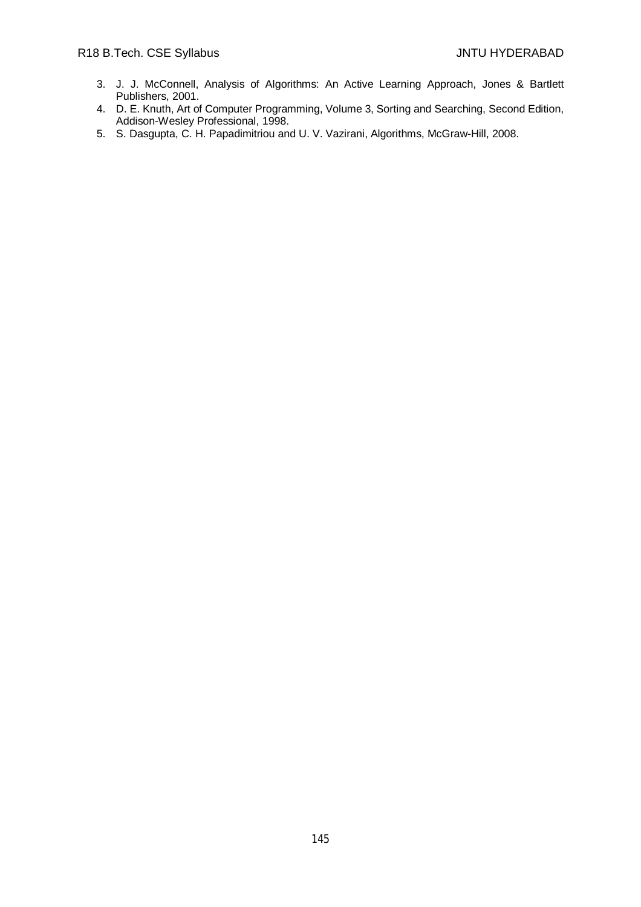- 3. J. J. McConnell, Analysis of Algorithms: An Active Learning Approach, Jones & Bartlett Publishers, 2001.
- 4. D. E. Knuth, Art of Computer Programming, Volume 3, Sorting and Searching, Second Edition, Addison-Wesley Professional, 1998.
- 5. S. Dasgupta, C. H. Papadimitriou and U. V. Vazirani, Algorithms, McGraw-Hill, 2008.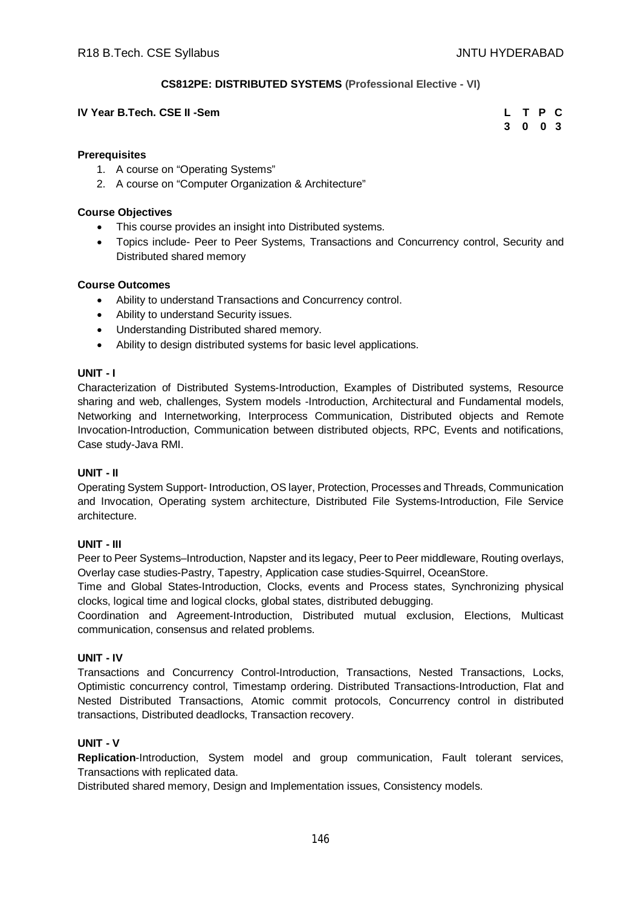# **CS812PE: DISTRIBUTED SYSTEMS (Professional Elective - VI)**

### **IV** Year B.Tech. CSE II -Sem

| L | Т | - P         | C   |
|---|---|-------------|-----|
| 3 | 0 | $\mathbf 0$ | - 3 |

#### **Prerequisites**

- 1. A course on "Operating Systems"
- 2. A course on "Computer Organization & Architecture"

#### **Course Objectives**

- This course provides an insight into Distributed systems.
- Topics include- Peer to Peer Systems, Transactions and Concurrency control, Security and Distributed shared memory

#### **Course Outcomes**

- Ability to understand Transactions and Concurrency control.
- Ability to understand Security issues.
- Understanding Distributed shared memory.
- Ability to design distributed systems for basic level applications.

#### **UNIT - I**

Characterization of Distributed Systems-Introduction, Examples of Distributed systems, Resource sharing and web, challenges, System models -Introduction, Architectural and Fundamental models, Networking and Internetworking, Interprocess Communication, Distributed objects and Remote Invocation-Introduction, Communication between distributed objects, RPC, Events and notifications, Case study-Java RMI.

## **UNIT - II**

Operating System Support- Introduction, OS layer, Protection, Processes and Threads, Communication and Invocation, Operating system architecture, Distributed File Systems-Introduction, File Service architecture.

## **UNIT - III**

Peer to Peer Systems–Introduction, Napster and its legacy, Peer to Peer middleware, Routing overlays, Overlay case studies-Pastry, Tapestry, Application case studies-Squirrel, OceanStore.

Time and Global States-Introduction, Clocks, events and Process states, Synchronizing physical clocks, logical time and logical clocks, global states, distributed debugging.

Coordination and Agreement-Introduction, Distributed mutual exclusion, Elections, Multicast communication, consensus and related problems.

## **UNIT - IV**

Transactions and Concurrency Control-Introduction, Transactions, Nested Transactions, Locks, Optimistic concurrency control, Timestamp ordering. Distributed Transactions-Introduction, Flat and Nested Distributed Transactions, Atomic commit protocols, Concurrency control in distributed transactions, Distributed deadlocks, Transaction recovery.

## **UNIT - V**

**Replication**-Introduction, System model and group communication, Fault tolerant services, Transactions with replicated data.

Distributed shared memory, Design and Implementation issues, Consistency models.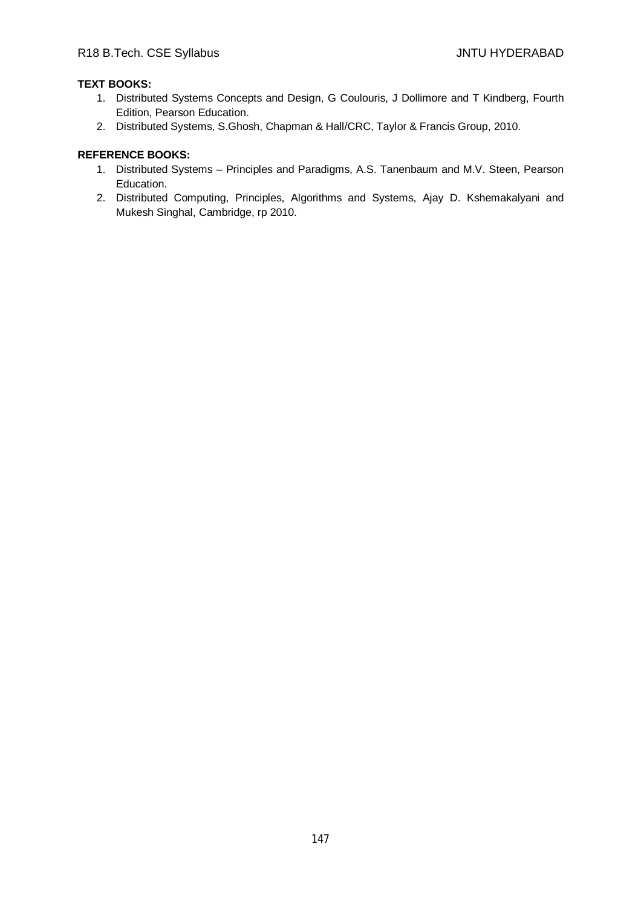# **TEXT BOOKS:**

- 1. Distributed Systems Concepts and Design, G Coulouris, J Dollimore and T Kindberg, Fourth Edition, Pearson Education.
- 2. Distributed Systems, S.Ghosh, Chapman & Hall/CRC, Taylor & Francis Group, 2010.

# **REFERENCE BOOKS:**

- 1. Distributed Systems Principles and Paradigms, A.S. Tanenbaum and M.V. Steen, Pearson Education.
- 2. Distributed Computing, Principles, Algorithms and Systems, Ajay D. Kshemakalyani and Mukesh Singhal, Cambridge, rp 2010.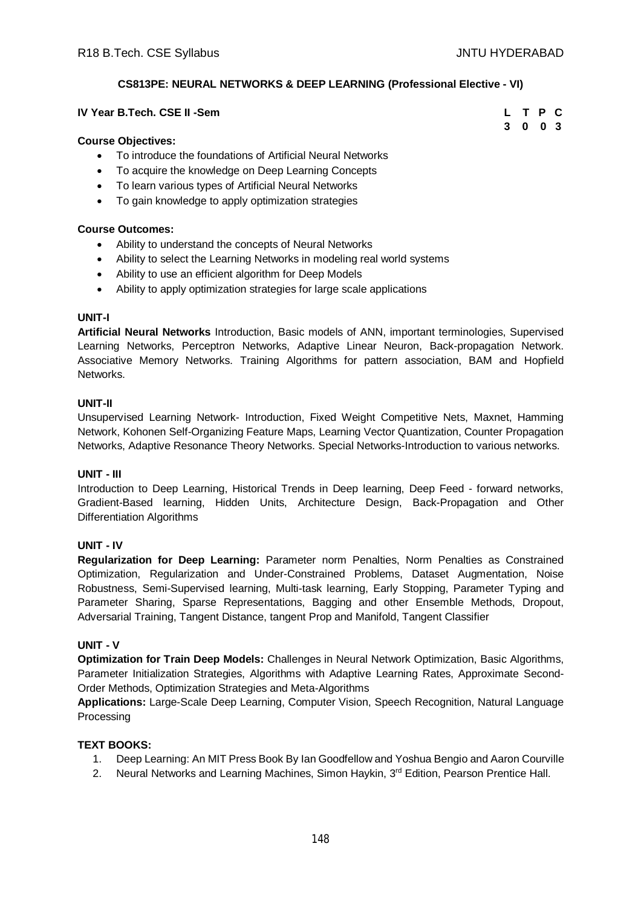**3 0 0 3**

# **CS813PE: NEURAL NETWORKS & DEEP LEARNING (Professional Elective - VI)**

### **IV Year B.Tech. CSE II -Sem L T P C**

#### **Course Objectives:**

- To introduce the foundations of Artificial Neural Networks
- To acquire the knowledge on Deep Learning Concepts
- To learn various types of Artificial Neural Networks
- To gain knowledge to apply optimization strategies

#### **Course Outcomes:**

- Ability to understand the concepts of Neural Networks
- Ability to select the Learning Networks in modeling real world systems
- Ability to use an efficient algorithm for Deep Models
- Ability to apply optimization strategies for large scale applications

#### **UNIT-I**

**Artificial Neural Networks** Introduction, Basic models of ANN, important terminologies, Supervised Learning Networks, Perceptron Networks, Adaptive Linear Neuron, Back-propagation Network. Associative Memory Networks. Training Algorithms for pattern association, BAM and Hopfield Networks.

#### **UNIT-II**

Unsupervised Learning Network- Introduction, Fixed Weight Competitive Nets, Maxnet, Hamming Network, Kohonen Self-Organizing Feature Maps, Learning Vector Quantization, Counter Propagation Networks, Adaptive Resonance Theory Networks. Special Networks-Introduction to various networks.

#### **UNIT - III**

Introduction to Deep Learning, Historical Trends in Deep learning, Deep Feed - forward networks, Gradient-Based learning, Hidden Units, Architecture Design, Back-Propagation and Other Differentiation Algorithms

## **UNIT - IV**

**Regularization for Deep Learning:** Parameter norm Penalties, Norm Penalties as Constrained Optimization, Regularization and Under-Constrained Problems, Dataset Augmentation, Noise Robustness, Semi-Supervised learning, Multi-task learning, Early Stopping, Parameter Typing and Parameter Sharing, Sparse Representations, Bagging and other Ensemble Methods, Dropout, Adversarial Training, Tangent Distance, tangent Prop and Manifold, Tangent Classifier

## **UNIT - V**

**Optimization for Train Deep Models:** Challenges in Neural Network Optimization, Basic Algorithms, Parameter Initialization Strategies, Algorithms with Adaptive Learning Rates, Approximate Second-Order Methods, Optimization Strategies and Meta-Algorithms

**Applications:** Large-Scale Deep Learning, Computer Vision, Speech Recognition, Natural Language Processing

#### **TEXT BOOKS:**

- 1. Deep Learning: An MIT Press Book By Ian Goodfellow and Yoshua Bengio and Aaron Courville
- 2. Neural Networks and Learning Machines, Simon Haykin, 3<sup>rd</sup> Edition, Pearson Prentice Hall.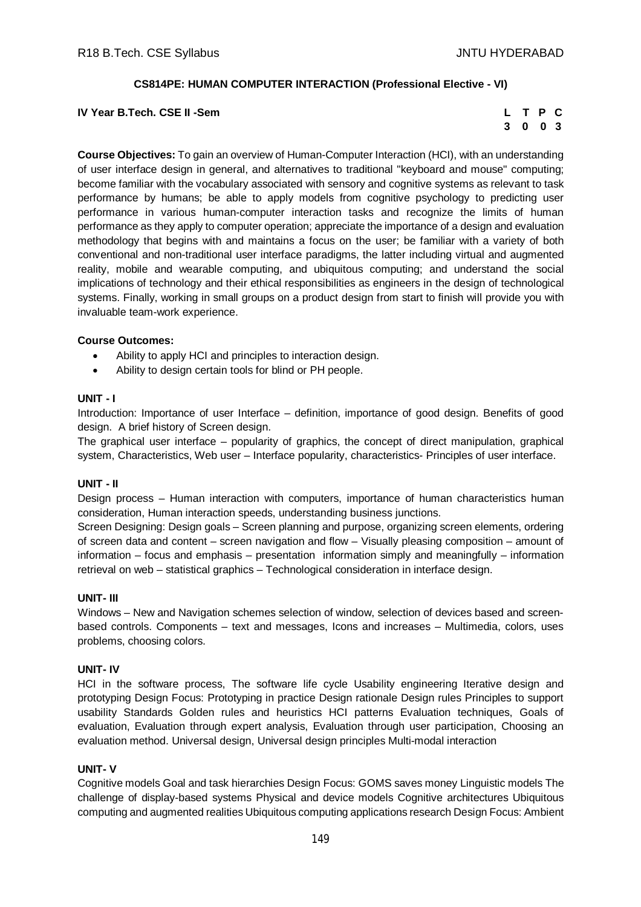## **CS814PE: HUMAN COMPUTER INTERACTION (Professional Elective - VI)**

**IV** Year B.Tech. CSE II -Sem

| L | T P |                | C |
|---|-----|----------------|---|
| 3 | 0   | 0 <sup>3</sup> |   |

**Course Objectives:** To gain an overview of Human-Computer Interaction (HCI), with an understanding of user interface design in general, and alternatives to traditional "keyboard and mouse" computing; become familiar with the vocabulary associated with sensory and cognitive systems as relevant to task performance by humans; be able to apply models from cognitive psychology to predicting user performance in various human-computer interaction tasks and recognize the limits of human performance as they apply to computer operation; appreciate the importance of a design and evaluation methodology that begins with and maintains a focus on the user; be familiar with a variety of both conventional and non-traditional user interface paradigms, the latter including virtual and augmented reality, mobile and wearable computing, and ubiquitous computing; and understand the social implications of technology and their ethical responsibilities as engineers in the design of technological systems. Finally, working in small groups on a product design from start to finish will provide you with invaluable team-work experience.

#### **Course Outcomes:**

- Ability to apply HCI and principles to interaction design.
- Ability to design certain tools for blind or PH people.

## **UNIT - I**

Introduction: Importance of user Interface – definition, importance of good design. Benefits of good design. A brief history of Screen design.

The graphical user interface – popularity of graphics, the concept of direct manipulation, graphical system, Characteristics, Web user – Interface popularity, characteristics- Principles of user interface.

#### **UNIT - II**

Design process – Human interaction with computers, importance of human characteristics human consideration, Human interaction speeds, understanding business junctions.

Screen Designing: Design goals – Screen planning and purpose, organizing screen elements, ordering of screen data and content – screen navigation and flow – Visually pleasing composition – amount of information – focus and emphasis – presentation information simply and meaningfully – information retrieval on web – statistical graphics – Technological consideration in interface design.

#### **UNIT- III**

Windows – New and Navigation schemes selection of window, selection of devices based and screenbased controls. Components – text and messages, Icons and increases – Multimedia, colors, uses problems, choosing colors.

#### **UNIT- IV**

HCI in the software process, The software life cycle Usability engineering Iterative design and prototyping Design Focus: Prototyping in practice Design rationale Design rules Principles to support usability Standards Golden rules and heuristics HCI patterns Evaluation techniques, Goals of evaluation, Evaluation through expert analysis, Evaluation through user participation, Choosing an evaluation method. Universal design, Universal design principles Multi-modal interaction

#### **UNIT- V**

Cognitive models Goal and task hierarchies Design Focus: GOMS saves money Linguistic models The challenge of display-based systems Physical and device models Cognitive architectures Ubiquitous computing and augmented realities Ubiquitous computing applications research Design Focus: Ambient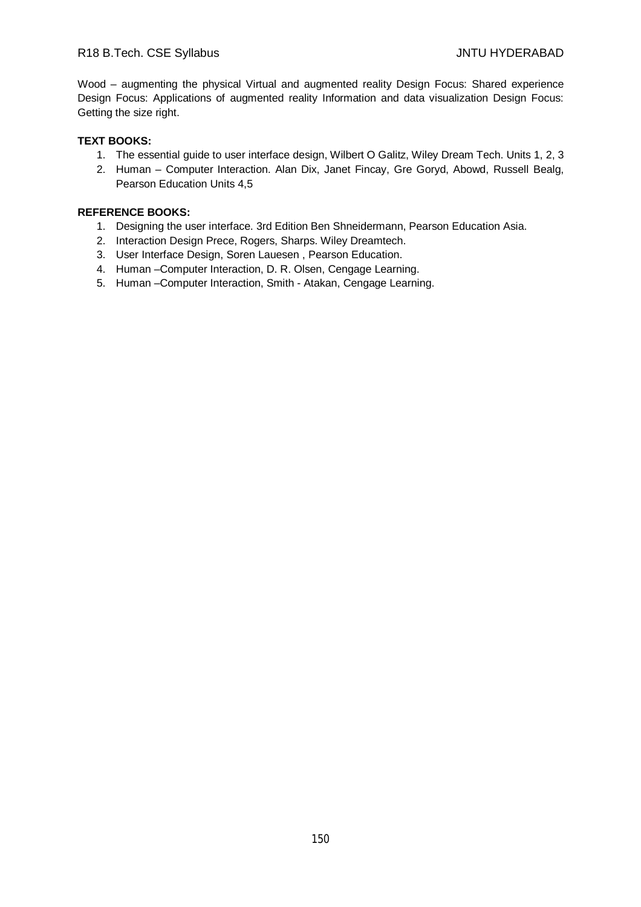Wood – augmenting the physical Virtual and augmented reality Design Focus: Shared experience Design Focus: Applications of augmented reality Information and data visualization Design Focus: Getting the size right.

# **TEXT BOOKS:**

- 1. The essential guide to user interface design, Wilbert O Galitz, Wiley Dream Tech. Units 1, 2, 3
- 2. Human Computer Interaction. Alan Dix, Janet Fincay, Gre Goryd, Abowd, Russell Bealg, Pearson Education Units 4,5

# **REFERENCE BOOKS:**

- 1. Designing the user interface. 3rd Edition Ben Shneidermann, Pearson Education Asia.
- 2. Interaction Design Prece, Rogers, Sharps. Wiley Dreamtech.
- 3. User Interface Design, Soren Lauesen , Pearson Education.
- 4. Human –Computer Interaction, D. R. Olsen, Cengage Learning.
- 5. Human –Computer Interaction, Smith Atakan, Cengage Learning.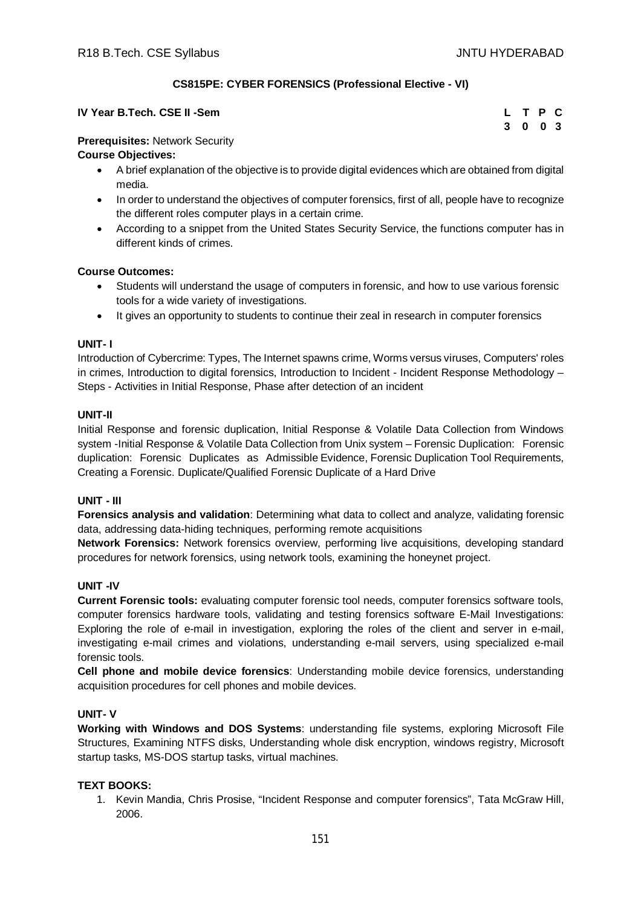# **CS815PE: CYBER FORENSICS (Professional Elective - VI)**

| IV Year B.Tech. CSE II -Sem | L T P C |  |  |
|-----------------------------|---------|--|--|
|                             | 3 0 0 3 |  |  |

## **Prerequisites:** Network Security

# **Course Objectives:**

- A brief explanation of the objective is to provide digital evidences which are obtained from digital media.
- In order to understand the objectives of computer forensics, first of all, people have to recognize the different roles computer plays in a certain crime.
- According to a snippet from the United States Security Service, the functions computer has in different kinds of crimes.

# **Course Outcomes:**

- Students will understand the usage of computers in forensic, and how to use various forensic tools for a wide variety of investigations.
- It gives an opportunity to students to continue their zeal in research in computer forensics

## **UNIT- I**

Introduction of Cybercrime: Types, The Internet spawns crime, Worms versus viruses, Computers' roles in crimes, Introduction to digital forensics, Introduction to Incident - Incident Response Methodology -Steps - Activities in Initial Response, Phase after detection of an incident

# **UNIT-II**

Initial Response and forensic duplication, Initial Response & Volatile Data Collection from Windows system -Initial Response & Volatile Data Collection from Unix system – Forensic Duplication: Forensic duplication: Forensic Duplicates as Admissible Evidence, Forensic Duplication Tool Requirements, Creating a Forensic. Duplicate/Qualified Forensic Duplicate of a Hard Drive

## **UNIT - III**

**Forensics analysis and validation**: Determining what data to collect and analyze, validating forensic data, addressing data-hiding techniques, performing remote acquisitions

**Network Forensics:** Network forensics overview, performing live acquisitions, developing standard procedures for network forensics, using network tools, examining the honeynet project.

# **UNIT -IV**

**Current Forensic tools:** evaluating computer forensic tool needs, computer forensics software tools, computer forensics hardware tools, validating and testing forensics software E-Mail Investigations: Exploring the role of e-mail in investigation, exploring the roles of the client and server in e-mail, investigating e-mail crimes and violations, understanding e-mail servers, using specialized e-mail forensic tools.

**Cell phone and mobile device forensics**: Understanding mobile device forensics, understanding acquisition procedures for cell phones and mobile devices.

## **UNIT- V**

**Working with Windows and DOS Systems**: understanding file systems, exploring Microsoft File Structures, Examining NTFS disks, Understanding whole disk encryption, windows registry, Microsoft startup tasks, MS-DOS startup tasks, virtual machines.

## **TEXT BOOKS:**

1. Kevin Mandia, Chris Prosise, "Incident Response and computer forensics", Tata McGraw Hill, 2006.